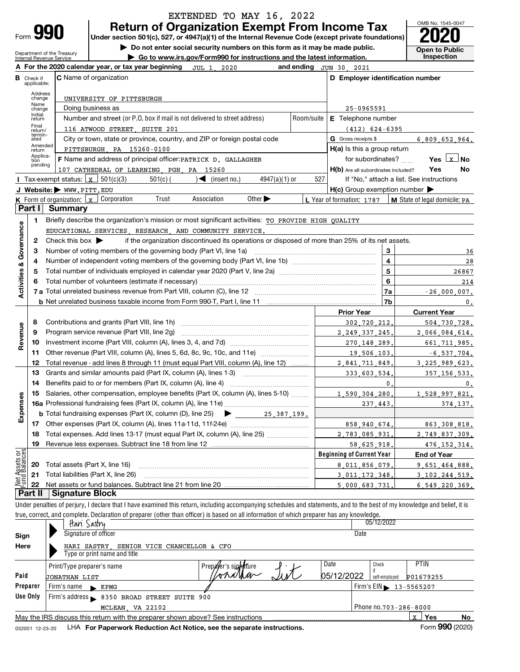| <b>Return of Organization Exempt From Income Tax</b><br>Form 990<br>Under section 501(c), 527, or 4947(a)(1) of the Internal Revenue Code (except private foundations)<br>Do not enter social security numbers on this form as it may be made public.<br><b>Open to Public</b><br>Department of the Treasury<br>Inspection<br>Go to www.irs.gov/Form990 for instructions and the latest information.<br>Internal Revenue Service<br>A For the 2020 calendar year, or tax year beginning JUL 1, 2020<br>and ending JUN 30, 2021<br>C Name of organization<br>D Employer identification number<br><b>B</b> Check if<br>applicable:<br>Address<br>change<br>UNIVERSITY OF PITTSBURGH<br>Name<br>Doing business as<br>25-0965591<br>change<br>Initial<br>Number and street (or P.O. box if mail is not delivered to street address)<br>Room/suite<br>E Telephone number<br>return<br>Final<br>116 ATWOOD STREET, SUITE 201<br>$(412)$ 624-6395<br>return/<br>termin-<br>ated<br>City or town, state or province, country, and ZIP or foreign postal code<br>G Gross receipts \$<br>6,809,652,964.<br>Amended<br>$H(a)$ is this a group return<br>PITTSBURGH PA 15260-0100<br>return<br>Applica-<br>F Name and address of principal officer: PATRICK D. GALLAGHER<br>for subordinates?<br>Yes $\lfloor x \rfloor$ No<br>tion<br>pending<br>107 CATHEDRAL OF LEARNING, PGH, PA 15260<br>H(b) Are all subordinates included?<br>Yes<br>No<br>501(c)(3)<br>$4947(a)(1)$ or<br>527<br>Tax-exempt status: <u>x</u><br>$501(c)$ (<br>$\blacktriangleleft$ (insert no.)<br>If "No," attach a list. See instructions<br>$H(c)$ Group exemption number $\blacktriangleright$<br>J Website: WWW.PITT.EDU<br>Association<br>Other $\blacktriangleright$<br>Corporation<br>Trust<br><b>K</b> Form of organization: $\mathbf{x}$<br>L Year of formation: 1787   M State of legal domicile: PA<br>Part I<br><b>Summary</b><br>Briefly describe the organization's mission or most significant activities: TO PROVIDE HIGH QUALITY<br>1<br><b>Activities &amp; Governance</b><br>EDUCATIONAL SERVICES RESEARCH AND COMMUNITY SERVICE.<br>if the organization discontinued its operations or disposed of more than 25% of its net assets.<br>Check this box $\blacktriangleright$<br>2<br>Number of voting members of the governing body (Part VI, line 1a)<br>3<br>з<br>36<br>$\overline{4}$<br>28<br>4<br>5<br>5<br>26867<br>6<br>6<br>214<br>7 a Total unrelated business revenue from Part VIII, column (C), line 12<br>7a<br>$-26,000,007$ .<br>7b<br>$\mathbf{0}$ .<br><b>Prior Year</b><br><b>Current Year</b><br>8<br>302,720,212<br>504,730,728.<br>Revenue<br>Program service revenue (Part VIII, line 2g)<br>9<br>2, 249, 337, 245<br>2,066,084,614.<br>10<br>270, 148, 289<br>661, 711, 985.<br>Other revenue (Part VIII, column (A), lines 5, 6d, 8c, 9c, 10c, and 11e)<br>11<br>19 506 103<br>$-6, 537, 704.$<br>Total revenue - add lines 8 through 11 (must equal Part VIII, column (A), line 12)<br>12<br>2.841.711.849<br>3.225.989.623.<br>Grants and similar amounts paid (Part IX, column (A), lines 1-3)<br>13<br>333,603,534<br>357.156.533.<br>Benefits paid to or for members (Part IX, column (A), line 4)<br>14<br>0<br>0.<br>Salaries, other compensation, employee benefits (Part IX, column (A), lines 5-10)<br>1,590,304,280<br>1,528,997,821.<br>15<br>Expenses<br>237.443<br>374, 137.<br>17<br>858, 940, 674,<br>863, 308, 818.<br>Total expenses. Add lines 13-17 (must equal Part IX, column (A), line 25)<br>18<br>2.749.837.309.<br>2.783.085.931<br>19<br>58,625,918<br>476.152.314.<br>Net Assets or<br>Fund Balances<br><b>Beginning of Current Year</b><br><b>End of Year</b><br>Total assets (Part X, line 16)<br>20<br>8.011.856.079<br>9.651.464.888.<br>Total liabilities (Part X, line 26)<br>21<br>3 011 172 348<br>3 102 244 519.<br>22<br>5,000,683,731<br>6 549 220 369.<br>Part II<br><b>Signature Block</b><br>Under penalties of perjury, I declare that I have examined this return, including accompanying schedules and statements, and to the best of my knowledge and belief, it is<br>true, correct, and complete. Declaration of preparer (other than officer) is based on all information of which preparer has any knowledge.<br>05/12/2022<br>Itani Sastry<br>Signature of officer<br>Date<br>Sign<br>Here<br>HARI SASTRY, SENIOR VICE CHANCELLOR & CFO<br>Type or print name and title<br>Date<br>PTIN<br>Check<br>Prepayer's sightfure<br>Print/Type preparer's name<br>onathan<br>05/12/2022<br>Paid<br>self-employed<br>P01679255<br>JONATHAN LIST<br>Preparer<br>Firm's name<br>Firm's EIN 13-5565207<br>$\blacktriangleright$ KPMG<br>Use Only<br>Firm's address 8350 BROAD STREET SUITE 900<br>MCLEAN, VA 22102<br>Phone $no.703 - 286 - 8000$<br>May the IRS discuss this return with the preparer shown above? See instructions<br>x  <br>Yes<br><u>No</u> |  |  | EXTENDED TO MAY 16, 2022 |  |  | OMB No. 1545-0047 |
|----------------------------------------------------------------------------------------------------------------------------------------------------------------------------------------------------------------------------------------------------------------------------------------------------------------------------------------------------------------------------------------------------------------------------------------------------------------------------------------------------------------------------------------------------------------------------------------------------------------------------------------------------------------------------------------------------------------------------------------------------------------------------------------------------------------------------------------------------------------------------------------------------------------------------------------------------------------------------------------------------------------------------------------------------------------------------------------------------------------------------------------------------------------------------------------------------------------------------------------------------------------------------------------------------------------------------------------------------------------------------------------------------------------------------------------------------------------------------------------------------------------------------------------------------------------------------------------------------------------------------------------------------------------------------------------------------------------------------------------------------------------------------------------------------------------------------------------------------------------------------------------------------------------------------------------------------------------------------------------------------------------------------------------------------------------------------------------------------------------------------------------------------------------------------------------------------------------------------------------------------------------------------------------------------------------------------------------------------------------------------------------------------------------------------------------------------------------------------------------------------------------------------------------------------------------------------------------------------------------------------------------------------------------------------------------------------------------------------------------------------------------------------------------------------------------------------------------------------------------------------------------------------------------------------------------------------------------------------------------------------------------------------------------------------------------------------------------------------------------------------------------------------------------------------------------------------------------------------------------------------------------------------------------------------------------------------------------------------------------------------------------------------------------------------------------------------------------------------------------------------------------------------------------------------------------------------------------------------------------------------------------------------------------------------------------------------------------------------------------------------------------------------------------------------------------------------------------------------------------------------------------------------------------------------------------------------------------------------------------------------------------------------------------------------------------------------------------------------------------------------------------------------------------------------------------------------------------------------------------------------------------------------------------------------------------------------------------------------------------------------------------------------------------------------------------------------------------------------------------------------------------------------------------------------------------------------------------------------------------------------------------------------------------------------------------------------------------------------------------------------------------------------------------------------------------------------------------------------------------------------------------------------------------|--|--|--------------------------|--|--|-------------------|
|                                                                                                                                                                                                                                                                                                                                                                                                                                                                                                                                                                                                                                                                                                                                                                                                                                                                                                                                                                                                                                                                                                                                                                                                                                                                                                                                                                                                                                                                                                                                                                                                                                                                                                                                                                                                                                                                                                                                                                                                                                                                                                                                                                                                                                                                                                                                                                                                                                                                                                                                                                                                                                                                                                                                                                                                                                                                                                                                                                                                                                                                                                                                                                                                                                                                                                                                                                                                                                                                                                                                                                                                                                                                                                                                                                                                                                                                                                                                                                                                                                                                                                                                                                                                                                                                                                                                                                                                                                                                                                                                                                                                                                                                                                                                                                                                                                                                                                                |  |  |                          |  |  |                   |
|                                                                                                                                                                                                                                                                                                                                                                                                                                                                                                                                                                                                                                                                                                                                                                                                                                                                                                                                                                                                                                                                                                                                                                                                                                                                                                                                                                                                                                                                                                                                                                                                                                                                                                                                                                                                                                                                                                                                                                                                                                                                                                                                                                                                                                                                                                                                                                                                                                                                                                                                                                                                                                                                                                                                                                                                                                                                                                                                                                                                                                                                                                                                                                                                                                                                                                                                                                                                                                                                                                                                                                                                                                                                                                                                                                                                                                                                                                                                                                                                                                                                                                                                                                                                                                                                                                                                                                                                                                                                                                                                                                                                                                                                                                                                                                                                                                                                                                                |  |  |                          |  |  |                   |
|                                                                                                                                                                                                                                                                                                                                                                                                                                                                                                                                                                                                                                                                                                                                                                                                                                                                                                                                                                                                                                                                                                                                                                                                                                                                                                                                                                                                                                                                                                                                                                                                                                                                                                                                                                                                                                                                                                                                                                                                                                                                                                                                                                                                                                                                                                                                                                                                                                                                                                                                                                                                                                                                                                                                                                                                                                                                                                                                                                                                                                                                                                                                                                                                                                                                                                                                                                                                                                                                                                                                                                                                                                                                                                                                                                                                                                                                                                                                                                                                                                                                                                                                                                                                                                                                                                                                                                                                                                                                                                                                                                                                                                                                                                                                                                                                                                                                                                                |  |  |                          |  |  |                   |
|                                                                                                                                                                                                                                                                                                                                                                                                                                                                                                                                                                                                                                                                                                                                                                                                                                                                                                                                                                                                                                                                                                                                                                                                                                                                                                                                                                                                                                                                                                                                                                                                                                                                                                                                                                                                                                                                                                                                                                                                                                                                                                                                                                                                                                                                                                                                                                                                                                                                                                                                                                                                                                                                                                                                                                                                                                                                                                                                                                                                                                                                                                                                                                                                                                                                                                                                                                                                                                                                                                                                                                                                                                                                                                                                                                                                                                                                                                                                                                                                                                                                                                                                                                                                                                                                                                                                                                                                                                                                                                                                                                                                                                                                                                                                                                                                                                                                                                                |  |  |                          |  |  |                   |
|                                                                                                                                                                                                                                                                                                                                                                                                                                                                                                                                                                                                                                                                                                                                                                                                                                                                                                                                                                                                                                                                                                                                                                                                                                                                                                                                                                                                                                                                                                                                                                                                                                                                                                                                                                                                                                                                                                                                                                                                                                                                                                                                                                                                                                                                                                                                                                                                                                                                                                                                                                                                                                                                                                                                                                                                                                                                                                                                                                                                                                                                                                                                                                                                                                                                                                                                                                                                                                                                                                                                                                                                                                                                                                                                                                                                                                                                                                                                                                                                                                                                                                                                                                                                                                                                                                                                                                                                                                                                                                                                                                                                                                                                                                                                                                                                                                                                                                                |  |  |                          |  |  |                   |
|                                                                                                                                                                                                                                                                                                                                                                                                                                                                                                                                                                                                                                                                                                                                                                                                                                                                                                                                                                                                                                                                                                                                                                                                                                                                                                                                                                                                                                                                                                                                                                                                                                                                                                                                                                                                                                                                                                                                                                                                                                                                                                                                                                                                                                                                                                                                                                                                                                                                                                                                                                                                                                                                                                                                                                                                                                                                                                                                                                                                                                                                                                                                                                                                                                                                                                                                                                                                                                                                                                                                                                                                                                                                                                                                                                                                                                                                                                                                                                                                                                                                                                                                                                                                                                                                                                                                                                                                                                                                                                                                                                                                                                                                                                                                                                                                                                                                                                                |  |  |                          |  |  |                   |
|                                                                                                                                                                                                                                                                                                                                                                                                                                                                                                                                                                                                                                                                                                                                                                                                                                                                                                                                                                                                                                                                                                                                                                                                                                                                                                                                                                                                                                                                                                                                                                                                                                                                                                                                                                                                                                                                                                                                                                                                                                                                                                                                                                                                                                                                                                                                                                                                                                                                                                                                                                                                                                                                                                                                                                                                                                                                                                                                                                                                                                                                                                                                                                                                                                                                                                                                                                                                                                                                                                                                                                                                                                                                                                                                                                                                                                                                                                                                                                                                                                                                                                                                                                                                                                                                                                                                                                                                                                                                                                                                                                                                                                                                                                                                                                                                                                                                                                                |  |  |                          |  |  |                   |
|                                                                                                                                                                                                                                                                                                                                                                                                                                                                                                                                                                                                                                                                                                                                                                                                                                                                                                                                                                                                                                                                                                                                                                                                                                                                                                                                                                                                                                                                                                                                                                                                                                                                                                                                                                                                                                                                                                                                                                                                                                                                                                                                                                                                                                                                                                                                                                                                                                                                                                                                                                                                                                                                                                                                                                                                                                                                                                                                                                                                                                                                                                                                                                                                                                                                                                                                                                                                                                                                                                                                                                                                                                                                                                                                                                                                                                                                                                                                                                                                                                                                                                                                                                                                                                                                                                                                                                                                                                                                                                                                                                                                                                                                                                                                                                                                                                                                                                                |  |  |                          |  |  |                   |
|                                                                                                                                                                                                                                                                                                                                                                                                                                                                                                                                                                                                                                                                                                                                                                                                                                                                                                                                                                                                                                                                                                                                                                                                                                                                                                                                                                                                                                                                                                                                                                                                                                                                                                                                                                                                                                                                                                                                                                                                                                                                                                                                                                                                                                                                                                                                                                                                                                                                                                                                                                                                                                                                                                                                                                                                                                                                                                                                                                                                                                                                                                                                                                                                                                                                                                                                                                                                                                                                                                                                                                                                                                                                                                                                                                                                                                                                                                                                                                                                                                                                                                                                                                                                                                                                                                                                                                                                                                                                                                                                                                                                                                                                                                                                                                                                                                                                                                                |  |  |                          |  |  |                   |
|                                                                                                                                                                                                                                                                                                                                                                                                                                                                                                                                                                                                                                                                                                                                                                                                                                                                                                                                                                                                                                                                                                                                                                                                                                                                                                                                                                                                                                                                                                                                                                                                                                                                                                                                                                                                                                                                                                                                                                                                                                                                                                                                                                                                                                                                                                                                                                                                                                                                                                                                                                                                                                                                                                                                                                                                                                                                                                                                                                                                                                                                                                                                                                                                                                                                                                                                                                                                                                                                                                                                                                                                                                                                                                                                                                                                                                                                                                                                                                                                                                                                                                                                                                                                                                                                                                                                                                                                                                                                                                                                                                                                                                                                                                                                                                                                                                                                                                                |  |  |                          |  |  |                   |
|                                                                                                                                                                                                                                                                                                                                                                                                                                                                                                                                                                                                                                                                                                                                                                                                                                                                                                                                                                                                                                                                                                                                                                                                                                                                                                                                                                                                                                                                                                                                                                                                                                                                                                                                                                                                                                                                                                                                                                                                                                                                                                                                                                                                                                                                                                                                                                                                                                                                                                                                                                                                                                                                                                                                                                                                                                                                                                                                                                                                                                                                                                                                                                                                                                                                                                                                                                                                                                                                                                                                                                                                                                                                                                                                                                                                                                                                                                                                                                                                                                                                                                                                                                                                                                                                                                                                                                                                                                                                                                                                                                                                                                                                                                                                                                                                                                                                                                                |  |  |                          |  |  |                   |
|                                                                                                                                                                                                                                                                                                                                                                                                                                                                                                                                                                                                                                                                                                                                                                                                                                                                                                                                                                                                                                                                                                                                                                                                                                                                                                                                                                                                                                                                                                                                                                                                                                                                                                                                                                                                                                                                                                                                                                                                                                                                                                                                                                                                                                                                                                                                                                                                                                                                                                                                                                                                                                                                                                                                                                                                                                                                                                                                                                                                                                                                                                                                                                                                                                                                                                                                                                                                                                                                                                                                                                                                                                                                                                                                                                                                                                                                                                                                                                                                                                                                                                                                                                                                                                                                                                                                                                                                                                                                                                                                                                                                                                                                                                                                                                                                                                                                                                                |  |  |                          |  |  |                   |
|                                                                                                                                                                                                                                                                                                                                                                                                                                                                                                                                                                                                                                                                                                                                                                                                                                                                                                                                                                                                                                                                                                                                                                                                                                                                                                                                                                                                                                                                                                                                                                                                                                                                                                                                                                                                                                                                                                                                                                                                                                                                                                                                                                                                                                                                                                                                                                                                                                                                                                                                                                                                                                                                                                                                                                                                                                                                                                                                                                                                                                                                                                                                                                                                                                                                                                                                                                                                                                                                                                                                                                                                                                                                                                                                                                                                                                                                                                                                                                                                                                                                                                                                                                                                                                                                                                                                                                                                                                                                                                                                                                                                                                                                                                                                                                                                                                                                                                                |  |  |                          |  |  |                   |
|                                                                                                                                                                                                                                                                                                                                                                                                                                                                                                                                                                                                                                                                                                                                                                                                                                                                                                                                                                                                                                                                                                                                                                                                                                                                                                                                                                                                                                                                                                                                                                                                                                                                                                                                                                                                                                                                                                                                                                                                                                                                                                                                                                                                                                                                                                                                                                                                                                                                                                                                                                                                                                                                                                                                                                                                                                                                                                                                                                                                                                                                                                                                                                                                                                                                                                                                                                                                                                                                                                                                                                                                                                                                                                                                                                                                                                                                                                                                                                                                                                                                                                                                                                                                                                                                                                                                                                                                                                                                                                                                                                                                                                                                                                                                                                                                                                                                                                                |  |  |                          |  |  |                   |
|                                                                                                                                                                                                                                                                                                                                                                                                                                                                                                                                                                                                                                                                                                                                                                                                                                                                                                                                                                                                                                                                                                                                                                                                                                                                                                                                                                                                                                                                                                                                                                                                                                                                                                                                                                                                                                                                                                                                                                                                                                                                                                                                                                                                                                                                                                                                                                                                                                                                                                                                                                                                                                                                                                                                                                                                                                                                                                                                                                                                                                                                                                                                                                                                                                                                                                                                                                                                                                                                                                                                                                                                                                                                                                                                                                                                                                                                                                                                                                                                                                                                                                                                                                                                                                                                                                                                                                                                                                                                                                                                                                                                                                                                                                                                                                                                                                                                                                                |  |  |                          |  |  |                   |
|                                                                                                                                                                                                                                                                                                                                                                                                                                                                                                                                                                                                                                                                                                                                                                                                                                                                                                                                                                                                                                                                                                                                                                                                                                                                                                                                                                                                                                                                                                                                                                                                                                                                                                                                                                                                                                                                                                                                                                                                                                                                                                                                                                                                                                                                                                                                                                                                                                                                                                                                                                                                                                                                                                                                                                                                                                                                                                                                                                                                                                                                                                                                                                                                                                                                                                                                                                                                                                                                                                                                                                                                                                                                                                                                                                                                                                                                                                                                                                                                                                                                                                                                                                                                                                                                                                                                                                                                                                                                                                                                                                                                                                                                                                                                                                                                                                                                                                                |  |  |                          |  |  |                   |
|                                                                                                                                                                                                                                                                                                                                                                                                                                                                                                                                                                                                                                                                                                                                                                                                                                                                                                                                                                                                                                                                                                                                                                                                                                                                                                                                                                                                                                                                                                                                                                                                                                                                                                                                                                                                                                                                                                                                                                                                                                                                                                                                                                                                                                                                                                                                                                                                                                                                                                                                                                                                                                                                                                                                                                                                                                                                                                                                                                                                                                                                                                                                                                                                                                                                                                                                                                                                                                                                                                                                                                                                                                                                                                                                                                                                                                                                                                                                                                                                                                                                                                                                                                                                                                                                                                                                                                                                                                                                                                                                                                                                                                                                                                                                                                                                                                                                                                                |  |  |                          |  |  |                   |
|                                                                                                                                                                                                                                                                                                                                                                                                                                                                                                                                                                                                                                                                                                                                                                                                                                                                                                                                                                                                                                                                                                                                                                                                                                                                                                                                                                                                                                                                                                                                                                                                                                                                                                                                                                                                                                                                                                                                                                                                                                                                                                                                                                                                                                                                                                                                                                                                                                                                                                                                                                                                                                                                                                                                                                                                                                                                                                                                                                                                                                                                                                                                                                                                                                                                                                                                                                                                                                                                                                                                                                                                                                                                                                                                                                                                                                                                                                                                                                                                                                                                                                                                                                                                                                                                                                                                                                                                                                                                                                                                                                                                                                                                                                                                                                                                                                                                                                                |  |  |                          |  |  |                   |
|                                                                                                                                                                                                                                                                                                                                                                                                                                                                                                                                                                                                                                                                                                                                                                                                                                                                                                                                                                                                                                                                                                                                                                                                                                                                                                                                                                                                                                                                                                                                                                                                                                                                                                                                                                                                                                                                                                                                                                                                                                                                                                                                                                                                                                                                                                                                                                                                                                                                                                                                                                                                                                                                                                                                                                                                                                                                                                                                                                                                                                                                                                                                                                                                                                                                                                                                                                                                                                                                                                                                                                                                                                                                                                                                                                                                                                                                                                                                                                                                                                                                                                                                                                                                                                                                                                                                                                                                                                                                                                                                                                                                                                                                                                                                                                                                                                                                                                                |  |  |                          |  |  |                   |
|                                                                                                                                                                                                                                                                                                                                                                                                                                                                                                                                                                                                                                                                                                                                                                                                                                                                                                                                                                                                                                                                                                                                                                                                                                                                                                                                                                                                                                                                                                                                                                                                                                                                                                                                                                                                                                                                                                                                                                                                                                                                                                                                                                                                                                                                                                                                                                                                                                                                                                                                                                                                                                                                                                                                                                                                                                                                                                                                                                                                                                                                                                                                                                                                                                                                                                                                                                                                                                                                                                                                                                                                                                                                                                                                                                                                                                                                                                                                                                                                                                                                                                                                                                                                                                                                                                                                                                                                                                                                                                                                                                                                                                                                                                                                                                                                                                                                                                                |  |  |                          |  |  |                   |
|                                                                                                                                                                                                                                                                                                                                                                                                                                                                                                                                                                                                                                                                                                                                                                                                                                                                                                                                                                                                                                                                                                                                                                                                                                                                                                                                                                                                                                                                                                                                                                                                                                                                                                                                                                                                                                                                                                                                                                                                                                                                                                                                                                                                                                                                                                                                                                                                                                                                                                                                                                                                                                                                                                                                                                                                                                                                                                                                                                                                                                                                                                                                                                                                                                                                                                                                                                                                                                                                                                                                                                                                                                                                                                                                                                                                                                                                                                                                                                                                                                                                                                                                                                                                                                                                                                                                                                                                                                                                                                                                                                                                                                                                                                                                                                                                                                                                                                                |  |  |                          |  |  |                   |
|                                                                                                                                                                                                                                                                                                                                                                                                                                                                                                                                                                                                                                                                                                                                                                                                                                                                                                                                                                                                                                                                                                                                                                                                                                                                                                                                                                                                                                                                                                                                                                                                                                                                                                                                                                                                                                                                                                                                                                                                                                                                                                                                                                                                                                                                                                                                                                                                                                                                                                                                                                                                                                                                                                                                                                                                                                                                                                                                                                                                                                                                                                                                                                                                                                                                                                                                                                                                                                                                                                                                                                                                                                                                                                                                                                                                                                                                                                                                                                                                                                                                                                                                                                                                                                                                                                                                                                                                                                                                                                                                                                                                                                                                                                                                                                                                                                                                                                                |  |  |                          |  |  |                   |
|                                                                                                                                                                                                                                                                                                                                                                                                                                                                                                                                                                                                                                                                                                                                                                                                                                                                                                                                                                                                                                                                                                                                                                                                                                                                                                                                                                                                                                                                                                                                                                                                                                                                                                                                                                                                                                                                                                                                                                                                                                                                                                                                                                                                                                                                                                                                                                                                                                                                                                                                                                                                                                                                                                                                                                                                                                                                                                                                                                                                                                                                                                                                                                                                                                                                                                                                                                                                                                                                                                                                                                                                                                                                                                                                                                                                                                                                                                                                                                                                                                                                                                                                                                                                                                                                                                                                                                                                                                                                                                                                                                                                                                                                                                                                                                                                                                                                                                                |  |  |                          |  |  |                   |
|                                                                                                                                                                                                                                                                                                                                                                                                                                                                                                                                                                                                                                                                                                                                                                                                                                                                                                                                                                                                                                                                                                                                                                                                                                                                                                                                                                                                                                                                                                                                                                                                                                                                                                                                                                                                                                                                                                                                                                                                                                                                                                                                                                                                                                                                                                                                                                                                                                                                                                                                                                                                                                                                                                                                                                                                                                                                                                                                                                                                                                                                                                                                                                                                                                                                                                                                                                                                                                                                                                                                                                                                                                                                                                                                                                                                                                                                                                                                                                                                                                                                                                                                                                                                                                                                                                                                                                                                                                                                                                                                                                                                                                                                                                                                                                                                                                                                                                                |  |  |                          |  |  |                   |
|                                                                                                                                                                                                                                                                                                                                                                                                                                                                                                                                                                                                                                                                                                                                                                                                                                                                                                                                                                                                                                                                                                                                                                                                                                                                                                                                                                                                                                                                                                                                                                                                                                                                                                                                                                                                                                                                                                                                                                                                                                                                                                                                                                                                                                                                                                                                                                                                                                                                                                                                                                                                                                                                                                                                                                                                                                                                                                                                                                                                                                                                                                                                                                                                                                                                                                                                                                                                                                                                                                                                                                                                                                                                                                                                                                                                                                                                                                                                                                                                                                                                                                                                                                                                                                                                                                                                                                                                                                                                                                                                                                                                                                                                                                                                                                                                                                                                                                                |  |  |                          |  |  |                   |
|                                                                                                                                                                                                                                                                                                                                                                                                                                                                                                                                                                                                                                                                                                                                                                                                                                                                                                                                                                                                                                                                                                                                                                                                                                                                                                                                                                                                                                                                                                                                                                                                                                                                                                                                                                                                                                                                                                                                                                                                                                                                                                                                                                                                                                                                                                                                                                                                                                                                                                                                                                                                                                                                                                                                                                                                                                                                                                                                                                                                                                                                                                                                                                                                                                                                                                                                                                                                                                                                                                                                                                                                                                                                                                                                                                                                                                                                                                                                                                                                                                                                                                                                                                                                                                                                                                                                                                                                                                                                                                                                                                                                                                                                                                                                                                                                                                                                                                                |  |  |                          |  |  |                   |
|                                                                                                                                                                                                                                                                                                                                                                                                                                                                                                                                                                                                                                                                                                                                                                                                                                                                                                                                                                                                                                                                                                                                                                                                                                                                                                                                                                                                                                                                                                                                                                                                                                                                                                                                                                                                                                                                                                                                                                                                                                                                                                                                                                                                                                                                                                                                                                                                                                                                                                                                                                                                                                                                                                                                                                                                                                                                                                                                                                                                                                                                                                                                                                                                                                                                                                                                                                                                                                                                                                                                                                                                                                                                                                                                                                                                                                                                                                                                                                                                                                                                                                                                                                                                                                                                                                                                                                                                                                                                                                                                                                                                                                                                                                                                                                                                                                                                                                                |  |  |                          |  |  |                   |
|                                                                                                                                                                                                                                                                                                                                                                                                                                                                                                                                                                                                                                                                                                                                                                                                                                                                                                                                                                                                                                                                                                                                                                                                                                                                                                                                                                                                                                                                                                                                                                                                                                                                                                                                                                                                                                                                                                                                                                                                                                                                                                                                                                                                                                                                                                                                                                                                                                                                                                                                                                                                                                                                                                                                                                                                                                                                                                                                                                                                                                                                                                                                                                                                                                                                                                                                                                                                                                                                                                                                                                                                                                                                                                                                                                                                                                                                                                                                                                                                                                                                                                                                                                                                                                                                                                                                                                                                                                                                                                                                                                                                                                                                                                                                                                                                                                                                                                                |  |  |                          |  |  |                   |
|                                                                                                                                                                                                                                                                                                                                                                                                                                                                                                                                                                                                                                                                                                                                                                                                                                                                                                                                                                                                                                                                                                                                                                                                                                                                                                                                                                                                                                                                                                                                                                                                                                                                                                                                                                                                                                                                                                                                                                                                                                                                                                                                                                                                                                                                                                                                                                                                                                                                                                                                                                                                                                                                                                                                                                                                                                                                                                                                                                                                                                                                                                                                                                                                                                                                                                                                                                                                                                                                                                                                                                                                                                                                                                                                                                                                                                                                                                                                                                                                                                                                                                                                                                                                                                                                                                                                                                                                                                                                                                                                                                                                                                                                                                                                                                                                                                                                                                                |  |  |                          |  |  |                   |
|                                                                                                                                                                                                                                                                                                                                                                                                                                                                                                                                                                                                                                                                                                                                                                                                                                                                                                                                                                                                                                                                                                                                                                                                                                                                                                                                                                                                                                                                                                                                                                                                                                                                                                                                                                                                                                                                                                                                                                                                                                                                                                                                                                                                                                                                                                                                                                                                                                                                                                                                                                                                                                                                                                                                                                                                                                                                                                                                                                                                                                                                                                                                                                                                                                                                                                                                                                                                                                                                                                                                                                                                                                                                                                                                                                                                                                                                                                                                                                                                                                                                                                                                                                                                                                                                                                                                                                                                                                                                                                                                                                                                                                                                                                                                                                                                                                                                                                                |  |  |                          |  |  |                   |
|                                                                                                                                                                                                                                                                                                                                                                                                                                                                                                                                                                                                                                                                                                                                                                                                                                                                                                                                                                                                                                                                                                                                                                                                                                                                                                                                                                                                                                                                                                                                                                                                                                                                                                                                                                                                                                                                                                                                                                                                                                                                                                                                                                                                                                                                                                                                                                                                                                                                                                                                                                                                                                                                                                                                                                                                                                                                                                                                                                                                                                                                                                                                                                                                                                                                                                                                                                                                                                                                                                                                                                                                                                                                                                                                                                                                                                                                                                                                                                                                                                                                                                                                                                                                                                                                                                                                                                                                                                                                                                                                                                                                                                                                                                                                                                                                                                                                                                                |  |  |                          |  |  |                   |
|                                                                                                                                                                                                                                                                                                                                                                                                                                                                                                                                                                                                                                                                                                                                                                                                                                                                                                                                                                                                                                                                                                                                                                                                                                                                                                                                                                                                                                                                                                                                                                                                                                                                                                                                                                                                                                                                                                                                                                                                                                                                                                                                                                                                                                                                                                                                                                                                                                                                                                                                                                                                                                                                                                                                                                                                                                                                                                                                                                                                                                                                                                                                                                                                                                                                                                                                                                                                                                                                                                                                                                                                                                                                                                                                                                                                                                                                                                                                                                                                                                                                                                                                                                                                                                                                                                                                                                                                                                                                                                                                                                                                                                                                                                                                                                                                                                                                                                                |  |  |                          |  |  |                   |
|                                                                                                                                                                                                                                                                                                                                                                                                                                                                                                                                                                                                                                                                                                                                                                                                                                                                                                                                                                                                                                                                                                                                                                                                                                                                                                                                                                                                                                                                                                                                                                                                                                                                                                                                                                                                                                                                                                                                                                                                                                                                                                                                                                                                                                                                                                                                                                                                                                                                                                                                                                                                                                                                                                                                                                                                                                                                                                                                                                                                                                                                                                                                                                                                                                                                                                                                                                                                                                                                                                                                                                                                                                                                                                                                                                                                                                                                                                                                                                                                                                                                                                                                                                                                                                                                                                                                                                                                                                                                                                                                                                                                                                                                                                                                                                                                                                                                                                                |  |  |                          |  |  |                   |
|                                                                                                                                                                                                                                                                                                                                                                                                                                                                                                                                                                                                                                                                                                                                                                                                                                                                                                                                                                                                                                                                                                                                                                                                                                                                                                                                                                                                                                                                                                                                                                                                                                                                                                                                                                                                                                                                                                                                                                                                                                                                                                                                                                                                                                                                                                                                                                                                                                                                                                                                                                                                                                                                                                                                                                                                                                                                                                                                                                                                                                                                                                                                                                                                                                                                                                                                                                                                                                                                                                                                                                                                                                                                                                                                                                                                                                                                                                                                                                                                                                                                                                                                                                                                                                                                                                                                                                                                                                                                                                                                                                                                                                                                                                                                                                                                                                                                                                                |  |  |                          |  |  |                   |
|                                                                                                                                                                                                                                                                                                                                                                                                                                                                                                                                                                                                                                                                                                                                                                                                                                                                                                                                                                                                                                                                                                                                                                                                                                                                                                                                                                                                                                                                                                                                                                                                                                                                                                                                                                                                                                                                                                                                                                                                                                                                                                                                                                                                                                                                                                                                                                                                                                                                                                                                                                                                                                                                                                                                                                                                                                                                                                                                                                                                                                                                                                                                                                                                                                                                                                                                                                                                                                                                                                                                                                                                                                                                                                                                                                                                                                                                                                                                                                                                                                                                                                                                                                                                                                                                                                                                                                                                                                                                                                                                                                                                                                                                                                                                                                                                                                                                                                                |  |  |                          |  |  |                   |
|                                                                                                                                                                                                                                                                                                                                                                                                                                                                                                                                                                                                                                                                                                                                                                                                                                                                                                                                                                                                                                                                                                                                                                                                                                                                                                                                                                                                                                                                                                                                                                                                                                                                                                                                                                                                                                                                                                                                                                                                                                                                                                                                                                                                                                                                                                                                                                                                                                                                                                                                                                                                                                                                                                                                                                                                                                                                                                                                                                                                                                                                                                                                                                                                                                                                                                                                                                                                                                                                                                                                                                                                                                                                                                                                                                                                                                                                                                                                                                                                                                                                                                                                                                                                                                                                                                                                                                                                                                                                                                                                                                                                                                                                                                                                                                                                                                                                                                                |  |  |                          |  |  |                   |
|                                                                                                                                                                                                                                                                                                                                                                                                                                                                                                                                                                                                                                                                                                                                                                                                                                                                                                                                                                                                                                                                                                                                                                                                                                                                                                                                                                                                                                                                                                                                                                                                                                                                                                                                                                                                                                                                                                                                                                                                                                                                                                                                                                                                                                                                                                                                                                                                                                                                                                                                                                                                                                                                                                                                                                                                                                                                                                                                                                                                                                                                                                                                                                                                                                                                                                                                                                                                                                                                                                                                                                                                                                                                                                                                                                                                                                                                                                                                                                                                                                                                                                                                                                                                                                                                                                                                                                                                                                                                                                                                                                                                                                                                                                                                                                                                                                                                                                                |  |  |                          |  |  |                   |
|                                                                                                                                                                                                                                                                                                                                                                                                                                                                                                                                                                                                                                                                                                                                                                                                                                                                                                                                                                                                                                                                                                                                                                                                                                                                                                                                                                                                                                                                                                                                                                                                                                                                                                                                                                                                                                                                                                                                                                                                                                                                                                                                                                                                                                                                                                                                                                                                                                                                                                                                                                                                                                                                                                                                                                                                                                                                                                                                                                                                                                                                                                                                                                                                                                                                                                                                                                                                                                                                                                                                                                                                                                                                                                                                                                                                                                                                                                                                                                                                                                                                                                                                                                                                                                                                                                                                                                                                                                                                                                                                                                                                                                                                                                                                                                                                                                                                                                                |  |  |                          |  |  |                   |
|                                                                                                                                                                                                                                                                                                                                                                                                                                                                                                                                                                                                                                                                                                                                                                                                                                                                                                                                                                                                                                                                                                                                                                                                                                                                                                                                                                                                                                                                                                                                                                                                                                                                                                                                                                                                                                                                                                                                                                                                                                                                                                                                                                                                                                                                                                                                                                                                                                                                                                                                                                                                                                                                                                                                                                                                                                                                                                                                                                                                                                                                                                                                                                                                                                                                                                                                                                                                                                                                                                                                                                                                                                                                                                                                                                                                                                                                                                                                                                                                                                                                                                                                                                                                                                                                                                                                                                                                                                                                                                                                                                                                                                                                                                                                                                                                                                                                                                                |  |  |                          |  |  |                   |
|                                                                                                                                                                                                                                                                                                                                                                                                                                                                                                                                                                                                                                                                                                                                                                                                                                                                                                                                                                                                                                                                                                                                                                                                                                                                                                                                                                                                                                                                                                                                                                                                                                                                                                                                                                                                                                                                                                                                                                                                                                                                                                                                                                                                                                                                                                                                                                                                                                                                                                                                                                                                                                                                                                                                                                                                                                                                                                                                                                                                                                                                                                                                                                                                                                                                                                                                                                                                                                                                                                                                                                                                                                                                                                                                                                                                                                                                                                                                                                                                                                                                                                                                                                                                                                                                                                                                                                                                                                                                                                                                                                                                                                                                                                                                                                                                                                                                                                                |  |  |                          |  |  |                   |
|                                                                                                                                                                                                                                                                                                                                                                                                                                                                                                                                                                                                                                                                                                                                                                                                                                                                                                                                                                                                                                                                                                                                                                                                                                                                                                                                                                                                                                                                                                                                                                                                                                                                                                                                                                                                                                                                                                                                                                                                                                                                                                                                                                                                                                                                                                                                                                                                                                                                                                                                                                                                                                                                                                                                                                                                                                                                                                                                                                                                                                                                                                                                                                                                                                                                                                                                                                                                                                                                                                                                                                                                                                                                                                                                                                                                                                                                                                                                                                                                                                                                                                                                                                                                                                                                                                                                                                                                                                                                                                                                                                                                                                                                                                                                                                                                                                                                                                                |  |  |                          |  |  |                   |
|                                                                                                                                                                                                                                                                                                                                                                                                                                                                                                                                                                                                                                                                                                                                                                                                                                                                                                                                                                                                                                                                                                                                                                                                                                                                                                                                                                                                                                                                                                                                                                                                                                                                                                                                                                                                                                                                                                                                                                                                                                                                                                                                                                                                                                                                                                                                                                                                                                                                                                                                                                                                                                                                                                                                                                                                                                                                                                                                                                                                                                                                                                                                                                                                                                                                                                                                                                                                                                                                                                                                                                                                                                                                                                                                                                                                                                                                                                                                                                                                                                                                                                                                                                                                                                                                                                                                                                                                                                                                                                                                                                                                                                                                                                                                                                                                                                                                                                                |  |  |                          |  |  |                   |
|                                                                                                                                                                                                                                                                                                                                                                                                                                                                                                                                                                                                                                                                                                                                                                                                                                                                                                                                                                                                                                                                                                                                                                                                                                                                                                                                                                                                                                                                                                                                                                                                                                                                                                                                                                                                                                                                                                                                                                                                                                                                                                                                                                                                                                                                                                                                                                                                                                                                                                                                                                                                                                                                                                                                                                                                                                                                                                                                                                                                                                                                                                                                                                                                                                                                                                                                                                                                                                                                                                                                                                                                                                                                                                                                                                                                                                                                                                                                                                                                                                                                                                                                                                                                                                                                                                                                                                                                                                                                                                                                                                                                                                                                                                                                                                                                                                                                                                                |  |  |                          |  |  |                   |
|                                                                                                                                                                                                                                                                                                                                                                                                                                                                                                                                                                                                                                                                                                                                                                                                                                                                                                                                                                                                                                                                                                                                                                                                                                                                                                                                                                                                                                                                                                                                                                                                                                                                                                                                                                                                                                                                                                                                                                                                                                                                                                                                                                                                                                                                                                                                                                                                                                                                                                                                                                                                                                                                                                                                                                                                                                                                                                                                                                                                                                                                                                                                                                                                                                                                                                                                                                                                                                                                                                                                                                                                                                                                                                                                                                                                                                                                                                                                                                                                                                                                                                                                                                                                                                                                                                                                                                                                                                                                                                                                                                                                                                                                                                                                                                                                                                                                                                                |  |  |                          |  |  |                   |
|                                                                                                                                                                                                                                                                                                                                                                                                                                                                                                                                                                                                                                                                                                                                                                                                                                                                                                                                                                                                                                                                                                                                                                                                                                                                                                                                                                                                                                                                                                                                                                                                                                                                                                                                                                                                                                                                                                                                                                                                                                                                                                                                                                                                                                                                                                                                                                                                                                                                                                                                                                                                                                                                                                                                                                                                                                                                                                                                                                                                                                                                                                                                                                                                                                                                                                                                                                                                                                                                                                                                                                                                                                                                                                                                                                                                                                                                                                                                                                                                                                                                                                                                                                                                                                                                                                                                                                                                                                                                                                                                                                                                                                                                                                                                                                                                                                                                                                                |  |  |                          |  |  |                   |
|                                                                                                                                                                                                                                                                                                                                                                                                                                                                                                                                                                                                                                                                                                                                                                                                                                                                                                                                                                                                                                                                                                                                                                                                                                                                                                                                                                                                                                                                                                                                                                                                                                                                                                                                                                                                                                                                                                                                                                                                                                                                                                                                                                                                                                                                                                                                                                                                                                                                                                                                                                                                                                                                                                                                                                                                                                                                                                                                                                                                                                                                                                                                                                                                                                                                                                                                                                                                                                                                                                                                                                                                                                                                                                                                                                                                                                                                                                                                                                                                                                                                                                                                                                                                                                                                                                                                                                                                                                                                                                                                                                                                                                                                                                                                                                                                                                                                                                                |  |  |                          |  |  |                   |
|                                                                                                                                                                                                                                                                                                                                                                                                                                                                                                                                                                                                                                                                                                                                                                                                                                                                                                                                                                                                                                                                                                                                                                                                                                                                                                                                                                                                                                                                                                                                                                                                                                                                                                                                                                                                                                                                                                                                                                                                                                                                                                                                                                                                                                                                                                                                                                                                                                                                                                                                                                                                                                                                                                                                                                                                                                                                                                                                                                                                                                                                                                                                                                                                                                                                                                                                                                                                                                                                                                                                                                                                                                                                                                                                                                                                                                                                                                                                                                                                                                                                                                                                                                                                                                                                                                                                                                                                                                                                                                                                                                                                                                                                                                                                                                                                                                                                                                                |  |  |                          |  |  |                   |
|                                                                                                                                                                                                                                                                                                                                                                                                                                                                                                                                                                                                                                                                                                                                                                                                                                                                                                                                                                                                                                                                                                                                                                                                                                                                                                                                                                                                                                                                                                                                                                                                                                                                                                                                                                                                                                                                                                                                                                                                                                                                                                                                                                                                                                                                                                                                                                                                                                                                                                                                                                                                                                                                                                                                                                                                                                                                                                                                                                                                                                                                                                                                                                                                                                                                                                                                                                                                                                                                                                                                                                                                                                                                                                                                                                                                                                                                                                                                                                                                                                                                                                                                                                                                                                                                                                                                                                                                                                                                                                                                                                                                                                                                                                                                                                                                                                                                                                                |  |  |                          |  |  |                   |
|                                                                                                                                                                                                                                                                                                                                                                                                                                                                                                                                                                                                                                                                                                                                                                                                                                                                                                                                                                                                                                                                                                                                                                                                                                                                                                                                                                                                                                                                                                                                                                                                                                                                                                                                                                                                                                                                                                                                                                                                                                                                                                                                                                                                                                                                                                                                                                                                                                                                                                                                                                                                                                                                                                                                                                                                                                                                                                                                                                                                                                                                                                                                                                                                                                                                                                                                                                                                                                                                                                                                                                                                                                                                                                                                                                                                                                                                                                                                                                                                                                                                                                                                                                                                                                                                                                                                                                                                                                                                                                                                                                                                                                                                                                                                                                                                                                                                                                                |  |  |                          |  |  |                   |
|                                                                                                                                                                                                                                                                                                                                                                                                                                                                                                                                                                                                                                                                                                                                                                                                                                                                                                                                                                                                                                                                                                                                                                                                                                                                                                                                                                                                                                                                                                                                                                                                                                                                                                                                                                                                                                                                                                                                                                                                                                                                                                                                                                                                                                                                                                                                                                                                                                                                                                                                                                                                                                                                                                                                                                                                                                                                                                                                                                                                                                                                                                                                                                                                                                                                                                                                                                                                                                                                                                                                                                                                                                                                                                                                                                                                                                                                                                                                                                                                                                                                                                                                                                                                                                                                                                                                                                                                                                                                                                                                                                                                                                                                                                                                                                                                                                                                                                                |  |  |                          |  |  |                   |
|                                                                                                                                                                                                                                                                                                                                                                                                                                                                                                                                                                                                                                                                                                                                                                                                                                                                                                                                                                                                                                                                                                                                                                                                                                                                                                                                                                                                                                                                                                                                                                                                                                                                                                                                                                                                                                                                                                                                                                                                                                                                                                                                                                                                                                                                                                                                                                                                                                                                                                                                                                                                                                                                                                                                                                                                                                                                                                                                                                                                                                                                                                                                                                                                                                                                                                                                                                                                                                                                                                                                                                                                                                                                                                                                                                                                                                                                                                                                                                                                                                                                                                                                                                                                                                                                                                                                                                                                                                                                                                                                                                                                                                                                                                                                                                                                                                                                                                                |  |  |                          |  |  |                   |
|                                                                                                                                                                                                                                                                                                                                                                                                                                                                                                                                                                                                                                                                                                                                                                                                                                                                                                                                                                                                                                                                                                                                                                                                                                                                                                                                                                                                                                                                                                                                                                                                                                                                                                                                                                                                                                                                                                                                                                                                                                                                                                                                                                                                                                                                                                                                                                                                                                                                                                                                                                                                                                                                                                                                                                                                                                                                                                                                                                                                                                                                                                                                                                                                                                                                                                                                                                                                                                                                                                                                                                                                                                                                                                                                                                                                                                                                                                                                                                                                                                                                                                                                                                                                                                                                                                                                                                                                                                                                                                                                                                                                                                                                                                                                                                                                                                                                                                                |  |  |                          |  |  |                   |
|                                                                                                                                                                                                                                                                                                                                                                                                                                                                                                                                                                                                                                                                                                                                                                                                                                                                                                                                                                                                                                                                                                                                                                                                                                                                                                                                                                                                                                                                                                                                                                                                                                                                                                                                                                                                                                                                                                                                                                                                                                                                                                                                                                                                                                                                                                                                                                                                                                                                                                                                                                                                                                                                                                                                                                                                                                                                                                                                                                                                                                                                                                                                                                                                                                                                                                                                                                                                                                                                                                                                                                                                                                                                                                                                                                                                                                                                                                                                                                                                                                                                                                                                                                                                                                                                                                                                                                                                                                                                                                                                                                                                                                                                                                                                                                                                                                                                                                                |  |  |                          |  |  |                   |

032001 12-23-20 LHA **For Paperwork Reduction Act Notice, see the separate instructions.** Form 990 (2020)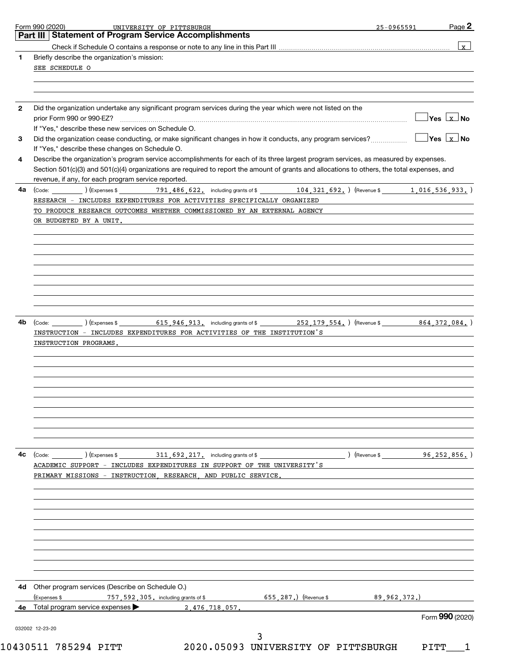|              | Part III   Statement of Program Service Accomplishments                                                                                                                      |                                     |
|--------------|------------------------------------------------------------------------------------------------------------------------------------------------------------------------------|-------------------------------------|
|              |                                                                                                                                                                              | $\mathbf{x}$                        |
| 1            | Briefly describe the organization's mission:                                                                                                                                 |                                     |
|              | SEE SCHEDULE O                                                                                                                                                               |                                     |
|              |                                                                                                                                                                              |                                     |
|              |                                                                                                                                                                              |                                     |
|              |                                                                                                                                                                              |                                     |
| $\mathbf{2}$ | Did the organization undertake any significant program services during the year which were not listed on the                                                                 |                                     |
|              |                                                                                                                                                                              | $\overline{Y}$ es $\overline{X}$ No |
|              | If "Yes," describe these new services on Schedule O.                                                                                                                         |                                     |
| 3            | Did the organization cease conducting, or make significant changes in how it conducts, any program services?<br>If "Yes," describe these changes on Schedule O.              |                                     |
| 4            | Describe the organization's program service accomplishments for each of its three largest program services, as measured by expenses.                                         |                                     |
|              | Section 501(c)(3) and 501(c)(4) organizations are required to report the amount of grants and allocations to others, the total expenses, and                                 |                                     |
|              | revenue, if any, for each program service reported.<br><u> 1989 - Johann Barn, mars ann an t-Amhain Aonaich an t-Aonaich an t-Aonaich an t-Aonaich an t-Aonaich an t-Aon</u> |                                     |
| 4a           | (Code: 1,016,536,933,) (Expenses \$ 791,486,622, including grants of \$ 104,321,692, 0 (Revenue \$ 1,016,536,933,)                                                           |                                     |
|              | RESEARCH - INCLUDES EXPENDITURES FOR ACTIVITIES SPECIFICALLY ORGANIZED                                                                                                       |                                     |
|              | TO PRODUCE RESEARCH OUTCOMES WHETHER COMMISSIONED BY AN EXTERNAL AGENCY                                                                                                      |                                     |
|              | OR BUDGETED BY A UNIT.                                                                                                                                                       |                                     |
|              |                                                                                                                                                                              |                                     |
|              |                                                                                                                                                                              |                                     |
|              |                                                                                                                                                                              |                                     |
|              |                                                                                                                                                                              |                                     |
|              |                                                                                                                                                                              |                                     |
|              |                                                                                                                                                                              |                                     |
|              |                                                                                                                                                                              |                                     |
|              |                                                                                                                                                                              |                                     |
|              |                                                                                                                                                                              |                                     |
| 4b           |                                                                                                                                                                              |                                     |
|              | INSTRUCTION - INCLUDES EXPENDITURES FOR ACTIVITIES OF THE INSTITUTION'S                                                                                                      |                                     |
|              | INSTRUCTION PROGRAMS.                                                                                                                                                        |                                     |
|              |                                                                                                                                                                              |                                     |
|              |                                                                                                                                                                              |                                     |
|              |                                                                                                                                                                              |                                     |
|              |                                                                                                                                                                              |                                     |
|              |                                                                                                                                                                              |                                     |
|              |                                                                                                                                                                              |                                     |
|              |                                                                                                                                                                              |                                     |
|              |                                                                                                                                                                              |                                     |
|              |                                                                                                                                                                              |                                     |
|              |                                                                                                                                                                              |                                     |
| 4c           |                                                                                                                                                                              |                                     |
|              | (Revenue \$96, 252, 856, )<br>(Code: (Code: ) (Expenses \$ 311, 692, 217, including grants of \$                                                                             |                                     |
|              | ACADEMIC SUPPORT - INCLUDES EXPENDITURES IN SUPPORT OF THE UNIVERSITY'S<br>PRIMARY MISSIONS - INSTRUCTION RESEARCH AND PUBLIC SERVICE.                                       |                                     |
|              |                                                                                                                                                                              |                                     |
|              |                                                                                                                                                                              |                                     |
|              |                                                                                                                                                                              |                                     |
|              |                                                                                                                                                                              |                                     |
|              |                                                                                                                                                                              |                                     |
|              |                                                                                                                                                                              |                                     |
|              |                                                                                                                                                                              |                                     |
|              |                                                                                                                                                                              |                                     |
|              |                                                                                                                                                                              |                                     |
|              |                                                                                                                                                                              |                                     |
|              | 4d Other program services (Describe on Schedule O.)                                                                                                                          |                                     |
|              | (Expenses \$<br>$757$ , $592$ , $305$ , including grants of \$<br>655, 287.) (Revenue \$<br>89,962,372.                                                                      |                                     |
|              | 4e Total program service expenses ><br>2 476 718 057.                                                                                                                        |                                     |
|              | Form 990 (2020)<br>032002 12-23-20                                                                                                                                           |                                     |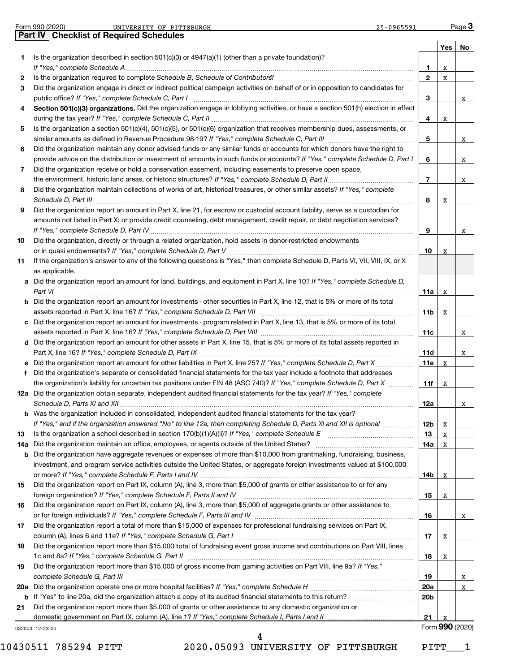|          | Form 990 (2020)<br>UNIVERSITY OF PITTSBURGH<br>$25 - 0965591$<br><b>Checklist of Required Schedules</b>                                                                                                                                                   |                        |     | Page 3          |
|----------|-----------------------------------------------------------------------------------------------------------------------------------------------------------------------------------------------------------------------------------------------------------|------------------------|-----|-----------------|
|          | Part IV                                                                                                                                                                                                                                                   |                        |     |                 |
| 1.       | Is the organization described in section $501(c)(3)$ or $4947(a)(1)$ (other than a private foundation)?                                                                                                                                                   |                        | Yes | No              |
|          |                                                                                                                                                                                                                                                           | 1.                     | X   |                 |
| 2        | Is the organization required to complete Schedule B, Schedule of Contributors? [11] the organization required to complete Schedule B, Schedule of Contributors?                                                                                           | $\mathbf{2}$           | х   |                 |
| 3        | Did the organization engage in direct or indirect political campaign activities on behalf of or in opposition to candidates for                                                                                                                           |                        |     |                 |
|          |                                                                                                                                                                                                                                                           | 3                      |     | X               |
| 4        | Section 501(c)(3) organizations. Did the organization engage in lobbying activities, or have a section 501(h) election in effect                                                                                                                          |                        |     |                 |
|          |                                                                                                                                                                                                                                                           | 4                      | х   |                 |
| 5        | Is the organization a section 501(c)(4), 501(c)(5), or 501(c)(6) organization that receives membership dues, assessments, or                                                                                                                              |                        |     |                 |
|          |                                                                                                                                                                                                                                                           | 5                      |     | X               |
| 6        | Did the organization maintain any donor advised funds or any similar funds or accounts for which donors have the right to<br>provide advice on the distribution or investment of amounts in such funds or accounts? If "Yes," complete Schedule D, Part I | 6                      |     |                 |
| 7        | Did the organization receive or hold a conservation easement, including easements to preserve open space,                                                                                                                                                 |                        |     | X               |
|          |                                                                                                                                                                                                                                                           | $\overline{7}$         |     | X               |
| 8        | Did the organization maintain collections of works of art, historical treasures, or other similar assets? If "Yes," complete                                                                                                                              |                        |     |                 |
|          |                                                                                                                                                                                                                                                           | 8                      | х   |                 |
| 9        | Did the organization report an amount in Part X, line 21, for escrow or custodial account liability, serve as a custodian for                                                                                                                             |                        |     |                 |
|          | amounts not listed in Part X; or provide credit counseling, debt management, credit repair, or debt negotiation services?                                                                                                                                 |                        |     |                 |
|          |                                                                                                                                                                                                                                                           | 9                      |     | x               |
| 10       | Did the organization, directly or through a related organization, hold assets in donor-restricted endowments                                                                                                                                              |                        |     |                 |
|          |                                                                                                                                                                                                                                                           | 10                     | х   |                 |
| 11       | If the organization's answer to any of the following questions is "Yes," then complete Schedule D, Parts VI, VII, VIII, IX, or X<br>as applicable.                                                                                                        |                        |     |                 |
|          | a Did the organization report an amount for land, buildings, and equipment in Part X, line 10? If "Yes," complete Schedule D,                                                                                                                             |                        |     |                 |
|          | Part VI                                                                                                                                                                                                                                                   | 11a                    | x   |                 |
|          | <b>b</b> Did the organization report an amount for investments - other securities in Part X, line 12, that is 5% or more of its total                                                                                                                     |                        |     |                 |
|          | assets reported in Part X, line 16? If "Yes," complete Schedule D, Part VII [11] [11] [12] [12] [12] [12] [13] [                                                                                                                                          | 11b                    | x   |                 |
| c        | Did the organization report an amount for investments - program related in Part X, line 13, that is 5% or more of its total                                                                                                                               |                        |     |                 |
|          |                                                                                                                                                                                                                                                           | 11c                    |     | X               |
|          | d Did the organization report an amount for other assets in Part X, line 15, that is 5% or more of its total assets reported in                                                                                                                           |                        |     |                 |
|          |                                                                                                                                                                                                                                                           | 11d                    |     | X               |
| е        |                                                                                                                                                                                                                                                           | 11e                    | x   |                 |
| f        | Did the organization's separate or consolidated financial statements for the tax year include a footnote that addresses<br>the organization's liability for uncertain tax positions under FIN 48 (ASC 740)? If "Yes," complete Schedule D, Part X         | 11f                    | X   |                 |
|          | 12a Did the organization obtain separate, independent audited financial statements for the tax year? If "Yes," complete                                                                                                                                   |                        |     |                 |
|          |                                                                                                                                                                                                                                                           | 12a                    |     | X               |
|          | <b>b</b> Was the organization included in consolidated, independent audited financial statements for the tax year?                                                                                                                                        |                        |     |                 |
|          | If "Yes," and if the organization answered "No" to line 12a, then completing Schedule D, Parts XI and XII is optional                                                                                                                                     | 12b                    | x   |                 |
| 13       |                                                                                                                                                                                                                                                           | 13                     | x   |                 |
| 14a      | Did the organization maintain an office, employees, or agents outside of the United States?                                                                                                                                                               | 14a                    | х   |                 |
| b        | Did the organization have aggregate revenues or expenses of more than \$10,000 from grantmaking, fundraising, business,                                                                                                                                   |                        |     |                 |
|          | investment, and program service activities outside the United States, or aggregate foreign investments valued at \$100,000                                                                                                                                |                        |     |                 |
| 15       | Did the organization report on Part IX, column (A), line 3, more than \$5,000 of grants or other assistance to or for any                                                                                                                                 | 14b                    | х   |                 |
|          |                                                                                                                                                                                                                                                           | 15                     | X   |                 |
| 16       | Did the organization report on Part IX, column (A), line 3, more than \$5,000 of aggregate grants or other assistance to                                                                                                                                  |                        |     |                 |
|          |                                                                                                                                                                                                                                                           | 16                     |     | X               |
| 17       | Did the organization report a total of more than \$15,000 of expenses for professional fundraising services on Part IX,                                                                                                                                   |                        |     |                 |
|          |                                                                                                                                                                                                                                                           | 17                     | X   |                 |
| 18       | Did the organization report more than \$15,000 total of fundraising event gross income and contributions on Part VIII, lines                                                                                                                              |                        |     |                 |
|          |                                                                                                                                                                                                                                                           | 18                     | X   |                 |
| 19       | Did the organization report more than \$15,000 of gross income from gaming activities on Part VIII, line 9a? If "Yes,"                                                                                                                                    |                        |     |                 |
|          |                                                                                                                                                                                                                                                           | 19                     |     | x               |
| 20a<br>b |                                                                                                                                                                                                                                                           | 20a<br>20 <sub>b</sub> |     | x               |
| 21       | Did the organization report more than \$5,000 of grants or other assistance to any domestic organization or                                                                                                                                               |                        |     |                 |
|          |                                                                                                                                                                                                                                                           | 21                     | х   |                 |
|          | 032003 12-23-20                                                                                                                                                                                                                                           |                        |     | Form 990 (2020) |
|          | 4                                                                                                                                                                                                                                                         |                        |     |                 |

10430511 785294 PITT 2020.05093 UNIVERSITY OF PITTSBURGH PITT\_\_\_1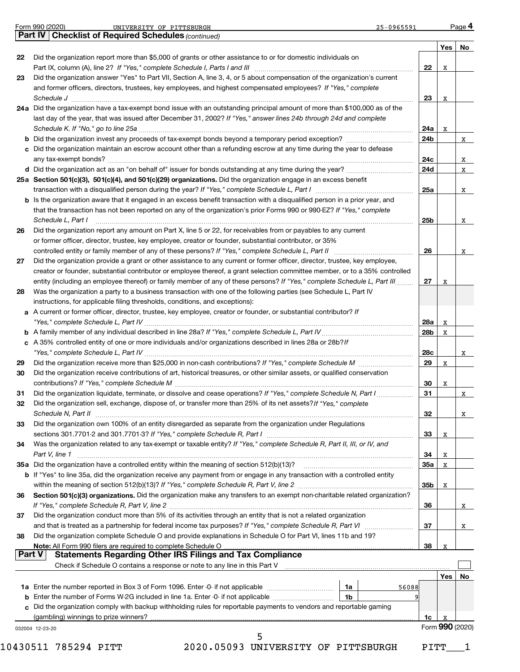|    | Form 990 (2020)<br>UNIVERSITY OF PITTSBURGH<br>25-0965591<br>Part IV   Checklist of Required Schedules (continued)           |            |                 | Page 4 |
|----|------------------------------------------------------------------------------------------------------------------------------|------------|-----------------|--------|
|    |                                                                                                                              |            | Yes             | No     |
| 22 | Did the organization report more than \$5,000 of grants or other assistance to or for domestic individuals on                |            |                 |        |
|    | Part IX, column (A), line 2? If "Yes," complete Schedule I, Parts I and III [11]] [11]] [11] [11] [11] [11] [1               | 22         | х               |        |
| 23 | Did the organization answer "Yes" to Part VII, Section A, line 3, 4, or 5 about compensation of the organization's current   |            |                 |        |
|    | and former officers, directors, trustees, key employees, and highest compensated employees? If "Yes," complete               |            |                 |        |
|    |                                                                                                                              | 23         | х               |        |
|    | 24a Did the organization have a tax-exempt bond issue with an outstanding principal amount of more than \$100,000 as of the  |            |                 |        |
|    | last day of the year, that was issued after December 31, 2002? If "Yes," answer lines 24b through 24d and complete           |            |                 |        |
|    |                                                                                                                              | 24a        | х               |        |
|    |                                                                                                                              | 24b        |                 |        |
|    | c Did the organization maintain an escrow account other than a refunding escrow at any time during the year to defease       |            |                 |        |
|    |                                                                                                                              | 24c        |                 |        |
|    |                                                                                                                              | 24d        |                 |        |
|    | 25a Section 501(c)(3), 501(c)(4), and 501(c)(29) organizations. Did the organization engage in an excess benefit             |            |                 |        |
|    |                                                                                                                              | 25a        |                 |        |
|    | b Is the organization aware that it engaged in an excess benefit transaction with a disqualified person in a prior year, and |            |                 |        |
|    | that the transaction has not been reported on any of the organization's prior Forms 990 or 990-EZ? If "Yes," complete        |            |                 |        |
|    | Schedule L, Part I                                                                                                           | 25b        |                 |        |
| 26 | Did the organization report any amount on Part X, line 5 or 22, for receivables from or payables to any current              |            |                 |        |
|    | or former officer, director, trustee, key employee, creator or founder, substantial contributor, or 35%                      |            |                 |        |
|    |                                                                                                                              | 26         |                 |        |
| 27 | Did the organization provide a grant or other assistance to any current or former officer, director, trustee, key employee,  |            |                 |        |
|    | creator or founder, substantial contributor or employee thereof, a grant selection committee member, or to a 35% controlled  |            |                 |        |
|    | entity (including an employee thereof) or family member of any of these persons? If "Yes," complete Schedule L, Part III     | 27         | х               |        |
| 28 | Was the organization a party to a business transaction with one of the following parties (see Schedule L, Part IV            |            |                 |        |
|    | instructions, for applicable filing thresholds, conditions, and exceptions):                                                 |            |                 |        |
|    |                                                                                                                              |            |                 |        |
|    | a A current or former officer, director, trustee, key employee, creator or founder, or substantial contributor? If           |            |                 |        |
|    |                                                                                                                              | 28a        | x               |        |
|    |                                                                                                                              | 28b        | x               |        |
|    | c A 35% controlled entity of one or more individuals and/or organizations described in lines 28a or 28b?If                   |            |                 |        |
|    |                                                                                                                              | <b>28c</b> |                 |        |
| 29 |                                                                                                                              | 29         | х               |        |
| 30 | Did the organization receive contributions of art, historical treasures, or other similar assets, or qualified conservation  |            |                 |        |
|    |                                                                                                                              | 30         | х               |        |
| 31 | Did the organization liquidate, terminate, or dissolve and cease operations? If "Yes," complete Schedule N, Part I           | 31         |                 |        |
| 32 | Did the organization sell, exchange, dispose of, or transfer more than 25% of its net assets? If "Yes," complete             |            |                 |        |
|    |                                                                                                                              | 32         |                 |        |
| 33 | Did the organization own 100% of an entity disregarded as separate from the organization under Regulations                   |            |                 |        |
|    |                                                                                                                              | 33         | х               |        |
| 34 | Was the organization related to any tax-exempt or taxable entity? If "Yes," complete Schedule R, Part II, III, or IV, and    |            |                 |        |
|    | Part V, line 1                                                                                                               | 34         | Χ               |        |
|    | 35a Did the organization have a controlled entity within the meaning of section 512(b)(13)?                                  | 35a        | X               |        |
|    | b If "Yes" to line 35a, did the organization receive any payment from or engage in any transaction with a controlled entity  |            |                 |        |
|    |                                                                                                                              | 35b        | х               |        |
| 36 | Section 501(c)(3) organizations. Did the organization make any transfers to an exempt non-charitable related organization?   |            |                 |        |
|    |                                                                                                                              | 36         |                 |        |
| 37 | Did the organization conduct more than 5% of its activities through an entity that is not a related organization             |            |                 |        |
|    |                                                                                                                              | 37         |                 |        |
| 38 | Did the organization complete Schedule O and provide explanations in Schedule O for Part VI, lines 11b and 19?               |            |                 |        |
|    | Note: All Form 990 filers are required to complete Schedule O                                                                | 38         | х               |        |
|    | <b>Statements Regarding Other IRS Filings and Tax Compliance</b><br>Part V                                                   |            |                 |        |
|    | Check if Schedule O contains a response or note to any line in this Part V                                                   |            |                 |        |
|    |                                                                                                                              |            | Yes             | No     |
|    | 1a<br>56088                                                                                                                  |            |                 |        |
|    | 1 <sub>b</sub>                                                                                                               |            |                 |        |
|    | c Did the organization comply with backup withholding rules for reportable payments to vendors and reportable gaming         |            |                 |        |
|    | (gambling) winnings to prize winners?                                                                                        | 1c         | X               |        |
|    | 032004 12-23-20                                                                                                              |            | Form 990 (2020) |        |
|    |                                                                                                                              |            |                 |        |
|    | 10430511 785294 PITT<br>2020.05093 UNIVERSITY OF PITTSBURGH                                                                  | PITT       |                 |        |
|    |                                                                                                                              |            |                 |        |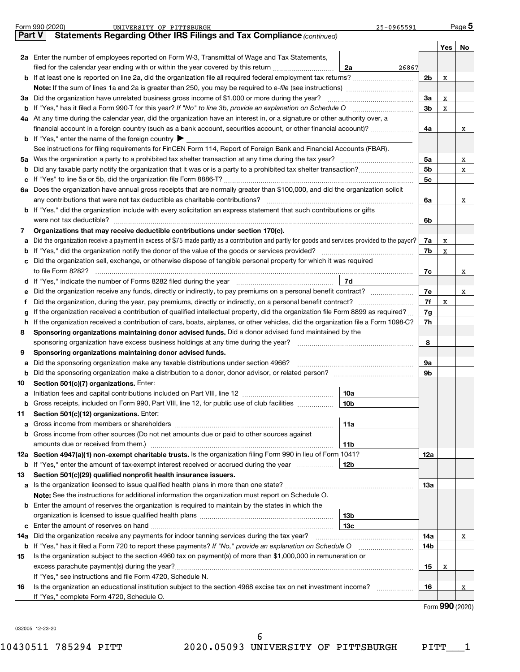|        | Form 990 (2020)<br>UNIVERSITY OF PITTSBURGH<br>25-0965591                                                                                       |                |     | Page 5 |
|--------|-------------------------------------------------------------------------------------------------------------------------------------------------|----------------|-----|--------|
| Part V | Statements Regarding Other IRS Filings and Tax Compliance (continued)                                                                           |                |     |        |
|        |                                                                                                                                                 |                | Yes | No     |
|        | 2a Enter the number of employees reported on Form W-3, Transmittal of Wage and Tax Statements,                                                  |                |     |        |
|        | filed for the calendar year ending with or within the year covered by this return <i></i><br>2a<br>26867                                        |                |     |        |
|        |                                                                                                                                                 | 2b             | x   |        |
|        |                                                                                                                                                 |                |     |        |
|        | 3a Did the organization have unrelated business gross income of \$1,000 or more during the year? <i>marroummarroummarroum</i>                   | За             | x   |        |
|        |                                                                                                                                                 | 3b             | x   |        |
|        | 4a At any time during the calendar year, did the organization have an interest in, or a signature or other authority over, a                    |                |     |        |
|        | financial account in a foreign country (such as a bank account, securities account, or other financial account)?                                | 4a             |     | X      |
|        | <b>b</b> If "Yes," enter the name of the foreign country $\blacktriangleright$                                                                  |                |     |        |
|        | See instructions for filing requirements for FinCEN Form 114, Report of Foreign Bank and Financial Accounts (FBAR).                             |                |     |        |
|        |                                                                                                                                                 | 5a             |     | X      |
| b      |                                                                                                                                                 | 5 <sub>b</sub> |     | X      |
|        |                                                                                                                                                 | 5c             |     |        |
|        | 6a Does the organization have annual gross receipts that are normally greater than \$100,000, and did the organization solicit                  |                |     |        |
|        |                                                                                                                                                 | 6а             |     | X      |
|        | <b>b</b> If "Yes," did the organization include with every solicitation an express statement that such contributions or gifts                   |                |     |        |
|        |                                                                                                                                                 | 6b             |     |        |
| 7      | Organizations that may receive deductible contributions under section 170(c).                                                                   |                |     |        |
| a      | Did the organization receive a payment in excess of \$75 made partly as a contribution and partly for goods and services provided to the payor? | 7a             | х   |        |
|        |                                                                                                                                                 | 7b             | x   |        |
|        | c Did the organization sell, exchange, or otherwise dispose of tangible personal property for which it was required                             |                |     |        |
|        |                                                                                                                                                 | 7с             |     | X      |
|        | 7d                                                                                                                                              |                |     |        |
| е      | Did the organization receive any funds, directly or indirectly, to pay premiums on a personal benefit contract?                                 | 7e             |     | X      |
| f      | Did the organization, during the year, pay premiums, directly or indirectly, on a personal benefit contract?                                    | 7f             | x   |        |
| g      | If the organization received a contribution of qualified intellectual property, did the organization file Form 8899 as required?                | 7g             |     |        |
|        | h If the organization received a contribution of cars, boats, airplanes, or other vehicles, did the organization file a Form 1098-C?            | 7h             |     |        |
| 8      | Sponsoring organizations maintaining donor advised funds. Did a donor advised fund maintained by the                                            |                |     |        |
|        |                                                                                                                                                 | 8              |     |        |
| 9      | Sponsoring organizations maintaining donor advised funds.                                                                                       |                |     |        |
| a      | Did the sponsoring organization make any taxable distributions under section 4966?                                                              | 9а             |     |        |
|        | b Did the sponsoring organization make a distribution to a donor, donor advisor, or related person? [111] [12]                                  | 9b             |     |        |
| 10     | Section 501(c)(7) organizations. Enter:                                                                                                         |                |     |        |
| a      | 10a                                                                                                                                             |                |     |        |
|        | 10 <sub>b</sub><br>Gross receipts, included on Form 990, Part VIII, line 12, for public use of club facilities                                  |                |     |        |
| 11     | Section 501(c)(12) organizations. Enter:                                                                                                        |                |     |        |
| a      | 11a                                                                                                                                             |                |     |        |
|        | b Gross income from other sources (Do not net amounts due or paid to other sources against                                                      |                |     |        |
|        | 11b                                                                                                                                             |                |     |        |
|        | 12a Section 4947(a)(1) non-exempt charitable trusts. Is the organization filing Form 990 in lieu of Form 1041?                                  | 12a            |     |        |
|        | b If "Yes," enter the amount of tax-exempt interest received or accrued during the year  <br>12b                                                |                |     |        |
| 13     | Section 501(c)(29) qualified nonprofit health insurance issuers.                                                                                |                |     |        |
|        |                                                                                                                                                 | 13а            |     |        |
|        | Note: See the instructions for additional information the organization must report on Schedule O.                                               |                |     |        |
|        | <b>b</b> Enter the amount of reserves the organization is required to maintain by the states in which the                                       |                |     |        |
|        | 13b                                                                                                                                             |                |     |        |
|        | 13 <sub>c</sub>                                                                                                                                 |                |     |        |
|        | 14a Did the organization receive any payments for indoor tanning services during the tax year?                                                  | 14a            |     | X      |
|        | <b>b</b> If "Yes," has it filed a Form 720 to report these payments? If "No," provide an explanation on Schedule O                              | 14b            |     |        |
| 15     | Is the organization subject to the section 4960 tax on payment(s) of more than \$1,000,000 in remuneration or                                   |                |     |        |
|        |                                                                                                                                                 | 15             | х   |        |
|        | If "Yes," see instructions and file Form 4720, Schedule N.                                                                                      |                |     |        |
| 16     | Is the organization an educational institution subject to the section 4968 excise tax on net investment income?                                 | 16             |     | x      |
|        | If "Yes," complete Form 4720, Schedule O.                                                                                                       |                |     |        |

Form (2020) **990**

032005 12-23-20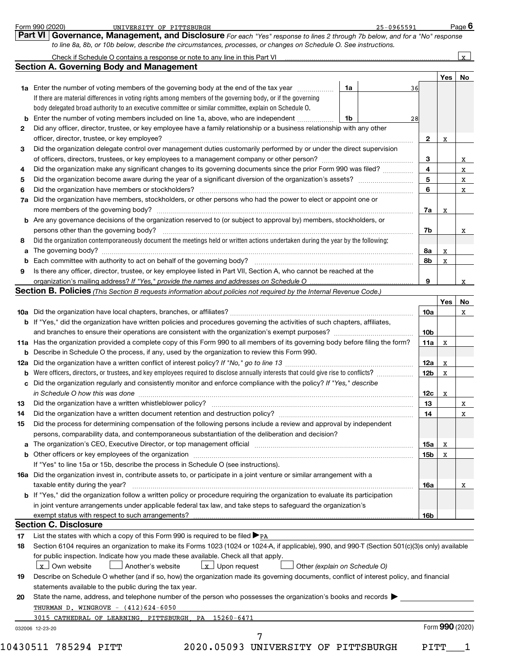|    | <b>1a</b> Enter the number of voting members of the governing body at the end of the tax year <i>manumum</i>                                                                                                                                                         | 1a                            | 36              | Yes             | No |
|----|----------------------------------------------------------------------------------------------------------------------------------------------------------------------------------------------------------------------------------------------------------------------|-------------------------------|-----------------|-----------------|----|
|    |                                                                                                                                                                                                                                                                      |                               |                 |                 |    |
|    |                                                                                                                                                                                                                                                                      |                               |                 |                 |    |
|    | If there are material differences in voting rights among members of the governing body, or if the governing                                                                                                                                                          |                               |                 |                 |    |
|    | body delegated broad authority to an executive committee or similar committee, explain on Schedule O.                                                                                                                                                                |                               |                 |                 |    |
|    | <b>b</b> Enter the number of voting members included on line 1a, above, who are independent <i></i>                                                                                                                                                                  | 1b                            | 28              |                 |    |
| 2  | Did any officer, director, trustee, or key employee have a family relationship or a business relationship with any other                                                                                                                                             |                               |                 |                 |    |
|    | officer, director, trustee, or key employee?                                                                                                                                                                                                                         |                               | $\mathbf{2}$    | x               |    |
| З  | Did the organization delegate control over management duties customarily performed by or under the direct supervision                                                                                                                                                |                               |                 |                 |    |
|    |                                                                                                                                                                                                                                                                      |                               | 3               |                 |    |
| 4  | Did the organization make any significant changes to its governing documents since the prior Form 990 was filed?                                                                                                                                                     |                               | 4               |                 |    |
| 5  |                                                                                                                                                                                                                                                                      |                               | 5               |                 |    |
| 6  |                                                                                                                                                                                                                                                                      |                               | 6               |                 |    |
|    | 7a Did the organization have members, stockholders, or other persons who had the power to elect or appoint one or                                                                                                                                                    |                               |                 |                 |    |
|    |                                                                                                                                                                                                                                                                      |                               | 7а              | х               |    |
|    | <b>b</b> Are any governance decisions of the organization reserved to (or subject to approval by) members, stockholders, or                                                                                                                                          |                               |                 |                 |    |
|    | persons other than the governing body?                                                                                                                                                                                                                               |                               | 7b              |                 |    |
| 8  | Did the organization contemporaneously document the meetings held or written actions undertaken during the year by the following:                                                                                                                                    |                               |                 |                 |    |
|    |                                                                                                                                                                                                                                                                      |                               | 8a              | X               |    |
|    |                                                                                                                                                                                                                                                                      |                               | 8b              | x               |    |
| 9  | Is there any officer, director, trustee, or key employee listed in Part VII, Section A, who cannot be reached at the                                                                                                                                                 |                               |                 |                 |    |
|    |                                                                                                                                                                                                                                                                      |                               | 9               |                 |    |
|    | Section B. Policies (This Section B requests information about policies not required by the Internal Revenue Code.)                                                                                                                                                  |                               |                 |                 |    |
|    |                                                                                                                                                                                                                                                                      |                               |                 | Yes             |    |
|    |                                                                                                                                                                                                                                                                      |                               | 10a             |                 |    |
|    | b If "Yes," did the organization have written policies and procedures governing the activities of such chapters, affiliates,                                                                                                                                         |                               |                 |                 |    |
|    |                                                                                                                                                                                                                                                                      |                               | 10 <sub>b</sub> |                 |    |
|    | 11a Has the organization provided a complete copy of this Form 990 to all members of its governing body before filing the form?                                                                                                                                      |                               | 11a             | x               |    |
|    | <b>b</b> Describe in Schedule O the process, if any, used by the organization to review this Form 990.                                                                                                                                                               |                               |                 |                 |    |
|    |                                                                                                                                                                                                                                                                      |                               | 12a             |                 |    |
|    |                                                                                                                                                                                                                                                                      |                               | 12 <sub>b</sub> | x               |    |
|    | <b>b</b> Were officers, directors, or trustees, and key employees required to disclose annually interests that could give rise to conflicts?<br>c Did the organization regularly and consistently monitor and enforce compliance with the policy? If "Yes," describe |                               |                 | х               |    |
|    |                                                                                                                                                                                                                                                                      |                               |                 |                 |    |
|    | in Schedule O how this was done manufactured and continuum and contact the United Schedule O how this was done                                                                                                                                                       |                               | 12c             | x               |    |
| 13 |                                                                                                                                                                                                                                                                      |                               | 13              |                 |    |
| 14 |                                                                                                                                                                                                                                                                      |                               | 14              |                 |    |
| 15 | Did the process for determining compensation of the following persons include a review and approval by independent                                                                                                                                                   |                               |                 |                 |    |
|    | persons, comparability data, and contemporaneous substantiation of the deliberation and decision?                                                                                                                                                                    |                               |                 |                 |    |
|    | a The organization's CEO, Executive Director, or top management official manufactured content content of the organization's CEO, Executive Director, or top management official manufactured content of the state of the state                                       |                               | 15a             | X               |    |
|    |                                                                                                                                                                                                                                                                      |                               | 15b             | X               |    |
|    | If "Yes" to line 15a or 15b, describe the process in Schedule O (see instructions).                                                                                                                                                                                  |                               |                 |                 |    |
|    | 16a Did the organization invest in, contribute assets to, or participate in a joint venture or similar arrangement with a                                                                                                                                            |                               |                 |                 |    |
|    | taxable entity during the year?                                                                                                                                                                                                                                      |                               | 16a             |                 |    |
|    | b If "Yes," did the organization follow a written policy or procedure requiring the organization to evaluate its participation                                                                                                                                       |                               |                 |                 |    |
|    | in joint venture arrangements under applicable federal tax law, and take steps to safeguard the organization's                                                                                                                                                       |                               |                 |                 |    |
|    | exempt status with respect to such arrangements?                                                                                                                                                                                                                     |                               | 16b             |                 |    |
|    | <b>Section C. Disclosure</b>                                                                                                                                                                                                                                         |                               |                 |                 |    |
| 17 | List the states with which a copy of this Form 990 is required to be filed $\blacktriangleright_{\text{PA}}$                                                                                                                                                         |                               |                 |                 |    |
| 18 | Section 6104 requires an organization to make its Forms 1023 (1024 or 1024-A, if applicable), 990, and 990-T (Section 501(c)(3)s only) available                                                                                                                     |                               |                 |                 |    |
|    | for public inspection. Indicate how you made these available. Check all that apply.                                                                                                                                                                                  |                               |                 |                 |    |
|    | $\lfloor x \rfloor$ Own website<br>$\lfloor x \rfloor$ Upon request<br>Another's website                                                                                                                                                                             | Other (explain on Schedule O) |                 |                 |    |
| 19 | Describe on Schedule O whether (and if so, how) the organization made its governing documents, conflict of interest policy, and financial                                                                                                                            |                               |                 |                 |    |
|    | statements available to the public during the tax year.                                                                                                                                                                                                              |                               |                 |                 |    |
| 20 | State the name, address, and telephone number of the person who possesses the organization's books and records                                                                                                                                                       |                               |                 |                 |    |
|    | THURMAN D. WINGROVE $-$ (412)624-6050                                                                                                                                                                                                                                |                               |                 |                 |    |
|    |                                                                                                                                                                                                                                                                      |                               |                 |                 |    |
|    | PA 15260-6471<br>3015 CATHEDRAL OF LEARNING PITTSBURGH                                                                                                                                                                                                               |                               |                 |                 |    |
|    | 032006 12-23-20                                                                                                                                                                                                                                                      |                               |                 | Form 990 (2020) |    |

*to line 8a, 8b, or 10b below, describe the circumstances, processes, or changes on Schedule O. See instructions.*

**Part VI Governance, Management, and Disclosure** 

Form 990 (2020) UNIVERSITY\_OF\_PITTSBURGH 25-0965591 Page

UNIVERSITY OF PITTSBURGH 25-0965591

*For each "Yes" response to lines 2 through 7b below, and for a "No" response*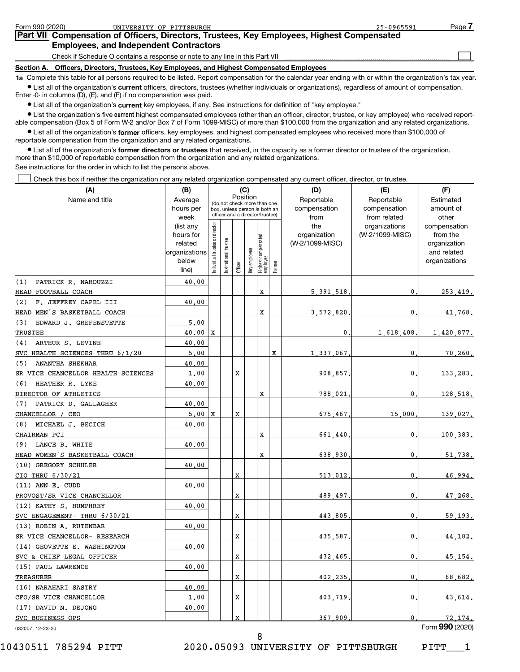| Form 990 (2020) | UNIVERSITY OF PITTSBURGH                                                                                                                                  | 25-0965591 | Page. |
|-----------------|-----------------------------------------------------------------------------------------------------------------------------------------------------------|------------|-------|
|                 | Part VII Compensation of Officers, Directors, Trustees, Key Employees, Highest Compensated                                                                |            |       |
|                 | <b>Employees, and Independent Contractors</b>                                                                                                             |            |       |
|                 | Check if Schedule O contains a response or note to any line in this Part VII                                                                              |            |       |
| Section A.      | Officers, Directors, Trustees, Key Employees, and Highest Compensated Employees                                                                           |            |       |
|                 | to Complete this table for all persons required to be listed. Depart compensation for the solender year anding with or within the examization's toy year. |            |       |

**1a**  Complete this table for all persons required to be listed. Report compensation for the calendar year ending with or within the organization's tax year.  $\bullet$  List all of the organization's current officers, directors, trustees (whether individuals or organizations), regardless of amount of compensation. Enter -0- in columns (D), (E), and (F) if no compensation was paid.

**•** List all of the organization's current key employees, if any. See instructions for definition of "key employee."

**•** List the organization's five current highest compensated employees (other than an officer, director, trustee, or key employee) who received reportable compensation (Box 5 of Form W-2 and/or Box 7 of Form 1099-MISC) of more than \$100,000 from the organization and any related organizations.

 $\bullet$  List all of the organization's former officers, key employees, and highest compensated employees who received more than \$100,000 of reportable compensation from the organization and any related organizations.

**•** List all of the organization's former directors or trustees that received, in the capacity as a former director or trustee of the organization, more than \$10,000 of reportable compensation from the organization and any related organizations. See instructions for the order in which to list the persons above.

Check this box if neither the organization nor any related organization compensated any current officer, director, or trustee.  $\begin{array}{c} \hline \end{array}$ 

| (A)                                | (B)                  |                               |                                 |             | (C)          |                                 |        | (D)                             | (E)             | (F)                      |
|------------------------------------|----------------------|-------------------------------|---------------------------------|-------------|--------------|---------------------------------|--------|---------------------------------|-----------------|--------------------------|
| Name and title                     | Average              |                               | (do not check more than one     |             | Position     |                                 |        | Reportable                      | Reportable      | Estimated                |
|                                    | hours per            |                               | box, unless person is both an   |             |              |                                 |        | compensation                    | compensation    | amount of                |
|                                    | week                 |                               | officer and a director/trustee) |             |              |                                 |        | from                            | from related    | other                    |
|                                    | (list any            |                               |                                 |             |              |                                 |        | the                             | organizations   | compensation             |
|                                    | hours for<br>related |                               |                                 |             |              |                                 |        | organization<br>(W-2/1099-MISC) | (W-2/1099-MISC) | from the<br>organization |
|                                    | organizations        |                               |                                 |             |              |                                 |        |                                 |                 | and related              |
|                                    | below                | ndividual trustee or director | nstitutional trustee            |             | Key employee | Highest compensated<br>employee |        |                                 |                 | organizations            |
|                                    | line)                |                               |                                 | Officer     |              |                                 | Former |                                 |                 |                          |
| PATRICK R. NARDUZZI<br>(1)         | 40.00                |                               |                                 |             |              |                                 |        |                                 |                 |                          |
| HEAD FOOTBALL COACH                |                      |                               |                                 |             |              | X                               |        | 5, 391, 518                     | 0               | 253.419.                 |
| F. JEFFREY CAPEL III<br>(2)        | 40.00                |                               |                                 |             |              |                                 |        |                                 |                 |                          |
| HEAD MEN'S BASKETBALL COACH        |                      |                               |                                 |             |              | $\mathbf x$                     |        | 3,572,820                       | 0               | 41,768.                  |
| EDWARD J. GREFENSTETTE<br>(3)      | 5.00                 |                               |                                 |             |              |                                 |        |                                 |                 |                          |
| <b>TRUSTEE</b>                     | $40.00 \, \text{X}$  |                               |                                 |             |              |                                 |        | 0                               | 1,618,408       | 1,420,877.               |
| ARTHUR S. LEVINE<br>(4)            | 40.00                |                               |                                 |             |              |                                 |        |                                 |                 |                          |
| SVC HEALTH SCIENCES THRU 6/1/20    | 5.00                 |                               |                                 |             |              |                                 | X      | 1 337 067                       | 0               | 70.260.                  |
| ANANTHA SHEKHAR<br>(5)             | 40.00                |                               |                                 |             |              |                                 |        |                                 |                 |                          |
| SR VICE CHANCELLOR HEALTH SCIENCES | 1.00                 |                               |                                 | $\mathbf X$ |              |                                 |        | 908,857                         | 0               | 133.283.                 |
| HEATHER R. LYKE<br>(6)             | 40.00                |                               |                                 |             |              |                                 |        |                                 |                 |                          |
| DIRECTOR OF ATHLETICS              |                      |                               |                                 |             |              | X                               |        | 788,021                         | 0               | 128,518.                 |
| PATRICK D. GALLAGHER<br>(7)        | 40.00                |                               |                                 |             |              |                                 |        |                                 |                 |                          |
| CHANCELLOR / CEO                   | 5.00                 | X                             |                                 | X           |              |                                 |        | 675.467                         | 15,000          | 139.027.                 |
| MICHAEL J. BECICH<br>(8)           | 40.00                |                               |                                 |             |              |                                 |        |                                 |                 |                          |
| CHAIRMAN PCI                       |                      |                               |                                 |             |              | X                               |        | 661.440                         | 0               | 100.383.                 |
| LANCE B. WHITE<br>(9)              | 40.00                |                               |                                 |             |              |                                 |        |                                 |                 |                          |
| HEAD WOMEN'S BASKETBALL COACH      |                      |                               |                                 |             |              | X                               |        | 638,930                         | 0               | 51,738.                  |
| (10) GREGORY SCHULER               | 40.00                |                               |                                 |             |              |                                 |        |                                 |                 |                          |
| CIO THRU 6/30/21                   |                      |                               |                                 | X           |              |                                 |        | 513,012                         | 0               | 46,994.                  |
| (11) ANN E. CUDD                   | 40.00                |                               |                                 |             |              |                                 |        |                                 |                 |                          |
| PROVOST/SR VICE CHANCELLOR         |                      |                               |                                 | X           |              |                                 |        | 489.497                         | 0               | 47,268.                  |
| (12) KATHY S. HUMPHREY             | 40.00                |                               |                                 |             |              |                                 |        |                                 |                 |                          |
| SVC ENGAGEMENT- THRU 6/30/21       |                      |                               |                                 | Χ           |              |                                 |        | 443,805                         | 0               | 59,193.                  |
| (13) ROBIN A. RUTENBAR             | 40.00                |                               |                                 |             |              |                                 |        |                                 |                 |                          |
| SR VICE CHANCELLOR- RESEARCH       |                      |                               |                                 | X           |              |                                 |        | 435,587                         | 0               | 44, 182.                 |
| (14) GEOVETTE E. WASHINGTON        | 40.00                |                               |                                 |             |              |                                 |        |                                 |                 |                          |
| SVC & CHIEF LEGAL OFFICER          |                      |                               |                                 | X           |              |                                 |        | 432,465                         | 0               | 45, 154.                 |
| (15) PAUL LAWRENCE                 | 40.00                |                               |                                 |             |              |                                 |        |                                 |                 |                          |
| TREASURER                          |                      |                               |                                 | X           |              |                                 |        | 402,235                         | 0               | 68,682.                  |
| (16) NARAHARI SASTRY               | 40.00                |                               |                                 |             |              |                                 |        |                                 |                 |                          |
| CFO/SR VICE CHANCELLOR             | 1.00                 |                               |                                 | X           |              |                                 |        | 403.719                         | 0               | 43,614.                  |
| (17) DAVID N. DEJONG               | 40.00                |                               |                                 |             |              |                                 |        |                                 |                 |                          |
| SVC BUSINESS OPS                   |                      |                               |                                 | X           |              |                                 |        | 367 909                         | 0               | 72.174.                  |
| 032007 12-23-20                    |                      |                               |                                 |             |              |                                 |        |                                 |                 | Form 990 (2020)          |

10430511 785294 PITT 2020.05093 UNIVERSITY OF PITTSBURGH PITT\_\_\_1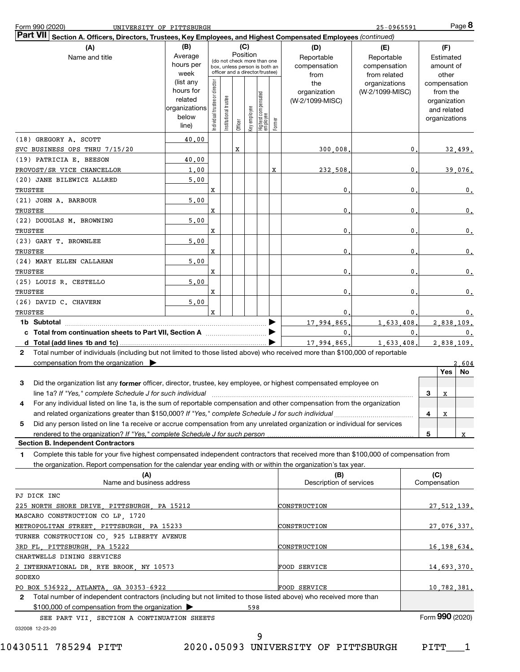| Form 990 (2020)                                                                                                                              | UNIVERSITY OF PITTSBURGH                                |                                |                                                                                                 |         |              |                                 |        |                                           | 25-0965591                                        |              |              | $Page$ 8                                                                 |    |
|----------------------------------------------------------------------------------------------------------------------------------------------|---------------------------------------------------------|--------------------------------|-------------------------------------------------------------------------------------------------|---------|--------------|---------------------------------|--------|-------------------------------------------|---------------------------------------------------|--------------|--------------|--------------------------------------------------------------------------|----|
| <b>Part VII</b><br>Section A. Officers, Directors, Trustees, Key Employees, and Highest Compensated Employees (continued)                    |                                                         |                                |                                                                                                 |         |              |                                 |        |                                           |                                                   |              |              |                                                                          |    |
| (A)<br>Name and title                                                                                                                        | (B)<br>Average<br>hours per<br>week<br>(list any        |                                | (do not check more than one<br>box, unless person is both an<br>officer and a director/trustee) | (C)     | Position     |                                 |        | (D)<br>Reportable<br>compensation<br>from | (E)<br>Reportable<br>compensation<br>from related |              |              | (F)<br>Estimated<br>amount of<br>other                                   |    |
|                                                                                                                                              | hours for<br>related<br>organizations<br>below<br>line) | Individual trustee or director | Institutional trustee                                                                           | Officer | Key employee | Highest compensated<br>employee | Former | the<br>organization<br>(W-2/1099-MISC)    | organizations<br>(W-2/1099-MISC)                  |              |              | compensation<br>from the<br>organization<br>and related<br>organizations |    |
| (18) GREGORY A. SCOTT                                                                                                                        | 40.00                                                   |                                |                                                                                                 |         |              |                                 |        |                                           |                                                   |              |              |                                                                          |    |
| SVC BUSINESS OPS THRU 7/15/20                                                                                                                |                                                         |                                |                                                                                                 | X       |              |                                 |        | 300,008                                   |                                                   | 0            |              | 32,499.                                                                  |    |
| (19) PATRICIA E. BEESON                                                                                                                      | 40.00                                                   |                                |                                                                                                 |         |              |                                 |        |                                           |                                                   |              |              |                                                                          |    |
| PROVOST/SR VICE CHANCELLOR                                                                                                                   | 1,00                                                    |                                |                                                                                                 |         |              |                                 | x      | 232,508                                   |                                                   | 0            |              | 39,076.                                                                  |    |
| (20) JANE BILEWICZ ALLRED                                                                                                                    | 5,00                                                    |                                |                                                                                                 |         |              |                                 |        |                                           |                                                   |              |              |                                                                          |    |
| TRUSTEE                                                                                                                                      |                                                         | x                              |                                                                                                 |         |              |                                 |        | 0                                         |                                                   | 0            |              |                                                                          | 0. |
| (21) JOHN A. BARBOUR                                                                                                                         | 5,00                                                    |                                |                                                                                                 |         |              |                                 |        |                                           |                                                   |              |              |                                                                          |    |
| TRUSTEE                                                                                                                                      |                                                         | x                              |                                                                                                 |         |              |                                 |        | 0                                         |                                                   | 0            |              |                                                                          | 0. |
| (22) DOUGLAS M. BROWNING                                                                                                                     | 5,00                                                    |                                |                                                                                                 |         |              |                                 |        |                                           |                                                   |              |              |                                                                          |    |
| TRUSTEE                                                                                                                                      |                                                         | x                              |                                                                                                 |         |              |                                 |        | 0                                         |                                                   | 0            |              |                                                                          | 0. |
| (23) GARY T. BROWNLEE                                                                                                                        | 5,00                                                    |                                |                                                                                                 |         |              |                                 |        |                                           |                                                   |              |              |                                                                          |    |
| TRUSTEE                                                                                                                                      |                                                         | x                              |                                                                                                 |         |              |                                 |        | 0                                         |                                                   | 0            |              |                                                                          | 0. |
| (24) MARY ELLEN CALLAHAN                                                                                                                     | 5,00                                                    |                                |                                                                                                 |         |              |                                 |        |                                           |                                                   |              |              |                                                                          |    |
| TRUSTEE                                                                                                                                      |                                                         | x                              |                                                                                                 |         |              |                                 |        | 0                                         |                                                   | 0            |              |                                                                          | 0. |
| (25) LOUIS R. CESTELLO                                                                                                                       | 5,00                                                    |                                |                                                                                                 |         |              |                                 |        |                                           |                                                   |              |              |                                                                          |    |
| TRUSTEE                                                                                                                                      |                                                         | X                              |                                                                                                 |         |              |                                 |        | 0                                         |                                                   | 0            |              |                                                                          | 0. |
| (26) DAVID C. CHAVERN                                                                                                                        | 5,00                                                    |                                |                                                                                                 |         |              |                                 |        |                                           |                                                   |              |              |                                                                          |    |
| TRUSTEE                                                                                                                                      |                                                         | X                              |                                                                                                 |         |              |                                 |        | 0                                         |                                                   | 0.           |              |                                                                          | 0. |
|                                                                                                                                              |                                                         |                                |                                                                                                 |         |              |                                 |        | 17.994.865                                | 1,633,408                                         |              |              | 2,838,109.                                                               |    |
|                                                                                                                                              |                                                         |                                |                                                                                                 |         |              |                                 |        | $\mathbf{0}$ .                            |                                                   | $\mathbf{0}$ |              |                                                                          | 0. |
|                                                                                                                                              |                                                         |                                |                                                                                                 |         |              |                                 |        | 17.994.865.                               | 1,633,408.                                        |              |              | 2,838,109.                                                               |    |
| Total number of individuals (including but not limited to those listed above) who received more than \$100,000 of reportable<br>$\mathbf{2}$ |                                                         |                                |                                                                                                 |         |              |                                 |        |                                           |                                                   |              |              |                                                                          |    |
| compensation from the organization                                                                                                           |                                                         |                                |                                                                                                 |         |              |                                 |        |                                           |                                                   |              |              | 2.604                                                                    |    |
|                                                                                                                                              |                                                         |                                |                                                                                                 |         |              |                                 |        |                                           |                                                   |              |              | Yes<br>No.                                                               |    |
| Did the organization list any former officer, director, trustee, key employee, or highest compensated employee on<br>3                       |                                                         |                                |                                                                                                 |         |              |                                 |        |                                           |                                                   |              |              |                                                                          |    |
|                                                                                                                                              |                                                         |                                |                                                                                                 |         |              |                                 |        |                                           |                                                   |              | 3            | х                                                                        |    |
| For any individual listed on line 1a, is the sum of reportable compensation and other compensation from the organization                     |                                                         |                                |                                                                                                 |         |              |                                 |        |                                           |                                                   |              |              |                                                                          |    |
| and related organizations greater than \$150,000? If "Yes," complete Schedule J for such individual                                          |                                                         |                                |                                                                                                 |         |              |                                 |        |                                           |                                                   |              | 4            | x                                                                        |    |
| Did any person listed on line 1a receive or accrue compensation from any unrelated organization or individual for services<br>5              |                                                         |                                |                                                                                                 |         |              |                                 |        |                                           |                                                   |              |              |                                                                          |    |
| rendered to the organization? If "Yes," complete Schedule J for such person                                                                  |                                                         |                                |                                                                                                 |         |              |                                 |        |                                           |                                                   |              | 5            | x                                                                        |    |
| <b>Section B. Independent Contractors</b>                                                                                                    |                                                         |                                |                                                                                                 |         |              |                                 |        |                                           |                                                   |              |              |                                                                          |    |
| Complete this table for your five highest compensated independent contractors that received more than \$100,000 of compensation from<br>1.   |                                                         |                                |                                                                                                 |         |              |                                 |        |                                           |                                                   |              |              |                                                                          |    |
| the organization. Report compensation for the calendar year ending with or within the organization's tax year.                               |                                                         |                                |                                                                                                 |         |              |                                 |        |                                           |                                                   |              |              |                                                                          |    |
| (A)                                                                                                                                          |                                                         |                                |                                                                                                 |         |              |                                 |        | (B)                                       |                                                   |              | (C)          |                                                                          |    |
| Name and business address                                                                                                                    |                                                         |                                |                                                                                                 |         |              |                                 |        | Description of services                   |                                                   |              | Compensation |                                                                          |    |
| PJ DICK INC                                                                                                                                  |                                                         |                                |                                                                                                 |         |              |                                 |        |                                           |                                                   |              |              |                                                                          |    |
| 225 NORTH SHORE DRIVE, PITTSBURGH, PA 15212                                                                                                  |                                                         |                                |                                                                                                 |         |              |                                 |        | CONSTRUCTION                              |                                                   |              |              | 27, 512, 139.                                                            |    |
| MASCARO CONSTRUCTION CO LP, 1720                                                                                                             |                                                         |                                |                                                                                                 |         |              |                                 |        |                                           |                                                   |              |              |                                                                          |    |
| METROPOLITAN STREET, PITTSBURGH, PA 15233                                                                                                    |                                                         |                                |                                                                                                 |         |              |                                 |        | CONSTRUCTION                              |                                                   |              |              | 27,076,337.                                                              |    |
|                                                                                                                                              |                                                         |                                |                                                                                                 |         |              |                                 |        |                                           |                                                   |              |              |                                                                          |    |
| TURNER CONSTRUCTION CO, 925 LIBERTY AVENUE<br>3RD FL, PITTSBURGH, PA 15222                                                                   |                                                         |                                |                                                                                                 |         |              |                                 |        | CONSTRUCTION                              |                                                   |              |              | 16,198,634.                                                              |    |
| CHARTWELLS DINING SERVICES                                                                                                                   |                                                         |                                |                                                                                                 |         |              |                                 |        |                                           |                                                   |              |              |                                                                          |    |
| 2 INTERNATIONAL DR, RYE BROOK, NY 10573                                                                                                      |                                                         |                                |                                                                                                 |         |              |                                 |        | FOOD SERVICE                              |                                                   |              |              | 14,693,370.                                                              |    |
| SODEXO                                                                                                                                       |                                                         |                                |                                                                                                 |         |              |                                 |        |                                           |                                                   |              |              |                                                                          |    |
| PO BOX 536922, ATLANTA, GA 30353-6922                                                                                                        |                                                         |                                |                                                                                                 |         |              |                                 |        |                                           |                                                   |              |              |                                                                          |    |
| Total number of independent contractors (including but not limited to those listed above) who received more than<br>2                        |                                                         |                                |                                                                                                 |         |              |                                 |        | FOOD SERVICE                              |                                                   |              |              | 10,782,381.                                                              |    |
| \$100,000 of compensation from the organization                                                                                              |                                                         |                                |                                                                                                 |         | 598          |                                 |        |                                           |                                                   |              |              |                                                                          |    |
| SEE PART VII, SECTION A CONTINUATION SHEETS                                                                                                  |                                                         |                                |                                                                                                 |         |              |                                 |        |                                           |                                                   |              |              | Form 990 (2020)                                                          |    |
|                                                                                                                                              |                                                         |                                |                                                                                                 |         |              |                                 |        |                                           |                                                   |              |              |                                                                          |    |

032008 12-23-20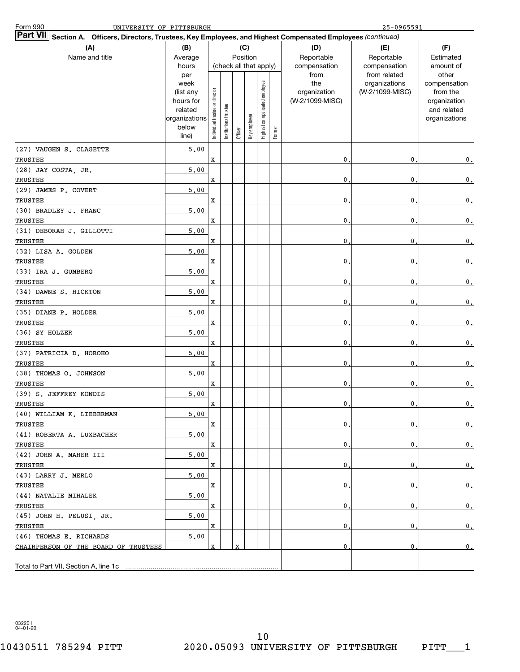| <b>Form 990</b><br>UNIVERSITY OF PITTSBURGH                                                                               |                                                                                     |                                |                        |         |                 |                              |        |                                           | $25 - 0965591$                                   |                                                                                   |
|---------------------------------------------------------------------------------------------------------------------------|-------------------------------------------------------------------------------------|--------------------------------|------------------------|---------|-----------------|------------------------------|--------|-------------------------------------------|--------------------------------------------------|-----------------------------------------------------------------------------------|
| <b>Part VII</b><br>Section A. Officers, Directors, Trustees, Key Employees, and Highest Compensated Employees (continued) |                                                                                     |                                |                        |         |                 |                              |        |                                           |                                                  |                                                                                   |
| (A)<br>Name and title                                                                                                     | (B)<br>Average<br>hours                                                             |                                | (check all that apply) |         | (C)<br>Position |                              |        | (D)<br>Reportable<br>compensation<br>from | (E)<br>Reportable<br>compensation                | (F)<br>Estimated<br>amount of                                                     |
|                                                                                                                           | per<br>week<br>(list any<br>hours for<br>related<br>organizations<br>below<br>line) | Individual trustee or director | Institutional trustee  | Officer | Key employee    | Highest compensated employee | Former | the<br>organization<br>(W-2/1099-MISC)    | from related<br>organizations<br>(W-2/1099-MISC) | other<br>compensation<br>from the<br>organization<br>and related<br>organizations |
| (27) VAUGHN S. CLAGETTE<br>TRUSTEE                                                                                        | 5,00                                                                                | $\mathbf X$                    |                        |         |                 |                              |        | 0                                         | 0                                                | 0.                                                                                |
| (28) JAY COSTA, JR.<br>TRUSTEE                                                                                            | 5,00                                                                                | x                              |                        |         |                 |                              |        | 0                                         | 0                                                | $\mathbf{0}$ .                                                                    |
| (29) JAMES P. COVERT<br>TRUSTEE                                                                                           | 5,00                                                                                | x                              |                        |         |                 |                              |        | 0                                         | 0                                                | $\mathbf{0}$ .                                                                    |
| (30) BRADLEY J. FRANC<br>TRUSTEE                                                                                          | 5,00                                                                                | x                              |                        |         |                 |                              |        | 0                                         | 0                                                | $\mathbf{0}$ .                                                                    |
| (31) DEBORAH J. GILLOTTI<br>TRUSTEE                                                                                       | 5,00                                                                                | x                              |                        |         |                 |                              |        | 0                                         | 0                                                | $\mathbf{0}$ .                                                                    |
| (32) LISA A. GOLDEN<br>TRUSTEE                                                                                            | 5,00                                                                                | x                              |                        |         |                 |                              |        | 0                                         | 0                                                | $\mathbf{0}$ .                                                                    |
| (33) IRA J. GUMBERG<br>TRUSTEE                                                                                            | 5,00                                                                                | x                              |                        |         |                 |                              |        | 0                                         | 0                                                | $\mathbf{0}$ .                                                                    |
| (34) DAWNE S. HICKTON<br>TRUSTEE                                                                                          | 5,00                                                                                | x                              |                        |         |                 |                              |        | 0                                         | 0                                                | $\mathbf{0}$ .                                                                    |
| (35) DIANE P. HOLDER<br>TRUSTEE                                                                                           | 5,00                                                                                | x                              |                        |         |                 |                              |        | 0                                         | 0                                                | $\mathbf{0}$ .                                                                    |
| (36) SY HOLZER<br>TRUSTEE                                                                                                 | 5,00                                                                                | x                              |                        |         |                 |                              |        | 0                                         | 0                                                | $\mathbf{0}$ .                                                                    |
| (37) PATRICIA D. HOROHO<br>TRUSTEE                                                                                        | 5,00                                                                                | X                              |                        |         |                 |                              |        | 0                                         | 0                                                | 0.                                                                                |
| (38) THOMAS O. JOHNSON<br>TRUSTEE                                                                                         | 5,00                                                                                | $\mathbf X$                    |                        |         |                 |                              |        | 0                                         | 0                                                | $\mathbf{0}$ .                                                                    |
| (39) S. JEFFREY KONDIS<br><b>TRUSTEE</b>                                                                                  | 5,00                                                                                | X                              |                        |         |                 |                              |        | 0                                         | 0                                                | $\mathbf{0}$ .                                                                    |
| (40) WILLIAM K. LIEBERMAN<br>TRUSTEE                                                                                      | 5,00                                                                                | x                              |                        |         |                 |                              |        | 0                                         | 0.                                               | 0.                                                                                |
| (41) ROBERTA A. LUXBACHER<br>TRUSTEE                                                                                      | 5,00                                                                                | X                              |                        |         |                 |                              |        | 0                                         | 0                                                | $\mathbf{0}$ .                                                                    |
| (42) JOHN A. MAHER III<br>TRUSTEE                                                                                         | 5,00                                                                                | X                              |                        |         |                 |                              |        | 0                                         | 0                                                | $\mathbf{0}$ .                                                                    |
| (43) LARRY J. MERLO<br>TRUSTEE                                                                                            | 5.00                                                                                | Х                              |                        |         |                 |                              |        | 0                                         | 0                                                | $\mathbf{0}$ .                                                                    |
| (44) NATALIE MIHALEK<br>TRUSTEE                                                                                           | 5.00                                                                                | х                              |                        |         |                 |                              |        | 0                                         | 0                                                | 0.                                                                                |
| (45) JOHN H. PELUSI, JR.<br>TRUSTEE                                                                                       | 5,00                                                                                | х                              |                        |         |                 |                              |        | 0                                         | 0                                                | $\mathbf{0}$ .                                                                    |
| (46) THOMAS E. RICHARDS<br>CHAIRPERSON OF THE BOARD OF TRUSTEES                                                           | 5,00                                                                                | X                              |                        | x       |                 |                              |        | 0                                         | 0                                                | 0.                                                                                |
| Total to Part VII, Section A, line 1c                                                                                     |                                                                                     |                                |                        |         |                 |                              |        |                                           |                                                  |                                                                                   |

032201 04-01-20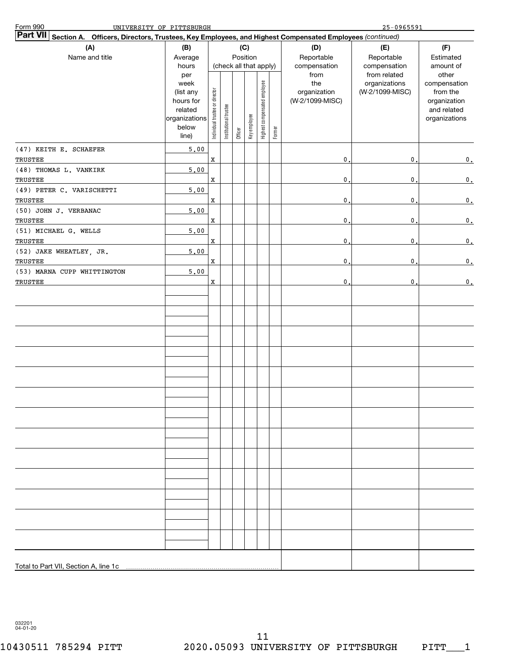| Form 990<br>UNIVERSITY OF PITTSBURGH                                                                                      |                                                                                     |                                |                       |         |                                           |                              |        |                                                | $25 - 0965591$                                   |                                                                                   |
|---------------------------------------------------------------------------------------------------------------------------|-------------------------------------------------------------------------------------|--------------------------------|-----------------------|---------|-------------------------------------------|------------------------------|--------|------------------------------------------------|--------------------------------------------------|-----------------------------------------------------------------------------------|
| <b>Part VII</b><br>Section A. Officers, Directors, Trustees, Key Employees, and Highest Compensated Employees (continued) |                                                                                     |                                |                       |         |                                           |                              |        |                                                |                                                  |                                                                                   |
| (A)<br>Name and title                                                                                                     | (B)<br>Average<br>hours                                                             |                                |                       |         | (C)<br>Position<br>(check all that apply) |                              |        | (D)<br>Reportable<br>compensation              | (E)<br>Reportable<br>compensation                | (F)<br>Estimated<br>amount of                                                     |
|                                                                                                                           | per<br>week<br>(list any<br>hours for<br>related<br>organizations<br>below<br>line) | Individual trustee or director | Institutional trustee | Officer | Key employee                              | Highest compensated employee | Former | from<br>the<br>organization<br>(W-2/1099-MISC) | from related<br>organizations<br>(W-2/1099-MISC) | other<br>compensation<br>from the<br>organization<br>and related<br>organizations |
| (47) KEITH E. SCHAEFER<br>TRUSTEE                                                                                         | 5.00                                                                                | $\mathbf x$                    |                       |         |                                           |                              |        | $\mathbf{0}$ .                                 | 0                                                | 0.                                                                                |
| (48) THOMAS L. VANKIRK<br>TRUSTEE                                                                                         | 5,00                                                                                | $\mathbf x$                    |                       |         |                                           |                              |        | $\mathbf{0}$ .                                 | 0                                                | $\mathfrak o$ .                                                                   |
| (49) PETER C. VARISCHETTI<br>TRUSTEE                                                                                      | 5,00                                                                                | $\mathbf x$                    |                       |         |                                           |                              |        | $\mathbf{0}$ .                                 | $\mathbf 0$                                      | $\mathfrak o$ .                                                                   |
| (50) JOHN J. VERBANAC<br>TRUSTEE                                                                                          | 5,00                                                                                | $\mathbf x$                    |                       |         |                                           |                              |        | $\mathbf{0}$ .                                 | $\mathbf 0$                                      | $\mathfrak o$ .                                                                   |
| (51) MICHAEL G. WELLS<br>TRUSTEE                                                                                          | 5,00                                                                                | $\mathbf x$                    |                       |         |                                           |                              |        | $\mathbf{0}$ .                                 | $\mathbf 0$                                      | $\mathfrak o$ .                                                                   |
| (52) JAKE WHEATLEY, JR.<br>TRUSTEE                                                                                        | 5,00                                                                                | $\mathbf x$                    |                       |         |                                           |                              |        | $\mathbf{0}$ .                                 | $\mathbf 0$                                      | $\mathfrak o$ .                                                                   |
| (53) MARNA CUPP WHITTINGTON<br>TRUSTEE                                                                                    | 5,00                                                                                | $\mathbf x$                    |                       |         |                                           |                              |        | 0.                                             | 0                                                | $\mathbf 0$ .                                                                     |
|                                                                                                                           |                                                                                     |                                |                       |         |                                           |                              |        |                                                |                                                  |                                                                                   |
|                                                                                                                           |                                                                                     |                                |                       |         |                                           |                              |        |                                                |                                                  |                                                                                   |
|                                                                                                                           |                                                                                     |                                |                       |         |                                           |                              |        |                                                |                                                  |                                                                                   |
|                                                                                                                           |                                                                                     |                                |                       |         |                                           |                              |        |                                                |                                                  |                                                                                   |
|                                                                                                                           |                                                                                     |                                |                       |         |                                           |                              |        |                                                |                                                  |                                                                                   |
|                                                                                                                           |                                                                                     |                                |                       |         |                                           |                              |        |                                                |                                                  |                                                                                   |
|                                                                                                                           |                                                                                     |                                |                       |         |                                           |                              |        |                                                |                                                  |                                                                                   |
|                                                                                                                           |                                                                                     |                                |                       |         |                                           |                              |        |                                                |                                                  |                                                                                   |
|                                                                                                                           |                                                                                     |                                |                       |         |                                           |                              |        |                                                |                                                  |                                                                                   |
| Total to Part VII, Section A, line 1c                                                                                     |                                                                                     |                                |                       |         |                                           |                              |        |                                                |                                                  |                                                                                   |

032201 04-01-20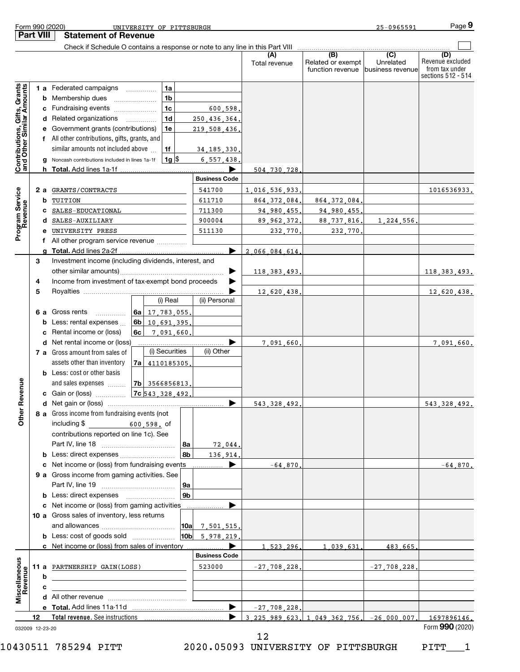|                                                           | Part VIII |     | <b>Statement of Revenue</b>                                                   |                      |                      |                                              |                                                 |                                                                 |
|-----------------------------------------------------------|-----------|-----|-------------------------------------------------------------------------------|----------------------|----------------------|----------------------------------------------|-------------------------------------------------|-----------------------------------------------------------------|
|                                                           |           |     | Check if Schedule O contains a response or note to any line in this Part VIII |                      |                      |                                              |                                                 |                                                                 |
|                                                           |           |     |                                                                               |                      | (A)<br>Total revenue | (B)<br>Related or exempt<br>function revenue | $\overline{C}$<br>Unrelated<br>business revenue | (D)<br>Revenue excluded<br>from tax under<br>sections 512 - 514 |
|                                                           |           |     | 1 a Federated campaigns<br>1a                                                 |                      |                      |                                              |                                                 |                                                                 |
|                                                           |           |     | <b>b</b> Membership dues<br>1b                                                |                      |                      |                                              |                                                 |                                                                 |
|                                                           |           |     | c Fundraising events<br>1c                                                    | 600.598.             |                      |                                              |                                                 |                                                                 |
|                                                           |           |     | d Related organizations<br>1d                                                 | 250,436,364          |                      |                                              |                                                 |                                                                 |
|                                                           |           |     | e Government grants (contributions)<br>1e                                     | 219,508,436,         |                      |                                              |                                                 |                                                                 |
|                                                           |           |     | f All other contributions, gifts, grants, and                                 |                      |                      |                                              |                                                 |                                                                 |
|                                                           |           |     | similar amounts not included above<br>  1f                                    | 34, 185, 330,        |                      |                                              |                                                 |                                                                 |
| Contributions, Gifts, Grants<br>and Other Similar Amounts |           |     | g Noncash contributions included in lines 1a-1f<br>$1g$ $\frac{1}{3}$         | 6,557,438,           |                      |                                              |                                                 |                                                                 |
|                                                           |           |     | h Total. Add lines 1a-1f                                                      |                      | 504.730.728.         |                                              |                                                 |                                                                 |
|                                                           |           |     |                                                                               | <b>Business Code</b> |                      |                                              |                                                 |                                                                 |
|                                                           |           | 2 a | <b>GRANTS/CONTRACTS</b>                                                       | 541700               | 1,016,536,933.       |                                              |                                                 | 1016536933.                                                     |
| Program Service                                           |           | b   | TUITION                                                                       | 611710               | 864, 372, 084.       | 864, 372, 084.                               |                                                 |                                                                 |
|                                                           |           |     | SALES-EDUCATIONAL                                                             | 711300               | 94,980,455.          | 94, 980, 455,                                |                                                 |                                                                 |
|                                                           |           |     | SALES-AUXILIARY                                                               | 900004               | 89, 962, 372.        | 88, 737, 816.                                | 1,224,556                                       |                                                                 |
|                                                           |           |     | UNIVERSITY PRESS                                                              | 511130               | 232,770              | 232,770,                                     |                                                 |                                                                 |
|                                                           |           |     | f All other program service revenue<br>q Total. Add lines 2a-2f               |                      | 2 066 084 614        |                                              |                                                 |                                                                 |
|                                                           | 3         |     | Investment income (including dividends, interest, and                         |                      |                      |                                              |                                                 |                                                                 |
|                                                           |           |     |                                                                               | ▶                    | 118, 383, 493.       |                                              |                                                 | 118, 383, 493.                                                  |
|                                                           | 4         |     | Income from investment of tax-exempt bond proceeds                            |                      |                      |                                              |                                                 |                                                                 |
|                                                           | 5         |     |                                                                               |                      | 12,620,438.          |                                              |                                                 | 12,620,438.                                                     |
|                                                           |           |     | (i) Real                                                                      | (ii) Personal        |                      |                                              |                                                 |                                                                 |
|                                                           |           |     | 6 a Gross rents<br>6a 17, 783, 055                                            |                      |                      |                                              |                                                 |                                                                 |
|                                                           |           |     | <b>b</b> Less: rental expenses<br>6b 10,691,395                               |                      |                      |                                              |                                                 |                                                                 |
|                                                           |           |     | c Rental income or (loss)<br>7,091,660<br>6c                                  |                      |                      |                                              |                                                 |                                                                 |
|                                                           |           |     | d Net rental income or (loss)                                                 | ▶                    | 7.091.660            |                                              |                                                 | 7.091.660.                                                      |
|                                                           |           |     | (i) Securities<br>7 a Gross amount from sales of                              | (ii) Other           |                      |                                              |                                                 |                                                                 |
|                                                           |           |     | assets other than inventory<br><b>7a</b> 4110185305                           |                      |                      |                                              |                                                 |                                                                 |
|                                                           |           |     | <b>b</b> Less: cost or other basis                                            |                      |                      |                                              |                                                 |                                                                 |
|                                                           |           |     | and sales expenses<br><b>7b</b> 3566856813                                    |                      |                      |                                              |                                                 |                                                                 |
| Revenue                                                   |           |     | c Gain or (loss)  7c 543, 328, 492.                                           |                      |                      |                                              |                                                 |                                                                 |
|                                                           |           |     |                                                                               | ▶                    | 543.328.492          |                                              |                                                 | 543, 328, 492.                                                  |
| Ě                                                         |           |     | 8 a Gross income from fundraising events (not                                 |                      |                      |                                              |                                                 |                                                                 |
|                                                           |           |     | including $$$<br>600,598.of                                                   |                      |                      |                                              |                                                 |                                                                 |
|                                                           |           |     | contributions reported on line 1c). See                                       |                      |                      |                                              |                                                 |                                                                 |
|                                                           |           |     | 8a<br>8b                                                                      | 72,044,<br>136.914   |                      |                                              |                                                 |                                                                 |
|                                                           |           |     | c Net income or (loss) from fundraising events                                | ▶                    | $-64.870.$           |                                              |                                                 | $-64,870.$                                                      |
|                                                           |           |     | 9 a Gross income from gaming activities. See                                  |                      |                      |                                              |                                                 |                                                                 |
|                                                           |           |     | 9a                                                                            |                      |                      |                                              |                                                 |                                                                 |
|                                                           |           |     | 9 <sub>b</sub>                                                                |                      |                      |                                              |                                                 |                                                                 |
|                                                           |           |     | c Net income or (loss) from gaming activities                                 | ▶                    |                      |                                              |                                                 |                                                                 |
|                                                           |           |     | 10 a Gross sales of inventory, less returns                                   |                      |                      |                                              |                                                 |                                                                 |
|                                                           |           |     | 10a                                                                           | 7,501,515,           |                      |                                              |                                                 |                                                                 |
|                                                           |           |     | <b>b</b> Less: cost of goods sold<br>10 <sub>b</sub>                          | 5,978,219            |                      |                                              |                                                 |                                                                 |
|                                                           |           |     | c Net income or (loss) from sales of inventory                                | ▶                    | 1,523,296.           | 1,039,631                                    | 483 665                                         |                                                                 |
|                                                           |           |     |                                                                               | <b>Business Code</b> |                      |                                              |                                                 |                                                                 |
|                                                           |           |     | 11 a PARTNERSHIP GAIN(LOSS)                                                   | 523000               | $-27,708,228.$       |                                              | $-27,708,228,$                                  |                                                                 |
| Miscellaneous<br>Revenue                                  |           | b   |                                                                               |                      |                      |                                              |                                                 |                                                                 |
|                                                           |           | c   |                                                                               |                      |                      |                                              |                                                 |                                                                 |
|                                                           |           |     |                                                                               |                      |                      |                                              |                                                 |                                                                 |
|                                                           |           |     |                                                                               | ▶<br>▶               | $-27,708,228.$       |                                              |                                                 |                                                                 |
| 032009 12-23-20                                           | $12 \,$   |     |                                                                               |                      |                      | 3.225.989.623.1.049.362.756. -26.000.007.    |                                                 | 1697896146.<br>Form 990 (2020)                                  |

Form 990 (2020) Page

UNIVERSITY OF PITTSBURGH 25-0965591

032009 12-23-20

12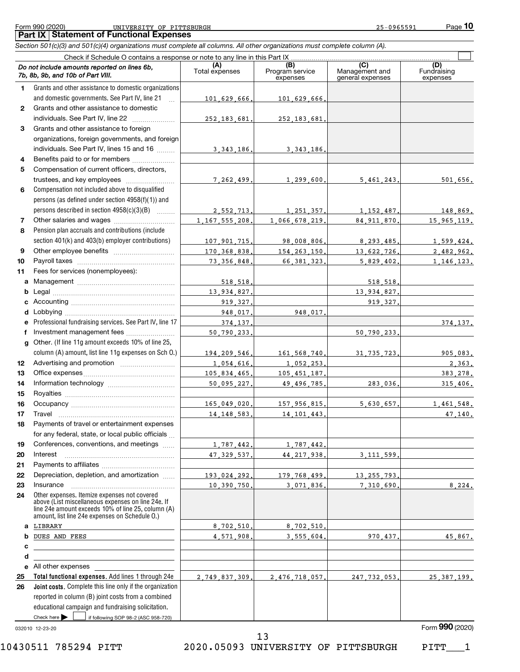#### Form 990 (2020) UNIVERSITY OF PITTSBURGH 25-0965591 Page **Part IX Statement of Functional Expenses** UNIVERSITY OF PITTSBURGH 25-0965591

*Section 501(c)(3) and 501(c)(4) organizations must complete all columns. All other organizations must complete column (A).*

|                  | Check if Schedule O contains a response or note to any line in this Part IX                                                                              |                       |                                    |                                           |                                |  |  |  |
|------------------|----------------------------------------------------------------------------------------------------------------------------------------------------------|-----------------------|------------------------------------|-------------------------------------------|--------------------------------|--|--|--|
|                  | Do not include amounts reported on lines 6b,<br>7b, 8b, 9b, and 10b of Part VIII.                                                                        | (A)<br>Total expenses | (B)<br>Program service<br>expenses | (C)<br>Management and<br>general expenses | (D)<br>Fundraising<br>expenses |  |  |  |
| 1.               | Grants and other assistance to domestic organizations                                                                                                    |                       |                                    |                                           |                                |  |  |  |
|                  | and domestic governments. See Part IV, line 21<br>$\mathbf{r}$                                                                                           | 101 629 666.          | 101,629,666.                       |                                           |                                |  |  |  |
| $\mathbf{2}$     | Grants and other assistance to domestic                                                                                                                  |                       |                                    |                                           |                                |  |  |  |
|                  | individuals. See Part IV, line 22                                                                                                                        | 252, 183, 681,        | 252, 183, 681,                     |                                           |                                |  |  |  |
| 3                | Grants and other assistance to foreign                                                                                                                   |                       |                                    |                                           |                                |  |  |  |
|                  | organizations, foreign governments, and foreign                                                                                                          |                       |                                    |                                           |                                |  |  |  |
|                  | individuals. See Part IV, lines 15 and 16                                                                                                                | 3, 343, 186.          | 3, 343, 186.                       |                                           |                                |  |  |  |
| 4                | Benefits paid to or for members                                                                                                                          |                       |                                    |                                           |                                |  |  |  |
| 5                | Compensation of current officers, directors,                                                                                                             |                       |                                    |                                           |                                |  |  |  |
|                  | trustees, and key employees                                                                                                                              | 7.262.499.            | 1,299,600.                         | 5,461,243.                                | 501,656.                       |  |  |  |
| 6                | Compensation not included above to disqualified                                                                                                          |                       |                                    |                                           |                                |  |  |  |
|                  | persons (as defined under section 4958(f)(1)) and                                                                                                        |                       |                                    |                                           |                                |  |  |  |
|                  | persons described in section 4958(c)(3)(B)                                                                                                               | 2,552,713.            | 1, 251, 357.                       | 1, 152, 487.                              | 148,869.                       |  |  |  |
| 7                |                                                                                                                                                          | 1, 167, 555, 208.     | 1,066,678,219.                     | 84.911.870.                               | 15, 965, 119.                  |  |  |  |
| 8                | Pension plan accruals and contributions (include                                                                                                         |                       |                                    |                                           |                                |  |  |  |
|                  | section 401(k) and 403(b) employer contributions)                                                                                                        | 107.901.715.          | 98,008,806.                        | 8.293.485.                                | 1,599,424.                     |  |  |  |
| 9                |                                                                                                                                                          | 170,368,838.          | 154, 263, 150.                     | 13,622,726.                               | 2,482,962.                     |  |  |  |
| 10               |                                                                                                                                                          | 73, 356, 848.         | 66.381.323.                        | 5.829.402.                                | 1, 146, 123.                   |  |  |  |
| 11               | Fees for services (nonemployees):                                                                                                                        |                       |                                    |                                           |                                |  |  |  |
|                  |                                                                                                                                                          | 518,518.              |                                    | 518.518.                                  |                                |  |  |  |
| b                |                                                                                                                                                          | 13,934,827.           |                                    | 13,934,827.                               |                                |  |  |  |
|                  |                                                                                                                                                          | 919,327.              |                                    | 919, 327.                                 |                                |  |  |  |
| d                |                                                                                                                                                          | 948,017.              | 948.017.                           |                                           |                                |  |  |  |
| е                | Professional fundraising services. See Part IV, line 17                                                                                                  | 374,137.              |                                    |                                           | 374, 137.                      |  |  |  |
| f                | Investment management fees                                                                                                                               | 50,790,233,           |                                    | 50,790,233.                               |                                |  |  |  |
| a                | Other. (If line 11g amount exceeds 10% of line 25,                                                                                                       |                       |                                    |                                           |                                |  |  |  |
|                  | column (A) amount, list line 11g expenses on Sch O.)                                                                                                     | 194,209,546,          | 161,568,740.                       | 31, 735, 723.                             | 905,083.                       |  |  |  |
| 12 <sup>12</sup> |                                                                                                                                                          | 1,054,616.            | 1,052,253.                         |                                           | 2,363.                         |  |  |  |
| 13               |                                                                                                                                                          | 105,834,465.          | 105, 451, 187.                     |                                           | 383,278.                       |  |  |  |
| 14               |                                                                                                                                                          | 50,095,227.           | 49,496,785.                        | 283.036.                                  | 315,406.                       |  |  |  |
| 15               |                                                                                                                                                          |                       |                                    |                                           |                                |  |  |  |
| 16               |                                                                                                                                                          | 165.049.020.          | 157,956,815.                       | 5,630,657.                                | 1,461,548.                     |  |  |  |
| 17               | Travel                                                                                                                                                   | 14, 148, 583,         | 14, 101, 443.                      |                                           | 47,140.                        |  |  |  |
| 18               | Payments of travel or entertainment expenses                                                                                                             |                       |                                    |                                           |                                |  |  |  |
|                  | for any federal, state, or local public officials                                                                                                        |                       |                                    |                                           |                                |  |  |  |
| 19<br>20         | Conferences, conventions, and meetings                                                                                                                   | 1,787,442.            | 1,787,442.                         |                                           |                                |  |  |  |
| 21               | Interest                                                                                                                                                 | 47.329.537.           | 44.217.938.                        | 3.111.599.                                |                                |  |  |  |
| 22               | Depreciation, depletion, and amortization                                                                                                                | 193,024,292.          | 179,768,499.                       | 13, 255, 793.                             |                                |  |  |  |
| 23               | Insurance                                                                                                                                                | 10,390,750,           | 3,071,836.                         | 7,310,690.                                | 8,224.                         |  |  |  |
| 24               | Other expenses. Itemize expenses not covered<br>above (List miscellaneous expenses on line 24e. If<br>line 24e amount exceeds 10% of line 25, column (A) |                       |                                    |                                           |                                |  |  |  |
|                  | amount, list line 24e expenses on Schedule O.)                                                                                                           |                       |                                    |                                           |                                |  |  |  |
| а                | LIBRARY                                                                                                                                                  | 8,702,510,            | 8,702,510.                         |                                           |                                |  |  |  |
| b                | DUES AND FEES                                                                                                                                            | 4,571,908,            | 3,555,604.                         | 970.437.                                  | 45,867.                        |  |  |  |
| c                |                                                                                                                                                          |                       |                                    |                                           |                                |  |  |  |
| d<br>е           | the contract of the contract of the contract of the contract of the contract of<br>All other expenses                                                    |                       |                                    |                                           |                                |  |  |  |
| 25               | Total functional expenses. Add lines 1 through 24e                                                                                                       | 2,749,837,309.        | 2,476,718,057.                     | 247, 732, 053.                            | 25, 387, 199.                  |  |  |  |
| 26               | Joint costs. Complete this line only if the organization                                                                                                 |                       |                                    |                                           |                                |  |  |  |
|                  | reported in column (B) joint costs from a combined                                                                                                       |                       |                                    |                                           |                                |  |  |  |
|                  | educational campaign and fundraising solicitation.                                                                                                       |                       |                                    |                                           |                                |  |  |  |
|                  | Check here $\blacktriangleright$<br>if following SOP 98-2 (ASC 958-720)                                                                                  |                       |                                    |                                           |                                |  |  |  |

032010 12-23-20

10430511 785294 PITT 2020.05093 UNIVERSITY OF PITTSBURGH PITT\_\_\_1 13

Form (2020) **990**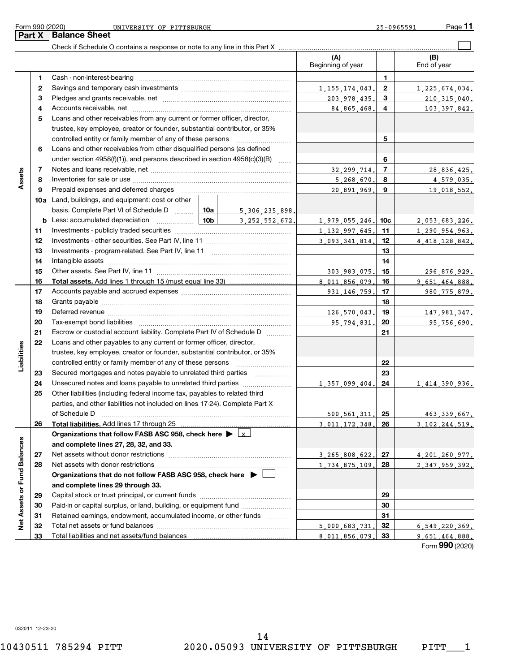$\overline{a}$ 

|                             |              |                                                                                 | (A)<br>Beginning of year |                | (B)<br>End of year |
|-----------------------------|--------------|---------------------------------------------------------------------------------|--------------------------|----------------|--------------------|
|                             | 1            |                                                                                 |                          | 1              |                    |
|                             | $\mathbf{2}$ |                                                                                 | 1, 155, 174, 043,        | $\mathbf{2}$   | 1,225,674,034.     |
|                             | 3            |                                                                                 | 203, 978, 435.           | 3              | 210, 315, 040.     |
|                             | 4            |                                                                                 | 84, 865, 468.            | 4              | 103, 397, 842.     |
|                             | 5            | Loans and other receivables from any current or former officer, director,       |                          |                |                    |
|                             |              | trustee, key employee, creator or founder, substantial contributor, or 35%      |                          |                |                    |
|                             |              | controlled entity or family member of any of these persons [                    |                          | 5              |                    |
|                             | 6            | Loans and other receivables from other disqualified persons (as defined         |                          |                |                    |
|                             |              | under section $4958(f)(1)$ , and persons described in section $4958(c)(3)(B)$   |                          | 6              |                    |
|                             | 7            |                                                                                 | 32, 299, 714.            | $\overline{7}$ | 28,836,425.        |
| Assets                      | 8            |                                                                                 | 5, 268, 670.             | 8              | 4,579,035.         |
|                             | 9            |                                                                                 | 20,891,969.              | 9              | 19,018,552.        |
|                             |              | 10a Land, buildings, and equipment: cost or other                               |                          |                |                    |
|                             |              | basis. Complete Part VI of Schedule D    10a  <br>5,306,235,898.                |                          |                |                    |
|                             |              | <b>b</b> Less: accumulated depreciation $\ldots$ 10b<br>3.252.552.672.          | 1.979.055.246.           | 10c            | 2.053.683.226.     |
|                             | 11           |                                                                                 | 1, 132, 997, 645.        | 11             | 1.290.954.963.     |
|                             | 12           |                                                                                 | 3.093.341.814.           | 12             | 4, 418, 128, 842.  |
|                             | 13           |                                                                                 |                          | 13             |                    |
|                             | 14           |                                                                                 |                          | 14             |                    |
|                             | 15           |                                                                                 | 303 983 075.             | 15             | 296,876,929.       |
|                             | 16           |                                                                                 | 8 011 856 079            | 16             | 9 651 464 888.     |
|                             | 17           |                                                                                 | 931.146.759.             | 17             | 980, 775, 879.     |
|                             | 18           |                                                                                 |                          | 18             |                    |
|                             | 19           |                                                                                 | 126,570,043.             | 19             | 147, 981, 347.     |
|                             | 20           |                                                                                 | 95.794.831.              | 20             | 95,756,690.        |
|                             | 21           | Escrow or custodial account liability. Complete Part IV of Schedule D           |                          | 21             |                    |
|                             | 22           | Loans and other payables to any current or former officer, director,            |                          |                |                    |
| Liabilities                 |              | trustee, key employee, creator or founder, substantial contributor, or 35%      |                          |                |                    |
|                             |              | controlled entity or family member of any of these persons                      |                          | 22             |                    |
|                             | 23           | Secured mortgages and notes payable to unrelated third parties                  |                          | 23             |                    |
|                             | 24           | Unsecured notes and loans payable to unrelated third parties                    | 1 357 099 404.           | 24             | 1,414,390,936.     |
|                             | 25           | Other liabilities (including federal income tax, payables to related third      |                          |                |                    |
|                             |              | parties, and other liabilities not included on lines 17-24). Complete Part X    |                          |                |                    |
|                             |              |                                                                                 | 500.561.311.             | 25             | 463.339.667.       |
|                             | 26           | Total liabilities. Add lines 17 through 25                                      | 3.011.172.348.           | 26             | 3 102 244 519      |
|                             |              | Organizations that follow FASB ASC 958, check here $\blacktriangleright \bot x$ |                          |                |                    |
|                             |              | and complete lines 27, 28, 32, and 33.                                          |                          |                |                    |
|                             | 27           |                                                                                 | 3, 265, 808, 622.        | 27             | 4, 201, 260, 977.  |
|                             | 28           |                                                                                 | 1,734,875,109.           | 28             | 2.347.959.392.     |
|                             |              | Organizations that do not follow FASB ASC 958, check here $\blacktriangleright$ |                          |                |                    |
|                             |              | and complete lines 29 through 33.                                               |                          |                |                    |
|                             | 29           |                                                                                 |                          | 29             |                    |
| Net Assets or Fund Balances | 30           | Paid-in or capital surplus, or land, building, or equipment fund                |                          | 30             |                    |
|                             | 31           | Retained earnings, endowment, accumulated income, or other funds                |                          | 31             |                    |
|                             | 32           |                                                                                 | 5.000.683.731            | 32             | 6,549,220,369.     |
|                             | 33           | Total liabilities and net assets/fund balances                                  | 8.011.856.079            | 33             | 9 651 464 888.     |

Form (2020) **990**

032011 12-23-20

Ĭ.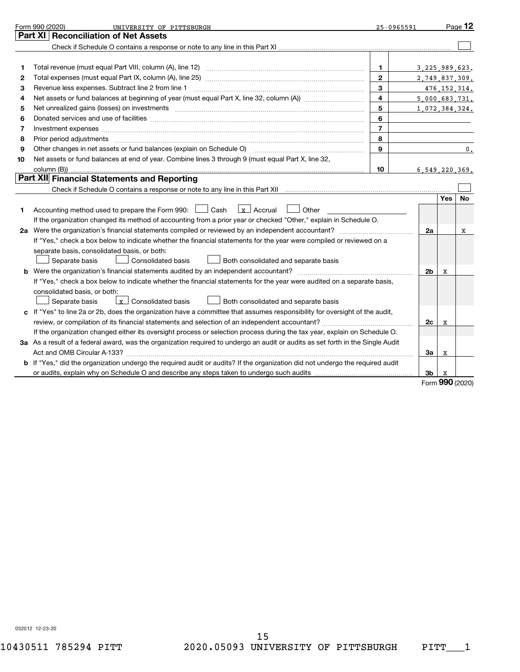|    | Form 990 (2020)<br>UNIVERSITY OF PITTSBURGH<br>25-0965591                                                                                                                                                                      |                |                   |     | Page 12         |
|----|--------------------------------------------------------------------------------------------------------------------------------------------------------------------------------------------------------------------------------|----------------|-------------------|-----|-----------------|
|    | Part XI   Reconciliation of Net Assets                                                                                                                                                                                         |                |                   |     |                 |
|    |                                                                                                                                                                                                                                |                |                   |     |                 |
|    |                                                                                                                                                                                                                                |                |                   |     |                 |
| 1  |                                                                                                                                                                                                                                | $\mathbf{1}$   | 3, 225, 989, 623. |     |                 |
| 2  |                                                                                                                                                                                                                                | $\mathbf{2}$   | 2,749,837,309.    |     |                 |
| 3  |                                                                                                                                                                                                                                | 3              |                   |     | 476, 152, 314.  |
| 4  |                                                                                                                                                                                                                                | $\overline{4}$ | 5,000,683,731.    |     |                 |
| 5  |                                                                                                                                                                                                                                | 5              | 1,072,384,324.    |     |                 |
| 6  |                                                                                                                                                                                                                                | 6              |                   |     |                 |
| 7  | Investment expenses www.communication.com/www.communication.com/www.communication.com/www.com                                                                                                                                  | $\overline{7}$ |                   |     |                 |
| 8  | Prior period adjustments www.communication.communication.communication.communication.com                                                                                                                                       | 8              |                   |     |                 |
| 9  | Other changes in net assets or fund balances (explain on Schedule O) [11] [2000] [2000] [2000] [2000] [2000] [                                                                                                                 | 9              |                   |     | 0.              |
| 10 | Net assets or fund balances at end of year. Combine lines 3 through 9 (must equal Part X, line 32,                                                                                                                             |                |                   |     |                 |
|    |                                                                                                                                                                                                                                | 10             | 6.549.220.369.    |     |                 |
|    | Part XII Financial Statements and Reporting                                                                                                                                                                                    |                |                   |     |                 |
|    | Check if Schedule O contains a response or note to any line in this Part XII manufactured contains and contains a response or note to any line in this Part XII manufactured contains and contains a response or note to any l |                |                   |     |                 |
|    |                                                                                                                                                                                                                                |                |                   | Yes | No              |
| 1  | $\vert x \vert$ Accrual<br>Accounting method used to prepare the Form 990: [130] Cash<br>  Other                                                                                                                               |                |                   |     |                 |
|    | If the organization changed its method of accounting from a prior year or checked "Other," explain in Schedule O.                                                                                                              |                |                   |     |                 |
| 2a |                                                                                                                                                                                                                                |                | 2a                |     | х               |
|    | If "Yes," check a box below to indicate whether the financial statements for the year were compiled or reviewed on a                                                                                                           |                |                   |     |                 |
|    | separate basis, consolidated basis, or both:                                                                                                                                                                                   |                |                   |     |                 |
|    | Separate basis<br><b>Consolidated basis</b><br>Both consolidated and separate basis                                                                                                                                            |                |                   |     |                 |
|    |                                                                                                                                                                                                                                |                | 2 <sub>b</sub>    | x   |                 |
|    | If "Yes," check a box below to indicate whether the financial statements for the year were audited on a separate basis,                                                                                                        |                |                   |     |                 |
|    | consolidated basis, or both:                                                                                                                                                                                                   |                |                   |     |                 |
|    | $\lfloor x \rfloor$ Consolidated basis<br>Both consolidated and separate basis<br>Separate basis                                                                                                                               |                |                   |     |                 |
|    | c If "Yes" to line 2a or 2b, does the organization have a committee that assumes responsibility for oversight of the audit,                                                                                                    |                |                   |     |                 |
|    |                                                                                                                                                                                                                                |                | 2c                | X   |                 |
|    | If the organization changed either its oversight process or selection process during the tax year, explain on Schedule O.                                                                                                      |                |                   |     |                 |
|    | 3a As a result of a federal award, was the organization required to undergo an audit or audits as set forth in the Single Audit                                                                                                |                |                   |     |                 |
|    | Act and OMB Circular A-133?                                                                                                                                                                                                    |                | За                | x   |                 |
|    | b If "Yes," did the organization undergo the required audit or audits? If the organization did not undergo the required audit                                                                                                  |                |                   |     |                 |
|    | or audits, explain why on Schedule O and describe any steps taken to undergo such audits matured content conte                                                                                                                 |                | 3b                |     |                 |
|    |                                                                                                                                                                                                                                |                |                   |     | Form 990 (2020) |

032012 12-23-20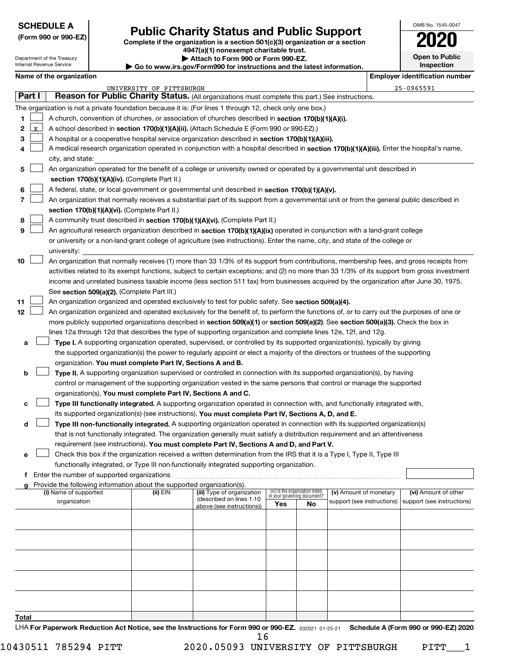#### **SCHEDULE A**

# **Public Charity Status and Public Support**

**(Form 990 or 990-EZ) Complete if the organization is a section 501(c)(3) organization or a section 4947(a)(1) nonexempt charitable trust.**

**| Attach to Form 990 or Form 990-EZ.** 

**Open to Public Inspection**

OMB No. 1545-0047

Department of the Treasury Internal Revenue Se

| Internal Revenue Service | $\blacktriangleright$ Go to www.irs.gov/Form990 for instructions and the latest information. | Inspection                     |
|--------------------------|----------------------------------------------------------------------------------------------|--------------------------------|
| Name of the organization |                                                                                              | Emplover identification number |

|              |              |                                                                                                                                              | UNIVERSITY OF PITTSBURGH |                                                        |                                                                |    |                            |  | $25 - 0965591$             |
|--------------|--------------|----------------------------------------------------------------------------------------------------------------------------------------------|--------------------------|--------------------------------------------------------|----------------------------------------------------------------|----|----------------------------|--|----------------------------|
|              | Part I       | Reason for Public Charity Status. (All organizations must complete this part.) See instructions.                                             |                          |                                                        |                                                                |    |                            |  |                            |
|              |              | The organization is not a private foundation because it is: (For lines 1 through 12, check only one box.)                                    |                          |                                                        |                                                                |    |                            |  |                            |
| 1.           |              | A church, convention of churches, or association of churches described in section 170(b)(1)(A)(i).                                           |                          |                                                        |                                                                |    |                            |  |                            |
| 2            | $\mathbf{x}$ | A school described in section 170(b)(1)(A)(ii). (Attach Schedule E (Form 990 or 990-EZ).)                                                    |                          |                                                        |                                                                |    |                            |  |                            |
| З            |              | A hospital or a cooperative hospital service organization described in section 170(b)(1)(A)(iii).                                            |                          |                                                        |                                                                |    |                            |  |                            |
| 4            |              | A medical research organization operated in conjunction with a hospital described in section 170(b)(1)(A)(iii). Enter the hospital's name,   |                          |                                                        |                                                                |    |                            |  |                            |
|              |              | city, and state:                                                                                                                             |                          |                                                        |                                                                |    |                            |  |                            |
| 5            |              | An organization operated for the benefit of a college or university owned or operated by a governmental unit described in                    |                          |                                                        |                                                                |    |                            |  |                            |
|              |              | section 170(b)(1)(A)(iv). (Complete Part II.)                                                                                                |                          |                                                        |                                                                |    |                            |  |                            |
|              |              |                                                                                                                                              |                          |                                                        |                                                                |    |                            |  |                            |
| 6            |              | A federal, state, or local government or governmental unit described in section 170(b)(1)(A)(v).                                             |                          |                                                        |                                                                |    |                            |  |                            |
| 7            |              | An organization that normally receives a substantial part of its support from a governmental unit or from the general public described in    |                          |                                                        |                                                                |    |                            |  |                            |
|              |              | section 170(b)(1)(A)(vi). (Complete Part II.)                                                                                                |                          |                                                        |                                                                |    |                            |  |                            |
| 8            |              | A community trust described in section 170(b)(1)(A)(vi). (Complete Part II.)                                                                 |                          |                                                        |                                                                |    |                            |  |                            |
| 9            |              | An agricultural research organization described in section 170(b)(1)(A)(ix) operated in conjunction with a land-grant college                |                          |                                                        |                                                                |    |                            |  |                            |
|              |              | or university or a non-land-grant college of agriculture (see instructions). Enter the name, city, and state of the college or               |                          |                                                        |                                                                |    |                            |  |                            |
|              |              | university:                                                                                                                                  |                          |                                                        |                                                                |    |                            |  |                            |
| 10           |              | An organization that normally receives (1) more than 33 1/3% of its support from contributions, membership fees, and gross receipts from     |                          |                                                        |                                                                |    |                            |  |                            |
|              |              | activities related to its exempt functions, subject to certain exceptions; and (2) no more than 33 1/3% of its support from gross investment |                          |                                                        |                                                                |    |                            |  |                            |
|              |              | income and unrelated business taxable income (less section 511 tax) from businesses acquired by the organization after June 30, 1975.        |                          |                                                        |                                                                |    |                            |  |                            |
|              |              | See section 509(a)(2). (Complete Part III.)                                                                                                  |                          |                                                        |                                                                |    |                            |  |                            |
| 11           |              | An organization organized and operated exclusively to test for public safety. See section 509(a)(4).                                         |                          |                                                        |                                                                |    |                            |  |                            |
| 12           |              | An organization organized and operated exclusively for the benefit of, to perform the functions of, or to carry out the purposes of one or   |                          |                                                        |                                                                |    |                            |  |                            |
|              |              | more publicly supported organizations described in section 509(a)(1) or section 509(a)(2). See section 509(a)(3). Check the box in           |                          |                                                        |                                                                |    |                            |  |                            |
|              |              | lines 12a through 12d that describes the type of supporting organization and complete lines 12e, 12f, and 12g.                               |                          |                                                        |                                                                |    |                            |  |                            |
| а            |              | Type I. A supporting organization operated, supervised, or controlled by its supported organization(s), typically by giving                  |                          |                                                        |                                                                |    |                            |  |                            |
|              |              | the supported organization(s) the power to regularly appoint or elect a majority of the directors or trustees of the supporting              |                          |                                                        |                                                                |    |                            |  |                            |
|              |              | organization. You must complete Part IV, Sections A and B.                                                                                   |                          |                                                        |                                                                |    |                            |  |                            |
| b            |              | Type II. A supporting organization supervised or controlled in connection with its supported organization(s), by having                      |                          |                                                        |                                                                |    |                            |  |                            |
|              |              | control or management of the supporting organization vested in the same persons that control or manage the supported                         |                          |                                                        |                                                                |    |                            |  |                            |
|              |              | organization(s). You must complete Part IV, Sections A and C.                                                                                |                          |                                                        |                                                                |    |                            |  |                            |
| c            |              | Type III functionally integrated. A supporting organization operated in connection with, and functionally integrated with,                   |                          |                                                        |                                                                |    |                            |  |                            |
|              |              | its supported organization(s) (see instructions). You must complete Part IV, Sections A, D, and E.                                           |                          |                                                        |                                                                |    |                            |  |                            |
| d            |              | Type III non-functionally integrated. A supporting organization operated in connection with its supported organization(s)                    |                          |                                                        |                                                                |    |                            |  |                            |
|              |              | that is not functionally integrated. The organization generally must satisfy a distribution requirement and an attentiveness                 |                          |                                                        |                                                                |    |                            |  |                            |
|              |              | requirement (see instructions). You must complete Part IV, Sections A and D, and Part V.                                                     |                          |                                                        |                                                                |    |                            |  |                            |
| е            |              | Check this box if the organization received a written determination from the IRS that it is a Type I, Type II, Type III                      |                          |                                                        |                                                                |    |                            |  |                            |
|              |              | functionally integrated, or Type III non-functionally integrated supporting organization.                                                    |                          |                                                        |                                                                |    |                            |  |                            |
|              |              | f Enter the number of supported organizations                                                                                                |                          |                                                        |                                                                |    |                            |  |                            |
| a            |              | Provide the following information about the supported organization(s).                                                                       |                          |                                                        |                                                                |    |                            |  |                            |
|              |              | (i) Name of supported                                                                                                                        | $(ii)$ EIN               | (iii) Type of organization                             | (iv) is the organization listed<br>in your governing document? |    | (v) Amount of monetary     |  | (vi) Amount of other       |
|              |              | organization                                                                                                                                 |                          | (described on lines 1-10)<br>above (see instructions)) | Yes                                                            | No | support (see instructions) |  | support (see instructions) |
|              |              |                                                                                                                                              |                          |                                                        |                                                                |    |                            |  |                            |
|              |              |                                                                                                                                              |                          |                                                        |                                                                |    |                            |  |                            |
|              |              |                                                                                                                                              |                          |                                                        |                                                                |    |                            |  |                            |
|              |              |                                                                                                                                              |                          |                                                        |                                                                |    |                            |  |                            |
|              |              |                                                                                                                                              |                          |                                                        |                                                                |    |                            |  |                            |
|              |              |                                                                                                                                              |                          |                                                        |                                                                |    |                            |  |                            |
|              |              |                                                                                                                                              |                          |                                                        |                                                                |    |                            |  |                            |
|              |              |                                                                                                                                              |                          |                                                        |                                                                |    |                            |  |                            |
|              |              |                                                                                                                                              |                          |                                                        |                                                                |    |                            |  |                            |
|              |              |                                                                                                                                              |                          |                                                        |                                                                |    |                            |  |                            |
| <u>Total</u> |              |                                                                                                                                              |                          |                                                        |                                                                |    |                            |  |                            |
|              |              |                                                                                                                                              |                          |                                                        |                                                                |    |                            |  |                            |

LHA For Paperwork Reduction Act Notice, see the Instructions for Form 990 or 990-EZ. 032021 01-25-21 Schedule A (Form 990 or 990-EZ) 2020 16

 $10430511$  785294 PITT  $2020$ .05093 UNIVERSITY OF PITTSBURGH PITT $\_$  1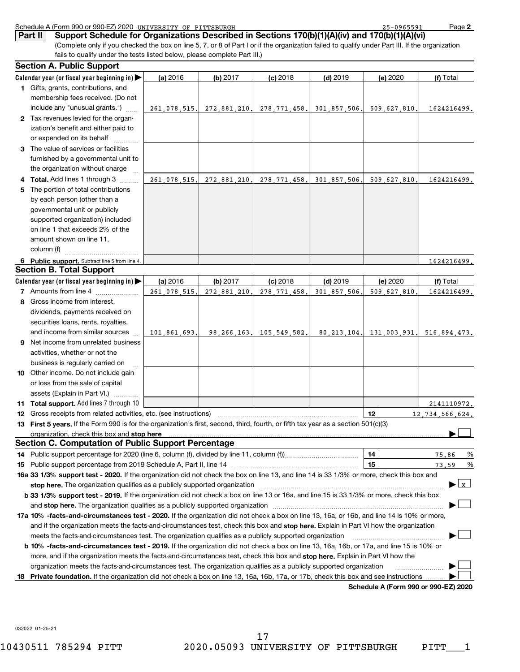|     | Schedule A (Form 990 or 990-EZ) 2020 UNIVERSITY OF PITTSBURGH                                                                                                                                                                  |              |              |                                                 |              | 25-0965591   | Page 2          |
|-----|--------------------------------------------------------------------------------------------------------------------------------------------------------------------------------------------------------------------------------|--------------|--------------|-------------------------------------------------|--------------|--------------|-----------------|
|     | Support Schedule for Organizations Described in Sections 170(b)(1)(A)(iv) and 170(b)(1)(A)(vi)<br>Part II                                                                                                                      |              |              |                                                 |              |              |                 |
|     | (Complete only if you checked the box on line 5, 7, or 8 of Part I or if the organization failed to qualify under Part III. If the organization                                                                                |              |              |                                                 |              |              |                 |
|     | fails to qualify under the tests listed below, please complete Part III.)                                                                                                                                                      |              |              |                                                 |              |              |                 |
|     | <b>Section A. Public Support</b>                                                                                                                                                                                               |              |              |                                                 |              |              |                 |
|     | Calendar year (or fiscal year beginning in) $\blacktriangleright$                                                                                                                                                              | (a) 2016     | (b) $2017$   | $(c)$ 2018                                      | $(d)$ 2019   | (e) 2020     | (f) Total       |
|     | 1 Gifts, grants, contributions, and                                                                                                                                                                                            |              |              |                                                 |              |              |                 |
|     | membership fees received. (Do not                                                                                                                                                                                              |              |              |                                                 |              |              |                 |
|     | include any "unusual grants.")                                                                                                                                                                                                 | 261.078.515. | 272,881,210. | 278, 771, 458.                                  | 301,857,506. | 509.627.810  | 1624216499.     |
|     | 2 Tax revenues levied for the organ-                                                                                                                                                                                           |              |              |                                                 |              |              |                 |
|     | ization's benefit and either paid to                                                                                                                                                                                           |              |              |                                                 |              |              |                 |
|     | or expended on its behalf                                                                                                                                                                                                      |              |              |                                                 |              |              |                 |
|     | 3 The value of services or facilities                                                                                                                                                                                          |              |              |                                                 |              |              |                 |
|     | furnished by a governmental unit to                                                                                                                                                                                            |              |              |                                                 |              |              |                 |
|     | the organization without charge                                                                                                                                                                                                |              |              |                                                 |              |              |                 |
|     | Total. Add lines 1 through 3                                                                                                                                                                                                   | 261.078.515. | 272,881,210, | 278.771.458.                                    | 301.857.506  | 509.627.810  | 1624216499.     |
| 5   | The portion of total contributions                                                                                                                                                                                             |              |              |                                                 |              |              |                 |
|     | by each person (other than a                                                                                                                                                                                                   |              |              |                                                 |              |              |                 |
|     | governmental unit or publicly                                                                                                                                                                                                  |              |              |                                                 |              |              |                 |
|     | supported organization) included                                                                                                                                                                                               |              |              |                                                 |              |              |                 |
|     | on line 1 that exceeds 2% of the                                                                                                                                                                                               |              |              |                                                 |              |              |                 |
|     | amount shown on line 11,                                                                                                                                                                                                       |              |              |                                                 |              |              |                 |
|     | column (f)                                                                                                                                                                                                                     |              |              |                                                 |              |              |                 |
|     | 6 Public support. Subtract line 5 from line 4.                                                                                                                                                                                 |              |              |                                                 |              |              | 1624216499.     |
|     | <b>Section B. Total Support</b>                                                                                                                                                                                                |              |              |                                                 |              |              |                 |
|     | Calendar year (or fiscal year beginning in) $\blacktriangleright$                                                                                                                                                              | (a) 2016     | (b) 2017     | $(c)$ 2018                                      | $(d)$ 2019   | (e) 2020     | (f) Total       |
|     | 7 Amounts from line 4                                                                                                                                                                                                          | 261,078,515  | 272,881,210  | 278, 771, 458                                   | 301,857,506  | 509.627.810  | 1624216499.     |
| 8   | Gross income from interest,                                                                                                                                                                                                    |              |              |                                                 |              |              |                 |
|     | dividends, payments received on                                                                                                                                                                                                |              |              |                                                 |              |              |                 |
|     | securities loans, rents, royalties,                                                                                                                                                                                            |              |              |                                                 |              |              |                 |
|     | and income from similar sources                                                                                                                                                                                                | 101,861,693. | 98.266.163.  | 105.549.582.                                    | 80.213.104.  | 131,003,931, | 516.894.473.    |
| 9   | Net income from unrelated business                                                                                                                                                                                             |              |              |                                                 |              |              |                 |
|     | activities, whether or not the                                                                                                                                                                                                 |              |              |                                                 |              |              |                 |
|     | business is regularly carried on                                                                                                                                                                                               |              |              |                                                 |              |              |                 |
|     | 10 Other income. Do not include gain                                                                                                                                                                                           |              |              |                                                 |              |              |                 |
|     | or loss from the sale of capital                                                                                                                                                                                               |              |              |                                                 |              |              |                 |
|     | assets (Explain in Part VI.)                                                                                                                                                                                                   |              |              |                                                 |              |              |                 |
|     | 11 Total support. Add lines 7 through 10                                                                                                                                                                                       |              |              | the contract of the contract of the contract of |              |              | 2141110972.     |
|     |                                                                                                                                                                                                                                |              |              |                                                 |              | 12           | 12.734.566.624. |
| 13. | First 5 years. If the Form 990 is for the organization's first, second, third, fourth, or fifth tax year as a section 501(c)(3)                                                                                                |              |              |                                                 |              |              |                 |
|     | organization, check this box and stop here manufactured and content to the state of the state of the state of the state of the state of the state of the state of the state of the state of the state of the state of the stat |              |              |                                                 |              |              |                 |
|     | <b>Section C. Computation of Public Support Percentage</b>                                                                                                                                                                     |              |              |                                                 |              |              |                 |
| 14  |                                                                                                                                                                                                                                |              |              |                                                 |              | 14           | %<br>75.86      |
| 15  |                                                                                                                                                                                                                                |              |              |                                                 |              |              | %<br>73.59      |
|     | 16a 33 1/3% support test - 2020. If the organization did not check the box on line 13, and line 14 is 33 1/3% or more, check this box and                                                                                      |              |              |                                                 |              |              |                 |
|     | stop here. The organization qualifies as a publicly supported organization manufactured content and the organization of the state of the state of the state of the state of the state of the state of the state of the state o |              |              |                                                 |              |              | ▶Lx             |
|     | b 33 1/3% support test - 2019. If the organization did not check a box on line 13 or 16a, and line 15 is 33 1/3% or more, check this box                                                                                       |              |              |                                                 |              |              |                 |
|     |                                                                                                                                                                                                                                |              |              |                                                 |              |              |                 |
|     | 17a 10% -facts-and-circumstances test - 2020. If the organization did not check a box on line 13, 16a, or 16b, and line 14 is 10% or more,                                                                                     |              |              |                                                 |              |              |                 |
|     | and if the organization meets the facts-and-circumstances test, check this box and stop here. Explain in Part VI how the organization                                                                                          |              |              |                                                 |              |              |                 |
|     |                                                                                                                                                                                                                                |              |              |                                                 |              |              |                 |
|     | meets the facts-and-circumstances test. The organization qualifies as a publicly supported organization                                                                                                                        |              |              |                                                 |              |              |                 |
|     | b 10% -facts-and-circumstances test - 2019. If the organization did not check a box on line 13, 16a, 16b, or 17a, and line 15 is 10% or                                                                                        |              |              |                                                 |              |              |                 |
|     | more, and if the organization meets the facts-and-circumstances test, check this box and stop here. Explain in Part VI how the                                                                                                 |              |              |                                                 |              |              |                 |
|     | organization meets the facts-and-circumstances test. The organization qualifies as a publicly supported organization                                                                                                           |              |              |                                                 |              |              |                 |

**Schedule A (Form 990 or 990-EZ) 2020**

032022 01-25-21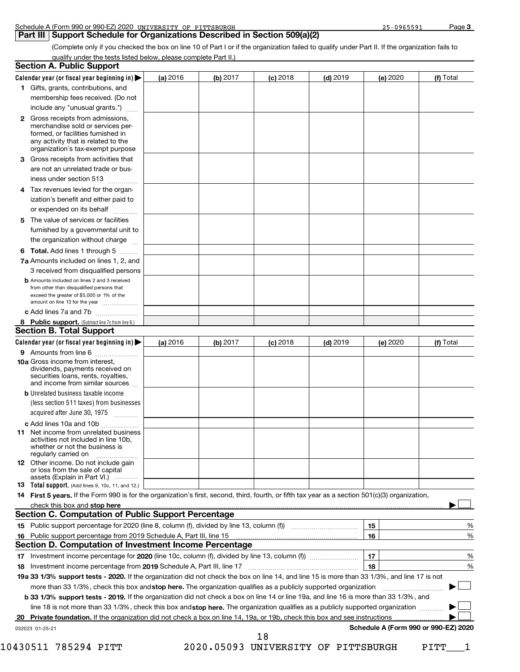| Schedule | ו 990 or 990-EZ) 2020<br>A (Form | UNIVERSITY<br>OF<br>PITTSBURGH | <b>COSSEQ</b><br>- - - - - - - - -<br><u>. . </u> | Page |
|----------|----------------------------------|--------------------------------|---------------------------------------------------|------|
|          |                                  |                                |                                                   |      |

#### **Part III | Support Schedule for Organizations Described in Section 509(a)(2)**

(Complete only if you checked the box on line 10 of Part I or if the organization failed to qualify under Part II. If the organization fails to qualify under the tests listed below, please complete Part II.)

|   | <b>Section A. Public Support</b>                                                                                                                                                                                              |            |            |            |          |    |          |                                      |
|---|-------------------------------------------------------------------------------------------------------------------------------------------------------------------------------------------------------------------------------|------------|------------|------------|----------|----|----------|--------------------------------------|
|   | Calendar year (or fiscal year beginning in) $\blacktriangleright$                                                                                                                                                             | (a) 2016   | (b) $2017$ | $(c)$ 2018 | (d) 2019 |    | (e) 2020 | (f) Total                            |
|   | 1 Gifts, grants, contributions, and                                                                                                                                                                                           |            |            |            |          |    |          |                                      |
|   | membership fees received. (Do not                                                                                                                                                                                             |            |            |            |          |    |          |                                      |
|   | include any "unusual grants.")                                                                                                                                                                                                |            |            |            |          |    |          |                                      |
|   | 2 Gross receipts from admissions,<br>merchandise sold or services per-<br>formed, or facilities furnished in<br>any activity that is related to the<br>organization's tax-exempt purpose                                      |            |            |            |          |    |          |                                      |
|   | 3 Gross receipts from activities that                                                                                                                                                                                         |            |            |            |          |    |          |                                      |
|   | are not an unrelated trade or bus-<br>iness under section 513                                                                                                                                                                 |            |            |            |          |    |          |                                      |
| 4 | Tax revenues levied for the organ-<br>ization's benefit and either paid to<br>or expended on its behalf                                                                                                                       |            |            |            |          |    |          |                                      |
| 5 | The value of services or facilities<br>furnished by a governmental unit to<br>the organization without charge                                                                                                                 |            |            |            |          |    |          |                                      |
|   | 6 Total. Add lines 1 through 5                                                                                                                                                                                                |            |            |            |          |    |          |                                      |
|   | 7a Amounts included on lines 1, 2, and                                                                                                                                                                                        |            |            |            |          |    |          |                                      |
|   | 3 received from disqualified persons                                                                                                                                                                                          |            |            |            |          |    |          |                                      |
|   | <b>b</b> Amounts included on lines 2 and 3 received<br>from other than disqualified persons that<br>exceed the greater of \$5,000 or 1% of the<br>amount on line 13 for the year                                              |            |            |            |          |    |          |                                      |
|   | c Add lines 7a and 7b                                                                                                                                                                                                         |            |            |            |          |    |          |                                      |
|   | 8 Public support. (Subtract line 7c from line 6.)                                                                                                                                                                             |            |            |            |          |    |          |                                      |
|   | <b>Section B. Total Support</b>                                                                                                                                                                                               |            |            |            |          |    |          |                                      |
|   | Calendar year (or fiscal year beginning in)                                                                                                                                                                                   | (a) $2016$ | (b) 2017   | $(c)$ 2018 | (d) 2019 |    | (e) 2020 | (f) Total                            |
|   | 9 Amounts from line 6<br><b>10a</b> Gross income from interest,<br>dividends, payments received on<br>securities loans, rents, royalties,<br>and income from similar sources                                                  |            |            |            |          |    |          |                                      |
|   | <b>b</b> Unrelated business taxable income                                                                                                                                                                                    |            |            |            |          |    |          |                                      |
|   | (less section 511 taxes) from businesses<br>acquired after June 30, 1975                                                                                                                                                      |            |            |            |          |    |          |                                      |
|   | c Add lines 10a and 10b                                                                                                                                                                                                       |            |            |            |          |    |          |                                      |
|   | <b>11</b> Net income from unrelated business<br>activities not included in line 10b,<br>whether or not the business is<br>regularly carried on                                                                                |            |            |            |          |    |          |                                      |
|   | <b>12</b> Other income. Do not include gain<br>or loss from the sale of capital<br>assets (Explain in Part VI.)                                                                                                               |            |            |            |          |    |          |                                      |
|   | <b>13</b> Total support. (Add lines 9, 10c, 11, and 12.)                                                                                                                                                                      |            |            |            |          |    |          |                                      |
|   | 14 First 5 years. If the Form 990 is for the organization's first, second, third, fourth, or fifth tax year as a section 501(c)(3) organization,                                                                              |            |            |            |          |    |          |                                      |
|   | check this box and stop here manufactured and and stop here and stop here are all the state of the state of the state of the state of the state of the state of the state of the state of the state of the state of the state |            |            |            |          |    |          |                                      |
|   | Section C. Computation of Public Support Percentage                                                                                                                                                                           |            |            |            |          |    |          |                                      |
|   |                                                                                                                                                                                                                               |            |            |            |          | 15 |          | %                                    |
|   | 16 Public support percentage from 2019 Schedule A, Part III, line 15                                                                                                                                                          |            |            |            |          | 16 |          | %                                    |
|   | Section D. Computation of Investment Income Percentage                                                                                                                                                                        |            |            |            |          | 17 |          |                                      |
|   | 18 Investment income percentage from 2019 Schedule A, Part III, line 17                                                                                                                                                       |            |            |            |          | 18 |          | %<br>%                               |
|   | 19a 33 1/3% support tests - 2020. If the organization did not check the box on line 14, and line 15 is more than 33 1/3%, and line 17 is not                                                                                  |            |            |            |          |    |          |                                      |
|   | more than 33 1/3%, check this box and stop here. The organization qualifies as a publicly supported organization                                                                                                              |            |            |            |          |    |          |                                      |
|   | b 33 1/3% support tests - 2019. If the organization did not check a box on line 14 or line 19a, and line 16 is more than 33 1/3%, and                                                                                         |            |            |            |          |    |          |                                      |
|   | line 18 is not more than 33 1/3%, check this box and stop here. The organization qualifies as a publicly supported organization                                                                                               |            |            |            |          |    |          |                                      |
|   | Private foundation. If the organization did not check a box on line 14, 19a, or 19b, check this box and see instructions                                                                                                      |            |            |            |          |    |          |                                      |
|   | 032023 01-25-21                                                                                                                                                                                                               |            |            |            |          |    |          | Schedule A (Form 990 or 990-EZ) 2020 |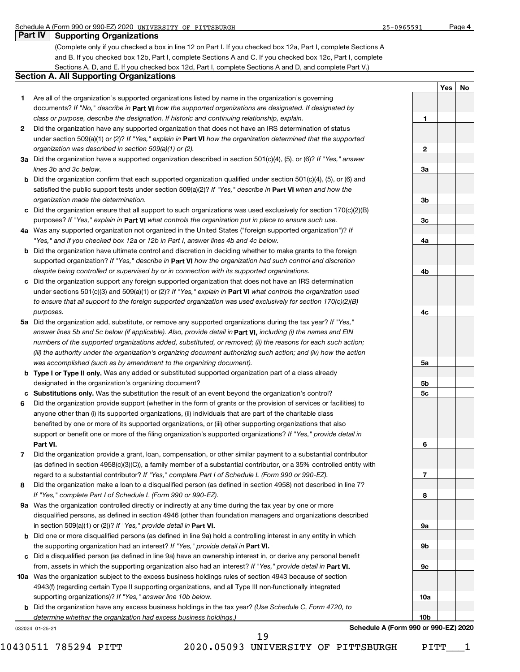|  | Part IV   Supporting Organizations |
|--|------------------------------------|
|--|------------------------------------|

(Complete only if you checked a box in line 12 on Part I. If you checked box 12a, Part I, complete Sections A and B. If you checked box 12b, Part I, complete Sections A and C. If you checked box 12c, Part I, complete Sections A, D, and E. If you checked box 12d, Part I, complete Sections A and D, and complete Part V.)

#### **Section A. All Supporting Organizations**

- **1** Are all of the organization's supported organizations listed by name in the organization's governing documents? If "No," describe in Part VI how the supported organizations are designated. If designated by *class or purpose, describe the designation. If historic and continuing relationship, explain.*
- **2** Did the organization have any supported organization that does not have an IRS determination of status under section 509(a)(1) or (2)? If "Yes," explain in Part VI how the organization determined that the supported *organization was described in section 509(a)(1) or (2).*
- **3a** Did the organization have a supported organization described in section 501(c)(4), (5), or (6)? If "Yes," answer *lines 3b and 3c below.*
- **b** Did the organization confirm that each supported organization qualified under section 501(c)(4), (5), or (6) and satisfied the public support tests under section 509(a)(2)? If "Yes," describe in **Part VI** when and how the *organization made the determination.*
- **c** Did the organization ensure that all support to such organizations was used exclusively for section 170(c)(2)(B) purposes? If "Yes," explain in Part VI what controls the organization put in place to ensure such use.
- **4 a** *If* Was any supported organization not organized in the United States ("foreign supported organization")? *"Yes," and if you checked box 12a or 12b in Part I, answer lines 4b and 4c below.*
- **b** Did the organization have ultimate control and discretion in deciding whether to make grants to the foreign supported organization? If "Yes," describe in Part **VI** how the organization had such control and discretion *despite being controlled or supervised by or in connection with its supported organizations.*
- **c** Did the organization support any foreign supported organization that does not have an IRS determination under sections 501(c)(3) and 509(a)(1) or (2)? If "Yes," explain in Part VI what controls the organization used *to ensure that all support to the foreign supported organization was used exclusively for section 170(c)(2)(B) purposes.*
- **5a** Did the organization add, substitute, or remove any supported organizations during the tax year? If "Yes," answer lines 5b and 5c below (if applicable). Also, provide detail in **Part VI,** including (i) the names and EIN *numbers of the supported organizations added, substituted, or removed; (ii) the reasons for each such action; (iii) the authority under the organization's organizing document authorizing such action; and (iv) how the action was accomplished (such as by amendment to the organizing document).*
- **b** Type I or Type II only. Was any added or substituted supported organization part of a class already designated in the organization's organizing document?
- **c Substitutions only.**  Was the substitution the result of an event beyond the organization's control?
- **6 Part VI.** support or benefit one or more of the filing organization's supported organizations? If "Yes," provide detail in Did the organization provide support (whether in the form of grants or the provision of services or facilities) to anyone other than (i) its supported organizations, (ii) individuals that are part of the charitable class benefited by one or more of its supported organizations, or (iii) other supporting organizations that also
- **7** regard to a substantial contributor? If "Yes," complete Part I of Schedule L (Form 990 or 990-EZ). Did the organization provide a grant, loan, compensation, or other similar payment to a substantial contributor (as defined in section 4958(c)(3)(C)), a family member of a substantial contributor, or a 35% controlled entity with
- **8** Did the organization make a loan to a disqualified person (as defined in section 4958) not described in line 7? *If "Yes," complete Part I of Schedule L (Form 990 or 990-EZ).*
- **9 a** Was the organization controlled directly or indirectly at any time during the tax year by one or more in section 509(a)(1) or (2))? If "Yes," provide detail in **Part VI.** disqualified persons, as defined in section 4946 (other than foundation managers and organizations described
- **b** Did one or more disqualified persons (as defined in line 9a) hold a controlling interest in any entity in which the supporting organization had an interest? If "Yes," provide detail in Part VI.
- **c** Did a disqualified person (as defined in line 9a) have an ownership interest in, or derive any personal benefit from, assets in which the supporting organization also had an interest? If "Yes," provide detail in Part VI.
- **10 a** Was the organization subject to the excess business holdings rules of section 4943 because of section supporting organizations)? If "Yes," answer line 10b below. 4943(f) (regarding certain Type II supporting organizations, and all Type III non-functionally integrated
	- **b** Did the organization have any excess business holdings in the tax year? (Use Schedule C, Form 4720, to *determine whether the organization had excess business holdings.)*

19

032024 01-25-21



**Schedule A (Form 990 or 990-EZ) 2020**

|                 | <u>Yes   No</u> |  |
|-----------------|-----------------|--|
|                 |                 |  |
|                 |                 |  |
| $\blacksquare$  |                 |  |
|                 |                 |  |
|                 |                 |  |
| $\overline{2}$  |                 |  |
|                 |                 |  |
| 3a              |                 |  |
|                 |                 |  |
|                 |                 |  |
| 3 <sub>b</sub>  |                 |  |
|                 |                 |  |
| 3c              |                 |  |
|                 |                 |  |
| <u>4a</u>       |                 |  |
|                 |                 |  |
|                 |                 |  |
| 4 <sub>b</sub>  |                 |  |
|                 |                 |  |
|                 |                 |  |
|                 |                 |  |
| 4c              |                 |  |
|                 |                 |  |
|                 |                 |  |
|                 |                 |  |
| <u>5a</u>       |                 |  |
|                 |                 |  |
| 5 <sub>b</sub>  |                 |  |
| <u>5c</u>       |                 |  |
|                 |                 |  |
|                 |                 |  |
|                 |                 |  |
|                 |                 |  |
| 6               |                 |  |
|                 |                 |  |
|                 |                 |  |
| 7               |                 |  |
|                 |                 |  |
| 8               |                 |  |
|                 |                 |  |
|                 |                 |  |
| <u>9a</u>       |                 |  |
|                 |                 |  |
| <u>9b</u>       |                 |  |
|                 |                 |  |
| $\overline{9c}$ |                 |  |
|                 |                 |  |
|                 |                 |  |
| <u>10a</u>      |                 |  |
|                 |                 |  |
| <u>10b</u>      |                 |  |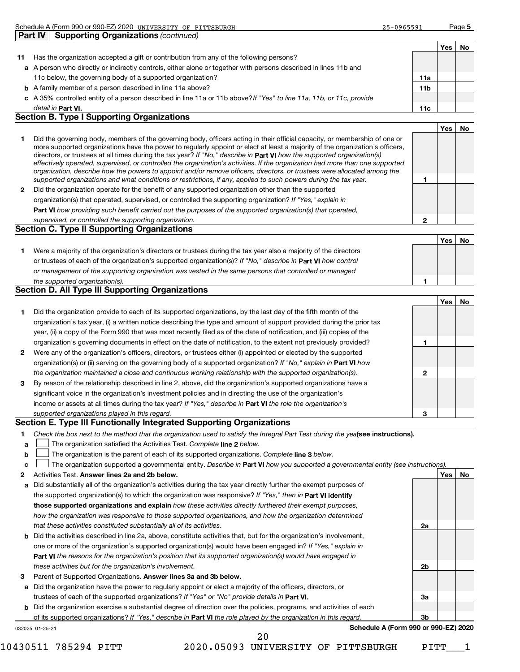|                | Schedule A (Form 990 or 990-EZ) 2020 UNIVERSITY OF PITTSBURGH                                                        | 25-0965591 |                 |     | Page 5 |
|----------------|----------------------------------------------------------------------------------------------------------------------|------------|-----------------|-----|--------|
| <b>Part IV</b> | <b>Supporting Organizations (continued)</b>                                                                          |            |                 |     |        |
|                |                                                                                                                      |            |                 | Yes | No     |
| 11             | Has the organization accepted a gift or contribution from any of the following persons?                              |            |                 |     |        |
|                | a A person who directly or indirectly controls, either alone or together with persons described in lines 11b and     |            |                 |     |        |
|                | 11c below, the governing body of a supported organization?                                                           |            | 11a             |     |        |
|                | <b>b</b> A family member of a person described in line 11a above?                                                    |            | 11 <sub>b</sub> |     |        |
|                | c A 35% controlled entity of a person described in line 11a or 11b above? If "Yes" to line 11a, 11b, or 11c, provide |            |                 |     |        |
|                | detail in Part VI.                                                                                                   |            | 11c             |     |        |

#### **Section B. Type I Supporting Organizations**

|   |                                                                                                                                                                                                                                                                                                                                                                                                                                                                                                                                                                                                                                                      |   | Yes |  |
|---|------------------------------------------------------------------------------------------------------------------------------------------------------------------------------------------------------------------------------------------------------------------------------------------------------------------------------------------------------------------------------------------------------------------------------------------------------------------------------------------------------------------------------------------------------------------------------------------------------------------------------------------------------|---|-----|--|
|   | Did the governing body, members of the governing body, officers acting in their official capacity, or membership of one or<br>more supported organizations have the power to regularly appoint or elect at least a majority of the organization's officers,<br>directors, or trustees at all times during the tax year? If "No," describe in Part VI how the supported organization(s)<br>effectively operated, supervised, or controlled the organization's activities. If the organization had more than one supported<br>organization, describe how the powers to appoint and/or remove officers, directors, or trustees were allocated among the |   |     |  |
|   | supported organizations and what conditions or restrictions, if any, applied to such powers during the tax year.                                                                                                                                                                                                                                                                                                                                                                                                                                                                                                                                     |   |     |  |
| 2 | Did the organization operate for the benefit of any supported organization other than the supported                                                                                                                                                                                                                                                                                                                                                                                                                                                                                                                                                  |   |     |  |
|   | organization(s) that operated, supervised, or controlled the supporting organization? If "Yes," explain in                                                                                                                                                                                                                                                                                                                                                                                                                                                                                                                                           |   |     |  |
|   | Part VI how providing such benefit carried out the purposes of the supported organization(s) that operated,                                                                                                                                                                                                                                                                                                                                                                                                                                                                                                                                          |   |     |  |
|   | supervised, or controlled the supporting organization.                                                                                                                                                                                                                                                                                                                                                                                                                                                                                                                                                                                               | 2 |     |  |
|   | <b>Section C. Type II Supporting Organizations</b>                                                                                                                                                                                                                                                                                                                                                                                                                                                                                                                                                                                                   |   |     |  |
|   |                                                                                                                                                                                                                                                                                                                                                                                                                                                                                                                                                                                                                                                      |   | Yes |  |
|   |                                                                                                                                                                                                                                                                                                                                                                                                                                                                                                                                                                                                                                                      |   |     |  |

**1** or trustees of each of the organization's supported organization(s)? If "No," describe in Part VI how control **1** *or management of the supporting organization was vested in the same persons that controlled or managed the supported organization(s).* Were a majority of the organization's directors or trustees during the tax year also a majority of the directors

#### **Section D. All Type III Supporting Organizations**

|              |                                                                                                                           |   | Yes | No |
|--------------|---------------------------------------------------------------------------------------------------------------------------|---|-----|----|
|              | Did the organization provide to each of its supported organizations, by the last day of the fifth month of the            |   |     |    |
|              | organization's tax year, (i) a written notice describing the type and amount of support provided during the prior tax     |   |     |    |
|              | year, (ii) a copy of the Form 990 that was most recently filed as of the date of notification, and (iii) copies of the    |   |     |    |
|              | organization's governing documents in effect on the date of notification, to the extent not previously provided?          |   |     |    |
| $\mathbf{2}$ | Were any of the organization's officers, directors, or trustees either (i) appointed or elected by the supported          |   |     |    |
|              | organization(s) or (ii) serving on the governing body of a supported organization? If "No," explain in <b>Part VI</b> how |   |     |    |
|              | the organization maintained a close and continuous working relationship with the supported organization(s).               | 0 |     |    |
| 3            | By reason of the relationship described in line 2, above, did the organization's supported organizations have a           |   |     |    |
|              | significant voice in the organization's investment policies and in directing the use of the organization's                |   |     |    |
|              | income or assets at all times during the tax year? If "Yes," describe in Part VI the role the organization's              |   |     |    |
|              | supported organizations played in this regard.                                                                            | 3 |     |    |

#### **Section E. Type III Functionally Integrated Supporting Organizations**

|  | Check the box next to the method that the organization used to satisfy the Integral Part Test during the yealsee instructions). |  |
|--|---------------------------------------------------------------------------------------------------------------------------------|--|
|--|---------------------------------------------------------------------------------------------------------------------------------|--|

- **a** The organization satisfied the Activities Test. Complete line 2 below.  $\mathcal{L}_{\mathcal{A}}$
- **b** The organization is the parent of each of its supported organizations. Complete line 3 below.  $\mathcal{L}_{\mathcal{A}}$

|  |  | c <b>Let of the organization supported a governmental entity</b> . Describe in Part VI how you supported a governmental entity (see instructions) |  |  |  |  |  |  |  |  |  |  |
|--|--|---------------------------------------------------------------------------------------------------------------------------------------------------|--|--|--|--|--|--|--|--|--|--|
|--|--|---------------------------------------------------------------------------------------------------------------------------------------------------|--|--|--|--|--|--|--|--|--|--|

- **2** Activities Test. Answer lines 2a and 2b below. **And the state of the state of the state of the state of the state of the state of the state of the state of the state of the state of the state of the state of the state of t**
- **a** Did substantially all of the organization's activities during the tax year directly further the exempt purposes of the supported organization(s) to which the organization was responsive? If "Yes," then in Part VI identify **those supported organizations and explain**  *how these activities directly furthered their exempt purposes, how the organization was responsive to those supported organizations, and how the organization determined that these activities constituted substantially all of its activities.*
- **b** Did the activities described in line 2a, above, constitute activities that, but for the organization's involvement, **Part VI**  *the reasons for the organization's position that its supported organization(s) would have engaged in* one or more of the organization's supported organization(s) would have been engaged in? If "Yes," explain in *these activities but for the organization's involvement.*
- **3** Parent of Supported Organizations. Answer lines 3a and 3b below.
- **a** Did the organization have the power to regularly appoint or elect a majority of the officers, directors, or trustees of each of the supported organizations? If "Yes" or "No" provide details in Part VI.
- **b** Did the organization exercise a substantial degree of direction over the policies, programs, and activities of each of its supported organizations? If "Yes," describe in Part VI the role played by the organization in this regard.
- 032025 01-25-21

**Schedule A (Form 990 or 990-EZ) 2020**

**2a**

**2b**

**3a**

**3b**

10430511 785294 PITT 2020.05093 UNIVERSITY OF PITTSBURGH PITT\_\_\_1

20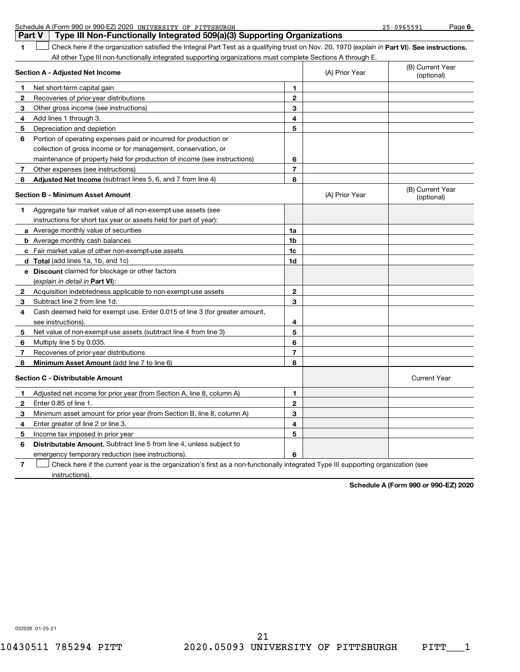|   | Schedule A (Form 990 or 990-EZ) 2020 UNIVERSITY OF PITTSBURGH                                                                                  |                |                | 25-0965591                     | Page 6 |
|---|------------------------------------------------------------------------------------------------------------------------------------------------|----------------|----------------|--------------------------------|--------|
|   | Type III Non-Functionally Integrated 509(a)(3) Supporting Organizations<br><b>Part V</b>                                                       |                |                |                                |        |
| 1 | Check here if the organization satisfied the Integral Part Test as a qualifying trust on Nov. 20, 1970 (explain in Part VI). See instructions. |                |                |                                |        |
|   | All other Type III non-functionally integrated supporting organizations must complete Sections A through E.                                    |                |                |                                |        |
|   | Section A - Adjusted Net Income                                                                                                                |                | (A) Prior Year | (B) Current Year<br>(optional) |        |
| 1 | Net short-term capital gain                                                                                                                    | 1              |                |                                |        |
| 2 | Recoveries of prior-year distributions                                                                                                         | $\overline{2}$ |                |                                |        |
| 3 | Other gross income (see instructions)                                                                                                          | 3              |                |                                |        |
| 4 | Add lines 1 through 3.                                                                                                                         | 4              |                |                                |        |
| 5 | Depreciation and depletion                                                                                                                     | 5              |                |                                |        |
| 6 | Portion of operating expenses paid or incurred for production or                                                                               |                |                |                                |        |
|   | collection of gross income or for management, conservation, or                                                                                 |                |                |                                |        |
|   | maintenance of property held for production of income (see instructions)                                                                       | 6              |                |                                |        |
| 7 | Other expenses (see instructions)                                                                                                              | 7              |                |                                |        |
| 8 | Adjusted Net Income (subtract lines 5, 6, and 7 from line 4)                                                                                   | 8              |                |                                |        |
|   | <b>Section B - Minimum Asset Amount</b>                                                                                                        |                | (A) Prior Year | (B) Current Year<br>(optional) |        |
| 1 | Aggregate fair market value of all non-exempt-use assets (see                                                                                  |                |                |                                |        |
|   | instructions for short tax year or assets held for part of year):                                                                              |                |                |                                |        |
|   | a Average monthly value of securities                                                                                                          | 1a             |                |                                |        |
|   | <b>b</b> Average monthly cash balances                                                                                                         | 1b             |                |                                |        |
|   | c Fair market value of other non-exempt-use assets                                                                                             | 1c             |                |                                |        |
|   | d Total (add lines 1a, 1b, and 1c)                                                                                                             | 1d             |                |                                |        |
|   | e Discount claimed for blockage or other factors                                                                                               |                |                |                                |        |
|   | (explain in detail in <b>Part VI</b> ):                                                                                                        |                |                |                                |        |
| 2 | Acquisition indebtedness applicable to non-exempt-use assets                                                                                   | $\mathbf{2}$   |                |                                |        |
| 3 | Subtract line 2 from line 1d.                                                                                                                  | 3              |                |                                |        |
| 4 | Cash deemed held for exempt use. Enter 0.015 of line 3 (for greater amount,                                                                    |                |                |                                |        |
|   | see instructions).                                                                                                                             | 4              |                |                                |        |
| 5 | Net value of non-exempt-use assets (subtract line 4 from line 3)                                                                               | 5              |                |                                |        |
| 6 | Multiply line 5 by 0.035.                                                                                                                      | 6              |                |                                |        |
| 7 | Recoveries of prior-year distributions                                                                                                         | 7              |                |                                |        |
| 8 | Minimum Asset Amount (add line 7 to line 6)                                                                                                    | 8              |                |                                |        |
|   | <b>Section C - Distributable Amount</b>                                                                                                        |                |                | <b>Current Year</b>            |        |
|   | Adjusted net income for prior year (from Section A, line 8, column A)                                                                          | 1              |                |                                |        |
| 2 | Enter 0.85 of line 1.                                                                                                                          | 2              |                |                                |        |
| 3 | Minimum asset amount for prior year (from Section B, line 8, column A)                                                                         | 3              |                |                                |        |
| 4 | Enter greater of line 2 or line 3.                                                                                                             | 4              |                |                                |        |
| 5 | Income tax imposed in prior year                                                                                                               | 5              |                |                                |        |
| 6 | Distributable Amount. Subtract line 5 from line 4, unless subject to                                                                           |                |                |                                |        |
|   | emergency temporary reduction (see instructions).                                                                                              | 6              |                |                                |        |
| 7 | Check here if the current year is the organization's first as a non-functionally integrated Type III supporting organization (see              |                |                |                                |        |
|   | instructions).                                                                                                                                 |                |                |                                |        |

**Schedule A (Form 990 or 990-EZ) 2020**

032026 01-25-21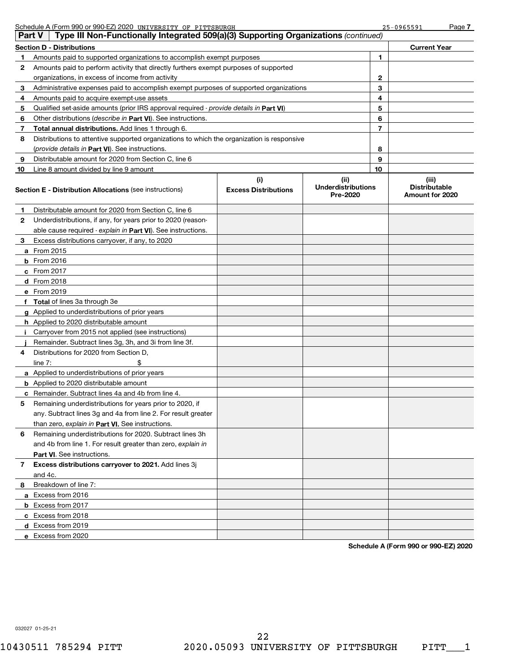|               | Schedule A (Form 990 or 990-EZ) 2020 UNIVERSITY OF PITTSBURGH                              |                                    |                                              |    | 25-0965591                                       | Page 7 |
|---------------|--------------------------------------------------------------------------------------------|------------------------------------|----------------------------------------------|----|--------------------------------------------------|--------|
| <b>Part V</b> | Type III Non-Functionally Integrated 509(a)(3) Supporting Organizations (continued)        |                                    |                                              |    |                                                  |        |
|               | Section D - Distributions                                                                  |                                    |                                              |    | <b>Current Year</b>                              |        |
| 1             | Amounts paid to supported organizations to accomplish exempt purposes                      |                                    |                                              | 1  |                                                  |        |
| 2             | Amounts paid to perform activity that directly furthers exempt purposes of supported       |                                    |                                              |    |                                                  |        |
|               | organizations, in excess of income from activity                                           |                                    |                                              | 2  |                                                  |        |
| 3             | Administrative expenses paid to accomplish exempt purposes of supported organizations      |                                    |                                              | 3  |                                                  |        |
| 4             | Amounts paid to acquire exempt-use assets                                                  |                                    |                                              | 4  |                                                  |        |
| 5             | Qualified set-aside amounts (prior IRS approval required - provide details in Part VI)     |                                    |                                              | 5  |                                                  |        |
| 6             | Other distributions (describe in Part VI). See instructions.                               |                                    |                                              | 6  |                                                  |        |
| 7             | Total annual distributions. Add lines 1 through 6.                                         |                                    |                                              | 7  |                                                  |        |
| 8             | Distributions to attentive supported organizations to which the organization is responsive |                                    |                                              |    |                                                  |        |
|               | (provide details in Part VI). See instructions.                                            |                                    |                                              | 8  |                                                  |        |
| 9             | Distributable amount for 2020 from Section C, line 6                                       |                                    |                                              | 9  |                                                  |        |
| 10            | Line 8 amount divided by line 9 amount                                                     |                                    |                                              | 10 |                                                  |        |
|               | Section E - Distribution Allocations (see instructions)                                    | (i)<br><b>Excess Distributions</b> | (i)<br><b>Underdistributions</b><br>Pre-2020 |    | (iii)<br><b>Distributable</b><br>Amount for 2020 |        |
| 1             | Distributable amount for 2020 from Section C, line 6                                       |                                    |                                              |    |                                                  |        |
| 2             | Underdistributions, if any, for years prior to 2020 (reason-                               |                                    |                                              |    |                                                  |        |
|               | able cause required - explain in Part VI). See instructions.                               |                                    |                                              |    |                                                  |        |
| з             | Excess distributions carryover, if any, to 2020                                            |                                    |                                              |    |                                                  |        |
|               | <b>a</b> From 2015                                                                         |                                    |                                              |    |                                                  |        |
|               | <b>b</b> From 2016                                                                         |                                    |                                              |    |                                                  |        |
|               | c From $2017$                                                                              |                                    |                                              |    |                                                  |        |
|               | $d$ From 2018                                                                              |                                    |                                              |    |                                                  |        |
|               | e From 2019                                                                                |                                    |                                              |    |                                                  |        |
|               | f Total of lines 3a through 3e                                                             |                                    |                                              |    |                                                  |        |
|               | <b>g</b> Applied to underdistributions of prior years                                      |                                    |                                              |    |                                                  |        |
|               | <b>h</b> Applied to 2020 distributable amount                                              |                                    |                                              |    |                                                  |        |
| j.            | Carryover from 2015 not applied (see instructions)                                         |                                    |                                              |    |                                                  |        |
|               | Remainder. Subtract lines 3g, 3h, and 3i from line 3f.                                     |                                    |                                              |    |                                                  |        |
| 4             | Distributions for 2020 from Section D,                                                     |                                    |                                              |    |                                                  |        |
|               | \$<br>line $7:$                                                                            |                                    |                                              |    |                                                  |        |
|               | <b>a</b> Applied to underdistributions of prior years                                      |                                    |                                              |    |                                                  |        |
|               | <b>b</b> Applied to 2020 distributable amount                                              |                                    |                                              |    |                                                  |        |
|               | <b>c</b> Remainder. Subtract lines 4a and 4b from line 4.                                  |                                    |                                              |    |                                                  |        |
|               | Remaining underdistributions for years prior to 2020, if                                   |                                    |                                              |    |                                                  |        |
|               | any. Subtract lines 3q and 4a from line 2. For result greater                              |                                    |                                              |    |                                                  |        |
|               | than zero, explain in Part VI. See instructions.                                           |                                    |                                              |    |                                                  |        |
| 6             | Remaining underdistributions for 2020. Subtract lines 3h                                   |                                    |                                              |    |                                                  |        |
|               | and 4b from line 1. For result greater than zero, explain in                               |                                    |                                              |    |                                                  |        |
|               | <b>Part VI.</b> See instructions.                                                          |                                    |                                              |    |                                                  |        |
| 7             | Excess distributions carryover to 2021. Add lines 3j                                       |                                    |                                              |    |                                                  |        |
|               | and 4c.                                                                                    |                                    |                                              |    |                                                  |        |
| 8             | Breakdown of line 7:                                                                       |                                    |                                              |    |                                                  |        |
|               | a Excess from 2016                                                                         |                                    |                                              |    |                                                  |        |
|               | <b>b</b> Excess from 2017                                                                  |                                    |                                              |    |                                                  |        |
|               | c Excess from 2018                                                                         |                                    |                                              |    |                                                  |        |
|               | d Excess from 2019                                                                         |                                    |                                              |    |                                                  |        |
|               | e Excess from 2020                                                                         |                                    |                                              |    |                                                  |        |

**Schedule A (Form 990 or 990-EZ) 2020**

032027 01-25-21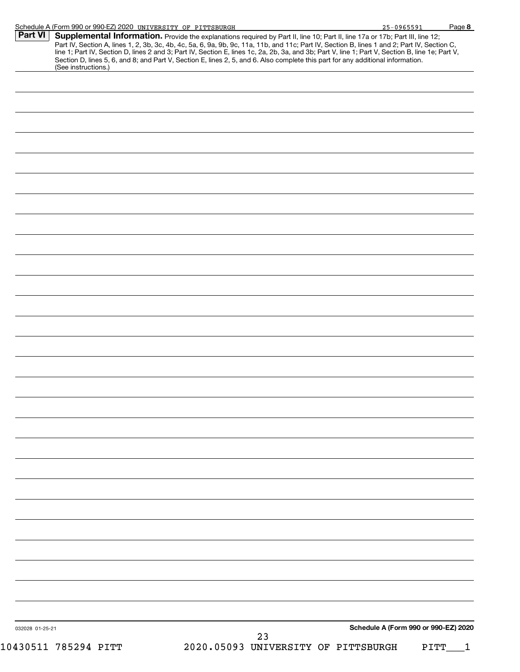| Schedule A (Form 990 or 990-EZ) 2020 UNIVERSITY OF PITTSBURGH                                                                                                                                                                                                                                                                                                                                             |                                           | 25-0965591                           | Page 8 |
|-----------------------------------------------------------------------------------------------------------------------------------------------------------------------------------------------------------------------------------------------------------------------------------------------------------------------------------------------------------------------------------------------------------|-------------------------------------------|--------------------------------------|--------|
| <b>Part VI</b><br><b>Supplemental Information.</b> Provide the explanations required by Part II, line 10; Part II, line 17a or 17b; Part III, line 12; Part IV, Section A, lines 1, 2, 3b, 3c, 4b, 4c, 5a, 6, 9a, 9b, 9c, 11a, 11b, and 11c; Part IV,<br>line 1; Part IV, Section D, lines 2 and 3; Part IV, Section E, lines 1c, 2a, 2b, 3a, and 3b; Part V, line 1; Part V, Section B, line 1e; Part V, |                                           |                                      |        |
| Section D, lines 5, 6, and 8; and Part V, Section E, lines 2, 5, and 6. Also complete this part for any additional information.<br>(See instructions.)                                                                                                                                                                                                                                                    |                                           |                                      |        |
|                                                                                                                                                                                                                                                                                                                                                                                                           |                                           |                                      |        |
|                                                                                                                                                                                                                                                                                                                                                                                                           |                                           |                                      |        |
|                                                                                                                                                                                                                                                                                                                                                                                                           |                                           |                                      |        |
|                                                                                                                                                                                                                                                                                                                                                                                                           |                                           |                                      |        |
|                                                                                                                                                                                                                                                                                                                                                                                                           |                                           |                                      |        |
|                                                                                                                                                                                                                                                                                                                                                                                                           |                                           |                                      |        |
|                                                                                                                                                                                                                                                                                                                                                                                                           |                                           |                                      |        |
|                                                                                                                                                                                                                                                                                                                                                                                                           |                                           |                                      |        |
|                                                                                                                                                                                                                                                                                                                                                                                                           |                                           |                                      |        |
|                                                                                                                                                                                                                                                                                                                                                                                                           |                                           |                                      |        |
|                                                                                                                                                                                                                                                                                                                                                                                                           |                                           |                                      |        |
|                                                                                                                                                                                                                                                                                                                                                                                                           |                                           |                                      |        |
|                                                                                                                                                                                                                                                                                                                                                                                                           |                                           |                                      |        |
|                                                                                                                                                                                                                                                                                                                                                                                                           |                                           |                                      |        |
|                                                                                                                                                                                                                                                                                                                                                                                                           |                                           |                                      |        |
|                                                                                                                                                                                                                                                                                                                                                                                                           |                                           |                                      |        |
|                                                                                                                                                                                                                                                                                                                                                                                                           |                                           |                                      |        |
|                                                                                                                                                                                                                                                                                                                                                                                                           |                                           |                                      |        |
|                                                                                                                                                                                                                                                                                                                                                                                                           |                                           |                                      |        |
|                                                                                                                                                                                                                                                                                                                                                                                                           |                                           |                                      |        |
|                                                                                                                                                                                                                                                                                                                                                                                                           |                                           |                                      |        |
|                                                                                                                                                                                                                                                                                                                                                                                                           |                                           |                                      |        |
|                                                                                                                                                                                                                                                                                                                                                                                                           |                                           |                                      |        |
|                                                                                                                                                                                                                                                                                                                                                                                                           |                                           |                                      |        |
|                                                                                                                                                                                                                                                                                                                                                                                                           |                                           |                                      |        |
|                                                                                                                                                                                                                                                                                                                                                                                                           |                                           |                                      |        |
|                                                                                                                                                                                                                                                                                                                                                                                                           |                                           |                                      |        |
| 032028 01-25-21                                                                                                                                                                                                                                                                                                                                                                                           |                                           | Schedule A (Form 990 or 990-EZ) 2020 |        |
| 10430511 785294 PITT                                                                                                                                                                                                                                                                                                                                                                                      | 23<br>2020.05093 UNIVERSITY OF PITTSBURGH | PITT                                 |        |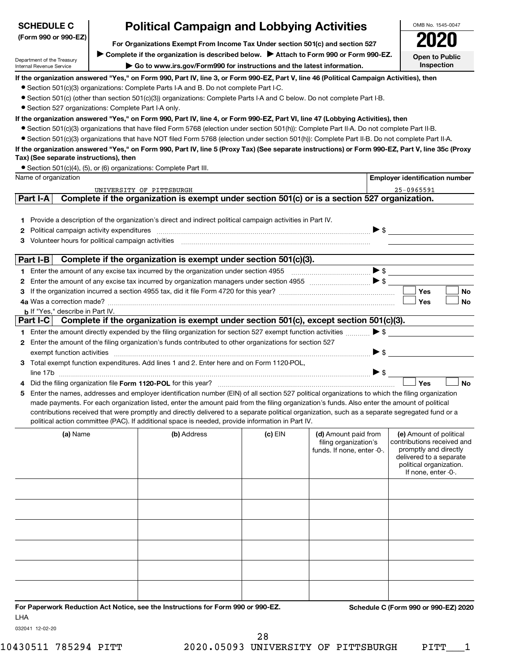| <b>SCHEDULE C</b>                                      | <b>Political Campaign and Lobbying Activities</b>                                                                                                                                                                                                                                             |           |                                                                             |                     | OMB No. 1545-0047                                                                                                                                           |
|--------------------------------------------------------|-----------------------------------------------------------------------------------------------------------------------------------------------------------------------------------------------------------------------------------------------------------------------------------------------|-----------|-----------------------------------------------------------------------------|---------------------|-------------------------------------------------------------------------------------------------------------------------------------------------------------|
| (Form 990 or 990-EZ)                                   | For Organizations Exempt From Income Tax Under section 501(c) and section 527                                                                                                                                                                                                                 |           |                                                                             |                     |                                                                                                                                                             |
| Department of the Treasury<br>Internal Revenue Service | Complete if the organization is described below.<br>Attach to Form 990 or Form 990-EZ.<br>Go to www.irs.gov/Form990 for instructions and the latest information.                                                                                                                              |           |                                                                             |                     | <b>Open to Public</b><br>Inspection                                                                                                                         |
|                                                        | If the organization answered "Yes," on Form 990, Part IV, line 3, or Form 990-EZ, Part V, line 46 (Political Campaign Activities), then<br>• Section 501(c)(3) organizations: Complete Parts I-A and B. Do not complete Part I-C.                                                             |           |                                                                             |                     |                                                                                                                                                             |
|                                                        | • Section 501(c) (other than section 501(c)(3)) organizations: Complete Parts I-A and C below. Do not complete Part I-B.                                                                                                                                                                      |           |                                                                             |                     |                                                                                                                                                             |
| • Section 527 organizations: Complete Part I-A only.   |                                                                                                                                                                                                                                                                                               |           |                                                                             |                     |                                                                                                                                                             |
|                                                        | If the organization answered "Yes," on Form 990, Part IV, line 4, or Form 990-EZ, Part VI, line 47 (Lobbying Activities), then<br>• Section 501(c)(3) organizations that have filed Form 5768 (election under section 501(h)): Complete Part II-A. Do not complete Part II-B.                 |           |                                                                             |                     |                                                                                                                                                             |
|                                                        | • Section 501(c)(3) organizations that have NOT filed Form 5768 (election under section 501(h)): Complete Part II-B. Do not complete Part II-A.                                                                                                                                               |           |                                                                             |                     |                                                                                                                                                             |
| Tax) (See separate instructions), then                 | If the organization answered "Yes," on Form 990, Part IV, line 5 (Proxy Tax) (See separate instructions) or Form 990-EZ, Part V, line 35c (Proxy                                                                                                                                              |           |                                                                             |                     |                                                                                                                                                             |
| Name of organization                                   | • Section 501(c)(4), (5), or (6) organizations: Complete Part III.                                                                                                                                                                                                                            |           |                                                                             |                     | <b>Employer identification number</b>                                                                                                                       |
|                                                        | UNIVERSITY OF PITTSBURGH                                                                                                                                                                                                                                                                      |           |                                                                             |                     | 25-0965591                                                                                                                                                  |
| Part I-A                                               | Complete if the organization is exempt under section 501(c) or is a section 527 organization.                                                                                                                                                                                                 |           |                                                                             |                     |                                                                                                                                                             |
|                                                        | 1 Provide a description of the organization's direct and indirect political campaign activities in Part IV.                                                                                                                                                                                   |           |                                                                             |                     |                                                                                                                                                             |
| 2.                                                     | Political campaign activity expenditures measurement and the state of the state of the state of the state of the state of the state of the state of the state of the state of the state of the state of the state of the state                                                                |           |                                                                             |                     |                                                                                                                                                             |
| 3.                                                     |                                                                                                                                                                                                                                                                                               |           |                                                                             |                     |                                                                                                                                                             |
| Part I-B                                               | Complete if the organization is exempt under section 501(c)(3).                                                                                                                                                                                                                               |           |                                                                             |                     |                                                                                                                                                             |
|                                                        |                                                                                                                                                                                                                                                                                               |           |                                                                             |                     |                                                                                                                                                             |
| 2                                                      |                                                                                                                                                                                                                                                                                               |           |                                                                             |                     |                                                                                                                                                             |
|                                                        |                                                                                                                                                                                                                                                                                               |           |                                                                             |                     | Yes<br>No<br><b>No</b><br>Yes                                                                                                                               |
| <b>b</b> If "Yes," describe in Part IV.                |                                                                                                                                                                                                                                                                                               |           |                                                                             |                     |                                                                                                                                                             |
|                                                        | Part I-C Complete if the organization is exempt under section 501(c), except section 501(c)(3).                                                                                                                                                                                               |           |                                                                             |                     |                                                                                                                                                             |
|                                                        | 1 Enter the amount directly expended by the filing organization for section 527 exempt function activities<br>2 Enter the amount of the filing organization's funds contributed to other organizations for section 527                                                                        |           |                                                                             | $\triangleright$ s  |                                                                                                                                                             |
|                                                        | exempt function activities material content and activities and activities are activities and activities and activities and activities and activities and activities and activities and activities and activities and activitie                                                                |           |                                                                             | $\triangleright$ \$ |                                                                                                                                                             |
|                                                        | 3 Total exempt function expenditures. Add lines 1 and 2. Enter here and on Form 1120-POL,                                                                                                                                                                                                     |           |                                                                             |                     |                                                                                                                                                             |
|                                                        |                                                                                                                                                                                                                                                                                               |           |                                                                             |                     | <b>Yes</b><br><b>No</b>                                                                                                                                     |
|                                                        | Enter the names, addresses and employer identification number (EIN) of all section 527 political organizations to which the filing organization                                                                                                                                               |           |                                                                             |                     |                                                                                                                                                             |
|                                                        | made payments. For each organization listed, enter the amount paid from the filing organization's funds. Also enter the amount of political<br>contributions received that were promptly and directly delivered to a separate political organization, such as a separate segregated fund or a |           |                                                                             |                     |                                                                                                                                                             |
|                                                        | political action committee (PAC). If additional space is needed, provide information in Part IV.                                                                                                                                                                                              |           |                                                                             |                     |                                                                                                                                                             |
| (a) Name                                               | (b) Address                                                                                                                                                                                                                                                                                   | (c) $EIN$ | (d) Amount paid from<br>filing organization's<br>funds. If none, enter -0-. |                     | (e) Amount of political<br>contributions received and<br>promptly and directly<br>delivered to a separate<br>political organization.<br>If none, enter -0-. |
|                                                        |                                                                                                                                                                                                                                                                                               |           |                                                                             |                     |                                                                                                                                                             |
|                                                        |                                                                                                                                                                                                                                                                                               |           |                                                                             |                     |                                                                                                                                                             |
|                                                        |                                                                                                                                                                                                                                                                                               |           |                                                                             |                     |                                                                                                                                                             |
|                                                        |                                                                                                                                                                                                                                                                                               |           |                                                                             |                     |                                                                                                                                                             |
|                                                        |                                                                                                                                                                                                                                                                                               |           |                                                                             |                     |                                                                                                                                                             |
|                                                        |                                                                                                                                                                                                                                                                                               |           |                                                                             |                     |                                                                                                                                                             |
| LHA                                                    | For Paperwork Reduction Act Notice, see the Instructions for Form 990 or 990-EZ.                                                                                                                                                                                                              |           |                                                                             |                     | Schedule C (Form 990 or 990-EZ) 2020                                                                                                                        |

032041 12-02-20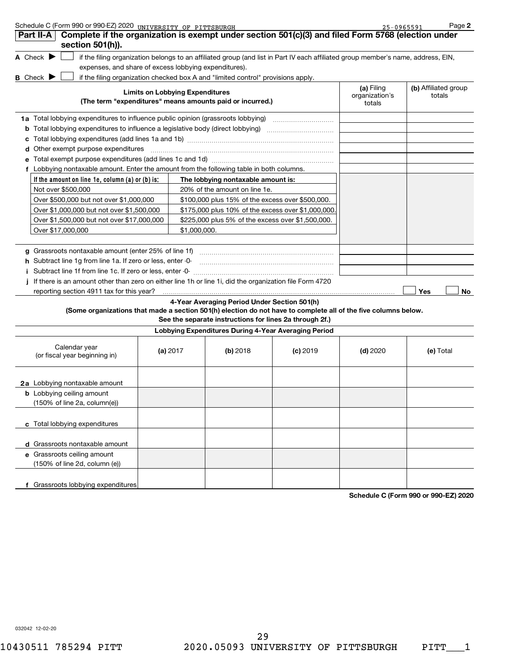Schedule C (Form 990 or 990-EZ) 2020 UNIVERSITY OF PITTSBURGH 25 Page 25-0965591 Page 25-0965591

**2**

| Complete if the organization is exempt under section 501(c)(3) and filed Form 5768 (election under<br>Part II-A<br>section 501(h)).                                               |                                        |                                                                                                         |                                                      |                                        |                                |
|-----------------------------------------------------------------------------------------------------------------------------------------------------------------------------------|----------------------------------------|---------------------------------------------------------------------------------------------------------|------------------------------------------------------|----------------------------------------|--------------------------------|
| A Check $\blacktriangleright$<br>if the filing organization belongs to an affiliated group (and list in Part IV each affiliated group member's name, address, EIN,                |                                        |                                                                                                         |                                                      |                                        |                                |
| expenses, and share of excess lobbying expenditures).                                                                                                                             |                                        |                                                                                                         |                                                      |                                        |                                |
| <b>B</b> Check $\blacktriangleright$<br>if the filing organization checked box A and "limited control" provisions apply.                                                          |                                        |                                                                                                         |                                                      |                                        |                                |
| (The term "expenditures" means amounts paid or incurred.)                                                                                                                         | <b>Limits on Lobbying Expenditures</b> |                                                                                                         |                                                      | (a) Filing<br>organization's<br>totals | (b) Affiliated group<br>totals |
| <b>1a</b> Total lobbying expenditures to influence public opinion (grassroots lobbying)                                                                                           |                                        |                                                                                                         |                                                      |                                        |                                |
| <b>b</b> Total lobbying expenditures to influence a legislative body (direct lobbying) <i>manumumumum</i>                                                                         |                                        |                                                                                                         |                                                      |                                        |                                |
|                                                                                                                                                                                   |                                        |                                                                                                         |                                                      |                                        |                                |
| Other exempt purpose expenditures                                                                                                                                                 |                                        |                                                                                                         |                                                      |                                        |                                |
|                                                                                                                                                                                   |                                        |                                                                                                         |                                                      |                                        |                                |
| f Lobbying nontaxable amount. Enter the amount from the following table in both columns.                                                                                          |                                        |                                                                                                         |                                                      |                                        |                                |
| If the amount on line 1e, column (a) or (b) is:                                                                                                                                   |                                        | The lobbying nontaxable amount is:                                                                      |                                                      |                                        |                                |
| Not over \$500,000                                                                                                                                                                |                                        | 20% of the amount on line 1e.                                                                           |                                                      |                                        |                                |
| Over \$500,000 but not over \$1,000,000                                                                                                                                           |                                        | \$100,000 plus 15% of the excess over \$500,000.                                                        |                                                      |                                        |                                |
| Over \$1,000,000 but not over \$1,500,000                                                                                                                                         |                                        |                                                                                                         | \$175,000 plus 10% of the excess over \$1,000,000    |                                        |                                |
| Over \$1,500,000 but not over \$17,000,000                                                                                                                                        |                                        |                                                                                                         | \$225,000 plus 5% of the excess over \$1,500,000.    |                                        |                                |
| Over \$17,000,000                                                                                                                                                                 |                                        | \$1,000,000.                                                                                            |                                                      |                                        |                                |
| g Grassroots nontaxable amount (enter 25% of line 1f)<br>h Subtract line 1g from line 1a. If zero or less, enter -0-<br>Subtract line 1f from line 1c. If zero or less, enter -0- |                                        |                                                                                                         |                                                      |                                        |                                |
| If there is an amount other than zero on either line 1h or line 1i, did the organization file Form 4720                                                                           |                                        |                                                                                                         |                                                      |                                        |                                |
| reporting section 4911 tax for this year?                                                                                                                                         |                                        |                                                                                                         |                                                      |                                        | Yes<br>No                      |
| (Some organizations that made a section 501(h) election do not have to complete all of the five columns below.                                                                    |                                        | 4-Year Averaging Period Under Section 501(h)<br>See the separate instructions for lines 2a through 2f.) |                                                      |                                        |                                |
|                                                                                                                                                                                   |                                        |                                                                                                         | Lobbying Expenditures During 4-Year Averaging Period |                                        |                                |
| Calendar year<br>(or fiscal year beginning in)                                                                                                                                    | (a) $2017$                             | (b) 2018                                                                                                | $(c)$ 2019                                           | $(d)$ 2020                             | (e) Total                      |
| 2a Lobbying nontaxable amount                                                                                                                                                     |                                        |                                                                                                         |                                                      |                                        |                                |
| <b>b</b> Lobbying ceiling amount<br>(150% of line 2a, column(e))                                                                                                                  |                                        |                                                                                                         |                                                      |                                        |                                |
| c Total lobbying expenditures                                                                                                                                                     |                                        |                                                                                                         |                                                      |                                        |                                |
| d Grassroots nontaxable amount                                                                                                                                                    |                                        |                                                                                                         |                                                      |                                        |                                |
| e Grassroots ceiling amount<br>(150% of line 2d, column (e))                                                                                                                      |                                        |                                                                                                         |                                                      |                                        |                                |
| f Grassroots lobbying expenditures                                                                                                                                                |                                        |                                                                                                         |                                                      |                                        | 000 F710000                    |

**Schedule C (Form 990 or 990-EZ) 2020**

032042 12-02-20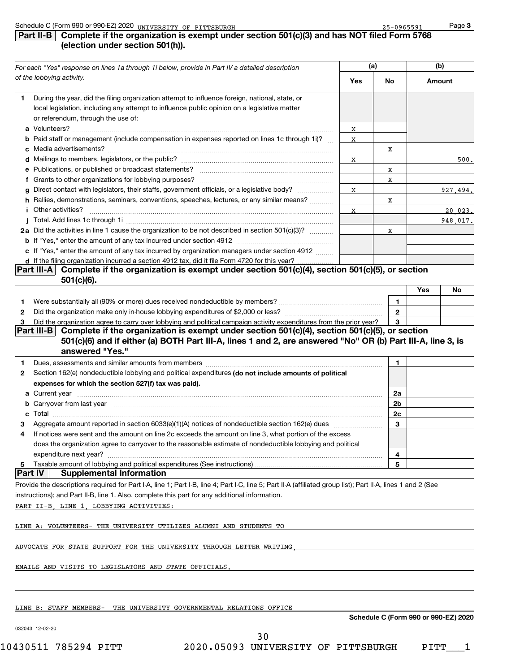## **Part II-B Complete if the organization is exempt under section 501(c)(3) and has NOT filed Form 5768 (election under section 501(h)).**

| For each "Yes" response on lines 1a through 1i below, provide in Part IV a detailed description |                                                                                                                                    |            | (a) | (b)        |  |
|-------------------------------------------------------------------------------------------------|------------------------------------------------------------------------------------------------------------------------------------|------------|-----|------------|--|
|                                                                                                 | of the lobbying activity.                                                                                                          | <b>Yes</b> | No  | Amount     |  |
| 1.                                                                                              | During the year, did the filing organization attempt to influence foreign, national, state, or                                     |            |     |            |  |
|                                                                                                 | local legislation, including any attempt to influence public opinion on a legislative matter<br>or referendum, through the use of: |            |     |            |  |
|                                                                                                 |                                                                                                                                    | x          |     |            |  |
|                                                                                                 | <b>b</b> Paid staff or management (include compensation in expenses reported on lines 1c through 1i)?                              | х          |     |            |  |
|                                                                                                 |                                                                                                                                    |            | X   |            |  |
|                                                                                                 |                                                                                                                                    | X          |     | 500.       |  |
|                                                                                                 |                                                                                                                                    |            | X   |            |  |
|                                                                                                 |                                                                                                                                    |            | x   |            |  |
|                                                                                                 | g Direct contact with legislators, their staffs, government officials, or a legislative body?                                      | х          |     | 927,494.   |  |
|                                                                                                 | h Rallies, demonstrations, seminars, conventions, speeches, lectures, or any similar means?                                        |            | x   |            |  |
|                                                                                                 | <b>i</b> Other activities?                                                                                                         | X          |     | $20,023$ . |  |
|                                                                                                 |                                                                                                                                    |            |     | 948.017.   |  |
|                                                                                                 | 2a Did the activities in line 1 cause the organization to be not described in section 501(c)(3)?                                   |            | X   |            |  |
|                                                                                                 |                                                                                                                                    |            |     |            |  |
|                                                                                                 | c If "Yes," enter the amount of any tax incurred by organization managers under section 4912                                       |            |     |            |  |
|                                                                                                 | d If the filing organization incurred a section 4912 tax, did it file Form 4720 for this year?                                     |            |     |            |  |
|                                                                                                 | Part III-A  Complete if the organization is exempt under section 501(c)(4), section 501(c)(5), or section<br>$501(c)(6)$ .         |            |     |            |  |

|                                                                                                                     | Yes | No |
|---------------------------------------------------------------------------------------------------------------------|-----|----|
| Were substantially all (90% or more) dues received nondeductible by members?                                        |     |    |
| Did the organization make only in-house lobbying expenditures of \$2,000 or less?                                   |     |    |
| Did the organization agree to carry over lobbying and political campaign activity expenditures from the prior year? |     |    |

## **Part III-B** Complete if the organization is exempt under section 501(c)(4), section 501(c)(5), or section **501(c)(6) and if either (a) BOTH Part III-A, lines 1 and 2, are answered "No" OR (b) Part III-A, line 3, is answered "Yes."**

| $\mathbf{2}$ | Section 162(e) nondeductible lobbying and political expenditures (do not include amounts of political         |                |  |
|--------------|---------------------------------------------------------------------------------------------------------------|----------------|--|
|              | expenses for which the section 527(f) tax was paid).                                                          |                |  |
|              | a Current year                                                                                                | 2a             |  |
|              | <b>b</b> Carryover from last year                                                                             | 2b             |  |
|              | c Total                                                                                                       | 2 <sub>c</sub> |  |
|              | Aggregate amount reported in section 6033(e)(1)(A) notices of nondeductible section 162(e) dues manufactured. | 3              |  |
|              | If notices were sent and the amount on line 2c exceeds the amount on line 3, what portion of the excess       |                |  |
|              | does the organization agree to carryover to the reasonable estimate of nondeductible lobbying and political   |                |  |
|              | expenditure next year?                                                                                        |                |  |
| -5           | Taxable amount of lobbying and political expenditures (See instructions)                                      | 5              |  |
|              | <b>Supplemental Information</b>                                                                               |                |  |

Provide the descriptions required for Part I-A, line 1; Part I-B, line 4; Part I-C, line 5; Part II-A (affiliated group list); Part II-A, lines 1 and 2 (See

instructions); and Part II-B, line 1. Also, complete this part for any additional information.

PART II-B, LINE 1, LOBBYING ACTIVITIES:

LINE A: VOLUNTEERS- THE UNIVERSITY UTILIZES ALUMNI AND STUDENTS TO

ADVOCATE FOR STATE SUPPORT FOR THE UNIVERSITY THROUGH LETTER WRITING,

EMAILS AND VISITS TO LEGISLATORS AND STATE OFFICIALS.

LINE B: STAFF MEMBERS- THE UNIVERSITY GOVERNMENTAL RELATIONS OFFICE

**Schedule C (Form 990 or 990-EZ) 2020**

032043 12-02-20

10430511 785294 PITT 2020.05093 UNIVERSITY OF PITTSBURGH PITT\_\_\_1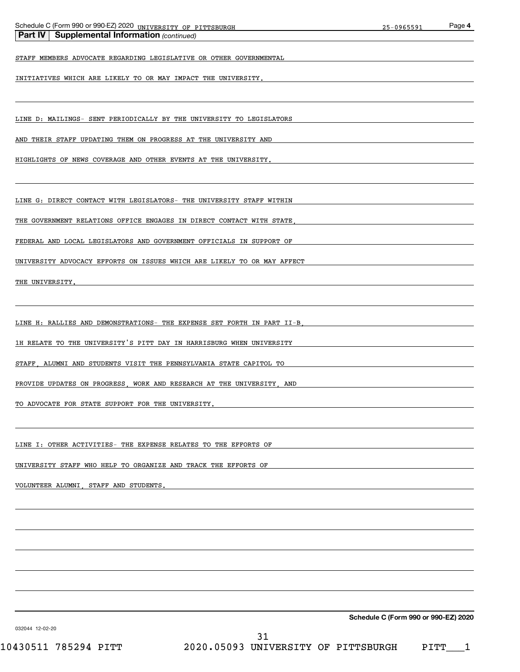| Schedule C (Form 990 or 9 <u>90-EZ) 2020 UNIVERSITY OF PITTSBURGH</u><br><b>Part IV   Supplemental Information (continued)</b> | 25-0965591                           | Page 4 |
|--------------------------------------------------------------------------------------------------------------------------------|--------------------------------------|--------|
| STAFF MEMBERS ADVOCATE REGARDING LEGISLATIVE OR OTHER GOVERNMENTAL                                                             |                                      |        |
| INITIATIVES WHICH ARE LIKELY TO OR MAY IMPACT THE UNIVERSITY.                                                                  |                                      |        |
|                                                                                                                                |                                      |        |
| LINE D: MAILINGS- SENT PERIODICALLY BY THE UNIVERSITY TO LEGISLATORS                                                           |                                      |        |
| AND THEIR STAFF UPDATING THEM ON PROGRESS AT THE UNIVERSITY AND                                                                |                                      |        |
| HIGHLIGHTS OF NEWS COVERAGE AND OTHER EVENTS AT THE UNIVERSITY.                                                                |                                      |        |
|                                                                                                                                |                                      |        |
| LINE G: DIRECT CONTACT WITH LEGISLATORS- THE UNIVERSITY STAFF WITHIN                                                           |                                      |        |
| THE GOVERNMENT RELATIONS OFFICE ENGAGES IN DIRECT CONTACT WITH STATE                                                           |                                      |        |
| FEDERAL AND LOCAL LEGISLATORS AND GOVERNMENT OFFICIALS IN SUPPORT OF                                                           |                                      |        |
| UNIVERSITY ADVOCACY EFFORTS ON ISSUES WHICH ARE LIKELY TO OR MAY AFFECT                                                        |                                      |        |
| THE UNIVERSITY.                                                                                                                |                                      |        |
|                                                                                                                                |                                      |        |
| LINE H: RALLIES AND DEMONSTRATIONS- THE EXPENSE SET FORTH IN PART II-B.                                                        |                                      |        |
| 1H RELATE TO THE UNIVERSITY'S PITT DAY IN HARRISBURG WHEN UNIVERSITY                                                           |                                      |        |
| STAFF, ALUMNI AND STUDENTS VISIT THE PENNSYLVANIA STATE CAPITOL TO                                                             |                                      |        |
| PROVIDE UPDATES ON PROGRESS, WORK AND RESEARCH AT THE UNIVERSITY, AND                                                          |                                      |        |
| TO ADVOCATE FOR STATE SUPPORT FOR THE UNIVERSITY.                                                                              |                                      |        |
|                                                                                                                                |                                      |        |
| LINE I: OTHER ACTIVITIES- THE EXPENSE RELATES TO THE EFFORTS OF                                                                |                                      |        |
| UNIVERSITY STAFF WHO HELP TO ORGANIZE AND TRACK THE EFFORTS OF                                                                 |                                      |        |
| VOLUNTEER ALUMNI, STAFF AND STUDENTS.                                                                                          |                                      |        |
|                                                                                                                                |                                      |        |
|                                                                                                                                |                                      |        |
|                                                                                                                                |                                      |        |
|                                                                                                                                |                                      |        |
|                                                                                                                                |                                      |        |
|                                                                                                                                |                                      |        |
| 032044 12-02-20                                                                                                                | Schedule C (Form 990 or 990-EZ) 2020 |        |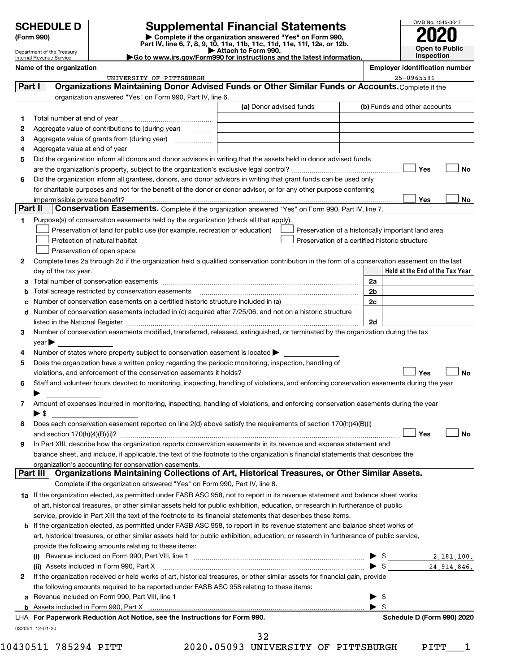|  |  | <b>SCHEDULE D</b> |
|--|--|-------------------|
|  |  |                   |
|  |  |                   |

#### Department of the Treasury Internal Revenue Service

**(Form 990) | Complete if the organization answered "Yes" on Form 990, Part IV, line 6, 7, 8, 9, 10, 11a, 11b, 11c, 11d, 11e, 11f, 12a, or 12b. SCHEDULE D Supplemental Financial Statements**<br> **Form 990 2020**<br> **Part IV** line 6.7.8.9.10, 11a, 11b, 11d, 11d, 11d, 11d, 11d, 12a, 9r.12b

**| Attach to Form 990. |Go to www.irs.gov/Form990 for instructions and the latest information.**

OMB No. 1545-0047 **Open to Public Inspection**

| Name of the organization | <b>Emplover identification number</b> |
|--------------------------|---------------------------------------|
|                          |                                       |

| Organizations Maintaining Donor Advised Funds or Other Similar Funds or Accounts. Complete if the<br>(b) Funds and other accounts<br>Did the organization inform all donors and donor advisors in writing that the assets held in donor advised funds<br>Yes<br>Did the organization inform all grantees, donors, and donor advisors in writing that grant funds can be used only<br>for charitable purposes and not for the benefit of the donor or donor advisor, or for any other purpose conferring<br>Yes<br>Conservation Easements. Complete if the organization answered "Yes" on Form 990, Part IV, line 7.<br>Preservation of a historically important land area<br>Preservation of a certified historic structure<br>Complete lines 2a through 2d if the organization held a qualified conservation contribution in the form of a conservation easement on the last<br>Held at the End of the Tax Year<br>2a<br>2 <sub>b</sub><br>2c |
|------------------------------------------------------------------------------------------------------------------------------------------------------------------------------------------------------------------------------------------------------------------------------------------------------------------------------------------------------------------------------------------------------------------------------------------------------------------------------------------------------------------------------------------------------------------------------------------------------------------------------------------------------------------------------------------------------------------------------------------------------------------------------------------------------------------------------------------------------------------------------------------------------------------------------------------------|
|                                                                                                                                                                                                                                                                                                                                                                                                                                                                                                                                                                                                                                                                                                                                                                                                                                                                                                                                                |
|                                                                                                                                                                                                                                                                                                                                                                                                                                                                                                                                                                                                                                                                                                                                                                                                                                                                                                                                                |
|                                                                                                                                                                                                                                                                                                                                                                                                                                                                                                                                                                                                                                                                                                                                                                                                                                                                                                                                                |
|                                                                                                                                                                                                                                                                                                                                                                                                                                                                                                                                                                                                                                                                                                                                                                                                                                                                                                                                                |
|                                                                                                                                                                                                                                                                                                                                                                                                                                                                                                                                                                                                                                                                                                                                                                                                                                                                                                                                                |
|                                                                                                                                                                                                                                                                                                                                                                                                                                                                                                                                                                                                                                                                                                                                                                                                                                                                                                                                                |
|                                                                                                                                                                                                                                                                                                                                                                                                                                                                                                                                                                                                                                                                                                                                                                                                                                                                                                                                                |
|                                                                                                                                                                                                                                                                                                                                                                                                                                                                                                                                                                                                                                                                                                                                                                                                                                                                                                                                                |
|                                                                                                                                                                                                                                                                                                                                                                                                                                                                                                                                                                                                                                                                                                                                                                                                                                                                                                                                                |
|                                                                                                                                                                                                                                                                                                                                                                                                                                                                                                                                                                                                                                                                                                                                                                                                                                                                                                                                                |
|                                                                                                                                                                                                                                                                                                                                                                                                                                                                                                                                                                                                                                                                                                                                                                                                                                                                                                                                                |
|                                                                                                                                                                                                                                                                                                                                                                                                                                                                                                                                                                                                                                                                                                                                                                                                                                                                                                                                                |
|                                                                                                                                                                                                                                                                                                                                                                                                                                                                                                                                                                                                                                                                                                                                                                                                                                                                                                                                                |
|                                                                                                                                                                                                                                                                                                                                                                                                                                                                                                                                                                                                                                                                                                                                                                                                                                                                                                                                                |
|                                                                                                                                                                                                                                                                                                                                                                                                                                                                                                                                                                                                                                                                                                                                                                                                                                                                                                                                                |
|                                                                                                                                                                                                                                                                                                                                                                                                                                                                                                                                                                                                                                                                                                                                                                                                                                                                                                                                                |
|                                                                                                                                                                                                                                                                                                                                                                                                                                                                                                                                                                                                                                                                                                                                                                                                                                                                                                                                                |
|                                                                                                                                                                                                                                                                                                                                                                                                                                                                                                                                                                                                                                                                                                                                                                                                                                                                                                                                                |
|                                                                                                                                                                                                                                                                                                                                                                                                                                                                                                                                                                                                                                                                                                                                                                                                                                                                                                                                                |
|                                                                                                                                                                                                                                                                                                                                                                                                                                                                                                                                                                                                                                                                                                                                                                                                                                                                                                                                                |
|                                                                                                                                                                                                                                                                                                                                                                                                                                                                                                                                                                                                                                                                                                                                                                                                                                                                                                                                                |
|                                                                                                                                                                                                                                                                                                                                                                                                                                                                                                                                                                                                                                                                                                                                                                                                                                                                                                                                                |
|                                                                                                                                                                                                                                                                                                                                                                                                                                                                                                                                                                                                                                                                                                                                                                                                                                                                                                                                                |
| d Number of conservation easements included in (c) acquired after 7/25/06, and not on a historic structure                                                                                                                                                                                                                                                                                                                                                                                                                                                                                                                                                                                                                                                                                                                                                                                                                                     |
| 2d                                                                                                                                                                                                                                                                                                                                                                                                                                                                                                                                                                                                                                                                                                                                                                                                                                                                                                                                             |
| Number of conservation easements modified, transferred, released, extinguished, or terminated by the organization during the tax                                                                                                                                                                                                                                                                                                                                                                                                                                                                                                                                                                                                                                                                                                                                                                                                               |
|                                                                                                                                                                                                                                                                                                                                                                                                                                                                                                                                                                                                                                                                                                                                                                                                                                                                                                                                                |
|                                                                                                                                                                                                                                                                                                                                                                                                                                                                                                                                                                                                                                                                                                                                                                                                                                                                                                                                                |
|                                                                                                                                                                                                                                                                                                                                                                                                                                                                                                                                                                                                                                                                                                                                                                                                                                                                                                                                                |
|                                                                                                                                                                                                                                                                                                                                                                                                                                                                                                                                                                                                                                                                                                                                                                                                                                                                                                                                                |
| violations, and enforcement of the conservation easements it holds? [11,11] with the set of the conservation easements it holds? [11,11] with the set of the conservation easements it holds? [11] with the set of the set of<br>Yes                                                                                                                                                                                                                                                                                                                                                                                                                                                                                                                                                                                                                                                                                                           |
| Staff and volunteer hours devoted to monitoring, inspecting, handling of violations, and enforcing conservation easements during the year                                                                                                                                                                                                                                                                                                                                                                                                                                                                                                                                                                                                                                                                                                                                                                                                      |
|                                                                                                                                                                                                                                                                                                                                                                                                                                                                                                                                                                                                                                                                                                                                                                                                                                                                                                                                                |
| Amount of expenses incurred in monitoring, inspecting, handling of violations, and enforcing conservation easements during the year                                                                                                                                                                                                                                                                                                                                                                                                                                                                                                                                                                                                                                                                                                                                                                                                            |
|                                                                                                                                                                                                                                                                                                                                                                                                                                                                                                                                                                                                                                                                                                                                                                                                                                                                                                                                                |
| Does each conservation easement reported on line 2(d) above satisfy the requirements of section 170(h)(4)(B)(i)                                                                                                                                                                                                                                                                                                                                                                                                                                                                                                                                                                                                                                                                                                                                                                                                                                |
| Yes                                                                                                                                                                                                                                                                                                                                                                                                                                                                                                                                                                                                                                                                                                                                                                                                                                                                                                                                            |
| In Part XIII, describe how the organization reports conservation easements in its revenue and expense statement and                                                                                                                                                                                                                                                                                                                                                                                                                                                                                                                                                                                                                                                                                                                                                                                                                            |
| balance sheet, and include, if applicable, the text of the footnote to the organization's financial statements that describes the                                                                                                                                                                                                                                                                                                                                                                                                                                                                                                                                                                                                                                                                                                                                                                                                              |
|                                                                                                                                                                                                                                                                                                                                                                                                                                                                                                                                                                                                                                                                                                                                                                                                                                                                                                                                                |
| Organizations Maintaining Collections of Art, Historical Treasures, or Other Similar Assets.                                                                                                                                                                                                                                                                                                                                                                                                                                                                                                                                                                                                                                                                                                                                                                                                                                                   |
|                                                                                                                                                                                                                                                                                                                                                                                                                                                                                                                                                                                                                                                                                                                                                                                                                                                                                                                                                |
| 1a If the organization elected, as permitted under FASB ASC 958, not to report in its revenue statement and balance sheet works                                                                                                                                                                                                                                                                                                                                                                                                                                                                                                                                                                                                                                                                                                                                                                                                                |
| of art, historical treasures, or other similar assets held for public exhibition, education, or research in furtherance of public                                                                                                                                                                                                                                                                                                                                                                                                                                                                                                                                                                                                                                                                                                                                                                                                              |
|                                                                                                                                                                                                                                                                                                                                                                                                                                                                                                                                                                                                                                                                                                                                                                                                                                                                                                                                                |
| <b>b</b> If the organization elected, as permitted under FASB ASC 958, to report in its revenue statement and balance sheet works of                                                                                                                                                                                                                                                                                                                                                                                                                                                                                                                                                                                                                                                                                                                                                                                                           |
|                                                                                                                                                                                                                                                                                                                                                                                                                                                                                                                                                                                                                                                                                                                                                                                                                                                                                                                                                |
| art, historical treasures, or other similar assets held for public exhibition, education, or research in furtherance of public service,                                                                                                                                                                                                                                                                                                                                                                                                                                                                                                                                                                                                                                                                                                                                                                                                        |
|                                                                                                                                                                                                                                                                                                                                                                                                                                                                                                                                                                                                                                                                                                                                                                                                                                                                                                                                                |
|                                                                                                                                                                                                                                                                                                                                                                                                                                                                                                                                                                                                                                                                                                                                                                                                                                                                                                                                                |
|                                                                                                                                                                                                                                                                                                                                                                                                                                                                                                                                                                                                                                                                                                                                                                                                                                                                                                                                                |
|                                                                                                                                                                                                                                                                                                                                                                                                                                                                                                                                                                                                                                                                                                                                                                                                                                                                                                                                                |
| If the organization received or held works of art, historical treasures, or other similar assets for financial gain, provide                                                                                                                                                                                                                                                                                                                                                                                                                                                                                                                                                                                                                                                                                                                                                                                                                   |
|                                                                                                                                                                                                                                                                                                                                                                                                                                                                                                                                                                                                                                                                                                                                                                                                                                                                                                                                                |
| $\blacktriangleright$ \$                                                                                                                                                                                                                                                                                                                                                                                                                                                                                                                                                                                                                                                                                                                                                                                                                                                                                                                       |
| 24, 914, 846.<br>$\blacktriangleright$ s                                                                                                                                                                                                                                                                                                                                                                                                                                                                                                                                                                                                                                                                                                                                                                                                                                                                                                       |
| Schedule D (Form 990) 2020                                                                                                                                                                                                                                                                                                                                                                                                                                                                                                                                                                                                                                                                                                                                                                                                                                                                                                                     |
| service, provide in Part XIII the text of the footnote to its financial statements that describes these items.                                                                                                                                                                                                                                                                                                                                                                                                                                                                                                                                                                                                                                                                                                                                                                                                                                 |

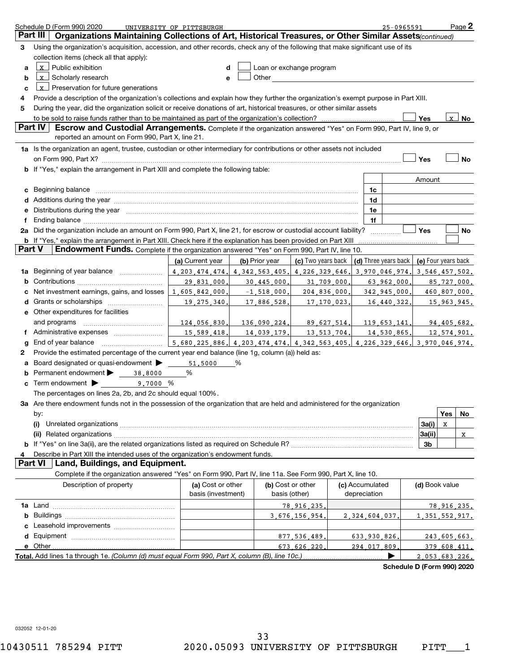|    | Schedule D (Form 990) 2020<br>Part III<br>Organizations Maintaining Collections of Art, Historical Treasures, or Other Similar Assets(continued)                                                                               | UNIVERSITY OF PITTSBURGH                |                |                                    |                                 | 25-0965591                 |                     |                              | Page 2    |
|----|--------------------------------------------------------------------------------------------------------------------------------------------------------------------------------------------------------------------------------|-----------------------------------------|----------------|------------------------------------|---------------------------------|----------------------------|---------------------|------------------------------|-----------|
| 3  | Using the organization's acquisition, accession, and other records, check any of the following that make significant use of its                                                                                                |                                         |                |                                    |                                 |                            |                     |                              |           |
|    | collection items (check all that apply):                                                                                                                                                                                       |                                         |                |                                    |                                 |                            |                     |                              |           |
| a  | $x$ Public exhibition                                                                                                                                                                                                          | d                                       |                | Loan or exchange program           |                                 |                            |                     |                              |           |
| b  | x Scholarly research                                                                                                                                                                                                           | е                                       | Other          |                                    |                                 |                            |                     |                              |           |
| c  | $x$ Preservation for future generations                                                                                                                                                                                        |                                         |                |                                    |                                 |                            |                     |                              |           |
| 4  | Provide a description of the organization's collections and explain how they further the organization's exempt purpose in Part XIII.                                                                                           |                                         |                |                                    |                                 |                            |                     |                              |           |
| 5  | During the year, did the organization solicit or receive donations of art, historical treasures, or other similar assets                                                                                                       |                                         |                |                                    |                                 |                            |                     |                              |           |
|    | to be sold to raise funds rather than to be maintained as part of the organization's collection?                                                                                                                               |                                         |                |                                    |                                 |                            | Yes                 | $\mathbf{x}$                 | <b>No</b> |
|    | Part IV<br>Escrow and Custodial Arrangements. Complete if the organization answered "Yes" on Form 990, Part IV, line 9, or<br>reported an amount on Form 990, Part X, line 21.                                                 |                                         |                |                                    |                                 |                            |                     |                              |           |
|    | 1a Is the organization an agent, trustee, custodian or other intermediary for contributions or other assets not included                                                                                                       |                                         |                |                                    |                                 |                            |                     |                              |           |
|    |                                                                                                                                                                                                                                |                                         |                |                                    |                                 |                            | Yes                 |                              | No        |
|    | b If "Yes," explain the arrangement in Part XIII and complete the following table:                                                                                                                                             |                                         |                |                                    |                                 |                            |                     |                              |           |
|    |                                                                                                                                                                                                                                |                                         |                |                                    |                                 |                            | Amount              |                              |           |
| c  | Beginning balance (1990) communications and the contract of the contract of the contract of the contract of the contract of the contract of the contract of the contract of the contract of the contract of the contract of th |                                         |                |                                    | 1c                              |                            |                     |                              |           |
|    |                                                                                                                                                                                                                                |                                         |                |                                    | 1d                              |                            |                     |                              |           |
| е  | Distributions during the year manufactured and continuum control of the state of the control of the state of the state of the state of the state of the state of the state of the state of the state of the state of the state |                                         |                |                                    | 1e                              |                            |                     |                              |           |
| f  |                                                                                                                                                                                                                                |                                         |                |                                    | 1f                              |                            |                     |                              |           |
|    | 2a Did the organization include an amount on Form 990, Part X, line 21, for escrow or custodial account liability?                                                                                                             |                                         |                |                                    |                                 |                            | Yes                 |                              | No        |
|    | <b>b</b> If "Yes," explain the arrangement in Part XIII. Check here if the explanation has been provided on Part XIII                                                                                                          |                                         |                |                                    |                                 |                            |                     |                              |           |
|    | Part V<br>Endowment Funds. Complete if the organization answered "Yes" on Form 990, Part IV, line 10.                                                                                                                          |                                         |                |                                    |                                 |                            |                     |                              |           |
|    |                                                                                                                                                                                                                                | (a) Current year                        | (b) Prior year | (c) Two years back                 |                                 | (d) Three years back       | (e) Four years back |                              |           |
| 1a | Beginning of year balance                                                                                                                                                                                                      | 4.203.474.474.                          | 4.342.563.405. | 4.226.329.646                      |                                 | 3.970.046.974              | 3,546,457,502.      |                              |           |
| b  |                                                                                                                                                                                                                                | 29,831,000                              | 30,445,000     | 31,709,000                         |                                 | 63,962,000                 |                     | 85,727,000.                  |           |
| с  | Net investment earnings, gains, and losses                                                                                                                                                                                     | 1,605,842,000                           | $-1,518,000$   | 204,836,000.                       |                                 | 342,945,000                |                     | 460,807,000.                 |           |
| d  |                                                                                                                                                                                                                                | 19, 275, 340                            | 17,886,528     | 17,170,023,                        |                                 | 16,440,322                 |                     | 15,963,945.                  |           |
| е  | Other expenditures for facilities                                                                                                                                                                                              |                                         |                |                                    |                                 |                            |                     |                              |           |
|    | and programs                                                                                                                                                                                                                   | 124,056,830                             | 136,090,224.   | 89.627.514.                        |                                 | 119,653,141                |                     | 94,405,682.                  |           |
| f  |                                                                                                                                                                                                                                | 15,589,418                              | 14,039,179,    | 13,513,704.                        |                                 | 14,530,865,                |                     | 12,574,901.                  |           |
| g  |                                                                                                                                                                                                                                | 5,680,225,886.                          | 4.203.474.474. | 4.342.563.405.                     |                                 | 4.226.329.646.             | 3.970.046.974.      |                              |           |
| 2  | Provide the estimated percentage of the current year end balance (line 1g, column (a)) held as:                                                                                                                                |                                         |                |                                    |                                 |                            |                     |                              |           |
| а  | Board designated or quasi-endowment                                                                                                                                                                                            | 51,5000                                 | %              |                                    |                                 |                            |                     |                              |           |
| b  | Permanent endowment > 38,8000                                                                                                                                                                                                  | %                                       |                |                                    |                                 |                            |                     |                              |           |
| с  | Term endowment > 9.7000 %                                                                                                                                                                                                      |                                         |                |                                    |                                 |                            |                     |                              |           |
|    | The percentages on lines 2a, 2b, and 2c should equal 100%.                                                                                                                                                                     |                                         |                |                                    |                                 |                            |                     |                              |           |
|    | 3a Are there endowment funds not in the possession of the organization that are held and administered for the organization                                                                                                     |                                         |                |                                    |                                 |                            |                     |                              |           |
|    | by:                                                                                                                                                                                                                            |                                         |                |                                    |                                 |                            |                     | Yes                          | No        |
|    |                                                                                                                                                                                                                                |                                         |                |                                    |                                 |                            | 3a(i)               | x                            |           |
|    |                                                                                                                                                                                                                                |                                         |                |                                    |                                 |                            | 3a(ii)              |                              | X         |
|    |                                                                                                                                                                                                                                |                                         |                |                                    |                                 |                            | 3 <sub>b</sub>      |                              |           |
| 4  | Describe in Part XIII the intended uses of the organization's endowment funds.                                                                                                                                                 |                                         |                |                                    |                                 |                            |                     |                              |           |
|    | Part VI   Land, Buildings, and Equipment.                                                                                                                                                                                      |                                         |                |                                    |                                 |                            |                     |                              |           |
|    | Complete if the organization answered "Yes" on Form 990, Part IV, line 11a. See Form 990, Part X, line 10.                                                                                                                     |                                         |                |                                    |                                 |                            |                     |                              |           |
|    | Description of property                                                                                                                                                                                                        | (a) Cost or other<br>basis (investment) |                | (b) Cost or other<br>basis (other) | (c) Accumulated<br>depreciation |                            | (d) Book value      |                              |           |
|    |                                                                                                                                                                                                                                |                                         |                |                                    |                                 |                            |                     |                              |           |
|    |                                                                                                                                                                                                                                |                                         |                | 78, 916, 235                       |                                 |                            |                     | 78,916,235.                  |           |
|    |                                                                                                                                                                                                                                |                                         |                | 3.676.156.954                      | 2.324.604.037                   |                            | 1, 351, 552, 917.   |                              |           |
|    |                                                                                                                                                                                                                                |                                         |                | 877.536.489.                       |                                 |                            |                     |                              |           |
|    | e Other.                                                                                                                                                                                                                       |                                         |                | 673.626.220                        | 633,930,826,<br>294.017.809     |                            |                     | 243,605,663.<br>379.608.411. |           |
|    | Total. Add lines 1a through 1e. (Column (d) must equal Form 990, Part X, column (B), line 10c.).                                                                                                                               |                                         |                |                                    |                                 |                            | 2 053 683 226.      |                              |           |
|    |                                                                                                                                                                                                                                |                                         |                |                                    |                                 | Schedule D (Form 990) 2020 |                     |                              |           |
|    |                                                                                                                                                                                                                                |                                         |                |                                    |                                 |                            |                     |                              |           |

032052 12-01-20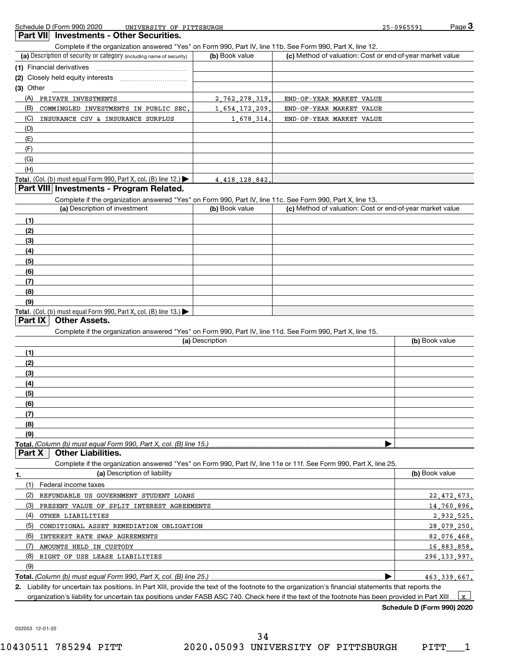**Part VII** Investments - Other Securities.

Complete if the organization answered "Yes" on Form 990, Part IV, line 11b. See Form 990, Part X, line 12.

| $\sim$ proton and original and anomology areas of the children of the second of the object of the second second the second second second second second second second second second second second second second second secon |                |                                                           |
|-----------------------------------------------------------------------------------------------------------------------------------------------------------------------------------------------------------------------------|----------------|-----------------------------------------------------------|
| (a) Description of security or category (including name of security)                                                                                                                                                        | (b) Book value | (c) Method of valuation: Cost or end-of-year market value |
| (1) Financial derivatives                                                                                                                                                                                                   |                |                                                           |
| (2) Closely held equity interests                                                                                                                                                                                           |                |                                                           |
| $(3)$ Other                                                                                                                                                                                                                 |                |                                                           |
| (A)<br>PRIVATE INVESTMENTS                                                                                                                                                                                                  | 2,762,278,319. | END-OF-YEAR MARKET VALUE                                  |
| (B)<br>COMMINGLED INVESTMENTS IN PUBLIC SEC.                                                                                                                                                                                | 1,654,172,209. | END-OF-YEAR MARKET VALUE                                  |
| (C)<br>INSURANCE CSV & INSURANCE SURPLUS                                                                                                                                                                                    | 1.678.314.     | END-OF-YEAR MARKET VALUE                                  |
| (D)                                                                                                                                                                                                                         |                |                                                           |
| (E)                                                                                                                                                                                                                         |                |                                                           |
| (F)                                                                                                                                                                                                                         |                |                                                           |
| (G)                                                                                                                                                                                                                         |                |                                                           |
| (H)                                                                                                                                                                                                                         |                |                                                           |
| <b>Total.</b> (Col. (b) must equal Form 990, Part X, col. (B) line $12$ .)                                                                                                                                                  | 4 418 128 842. |                                                           |

## **Part VIII Investments - Program Related.**

Complete if the organization answered "Yes" on Form 990, Part IV, line 11c. See Form 990, Part X, line 13.

| (a) Description of investment                                       | (b) Book value | (c) Method of valuation: Cost or end-of-year market value |
|---------------------------------------------------------------------|----------------|-----------------------------------------------------------|
| (1)                                                                 |                |                                                           |
| (2)                                                                 |                |                                                           |
| $\left(3\right)$                                                    |                |                                                           |
| (4)                                                                 |                |                                                           |
| $\frac{1}{2}$                                                       |                |                                                           |
| (6)                                                                 |                |                                                           |
| (7)                                                                 |                |                                                           |
| (8)                                                                 |                |                                                           |
| (9)                                                                 |                |                                                           |
| Total. (Col. (b) must equal Form 990, Part X, col. (B) line $13$ .) |                |                                                           |

#### **Part IX Other Assets.**

Complete if the organization answered "Yes" on Form 990, Part IV, line 11d. See Form 990, Part X, line 15.

| (a) Description | (b) Book value |
|-----------------|----------------|
| (1)             |                |
| (2)             |                |
| (3)             |                |
| (4)             |                |
| (5)             |                |
| (6)             |                |
| (7)             |                |
| (8)             |                |
| (9)             |                |
|                 |                |

**Part X | Other Liabilities.** 

Complete if the organization answered "Yes" on Form 990, Part IV, line 11e or 11f. See Form 990, Part X, line 25.

|     | (a) Description of liability                                                                                                                         | (b) Book value |
|-----|------------------------------------------------------------------------------------------------------------------------------------------------------|----------------|
|     | Federal income taxes                                                                                                                                 |                |
| (2) | REFUNDABLE US GOVERNMENT STUDENT LOANS                                                                                                               | 22, 472, 673.  |
| (3) | PRESENT VALUE OF SPLIT INTEREST AGREEMENTS                                                                                                           | 14,760,896.    |
| (4) | OTHER LIABILITIES                                                                                                                                    | 2,932,525.     |
| (5) | CONDITIONAL ASSET REMEDIATION OBLIGATION                                                                                                             | 28,079,250.    |
| (6) | INTEREST RATE SWAP AGREEMENTS                                                                                                                        | 82.076.468.    |
|     | AMOUNTS HELD IN CUSTODY                                                                                                                              | 16,883,858.    |
| (8) | RIGHT OF USE LEASE LIABILITIES                                                                                                                       | 296.133.997.   |
| (9) |                                                                                                                                                      |                |
|     |                                                                                                                                                      | 463.339.667.   |
|     | 2. Liability for uncertain tax positions. In Part XIII, provide the text of the footnote to the organization's financial statements that reports the |                |
|     | organization's liability for uncertain tax positions under FASB ASC 740. Check here if the text of the footnote has been provided in Part XIII       |                |

**Schedule D (Form 990) 2020**

032053 12-01-20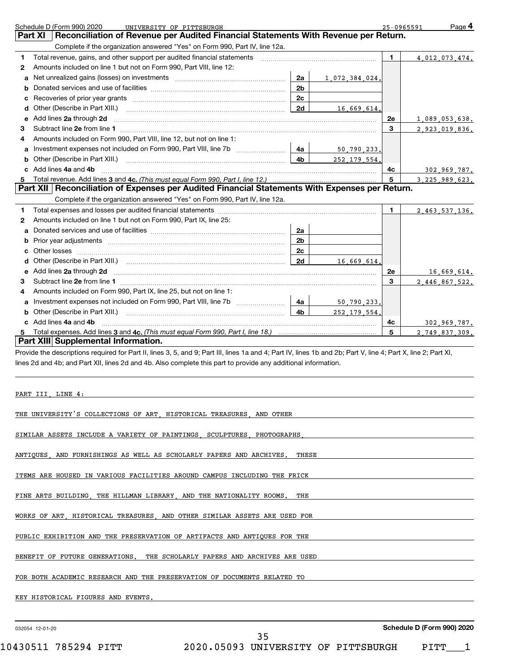|    | Schedule D (Form 990) 2020<br>UNIVERSITY OF PITTSBURGH                                                                                                                                                                         |                |                |              | Page 4<br>25-0965591 |
|----|--------------------------------------------------------------------------------------------------------------------------------------------------------------------------------------------------------------------------------|----------------|----------------|--------------|----------------------|
|    | Reconciliation of Revenue per Audited Financial Statements With Revenue per Return.<br><b>Part XI</b>                                                                                                                          |                |                |              |                      |
|    | Complete if the organization answered "Yes" on Form 990, Part IV, line 12a.                                                                                                                                                    |                |                |              |                      |
| 1  | Total revenue, gains, and other support per audited financial statements [11, 11] matter contains the statements and the support per audited financial statements [11] matter support of the statements and the statements and |                |                | $\mathbf{1}$ | 4.012.073.474.       |
| 2  | Amounts included on line 1 but not on Form 990, Part VIII, line 12:                                                                                                                                                            |                |                |              |                      |
| a  |                                                                                                                                                                                                                                | 2a             | 1.072.384.024. |              |                      |
| b  |                                                                                                                                                                                                                                | 2 <sub>b</sub> |                |              |                      |
| с  |                                                                                                                                                                                                                                | 2c             |                |              |                      |
| d  | Other (Describe in Part XIII.)                                                                                                                                                                                                 | 2d             | 16,669,614.    |              |                      |
| e  | Add lines 2a through 2d                                                                                                                                                                                                        |                |                | 2e           | 1,089,053,638.       |
| 3  |                                                                                                                                                                                                                                |                |                | 3            | 2,923,019,836.       |
| 4  | Amounts included on Form 990, Part VIII, line 12, but not on line 1:                                                                                                                                                           |                |                |              |                      |
| a  | Investment expenses not included on Form 990, Part VIII, line 7b                                                                                                                                                               | 4a             | 50,790,233.    |              |                      |
| b  |                                                                                                                                                                                                                                | 4b             | 252 179 554.   |              |                      |
| C. | Add lines 4a and 4b                                                                                                                                                                                                            |                |                | 4c           | 302,969.787.         |
| 5  |                                                                                                                                                                                                                                |                |                | 5            | 3 225 989 623.       |
|    | Part XII   Reconciliation of Expenses per Audited Financial Statements With Expenses per Return.                                                                                                                               |                |                |              |                      |
|    | Complete if the organization answered "Yes" on Form 990, Part IV, line 12a.                                                                                                                                                    |                |                |              |                      |
| 1  |                                                                                                                                                                                                                                |                |                | $\mathbf{1}$ | 2.463.537.136.       |
| 2  | Amounts included on line 1 but not on Form 990, Part IX, line 25:                                                                                                                                                              |                |                |              |                      |
| a  |                                                                                                                                                                                                                                | 2a             |                |              |                      |
| b  |                                                                                                                                                                                                                                | 2 <sub>b</sub> |                |              |                      |
| C  |                                                                                                                                                                                                                                | 2c             |                |              |                      |
| d  |                                                                                                                                                                                                                                |                | 16.669.614.    |              |                      |
| е  | Add lines 2a through 2d                                                                                                                                                                                                        |                |                | 2e           | 16,669,614.          |
| з  |                                                                                                                                                                                                                                |                |                | 3            | 2.446.867.522.       |
| 4  | Amounts included on Form 990, Part IX, line 25, but not on line 1:                                                                                                                                                             |                |                |              |                      |
| a  | Investment expenses not included on Form 990, Part VIII, line 7b [11, 111, 120]                                                                                                                                                | 4a             | 50,790,233.    |              |                      |
| b  |                                                                                                                                                                                                                                | 4 <sub>b</sub> | 252 179 554.   |              |                      |
|    | c Add lines 4a and 4b                                                                                                                                                                                                          |                |                | 4c           | 302,969.787.         |
| 5  |                                                                                                                                                                                                                                |                |                | 5            | 2 749 837 309.       |
|    | Part XIII Supplemental Information.                                                                                                                                                                                            |                |                |              |                      |
|    | Provide the descriptions required for Part II, lines 3, 5, and 9; Part III, lines 1a and 4; Part IV, lines 1b and 2b; Part V, line 4; Part X, line 2; Part XI,                                                                 |                |                |              |                      |
|    | lines 2d and 4b; and Part XII, lines 2d and 4b. Also complete this part to provide any additional information.                                                                                                                 |                |                |              |                      |
|    |                                                                                                                                                                                                                                |                |                |              |                      |
|    |                                                                                                                                                                                                                                |                |                |              |                      |
|    | PART III, LINE 4:                                                                                                                                                                                                              |                |                |              |                      |
|    |                                                                                                                                                                                                                                |                |                |              |                      |
|    | THE UNIVERSITY'S COLLECTIONS OF ART HISTORICAL TREASURES AND OTHER                                                                                                                                                             |                |                |              |                      |
|    |                                                                                                                                                                                                                                |                |                |              |                      |

SIMILAR ASSETS INCLUDE A VARIETY OF PAINTINGS, SCULPTURES, PHOTOGRAPHS,

ANTIQUES, AND FURNISHINGS AS WELL AS SCHOLARLY PAPERS AND ARCHIVES. THESE

ITEMS ARE HOUSED IN VARIOUS FACILITIES AROUND CAMPUS INCLUDING THE FRICK

FINE ARTS BUILDING, THE HILLMAN LIBRARY, AND THE NATIONALITY ROOMS. THE

WORKS OF ART, HISTORICAL TREASURES, AND OTHER SIMILAR ASSETS ARE USED FOR

PUBLIC EXHIBITION AND THE PRESERVATION OF ARTIFACTS AND ANTIQUES FOR THE

BENEFIT OF FUTURE GENERATIONS. THE SCHOLARLY PAPERS AND ARCHIVES ARE USED

FOR BOTH ACADEMIC RESEARCH AND THE PRESERVATION OF DOCUMENTS RELATED TO

KEY HISTORICAL FIGURES AND EVENTS.

032054 12-01-20

**Schedule D (Form 990) 2020**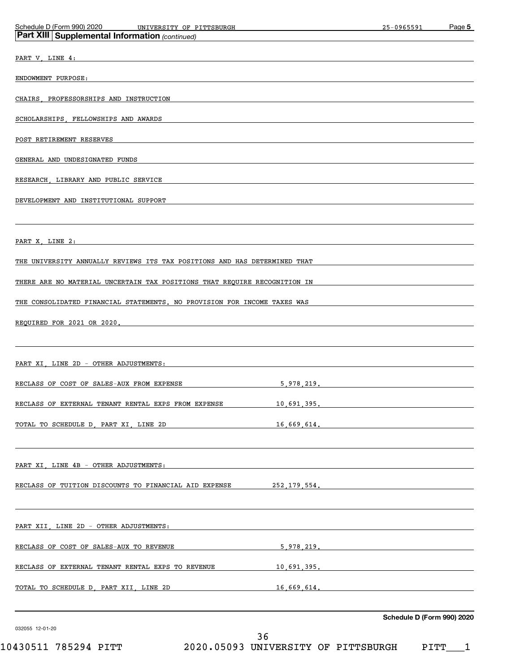| Schedule D (Form 990) 2020<br>UNIVERSITY OF PITTSBURGH                                                                                                                                                                         | 25-0965591                 | Page 5 |
|--------------------------------------------------------------------------------------------------------------------------------------------------------------------------------------------------------------------------------|----------------------------|--------|
| Part XIII Supplemental Information (continued)                                                                                                                                                                                 |                            |        |
| PART V, LINE 4:                                                                                                                                                                                                                |                            |        |
| ENDOWMENT PURPOSE:                                                                                                                                                                                                             |                            |        |
| CHAIRS PROFESSORSHIPS AND INSTRUCTION                                                                                                                                                                                          |                            |        |
|                                                                                                                                                                                                                                |                            |        |
| SCHOLARSHIPS, FELLOWSHIPS AND AWARDS                                                                                                                                                                                           |                            |        |
| POST RETIREMENT RESERVES                                                                                                                                                                                                       |                            |        |
| GENERAL AND UNDESIGNATED FUNDS                                                                                                                                                                                                 |                            |        |
| RESEARCH, LIBRARY AND PUBLIC SERVICE                                                                                                                                                                                           |                            |        |
| DEVELOPMENT AND INSTITUTIONAL SUPPORT                                                                                                                                                                                          |                            |        |
|                                                                                                                                                                                                                                |                            |        |
| PART X, LINE 2:                                                                                                                                                                                                                |                            |        |
|                                                                                                                                                                                                                                |                            |        |
| THE UNIVERSITY ANNUALLY REVIEWS ITS TAX POSITIONS AND HAS DETERMINED THAT                                                                                                                                                      |                            |        |
| THERE ARE NO MATERIAL UNCERTAIN TAX POSITIONS THAT REQUIRE RECOGNITION IN                                                                                                                                                      |                            |        |
| THE CONSOLIDATED FINANCIAL STATEMENTS. NO PROVISION FOR INCOME TAXES WAS                                                                                                                                                       |                            |        |
| REQUIRED FOR 2021 OR 2020.                                                                                                                                                                                                     |                            |        |
|                                                                                                                                                                                                                                |                            |        |
| PART XI, LINE 2D - OTHER ADJUSTMENTS:                                                                                                                                                                                          |                            |        |
|                                                                                                                                                                                                                                |                            |        |
| RECLASS OF COST OF SALES-AUX FROM EXPENSE<br>5,978,219.                                                                                                                                                                        |                            |        |
| RECLASS OF EXTERNAL TENANT RENTAL EXPS FROM EXPENSE<br>10.691.395.                                                                                                                                                             |                            |        |
| TOTAL TO SCHEDULE D. PART XI, LINE 2D 16,669,614.                                                                                                                                                                              |                            |        |
|                                                                                                                                                                                                                                |                            |        |
| PART XI, LINE 4B - OTHER ADJUSTMENTS: THE RESERVE OF A STATE OF A STATE OF A STATE OF A STATE OF A STATE OF A STATE OF A STATE OF A STATE OF A STATE OF A STATE OF A STATE OF A STATE OF A STATE OF A STATE OF A STATE OF A ST |                            |        |
| RECLASS OF TUITION DISCOUNTS TO FINANCIAL AID EXPENSE 252,179,554.                                                                                                                                                             |                            |        |
|                                                                                                                                                                                                                                |                            |        |
|                                                                                                                                                                                                                                |                            |        |
| PART XII, LINE 2D - OTHER ADJUSTMENTS: New York States and American Communications of the Communication of the                                                                                                                 |                            |        |
|                                                                                                                                                                                                                                |                            |        |
| RECLASS OF EXTERNAL TENANT RENTAL EXPS TO REVENUE 10,691,395.                                                                                                                                                                  |                            |        |
| TOTAL TO SCHEDULE D. PART XII. LINE 2D 16.669.614.                                                                                                                                                                             |                            |        |
|                                                                                                                                                                                                                                |                            |        |
| 032055 12-01-20                                                                                                                                                                                                                | Schedule D (Form 990) 2020 |        |

 $10430511$  785294 PITT  $2020$ .05093 UNIVERSITY OF PITTSBURGH PITT $\_$  1 36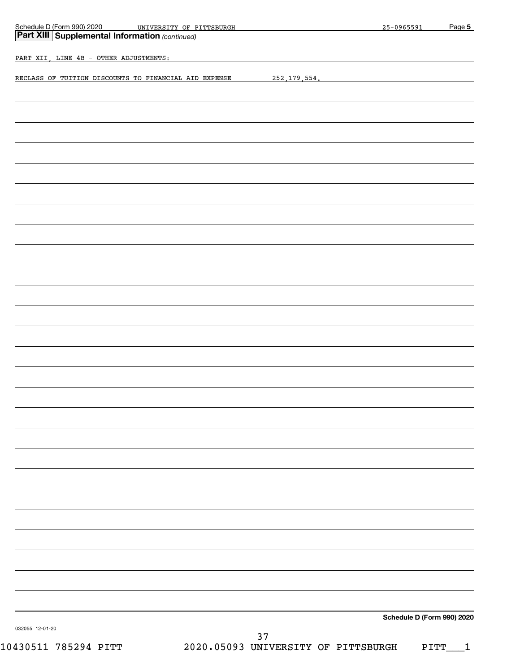| Schedule D (Form 990) 2020<br>Schedule D (Form 990) 2020 UNIVERSITY OF PITTSBURGH Part XIII Supplemental Information (continued) |    |                | 25-0965591                 | Page 5            |
|----------------------------------------------------------------------------------------------------------------------------------|----|----------------|----------------------------|-------------------|
|                                                                                                                                  |    |                |                            |                   |
| PART XII, LINE 4B - OTHER ADJUSTMENTS:                                                                                           |    |                |                            |                   |
| RECLASS OF TUITION DISCOUNTS TO FINANCIAL AID EXPENSE                                                                            |    | 252, 179, 554. |                            |                   |
|                                                                                                                                  |    |                |                            |                   |
|                                                                                                                                  |    |                |                            |                   |
|                                                                                                                                  |    |                |                            |                   |
|                                                                                                                                  |    |                |                            |                   |
|                                                                                                                                  |    |                |                            |                   |
|                                                                                                                                  |    |                |                            |                   |
|                                                                                                                                  |    |                |                            |                   |
|                                                                                                                                  |    |                |                            |                   |
|                                                                                                                                  |    |                |                            |                   |
|                                                                                                                                  |    |                |                            |                   |
|                                                                                                                                  |    |                |                            |                   |
|                                                                                                                                  |    |                |                            |                   |
|                                                                                                                                  |    |                |                            |                   |
|                                                                                                                                  |    |                |                            |                   |
|                                                                                                                                  |    |                |                            |                   |
|                                                                                                                                  |    |                |                            |                   |
|                                                                                                                                  |    |                |                            |                   |
|                                                                                                                                  |    |                |                            |                   |
|                                                                                                                                  |    |                |                            |                   |
|                                                                                                                                  |    |                |                            |                   |
|                                                                                                                                  |    |                |                            |                   |
|                                                                                                                                  |    |                |                            |                   |
|                                                                                                                                  |    |                |                            |                   |
|                                                                                                                                  |    |                |                            |                   |
|                                                                                                                                  |    |                |                            |                   |
|                                                                                                                                  |    |                |                            |                   |
|                                                                                                                                  |    |                |                            |                   |
|                                                                                                                                  |    |                |                            |                   |
|                                                                                                                                  |    |                |                            |                   |
|                                                                                                                                  |    |                |                            |                   |
|                                                                                                                                  |    |                |                            |                   |
|                                                                                                                                  |    |                |                            |                   |
|                                                                                                                                  |    |                |                            |                   |
|                                                                                                                                  |    |                |                            |                   |
|                                                                                                                                  |    |                |                            |                   |
|                                                                                                                                  |    |                | Schedule D (Form 990) 2020 |                   |
| 032055 12-01-20                                                                                                                  | 37 |                |                            |                   |
| 2020.05093 UNIVERSITY OF PITTSBURGH<br>10430511 785294 PITT                                                                      |    |                |                            | PITT <sub>.</sub> |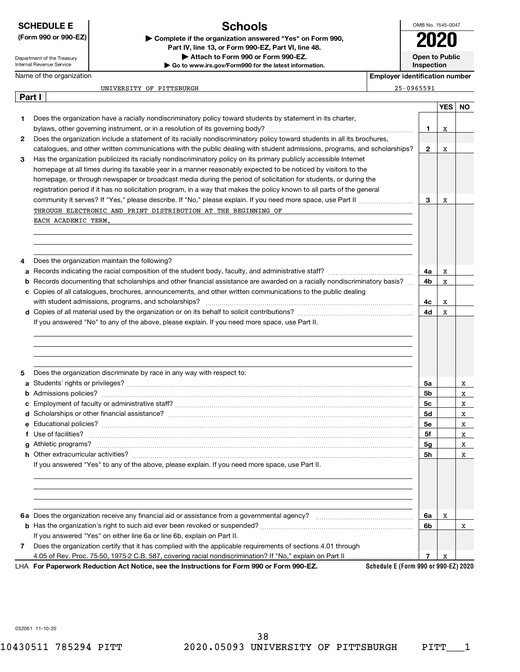Department of the Treasury Internal Revenue Service

Name of the organization

# **Schools**

**(Form 990 or 990-EZ) | Complete if the organization answered "Yes" on Form 990, Part IV, line 13, or Form 990-EZ, Part VI, line 48. | Attach to Form 990 or Form 990-EZ.**

**| Go to www.irs.gov/Form990 for the latest information.**

OMB No. 1545-0047 **Open to Public Inspection 2020**

**Employer identification number**

| 25-0965591 |  |  |  |  |
|------------|--|--|--|--|
|            |  |  |  |  |

|        | 25-0965591<br>UNIVERSITY OF PITTSBURGH                                                                                            |                |            |     |
|--------|-----------------------------------------------------------------------------------------------------------------------------------|----------------|------------|-----|
| Part I |                                                                                                                                   |                |            |     |
|        |                                                                                                                                   |                | <b>YES</b> | NO. |
| 1.     | Does the organization have a racially nondiscriminatory policy toward students by statement in its charter,                       |                |            |     |
|        |                                                                                                                                   | 1              | X          |     |
| 2      | Does the organization include a statement of its racially nondiscriminatory policy toward students in all its brochures,          |                |            |     |
|        | catalogues, and other written communications with the public dealing with student admissions, programs, and scholarships?         | $\mathbf{2}$   | X          |     |
| 3      | Has the organization publicized its racially nondiscriminatory policy on its primary publicly accessible Internet                 |                |            |     |
|        | homepage at all times during its taxable year in a manner reasonably expected to be noticed by visitors to the                    |                |            |     |
|        | homepage, or through newspaper or broadcast media during the period of solicitation for students, or during the                   |                |            |     |
|        | registration period if it has no solicitation program, in a way that makes the policy known to all parts of the general           |                |            |     |
|        |                                                                                                                                   |                |            |     |
|        |                                                                                                                                   | 3              | X          |     |
|        | THROUGH ELECTRONIC AND PRINT DISTRIBUTION AT THE BEGINNING OF                                                                     |                |            |     |
|        | EACH ACADEMIC TERM.                                                                                                               |                |            |     |
|        |                                                                                                                                   |                |            |     |
|        |                                                                                                                                   |                |            |     |
|        |                                                                                                                                   |                |            |     |
| 4      | Does the organization maintain the following?                                                                                     |                |            |     |
| a      |                                                                                                                                   | 4a             | X          |     |
| b      | Records documenting that scholarships and other financial assistance are awarded on a racially nondiscriminatory basis?           | 4b             | x          |     |
| c      | Copies of all catalogues, brochures, announcements, and other written communications to the public dealing                        |                |            |     |
|        |                                                                                                                                   | 4с             | Х          |     |
|        |                                                                                                                                   | 4d             | X          |     |
|        | If you answered "No" to any of the above, please explain. If you need more space, use Part II.                                    |                |            |     |
|        |                                                                                                                                   |                |            |     |
|        |                                                                                                                                   |                |            |     |
|        |                                                                                                                                   |                |            |     |
|        |                                                                                                                                   |                |            |     |
| 5      | Does the organization discriminate by race in any way with respect to:                                                            |                |            |     |
| a      |                                                                                                                                   | 5a             |            | X   |
| b      |                                                                                                                                   | 5b             |            | X   |
| c      |                                                                                                                                   | 5с             |            | X   |
|        |                                                                                                                                   | <b>5d</b>      |            | X   |
|        |                                                                                                                                   | 5e             |            | X   |
| f      | Use of facilities? <b>With the Contract of the Contract of Tacilities</b> of facilities?                                          | 5f             |            | X   |
|        |                                                                                                                                   | 5 <sub>g</sub> |            | X   |
|        |                                                                                                                                   |                |            |     |
|        |                                                                                                                                   | 5h             |            | X   |
|        | If you answered "Yes" to any of the above, please explain. If you need more space, use Part II.                                   |                |            |     |
|        |                                                                                                                                   |                |            |     |
|        |                                                                                                                                   |                |            |     |
|        |                                                                                                                                   |                |            |     |
|        |                                                                                                                                   |                |            |     |
|        |                                                                                                                                   | 6a             | х          |     |
|        |                                                                                                                                   | 6b             |            | x   |
|        | If you answered "Yes" on either line 6a or line 6b, explain on Part II.                                                           |                |            |     |
| 7      | Does the organization certify that it has complied with the applicable requirements of sections 4.01 through                      |                |            |     |
|        | 4.05 of Rev. Proc. 75-50, 1975-2 C.B. 587, covering racial nondiscrimination? If "No," explain on Part II                         | 7              |            |     |
|        | Schedule E (Form 990 or 990-EZ) 2020<br>LHA For Paperwork Reduction Act Notice, see the Instructions for Form 990 or Form 990-EZ. |                |            |     |

032061 11-10-20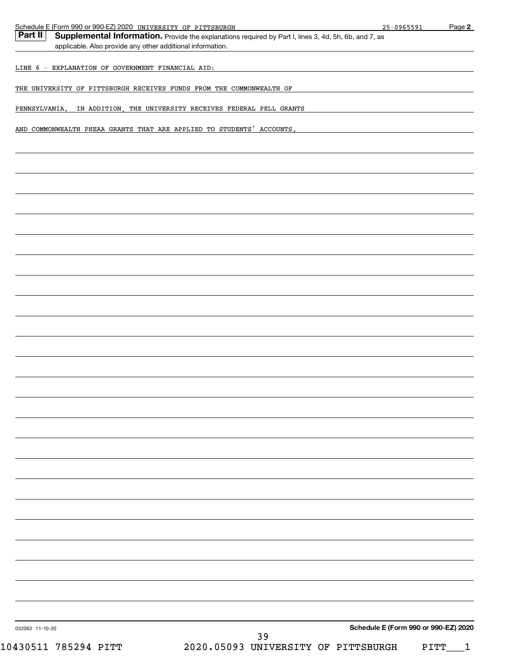| Page 2<br>$25 - 0965591$                                                                              |
|-------------------------------------------------------------------------------------------------------|
| Supplemental Information. Provide the explanations required by Part I, lines 3, 4d, 5h, 6b, and 7, as |
|                                                                                                       |
|                                                                                                       |
|                                                                                                       |
| THE UNIVERSITY OF PITTSBURGH RECEIVES FUNDS FROM THE COMMONWEALTH OF                                  |
| IN ADDITION, THE UNIVERSITY RECEIVES FEDERAL PELL GRANTS                                              |
| AND COMMONWEALTH PHEAA GRANTS THAT ARE APPLIED TO STUDENTS' ACCOUNTS.                                 |
|                                                                                                       |
|                                                                                                       |
|                                                                                                       |
|                                                                                                       |
|                                                                                                       |
|                                                                                                       |
|                                                                                                       |
|                                                                                                       |
|                                                                                                       |
|                                                                                                       |
|                                                                                                       |
|                                                                                                       |
|                                                                                                       |
|                                                                                                       |
|                                                                                                       |
|                                                                                                       |
|                                                                                                       |
|                                                                                                       |
|                                                                                                       |
|                                                                                                       |
|                                                                                                       |
|                                                                                                       |
|                                                                                                       |
|                                                                                                       |
|                                                                                                       |
|                                                                                                       |
|                                                                                                       |
|                                                                                                       |
|                                                                                                       |
|                                                                                                       |
|                                                                                                       |
|                                                                                                       |
|                                                                                                       |
|                                                                                                       |
|                                                                                                       |
| Schedule E (Form 990 or 990-EZ) 2020                                                                  |
| 2020.05093 UNIVERSITY OF PITTSBURGH                                                                   |
|                                                                                                       |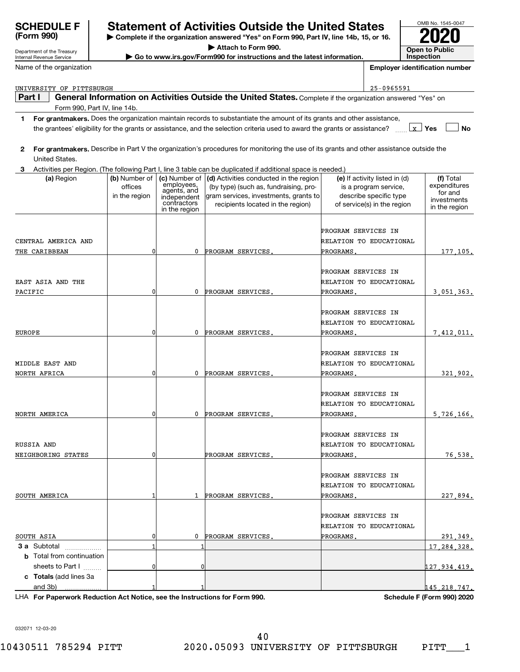| <b>SCHEDULE F</b><br>(Form 990)         | <b>Statement of Activities Outside the United States</b><br>Complete if the organization answered "Yes" on Form 990, Part IV, line 14b, 15, or 16. |                             |                                                                                                                                                                                                                                                        |                     |                                                        | OMB No. 1545-0047                     |  |
|-----------------------------------------|----------------------------------------------------------------------------------------------------------------------------------------------------|-----------------------------|--------------------------------------------------------------------------------------------------------------------------------------------------------------------------------------------------------------------------------------------------------|---------------------|--------------------------------------------------------|---------------------------------------|--|
| Department of the Treasury              |                                                                                                                                                    |                             | Attach to Form 990.                                                                                                                                                                                                                                    |                     |                                                        | <b>Open to Public</b>                 |  |
| Internal Revenue Service                | Go to www.irs.gov/Form990 for instructions and the latest information.                                                                             |                             |                                                                                                                                                                                                                                                        |                     |                                                        | Inspection                            |  |
| Name of the organization                |                                                                                                                                                    |                             |                                                                                                                                                                                                                                                        |                     |                                                        | <b>Employer identification number</b> |  |
| UNIVERSITY OF PITTSBURGH                |                                                                                                                                                    |                             |                                                                                                                                                                                                                                                        |                     | 25-0965591                                             |                                       |  |
| Part I                                  |                                                                                                                                                    |                             | General Information on Activities Outside the United States. Complete if the organization answered "Yes" on                                                                                                                                            |                     |                                                        |                                       |  |
| Form 990, Part IV, line 14b.            |                                                                                                                                                    |                             |                                                                                                                                                                                                                                                        |                     |                                                        |                                       |  |
|                                         |                                                                                                                                                    |                             | 1 For grantmakers. Does the organization maintain records to substantiate the amount of its grants and other assistance,<br>the grantees' eligibility for the grants or assistance, and the selection criteria used to award the grants or assistance? |                     |                                                        | $\lfloor x \rfloor$ Yes<br>No         |  |
| $\mathbf{2}^{\prime}$<br>United States. |                                                                                                                                                    |                             | For grantmakers. Describe in Part V the organization's procedures for monitoring the use of its grants and other assistance outside the                                                                                                                |                     |                                                        |                                       |  |
| З.                                      |                                                                                                                                                    |                             | Activities per Region. (The following Part I, line 3 table can be duplicated if additional space is needed.)                                                                                                                                           |                     |                                                        |                                       |  |
| (a) Region                              | (b) Number of<br>offices                                                                                                                           | (c) Number of<br>employees, | (d) Activities conducted in the region<br>(by type) (such as, fundraising, pro-                                                                                                                                                                        |                     | (e) If activity listed in (d)<br>is a program service, | (f) Total<br>expenditures             |  |
|                                         | in the region                                                                                                                                      | agents, and<br>independent  | gram services, investments, grants to                                                                                                                                                                                                                  |                     | describe specific type                                 | for and                               |  |
|                                         |                                                                                                                                                    | contractors                 | recipients located in the region)                                                                                                                                                                                                                      |                     | of service(s) in the region                            | investments<br>in the region          |  |
|                                         |                                                                                                                                                    | in the region               |                                                                                                                                                                                                                                                        |                     |                                                        |                                       |  |
|                                         |                                                                                                                                                    |                             |                                                                                                                                                                                                                                                        |                     |                                                        |                                       |  |
| CENTRAL AMERICA AND                     |                                                                                                                                                    |                             |                                                                                                                                                                                                                                                        | PROGRAM SERVICES IN | RELATION TO EDUCATIONAL                                |                                       |  |
|                                         | $\mathbf 0$                                                                                                                                        | 0                           |                                                                                                                                                                                                                                                        | PROGRAMS.           |                                                        |                                       |  |
| THE CARIBBEAN                           |                                                                                                                                                    |                             | PROGRAM SERVICES.                                                                                                                                                                                                                                      |                     |                                                        | 177, 105.                             |  |
|                                         |                                                                                                                                                    |                             |                                                                                                                                                                                                                                                        | PROGRAM SERVICES IN |                                                        |                                       |  |
| EAST ASIA AND THE                       |                                                                                                                                                    |                             |                                                                                                                                                                                                                                                        |                     | RELATION TO EDUCATIONAL                                |                                       |  |
| PACIFIC                                 | $\mathbf 0$                                                                                                                                        | 0                           | PROGRAM SERVICES.                                                                                                                                                                                                                                      | PROGRAMS.           |                                                        | 3 051 363.                            |  |
|                                         |                                                                                                                                                    |                             |                                                                                                                                                                                                                                                        |                     |                                                        |                                       |  |
|                                         |                                                                                                                                                    |                             |                                                                                                                                                                                                                                                        | PROGRAM SERVICES IN |                                                        |                                       |  |
|                                         |                                                                                                                                                    |                             |                                                                                                                                                                                                                                                        |                     | RELATION TO EDUCATIONAL                                |                                       |  |
| <b>EUROPE</b>                           | $\mathbf 0$                                                                                                                                        | 0                           | PROGRAM SERVICES.                                                                                                                                                                                                                                      | PROGRAMS.           |                                                        | 7,412,011.                            |  |
|                                         |                                                                                                                                                    |                             |                                                                                                                                                                                                                                                        |                     |                                                        |                                       |  |
|                                         |                                                                                                                                                    |                             |                                                                                                                                                                                                                                                        | PROGRAM SERVICES IN |                                                        |                                       |  |
| MIDDLE EAST AND                         |                                                                                                                                                    |                             |                                                                                                                                                                                                                                                        |                     | RELATION TO EDUCATIONAL                                |                                       |  |
| NORTH AFRICA                            | $\mathbf 0$                                                                                                                                        | 0                           | PROGRAM SERVICES.                                                                                                                                                                                                                                      | PROGRAMS.           |                                                        | 321,902.                              |  |
|                                         |                                                                                                                                                    |                             |                                                                                                                                                                                                                                                        |                     |                                                        |                                       |  |
|                                         |                                                                                                                                                    |                             |                                                                                                                                                                                                                                                        | PROGRAM SERVICES IN |                                                        |                                       |  |
|                                         |                                                                                                                                                    |                             |                                                                                                                                                                                                                                                        |                     | RELATION TO EDUCATIONAL                                |                                       |  |
| NORTH AMERICA                           | $\mathbf{0}$                                                                                                                                       |                             | 0 PROGRAM SERVICES.                                                                                                                                                                                                                                    | PROGRAMS.           |                                                        | 5,726,166.                            |  |
|                                         |                                                                                                                                                    |                             |                                                                                                                                                                                                                                                        |                     |                                                        |                                       |  |
|                                         |                                                                                                                                                    |                             |                                                                                                                                                                                                                                                        | PROGRAM SERVICES IN |                                                        |                                       |  |
| RUSSIA AND                              |                                                                                                                                                    |                             |                                                                                                                                                                                                                                                        |                     | RELATION TO EDUCATIONAL                                |                                       |  |
| NEIGHBORING STATES                      | 0                                                                                                                                                  |                             | PROGRAM SERVICES.                                                                                                                                                                                                                                      | PROGRAMS.           |                                                        | 76, 538.                              |  |
|                                         |                                                                                                                                                    |                             |                                                                                                                                                                                                                                                        |                     |                                                        |                                       |  |
|                                         |                                                                                                                                                    |                             |                                                                                                                                                                                                                                                        | PROGRAM SERVICES IN |                                                        |                                       |  |
|                                         |                                                                                                                                                    |                             |                                                                                                                                                                                                                                                        |                     | RELATION TO EDUCATIONAL                                |                                       |  |
| SOUTH AMERICA                           |                                                                                                                                                    | 1                           | PROGRAM SERVICES.                                                                                                                                                                                                                                      | PROGRAMS.           |                                                        | 227,894.                              |  |
|                                         |                                                                                                                                                    |                             |                                                                                                                                                                                                                                                        |                     |                                                        |                                       |  |
|                                         |                                                                                                                                                    |                             |                                                                                                                                                                                                                                                        | PROGRAM SERVICES IN |                                                        |                                       |  |
|                                         |                                                                                                                                                    |                             |                                                                                                                                                                                                                                                        |                     | RELATION TO EDUCATIONAL                                |                                       |  |
| SOUTH ASIA                              | 0                                                                                                                                                  | 0                           | PROGRAM SERVICES.                                                                                                                                                                                                                                      | PROGRAMS.           |                                                        | 291, 349.                             |  |
| 3 a Subtotal                            |                                                                                                                                                    |                             |                                                                                                                                                                                                                                                        |                     |                                                        | 17, 284, 328.                         |  |
| <b>b</b> Total from continuation        |                                                                                                                                                    |                             |                                                                                                                                                                                                                                                        |                     |                                                        |                                       |  |
| sheets to Part I                        | 0                                                                                                                                                  |                             |                                                                                                                                                                                                                                                        |                     |                                                        | 127 934 419.                          |  |
| c Totals (add lines 3a                  |                                                                                                                                                    |                             |                                                                                                                                                                                                                                                        |                     |                                                        |                                       |  |
| and 3b)                                 |                                                                                                                                                    |                             |                                                                                                                                                                                                                                                        |                     |                                                        | 145.218.747.                          |  |

**For Paperwork Reduction Act Notice, see the Instructions for Form 990. Schedule F (Form 990) 2020** LHA

032071 12-03-20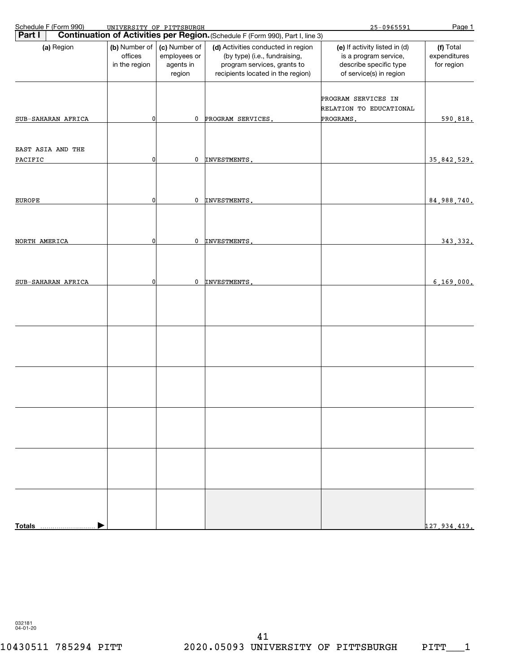| Schedule F (Form 990)        | UNIVERSITY OF PITTSBURGH                  |                                                      |                                                                                                                                         | $25 - 0965591$                                                                                              | Page 1                                  |
|------------------------------|-------------------------------------------|------------------------------------------------------|-----------------------------------------------------------------------------------------------------------------------------------------|-------------------------------------------------------------------------------------------------------------|-----------------------------------------|
| Part I                       |                                           |                                                      | Continuation of Activities per Region. (Schedule F (Form 990), Part I, line 3)                                                          |                                                                                                             |                                         |
| (a) Region                   | (b) Number of<br>offices<br>in the region | (c) Number of<br>employees or<br>agents in<br>region | (d) Activities conducted in region<br>(by type) (i.e., fundraising,<br>program services, grants to<br>recipients located in the region) | (e) If activity listed in (d)<br>is a program service,<br>describe specific type<br>of service(s) in region | (f) Total<br>expenditures<br>for region |
| SUB-SAHARAN AFRICA           | 0                                         | 0                                                    | PROGRAM SERVICES.                                                                                                                       | PROGRAM SERVICES IN<br>RELATION TO EDUCATIONAL<br>PROGRAMS.                                                 | 590,818.                                |
| EAST ASIA AND THE<br>PACIFIC | 0                                         | 0                                                    | INVESTMENTS.                                                                                                                            |                                                                                                             | 35,842,529.                             |
|                              |                                           |                                                      |                                                                                                                                         |                                                                                                             |                                         |
| <b>EUROPE</b>                | 0                                         | 0                                                    | INVESTMENTS.                                                                                                                            |                                                                                                             | 84,988,740.                             |
| NORTH AMERICA                | 0                                         | 0                                                    | INVESTMENTS.                                                                                                                            |                                                                                                             | 343, 332.                               |
| SUB-SAHARAN AFRICA           | 0                                         | 0                                                    | INVESTMENTS.                                                                                                                            |                                                                                                             | 6, 169, 000.                            |
|                              |                                           |                                                      |                                                                                                                                         |                                                                                                             |                                         |
|                              |                                           |                                                      |                                                                                                                                         |                                                                                                             |                                         |
|                              |                                           |                                                      |                                                                                                                                         |                                                                                                             |                                         |
|                              |                                           |                                                      |                                                                                                                                         |                                                                                                             |                                         |
|                              |                                           |                                                      |                                                                                                                                         |                                                                                                             |                                         |
|                              |                                           |                                                      |                                                                                                                                         |                                                                                                             |                                         |
| <b>Totals</b>                |                                           |                                                      |                                                                                                                                         |                                                                                                             | 127 934 419.                            |

032181 04-01-20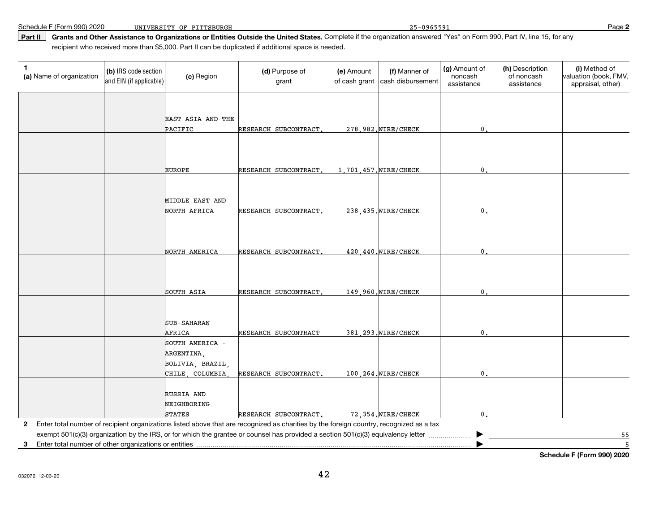Schedule F (Form 990) 2020

**Part II Grants and Other Assistance to Organizations or Entities Outside the United States.** Complete if the organization answered "Yes" on Form 990, Part IV, line 15, for anyrecipient who received more than \$5,000. Part II can be duplicated if additional space is needed.

| (a) Name of organization | (b) IRS code section<br>and EIN (if applicable) | (c) Region                         | (d) Purpose of<br>grant                                                                                                                   | (e) Amount<br>of cash grant | (f) Manner of<br>cash disbursement | (g) Amount of<br>noncash<br>assistance | (h) Description<br>of noncash<br>assistance | (i) Method of<br>valuation (book, FMV,<br>appraisal, other) |
|--------------------------|-------------------------------------------------|------------------------------------|-------------------------------------------------------------------------------------------------------------------------------------------|-----------------------------|------------------------------------|----------------------------------------|---------------------------------------------|-------------------------------------------------------------|
|                          |                                                 |                                    |                                                                                                                                           |                             |                                    |                                        |                                             |                                                             |
|                          |                                                 | EAST ASIA AND THE                  |                                                                                                                                           |                             |                                    |                                        |                                             |                                                             |
|                          |                                                 | PACIFIC                            | RESEARCH SUBCONTRACT.                                                                                                                     |                             | 278,982. WIRE/CHECK                | 0                                      |                                             |                                                             |
|                          |                                                 |                                    |                                                                                                                                           |                             |                                    |                                        |                                             |                                                             |
|                          |                                                 |                                    |                                                                                                                                           |                             |                                    |                                        |                                             |                                                             |
|                          |                                                 | <b>EUROPE</b>                      | RESEARCH SUBCONTRACT.                                                                                                                     |                             | 1,701,457. WIRE/CHECK              | $\mathbf 0$                            |                                             |                                                             |
|                          |                                                 |                                    |                                                                                                                                           |                             |                                    |                                        |                                             |                                                             |
|                          |                                                 |                                    |                                                                                                                                           |                             |                                    |                                        |                                             |                                                             |
|                          |                                                 | MIDDLE EAST AND<br>NORTH AFRICA    | RESEARCH SUBCONTRACT.                                                                                                                     |                             | 238, 435. WIRE/CHECK               | 0                                      |                                             |                                                             |
|                          |                                                 |                                    |                                                                                                                                           |                             |                                    |                                        |                                             |                                                             |
|                          |                                                 |                                    |                                                                                                                                           |                             |                                    |                                        |                                             |                                                             |
|                          |                                                 |                                    |                                                                                                                                           |                             |                                    |                                        |                                             |                                                             |
|                          |                                                 | NORTH AMERICA                      | RESEARCH SUBCONTRACT.                                                                                                                     |                             | 420,440. WIRE/CHECK                | 0                                      |                                             |                                                             |
|                          |                                                 |                                    |                                                                                                                                           |                             |                                    |                                        |                                             |                                                             |
|                          |                                                 |                                    |                                                                                                                                           |                             |                                    |                                        |                                             |                                                             |
|                          |                                                 | SOUTH ASIA                         | RESEARCH SUBCONTRACT.                                                                                                                     |                             | 149,960.WIRE/CHECK                 | 0                                      |                                             |                                                             |
|                          |                                                 |                                    |                                                                                                                                           |                             |                                    |                                        |                                             |                                                             |
|                          |                                                 | <b>SUB-SAHARAN</b>                 |                                                                                                                                           |                             |                                    |                                        |                                             |                                                             |
|                          |                                                 | <b>AFRICA</b>                      | RESEARCH SUBCONTRACT                                                                                                                      |                             | 381, 293. WIRE/CHECK               | 0                                      |                                             |                                                             |
|                          |                                                 | SOUTH AMERICA -                    |                                                                                                                                           |                             |                                    |                                        |                                             |                                                             |
|                          |                                                 | ARGENTINA,                         |                                                                                                                                           |                             |                                    |                                        |                                             |                                                             |
|                          |                                                 | BOLIVIA, BRAZIL,<br>CHILE COLUMBIA | RESEARCH SUBCONTRACT,                                                                                                                     |                             |                                    |                                        |                                             |                                                             |
|                          |                                                 |                                    |                                                                                                                                           |                             | 100.264. WIRE/CHECK                | $\mathbf{0}$                           |                                             |                                                             |
|                          |                                                 | RUSSIA AND                         |                                                                                                                                           |                             |                                    |                                        |                                             |                                                             |
|                          |                                                 | NEIGHBORING                        |                                                                                                                                           |                             |                                    |                                        |                                             |                                                             |
|                          |                                                 | <b>STATES</b>                      | RESEARCH SUBCONTRACT.                                                                                                                     |                             | 72.354. WIRE/CHECK                 | 0                                      |                                             |                                                             |
|                          |                                                 |                                    | 2 Enter total number of recipient organizations listed above that are recognized as charities by the foreign country, recognized as a tax |                             |                                    |                                        |                                             |                                                             |
|                          |                                                 |                                    | exempt 501(c)(3) organization by the IRS, or for which the grantee or counsel has provided a section 501(c)(3) equivalency letter         |                             |                                    | ▸                                      |                                             | 55                                                          |

**3**Enter total number of other organizations or entities

**Schedule F (Form 990) 2020**

5

 $\overline{\phantom{a}}$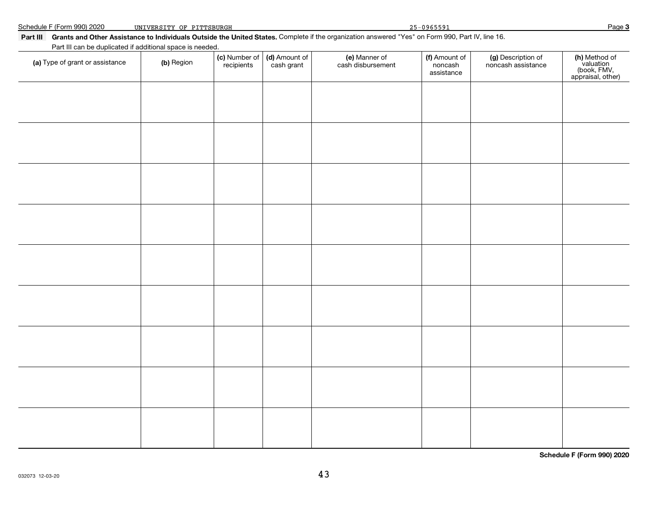| Part III can be duplicated if additional space is needed. |            |                             |                             |                                    |                                        |                                          |                                                                |  |  |  |
|-----------------------------------------------------------|------------|-----------------------------|-----------------------------|------------------------------------|----------------------------------------|------------------------------------------|----------------------------------------------------------------|--|--|--|
| (a) Type of grant or assistance                           | (b) Region | (c) Number of<br>recipients | (d) Amount of<br>cash grant | (e) Manner of<br>cash disbursement | (f) Amount of<br>noncash<br>assistance | (g) Description of<br>noncash assistance | (h) Method of<br>valuation<br>(book, FMV,<br>appraisal, other) |  |  |  |
|                                                           |            |                             |                             |                                    |                                        |                                          |                                                                |  |  |  |
|                                                           |            |                             |                             |                                    |                                        |                                          |                                                                |  |  |  |
|                                                           |            |                             |                             |                                    |                                        |                                          |                                                                |  |  |  |
|                                                           |            |                             |                             |                                    |                                        |                                          |                                                                |  |  |  |
|                                                           |            |                             |                             |                                    |                                        |                                          |                                                                |  |  |  |
|                                                           |            |                             |                             |                                    |                                        |                                          |                                                                |  |  |  |
|                                                           |            |                             |                             |                                    |                                        |                                          |                                                                |  |  |  |
|                                                           |            |                             |                             |                                    |                                        |                                          |                                                                |  |  |  |
|                                                           |            |                             |                             |                                    |                                        |                                          |                                                                |  |  |  |
|                                                           |            |                             |                             |                                    |                                        |                                          |                                                                |  |  |  |
|                                                           |            |                             |                             |                                    |                                        |                                          |                                                                |  |  |  |
|                                                           |            |                             |                             |                                    |                                        |                                          |                                                                |  |  |  |
|                                                           |            |                             |                             |                                    |                                        |                                          |                                                                |  |  |  |
|                                                           |            |                             |                             |                                    |                                        |                                          |                                                                |  |  |  |

Page UNIVERSITY OF PITTSBURGH 25-0965591

**Part III Grants and Other Assistance to Individuals Outside the United States.** Complete if the organization answered "Yes" on Form 990, Part IV, line 16.

**Schedule F (Form 990) 2020**

**Page 3**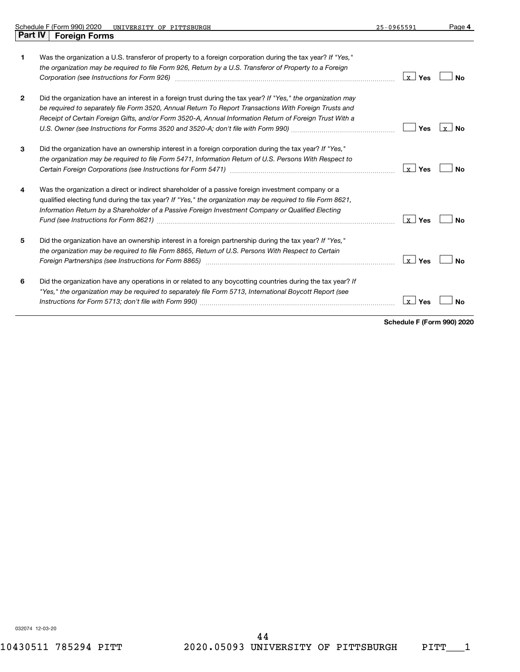|                | Schedule F (Form 990) 2020<br>UNIVERSITY OF PITTSBURGH                                                                                                                                                                                                                                                                                                                                                                 | 25-0965591              | Page 4           |
|----------------|------------------------------------------------------------------------------------------------------------------------------------------------------------------------------------------------------------------------------------------------------------------------------------------------------------------------------------------------------------------------------------------------------------------------|-------------------------|------------------|
| <b>Part IV</b> | <b>Foreign Forms</b>                                                                                                                                                                                                                                                                                                                                                                                                   |                         |                  |
| 1              | Was the organization a U.S. transferor of property to a foreign corporation during the tax year? If "Yes."<br>the organization may be required to file Form 926, Return by a U.S. Transferor of Property to a Foreign                                                                                                                                                                                                  | Yes<br>lx I             | N٥               |
| $\mathbf{2}$   | Did the organization have an interest in a foreign trust during the tax year? If "Yes," the organization may<br>be required to separately file Form 3520, Annual Return To Report Transactions With Foreign Trusts and<br>Receipt of Certain Foreign Gifts, and/or Form 3520-A, Annual Information Return of Foreign Trust With a<br>U.S. Owner (see Instructions for Forms 3520 and 3520-A; don't file with Form 990) | Yes                     | v l<br><b>No</b> |
| 3              | Did the organization have an ownership interest in a foreign corporation during the tax year? If "Yes,"<br>the organization may be required to file Form 5471, Information Return of U.S. Persons With Respect to                                                                                                                                                                                                      | $\lfloor x \rfloor$ Yes | Nο               |
|                | Was the organization a direct or indirect shareholder of a passive foreign investment company or a<br>qualified electing fund during the tax year? If "Yes," the organization may be required to file Form 8621,<br>Information Return by a Shareholder of a Passive Foreign Investment Company or Qualified Electing                                                                                                  | ⊥x⊥ Yes                 | <b>No</b>        |
| 5              | Did the organization have an ownership interest in a foreign partnership during the tax year? If "Yes,"<br>the organization may be required to file Form 8865, Return of U.S. Persons With Respect to Certain                                                                                                                                                                                                          | $x$ Yes                 | <b>No</b>        |
| 6              | Did the organization have any operations in or related to any boycotting countries during the tax year? If<br>"Yes," the organization may be required to separately file Form 5713, International Boycott Report (see                                                                                                                                                                                                  | $\lfloor x \rfloor$ Yes | <b>No</b>        |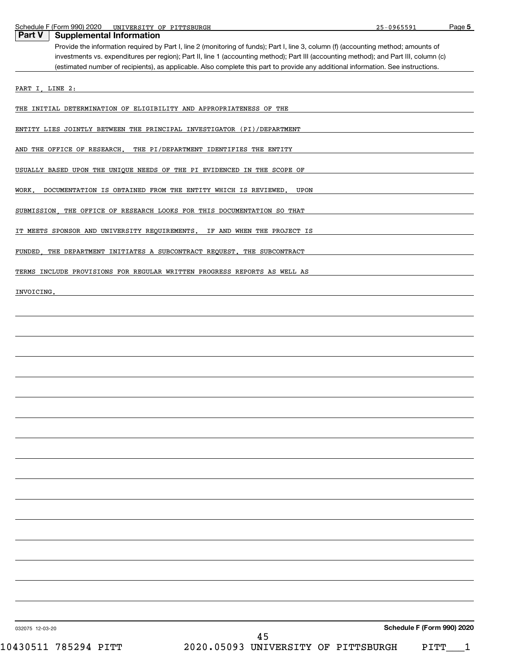| Schedule | Form 990)<br>$\overline{\phantom{0}}$ | ., 2020<br>UNIVERSITY | ΟF<br>PITTSBURGH | $-0.96559$<br>っに<br>リソりつつソー<br>. . | Page |
|----------|---------------------------------------|-----------------------|------------------|------------------------------------|------|
|          |                                       |                       |                  |                                    |      |

| Part V<br><b>Supplemental Information</b>                                                                                                                                                                                                                                  |
|----------------------------------------------------------------------------------------------------------------------------------------------------------------------------------------------------------------------------------------------------------------------------|
| Provide the information required by Part I, line 2 (monitoring of funds); Part I, line 3, column (f) (accounting method; amounts of                                                                                                                                        |
| investments vs. expenditures per region); Part II, line 1 (accounting method); Part III (accounting method); and Part III, column (c)<br>(estimated number of recipients), as applicable. Also complete this part to provide any additional information. See instructions. |
|                                                                                                                                                                                                                                                                            |
| PART I, LINE 2:                                                                                                                                                                                                                                                            |
| THE INITIAL DETERMINATION OF ELIGIBILITY AND APPROPRIATENESS OF THE                                                                                                                                                                                                        |
| ENTITY LIES JOINTLY BETWEEN THE PRINCIPAL INVESTIGATOR (PI)/DEPARTMENT                                                                                                                                                                                                     |
| AND THE OFFICE OF RESEARCH.<br>THE PI/DEPARTMENT IDENTIFIES THE ENTITY                                                                                                                                                                                                     |
| USUALLY BASED UPON THE UNIQUE NEEDS OF THE PI EVIDENCED IN THE SCOPE OF                                                                                                                                                                                                    |
| WORK,<br>DOCUMENTATION IS OBTAINED FROM THE ENTITY WHICH IS REVIEWED.<br>UPON                                                                                                                                                                                              |
| SUBMISSION, THE OFFICE OF RESEARCH LOOKS FOR THIS DOCUMENTATION SO THAT                                                                                                                                                                                                    |
| IT MEETS SPONSOR AND UNIVERSITY REQUIREMENTS. IF AND WHEN THE PROJECT IS                                                                                                                                                                                                   |
| THE DEPARTMENT INITIATES A SUBCONTRACT REQUEST. THE SUBCONTRACT<br>FUNDED                                                                                                                                                                                                  |
| TERMS INCLUDE PROVISIONS FOR REGULAR WRITTEN PROGRESS REPORTS AS WELL AS                                                                                                                                                                                                   |
| INVOICING.                                                                                                                                                                                                                                                                 |
|                                                                                                                                                                                                                                                                            |
|                                                                                                                                                                                                                                                                            |
|                                                                                                                                                                                                                                                                            |
|                                                                                                                                                                                                                                                                            |
|                                                                                                                                                                                                                                                                            |
|                                                                                                                                                                                                                                                                            |
|                                                                                                                                                                                                                                                                            |
|                                                                                                                                                                                                                                                                            |
|                                                                                                                                                                                                                                                                            |
|                                                                                                                                                                                                                                                                            |
|                                                                                                                                                                                                                                                                            |
|                                                                                                                                                                                                                                                                            |
|                                                                                                                                                                                                                                                                            |
|                                                                                                                                                                                                                                                                            |
|                                                                                                                                                                                                                                                                            |
|                                                                                                                                                                                                                                                                            |
| Schedule F (Form 990) 2020<br>032075 12-03-20                                                                                                                                                                                                                              |

**Page 5**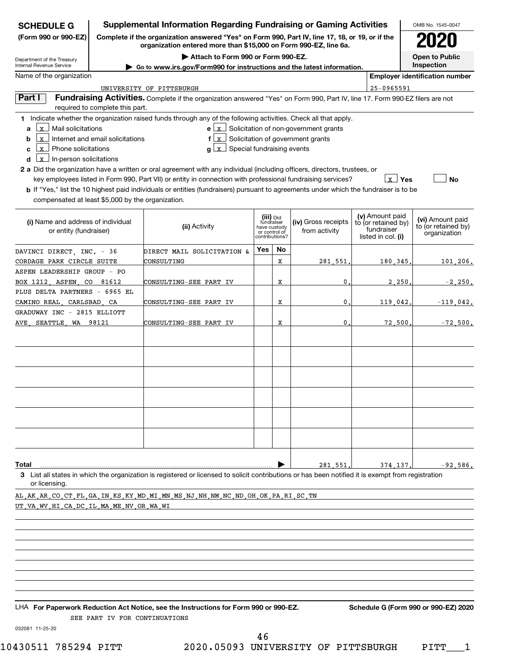| <b>SCHEDULE G</b>                                                                                                                                 |                                                                                                                                                                     | <b>Supplemental Information Regarding Fundraising or Gaming Activities</b>                                                                                                                                                                                                                                                                                                                                                                                                                                                                                                     |                                                                            |    |                                                                                       |  |                                                                            | OMB No. 1545-0047                                       |  |
|---------------------------------------------------------------------------------------------------------------------------------------------------|---------------------------------------------------------------------------------------------------------------------------------------------------------------------|--------------------------------------------------------------------------------------------------------------------------------------------------------------------------------------------------------------------------------------------------------------------------------------------------------------------------------------------------------------------------------------------------------------------------------------------------------------------------------------------------------------------------------------------------------------------------------|----------------------------------------------------------------------------|----|---------------------------------------------------------------------------------------|--|----------------------------------------------------------------------------|---------------------------------------------------------|--|
| (Form 990 or 990-EZ)                                                                                                                              | Complete if the organization answered "Yes" on Form 990, Part IV, line 17, 18, or 19, or if the<br>organization entered more than \$15,000 on Form 990-EZ, line 6a. |                                                                                                                                                                                                                                                                                                                                                                                                                                                                                                                                                                                |                                                                            |    |                                                                                       |  |                                                                            |                                                         |  |
| Department of the Treasury<br>Internal Revenue Service                                                                                            |                                                                                                                                                                     |                                                                                                                                                                                                                                                                                                                                                                                                                                                                                                                                                                                | <b>Open to Public</b><br>Inspection                                        |    |                                                                                       |  |                                                                            |                                                         |  |
| Name of the organization                                                                                                                          | Go to www.irs.gov/Form990 for instructions and the latest information.<br><b>Employer identification number</b>                                                     |                                                                                                                                                                                                                                                                                                                                                                                                                                                                                                                                                                                |                                                                            |    |                                                                                       |  |                                                                            |                                                         |  |
|                                                                                                                                                   |                                                                                                                                                                     | UNIVERSITY OF PITTSBURGH                                                                                                                                                                                                                                                                                                                                                                                                                                                                                                                                                       |                                                                            |    |                                                                                       |  | 25-0965591                                                                 |                                                         |  |
| Part I                                                                                                                                            | required to complete this part.                                                                                                                                     | Fundraising Activities. Complete if the organization answered "Yes" on Form 990, Part IV, line 17. Form 990-EZ filers are not                                                                                                                                                                                                                                                                                                                                                                                                                                                  |                                                                            |    |                                                                                       |  |                                                                            |                                                         |  |
| $\mathbf{x}$<br>Mail solicitations<br>a<br>$\mathbf{x}$<br>b<br>Phone solicitations<br>$\mathbf{x}$<br>с<br>In-person solicitations<br>l x l<br>d | Internet and email solicitations                                                                                                                                    | 1 Indicate whether the organization raised funds through any of the following activities. Check all that apply.<br>$\mathbf{x}$<br>f<br>Special fundraising events<br>$q \perp x$<br>2 a Did the organization have a written or oral agreement with any individual (including officers, directors, trustees, or<br>key employees listed in Form 990, Part VII) or entity in connection with professional fundraising services?<br><b>b</b> If "Yes," list the 10 highest paid individuals or entities (fundraisers) pursuant to agreements under which the fundraiser is to be |                                                                            |    | $e \mid x$ Solicitation of non-government grants<br>Solicitation of government grants |  | ∑ Yes                                                                      | <b>No</b>                                               |  |
| compensated at least \$5,000 by the organization.                                                                                                 |                                                                                                                                                                     |                                                                                                                                                                                                                                                                                                                                                                                                                                                                                                                                                                                |                                                                            |    |                                                                                       |  |                                                                            |                                                         |  |
| (i) Name and address of individual<br>or entity (fundraiser)                                                                                      |                                                                                                                                                                     | (ii) Activity                                                                                                                                                                                                                                                                                                                                                                                                                                                                                                                                                                  | (iii) Did<br>fundraiser<br>have custody<br>or control of<br>contributions? |    | (iv) Gross receipts<br>from activity                                                  |  | (v) Amount paid<br>to (or retained by)<br>fundraiser<br>listed in col. (i) | (vi) Amount paid<br>to (or retained by)<br>organization |  |
| DAVINCI DIRECT. INC. - 36                                                                                                                         |                                                                                                                                                                     | DIRECT MAIL SOLICITATION &                                                                                                                                                                                                                                                                                                                                                                                                                                                                                                                                                     | Yes                                                                        | No |                                                                                       |  |                                                                            |                                                         |  |
| CORDAGE PARK CIRCLE SUITE                                                                                                                         |                                                                                                                                                                     | CONSULTING                                                                                                                                                                                                                                                                                                                                                                                                                                                                                                                                                                     |                                                                            | x  | 281,551                                                                               |  | 180,345                                                                    | 101,206.                                                |  |
| ASPEN LEADERSHIP GROUP - PO                                                                                                                       |                                                                                                                                                                     |                                                                                                                                                                                                                                                                                                                                                                                                                                                                                                                                                                                |                                                                            |    |                                                                                       |  |                                                                            |                                                         |  |
| BOX 1212, ASPEN, CO 81612                                                                                                                         |                                                                                                                                                                     | CONSULTING-SEE PART IV                                                                                                                                                                                                                                                                                                                                                                                                                                                                                                                                                         |                                                                            | X  | 0                                                                                     |  | 2,250                                                                      | $-2,250.$                                               |  |
| PLUS DELTA PARTNERS - 6965 EL                                                                                                                     |                                                                                                                                                                     |                                                                                                                                                                                                                                                                                                                                                                                                                                                                                                                                                                                |                                                                            |    |                                                                                       |  |                                                                            |                                                         |  |
| CAMINO REAL CARLSBAD CA                                                                                                                           |                                                                                                                                                                     | CONSULTING-SEE PART IV                                                                                                                                                                                                                                                                                                                                                                                                                                                                                                                                                         |                                                                            | Χ  | $\mathbf{0}$                                                                          |  | 119,042                                                                    | $-119,042$ .                                            |  |
| GRADUWAY INC - 2815 ELLIOTT                                                                                                                       |                                                                                                                                                                     |                                                                                                                                                                                                                                                                                                                                                                                                                                                                                                                                                                                |                                                                            |    |                                                                                       |  |                                                                            |                                                         |  |
| SEATTLE WA 98121<br>AVE.                                                                                                                          |                                                                                                                                                                     | CONSULTING-SEE PART IV                                                                                                                                                                                                                                                                                                                                                                                                                                                                                                                                                         |                                                                            | Χ  | $\mathbf 0$ .                                                                         |  | 72,500,                                                                    | $-72,500.$                                              |  |
|                                                                                                                                                   |                                                                                                                                                                     |                                                                                                                                                                                                                                                                                                                                                                                                                                                                                                                                                                                |                                                                            |    |                                                                                       |  |                                                                            |                                                         |  |
| Total<br>or licensing.                                                                                                                            |                                                                                                                                                                     | 3 List all states in which the organization is registered or licensed to solicit contributions or has been notified it is exempt from registration<br>AL, AK, AR, CO, CT, FL, GA, IN, KS, KY, MD, MI, MN, MS, NJ, NH, NM, NC, ND, OH, OK, PA, RI, SC, TN                                                                                                                                                                                                                                                                                                                       |                                                                            |    | 281.551.                                                                              |  | 374.137.                                                                   | $-92,586.$                                              |  |
| UT,VA,WV,HI,CA,DC,IL,MA,ME,NV,OR,WA,WI                                                                                                            |                                                                                                                                                                     |                                                                                                                                                                                                                                                                                                                                                                                                                                                                                                                                                                                |                                                                            |    |                                                                                       |  |                                                                            |                                                         |  |

SEE PART IV FOR CONTINUATIONS

032081 11-25-20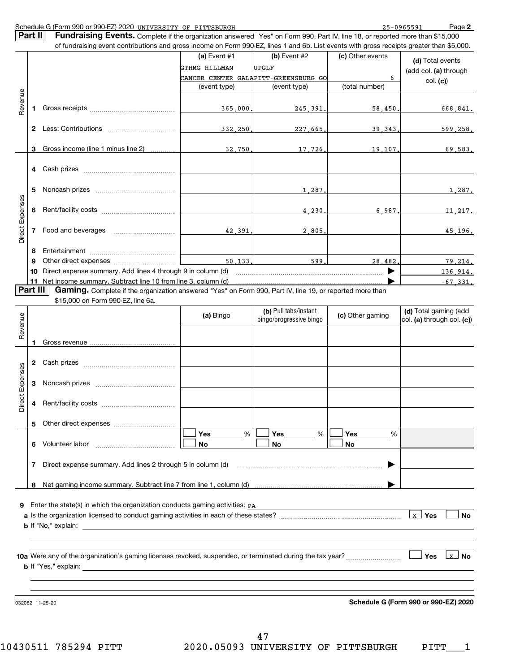| Schedule G (Form 990 or 990-EZ) 2020 | J UNIVERSITY<br>OF | PITTSBURGH | 7-0965591 | Page |
|--------------------------------------|--------------------|------------|-----------|------|
|                                      |                    |            |           |      |

**2**

|                 | Part II        | <b>Fundraising Events.</b> Complete if the organization answered "Yes" on Form 990, Part IV, line 18, or reported more than \$15,000      |                                 |                                                                        |                       |                                                       |
|-----------------|----------------|-------------------------------------------------------------------------------------------------------------------------------------------|---------------------------------|------------------------------------------------------------------------|-----------------------|-------------------------------------------------------|
|                 |                | of fundraising event contributions and gross income on Form 990-EZ, lines 1 and 6b. List events with gross receipts greater than \$5,000. | (a) Event $#1$<br>GTHMG HILLMAN | $(b)$ Event #2<br><b>UPGLF</b><br>CANCER CENTER GALAPITT-GREENSBURG GO | (c) Other events<br>6 | (d) Total events<br>(add col. (a) through<br>col. (c) |
|                 |                |                                                                                                                                           | (event type)                    | (event type)                                                           | (total number)        |                                                       |
| Revenue         |                |                                                                                                                                           |                                 |                                                                        |                       |                                                       |
|                 | 1.             |                                                                                                                                           | 365,000                         | 245,391                                                                | 58,450.               | 668,841.                                              |
|                 | $\mathbf{2}^-$ |                                                                                                                                           | <u>332,250</u>                  | 227,665                                                                | 39.343                | 599.258.                                              |
|                 | 3              | Gross income (line 1 minus line 2)                                                                                                        | 32,750                          | 17,726.                                                                | 19 107                | 69.583.                                               |
|                 |                |                                                                                                                                           |                                 |                                                                        |                       |                                                       |
|                 | 5              |                                                                                                                                           |                                 | 1,287                                                                  |                       | 1,287.                                                |
|                 | 6              |                                                                                                                                           |                                 | 4,230,                                                                 | 6,987.                | 11, 217.                                              |
| Direct Expenses | 7              |                                                                                                                                           | 42,391.                         | 2,805.                                                                 |                       | 45,196.                                               |
|                 | 8              |                                                                                                                                           |                                 |                                                                        |                       |                                                       |
|                 | 9              |                                                                                                                                           |                                 | 599                                                                    | 28,482                | 79.214.                                               |
|                 | 10             |                                                                                                                                           |                                 |                                                                        |                       | 136, 914.                                             |
|                 | 11             | Net income summary. Subtract line 10 from line 3, column (d)                                                                              |                                 |                                                                        |                       | $-67, 331.$                                           |
|                 | Part III       | <b>Gaming.</b> Complete if the organization answered "Yes" on Form 990, Part IV, line 19, or reported more than                           |                                 |                                                                        |                       |                                                       |
|                 |                | \$15,000 on Form 990-EZ, line 6a.                                                                                                         |                                 |                                                                        |                       |                                                       |
|                 |                |                                                                                                                                           | (a) Bingo                       | (b) Pull tabs/instant<br>bingo/progressive bingo                       | (c) Other gaming      | (d) Total gaming (add<br>col. (a) through col. (c))   |
| Revenue         |                |                                                                                                                                           |                                 |                                                                        |                       |                                                       |
|                 |                |                                                                                                                                           |                                 |                                                                        |                       |                                                       |
|                 |                |                                                                                                                                           |                                 |                                                                        |                       |                                                       |
|                 |                |                                                                                                                                           |                                 |                                                                        |                       |                                                       |
| Direct Expenses | 3              |                                                                                                                                           |                                 |                                                                        |                       |                                                       |
|                 |                |                                                                                                                                           |                                 |                                                                        |                       |                                                       |
|                 | 5              |                                                                                                                                           |                                 |                                                                        |                       |                                                       |
|                 |                | 6 Volunteer labor                                                                                                                         | Yes<br>%<br>No                  | Yes<br>%<br>No                                                         | Yes<br>%<br>No        |                                                       |
|                 | 7              |                                                                                                                                           |                                 |                                                                        |                       |                                                       |
|                 |                |                                                                                                                                           |                                 |                                                                        |                       |                                                       |
|                 | 8              |                                                                                                                                           |                                 |                                                                        |                       |                                                       |
|                 |                | Enter the state(s) in which the organization conducts gaming activities: PA                                                               |                                 |                                                                        |                       | $\lfloor x \rfloor$ Yes<br>No                         |
|                 |                |                                                                                                                                           |                                 |                                                                        |                       | $\lfloor x \rfloor$ No<br>Yes                         |
|                 |                |                                                                                                                                           |                                 |                                                                        |                       |                                                       |

032082 11-25-20

**Schedule G (Form 990 or 990-EZ) 2020**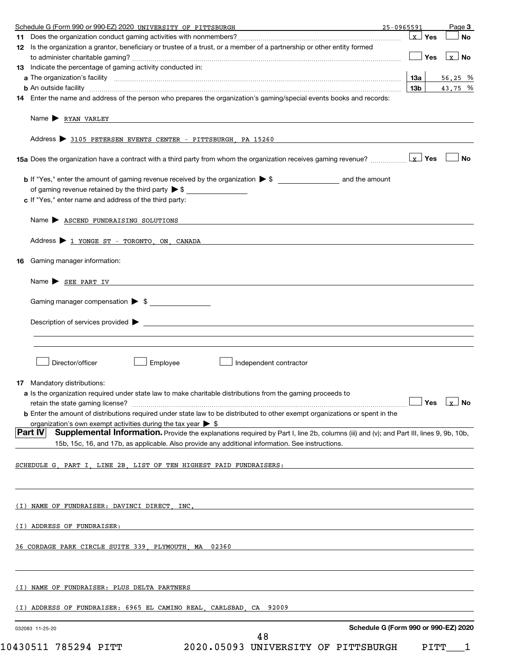|    | Schedule G (Form 990 or 990-EZ) 2020 UNIVERSITY OF PITTSBURGH<br>25-0965591                                                                                                                                                                                                           |     |         | Page 3                            |
|----|---------------------------------------------------------------------------------------------------------------------------------------------------------------------------------------------------------------------------------------------------------------------------------------|-----|---------|-----------------------------------|
|    |                                                                                                                                                                                                                                                                                       |     | ∣x ∣Yes | No                                |
|    | 12 Is the organization a grantor, beneficiary or trustee of a trust, or a member of a partnership or other entity formed                                                                                                                                                              |     |         |                                   |
|    |                                                                                                                                                                                                                                                                                       |     | ∣ Yes   | $x$ No                            |
|    | 13 Indicate the percentage of gaming activity conducted in:                                                                                                                                                                                                                           |     |         |                                   |
|    |                                                                                                                                                                                                                                                                                       | 1За |         | 56.25 %                           |
|    |                                                                                                                                                                                                                                                                                       | 13b |         | 43.75 %                           |
|    | <b>b</b> An outside facility <i>www.communicality www.communicality.communicality www.communicality www.communicality.communicality www.communicality.com</i><br>14 Enter the name and address of the person who prepares the organization's gaming/special events books and records: |     |         |                                   |
|    |                                                                                                                                                                                                                                                                                       |     |         |                                   |
|    |                                                                                                                                                                                                                                                                                       |     |         |                                   |
|    | Name $\triangleright$ RYAN VARLEY                                                                                                                                                                                                                                                     |     |         |                                   |
|    |                                                                                                                                                                                                                                                                                       |     |         |                                   |
|    | Address > 3105 PETERSEN EVENTS CENTER - PITTSBURGH, PA 15260                                                                                                                                                                                                                          |     |         |                                   |
|    |                                                                                                                                                                                                                                                                                       |     |         |                                   |
|    |                                                                                                                                                                                                                                                                                       |     |         | <b>No</b>                         |
|    |                                                                                                                                                                                                                                                                                       |     |         |                                   |
|    |                                                                                                                                                                                                                                                                                       |     |         |                                   |
|    | of gaming revenue retained by the third party $\triangleright$ \$                                                                                                                                                                                                                     |     |         |                                   |
|    | c If "Yes," enter name and address of the third party:                                                                                                                                                                                                                                |     |         |                                   |
|    |                                                                                                                                                                                                                                                                                       |     |         |                                   |
|    | Name > ASCEND FUNDRAISING SOLUTIONS                                                                                                                                                                                                                                                   |     |         |                                   |
|    |                                                                                                                                                                                                                                                                                       |     |         |                                   |
|    | Address > 1 YONGE ST - TORONTO, ON, CANADA                                                                                                                                                                                                                                            |     |         |                                   |
|    |                                                                                                                                                                                                                                                                                       |     |         |                                   |
| 16 | Gaming manager information:                                                                                                                                                                                                                                                           |     |         |                                   |
|    |                                                                                                                                                                                                                                                                                       |     |         |                                   |
|    | Name $\triangleright$ SEE PART IV                                                                                                                                                                                                                                                     |     |         |                                   |
|    |                                                                                                                                                                                                                                                                                       |     |         |                                   |
|    | Gaming manager compensation > \$                                                                                                                                                                                                                                                      |     |         |                                   |
|    |                                                                                                                                                                                                                                                                                       |     |         |                                   |
|    | Description of services provided $\blacktriangleright$                                                                                                                                                                                                                                |     |         |                                   |
|    |                                                                                                                                                                                                                                                                                       |     |         |                                   |
|    |                                                                                                                                                                                                                                                                                       |     |         |                                   |
|    |                                                                                                                                                                                                                                                                                       |     |         |                                   |
|    | Director/officer<br>Employee<br>Independent contractor                                                                                                                                                                                                                                |     |         |                                   |
|    |                                                                                                                                                                                                                                                                                       |     |         |                                   |
|    | <b>17</b> Mandatory distributions:                                                                                                                                                                                                                                                    |     |         |                                   |
|    | a Is the organization required under state law to make charitable distributions from the gaming proceeds to                                                                                                                                                                           |     |         |                                   |
|    |                                                                                                                                                                                                                                                                                       |     |         | $\Box$ Yes $\bot_{\mathbf{X}}$ No |
|    | <b>b</b> Enter the amount of distributions required under state law to be distributed to other exempt organizations or spent in the                                                                                                                                                   |     |         |                                   |
|    | organization's own exempt activities during the tax year $\triangleright$ \$                                                                                                                                                                                                          |     |         |                                   |
|    | <b>Part IV</b><br><b>Supplemental Information.</b> Provide the explanations required by Part I, line 2b, columns (iii) and (v); and Part III, lines 9, 9b, 10b,                                                                                                                       |     |         |                                   |
|    | 15b, 15c, 16, and 17b, as applicable. Also provide any additional information. See instructions.                                                                                                                                                                                      |     |         |                                   |
|    |                                                                                                                                                                                                                                                                                       |     |         |                                   |
|    | SCHEDULE G PART I LINE 2B LIST OF TEN HIGHEST PAID FUNDRAISERS:                                                                                                                                                                                                                       |     |         |                                   |
|    |                                                                                                                                                                                                                                                                                       |     |         |                                   |
|    |                                                                                                                                                                                                                                                                                       |     |         |                                   |
|    |                                                                                                                                                                                                                                                                                       |     |         |                                   |
|    |                                                                                                                                                                                                                                                                                       |     |         |                                   |
|    | (I) NAME OF FUNDRAISER: DAVINCI DIRECT, INC.                                                                                                                                                                                                                                          |     |         |                                   |
|    |                                                                                                                                                                                                                                                                                       |     |         |                                   |
|    | (I) ADDRESS OF FUNDRAISER:                                                                                                                                                                                                                                                            |     |         |                                   |
|    |                                                                                                                                                                                                                                                                                       |     |         |                                   |
|    | 36 CORDAGE PARK CIRCLE SUITE 339 PLYMOUTH MA 02360                                                                                                                                                                                                                                    |     |         |                                   |
|    |                                                                                                                                                                                                                                                                                       |     |         |                                   |
|    |                                                                                                                                                                                                                                                                                       |     |         |                                   |
|    |                                                                                                                                                                                                                                                                                       |     |         |                                   |
|    | (I) NAME OF FUNDRAISER: PLUS DELTA PARTNERS                                                                                                                                                                                                                                           |     |         |                                   |
|    |                                                                                                                                                                                                                                                                                       |     |         |                                   |
|    | (I) ADDRESS OF FUNDRAISER: 6965 EL CAMINO REAL, CARLSBAD, CA 92009                                                                                                                                                                                                                    |     |         |                                   |
|    |                                                                                                                                                                                                                                                                                       |     |         |                                   |
|    | Schedule G (Form 990 or 990-EZ) 2020<br>032083 11-25-20                                                                                                                                                                                                                               |     |         |                                   |
|    | 48                                                                                                                                                                                                                                                                                    |     |         |                                   |

 $10430511$  785294 PITT  $2020$ .05093 UNIVERSITY OF PITTSBURGH PITT $\_$  1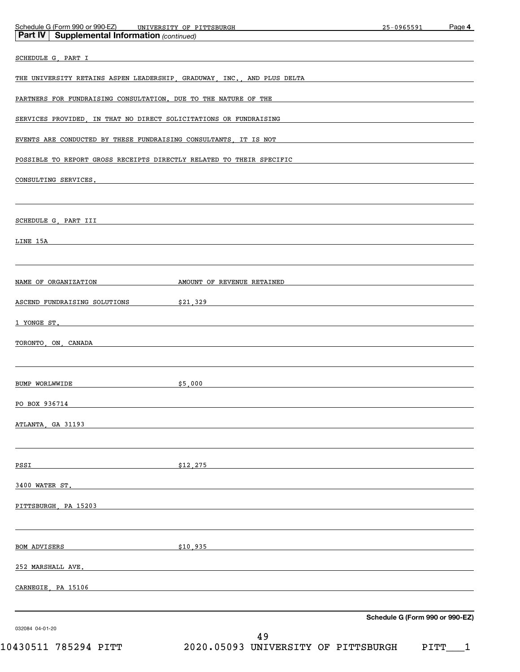| Part IV   Supplemental Information (continued)                                                                                                                                                                                 | Schedule G (Form 990 or 990-EZ) UNIVERSITY OF PITTSBURGH UNIVERSITY OF PRESERVE AND THE SCHEDULE OF SCHEDULE O   | 25-0965591                      | Page 4 |
|--------------------------------------------------------------------------------------------------------------------------------------------------------------------------------------------------------------------------------|------------------------------------------------------------------------------------------------------------------|---------------------------------|--------|
| SCHEDULE G, PART I                                                                                                                                                                                                             |                                                                                                                  |                                 |        |
| THE UNIVERSITY RETAINS ASPEN LEADERSHIP, GRADUWAY, INC., AND PLUS DELTA                                                                                                                                                        |                                                                                                                  |                                 |        |
|                                                                                                                                                                                                                                |                                                                                                                  |                                 |        |
| PARTNERS FOR FUNDRAISING CONSULTATION. DUE TO THE NATURE OF THE                                                                                                                                                                |                                                                                                                  |                                 |        |
| SERVICES PROVIDED, IN THAT NO DIRECT SOLICITATIONS OR FUNDRAISING                                                                                                                                                              |                                                                                                                  |                                 |        |
| EVENTS ARE CONDUCTED BY THESE FUNDRAISING CONSULTANTS, IT IS NOT                                                                                                                                                               |                                                                                                                  |                                 |        |
|                                                                                                                                                                                                                                | POSSIBLE TO REPORT GROSS RECEIPTS DIRECTLY RELATED TO THEIR SPECIFIC                                             |                                 |        |
| CONSULTING SERVICES. The construction of the construction of the construction of the construction of the construction of the construction of the construction of the construction of the construction of the construction of t |                                                                                                                  |                                 |        |
|                                                                                                                                                                                                                                |                                                                                                                  |                                 |        |
| SCHEDULE G, PART III<br><u> 1989 - Johann Harry Harry Harry Harry Harry Harry Harry Harry Harry Harry Harry Harry Harry Harry Harry Harry</u>                                                                                  |                                                                                                                  |                                 |        |
| LINE 15A                                                                                                                                                                                                                       |                                                                                                                  |                                 |        |
|                                                                                                                                                                                                                                |                                                                                                                  |                                 |        |
| NAME OF ORGANIZATION                                                                                                                                                                                                           | AMOUNT OF REVENUE RETAINED                                                                                       |                                 |        |
| ASCEND FUNDRAISING SOLUTIONS                                                                                                                                                                                                   | $\frac{21}{329}$ $\frac{1329}{21}$                                                                               |                                 |        |
| 1 YONGE ST.                                                                                                                                                                                                                    |                                                                                                                  |                                 |        |
| TORONTO, ON, CANADA                                                                                                                                                                                                            | <u> 1989 - Johann John Stone, Amerikaansk politiker († 1908)</u>                                                 |                                 |        |
|                                                                                                                                                                                                                                |                                                                                                                  |                                 |        |
| BUMP WORLWWIDE                                                                                                                                                                                                                 | \$5,000                                                                                                          |                                 |        |
|                                                                                                                                                                                                                                | and the control of the control of the control of the control of the control of the control of the control of the |                                 |        |
| PO BOX 936714                                                                                                                                                                                                                  |                                                                                                                  |                                 |        |
| ATLANTA, GA 31193                                                                                                                                                                                                              |                                                                                                                  |                                 |        |
|                                                                                                                                                                                                                                |                                                                                                                  |                                 |        |
| <u>PSSI</u>                                                                                                                                                                                                                    | \$12,275                                                                                                         |                                 |        |
| 3400 WATER ST.                                                                                                                                                                                                                 |                                                                                                                  |                                 |        |
| PITTSBURGH, PA 15203                                                                                                                                                                                                           |                                                                                                                  |                                 |        |
|                                                                                                                                                                                                                                |                                                                                                                  |                                 |        |
| <b>BOM ADVISERS</b>                                                                                                                                                                                                            | \$10,935                                                                                                         |                                 |        |
| <u>252 MARSHALL AVE.</u>                                                                                                                                                                                                       |                                                                                                                  |                                 |        |
| CARNEGIE, PA 15106                                                                                                                                                                                                             |                                                                                                                  |                                 |        |
|                                                                                                                                                                                                                                |                                                                                                                  |                                 |        |
| 032084 04-01-20                                                                                                                                                                                                                |                                                                                                                  | Schedule G (Form 990 or 990-EZ) |        |
|                                                                                                                                                                                                                                | 49                                                                                                               |                                 |        |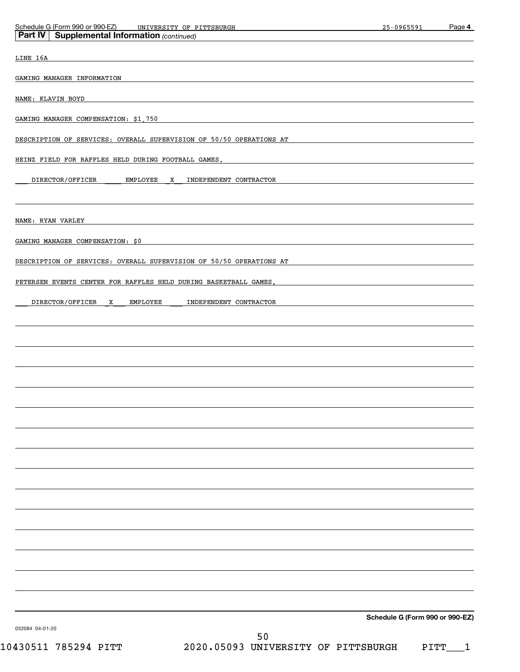| Schedule G (Form 990 or 990-EZ)<br>UNIVERSITY OF PITTSBURGH         | 25-0965591                      | Page 4 |
|---------------------------------------------------------------------|---------------------------------|--------|
| <b>Supplemental Information (continued)</b><br>Part IV              |                                 |        |
| LINE 16A                                                            |                                 |        |
| GAMING MANAGER INFORMATION                                          |                                 |        |
|                                                                     |                                 |        |
| NAME: KLAVIN BOYD                                                   |                                 |        |
| GAMING MANAGER COMPENSATION: \$1,750                                |                                 |        |
| DESCRIPTION OF SERVICES: OVERALL SUPERVISION OF 50/50 OPERATIONS AT |                                 |        |
| HEINZ FIELD FOR RAFFLES HELD DURING FOOTBALL GAMES.                 |                                 |        |
| DIRECTOR/OFFICER<br>EMPLOYEE<br>INDEPENDENT CONTRACTOR<br>X         |                                 |        |
|                                                                     |                                 |        |
|                                                                     |                                 |        |
| NAME: RYAN VARLEY                                                   |                                 |        |
| GAMING MANAGER COMPENSATION: \$0                                    |                                 |        |
| DESCRIPTION OF SERVICES: OVERALL SUPERVISION OF 50/50 OPERATIONS AT |                                 |        |
| PETERSEN EVENTS CENTER FOR RAFFLES HELD DURING BASKETBALL GAMES.    |                                 |        |
|                                                                     |                                 |        |
| DIRECTOR/OFFICER<br>EMPLOYEE<br>INDEPENDENT CONTRACTOR<br>X         |                                 |        |
|                                                                     |                                 |        |
|                                                                     |                                 |        |
|                                                                     |                                 |        |
|                                                                     |                                 |        |
|                                                                     |                                 |        |
|                                                                     |                                 |        |
|                                                                     |                                 |        |
|                                                                     |                                 |        |
|                                                                     |                                 |        |
|                                                                     |                                 |        |
|                                                                     |                                 |        |
|                                                                     |                                 |        |
|                                                                     |                                 |        |
|                                                                     |                                 |        |
|                                                                     |                                 |        |
|                                                                     |                                 |        |
|                                                                     |                                 |        |
|                                                                     | Schedule G (Form 990 or 990-EZ) |        |
| 032084 04-01-20<br>50                                               |                                 |        |

 $10430511$  785294 PITT  $2020$ .05093 UNIVERSITY OF PITTSBURGH PITT $\_$  1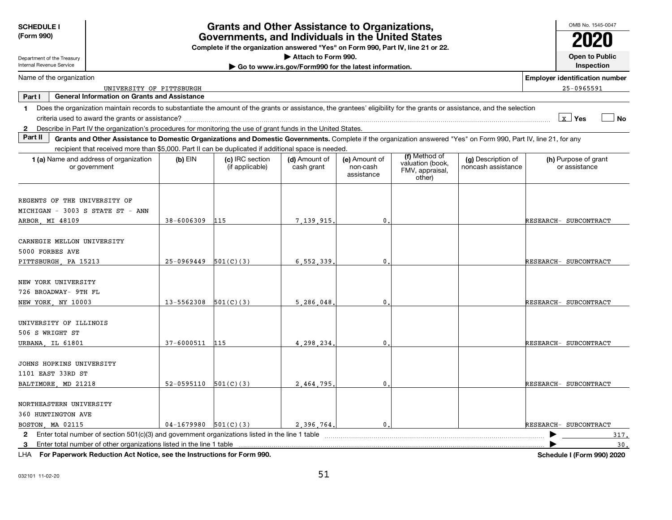| <b>SCHEDULE I</b><br>(Form 990)<br>Department of the Treasury                       | <b>Grants and Other Assistance to Organizations,</b><br>Governments, and Individuals in the United States<br>Complete if the organization answered "Yes" on Form 990, Part IV, line 21 or 22.<br>Attach to Form 990. |                            |                                    |                                                       |                                         |                                               |                                          |                                       |            |
|-------------------------------------------------------------------------------------|----------------------------------------------------------------------------------------------------------------------------------------------------------------------------------------------------------------------|----------------------------|------------------------------------|-------------------------------------------------------|-----------------------------------------|-----------------------------------------------|------------------------------------------|---------------------------------------|------------|
| Internal Revenue Service                                                            |                                                                                                                                                                                                                      |                            |                                    | Go to www.irs.gov/Form990 for the latest information. |                                         |                                               |                                          |                                       | Inspection |
|                                                                                     | Name of the organization<br><b>Employer identification number</b>                                                                                                                                                    |                            |                                    |                                                       |                                         |                                               |                                          |                                       |            |
| Part I                                                                              | UNIVERSITY OF PITTSBURGH<br><b>General Information on Grants and Assistance</b>                                                                                                                                      |                            |                                    |                                                       |                                         |                                               |                                          | 25-0965591                            |            |
| 1.                                                                                  | Does the organization maintain records to substantiate the amount of the grants or assistance, the grantees' eligibility for the grants or assistance, and the selection                                             |                            |                                    |                                                       |                                         |                                               |                                          |                                       |            |
|                                                                                     |                                                                                                                                                                                                                      |                            |                                    |                                                       |                                         |                                               |                                          | $x$ Yes                               | ⊿ No       |
| $\mathbf{2}$                                                                        | Describe in Part IV the organization's procedures for monitoring the use of grant funds in the United States.                                                                                                        |                            |                                    |                                                       |                                         |                                               |                                          |                                       |            |
| Part II                                                                             | Grants and Other Assistance to Domestic Organizations and Domestic Governments. Complete if the organization answered "Yes" on Form 990, Part IV, line 21, for any                                                   |                            |                                    |                                                       |                                         |                                               |                                          |                                       |            |
|                                                                                     | recipient that received more than \$5,000. Part II can be duplicated if additional space is needed.                                                                                                                  |                            |                                    |                                                       |                                         | (f) Method of                                 |                                          |                                       |            |
|                                                                                     | 1 (a) Name and address of organization<br>or government                                                                                                                                                              | $(b)$ EIN                  | (c) IRC section<br>(if applicable) | (d) Amount of<br>cash grant                           | (e) Amount of<br>non-cash<br>assistance | valuation (book,<br>FMV, appraisal,<br>other) | (g) Description of<br>noncash assistance | (h) Purpose of grant<br>or assistance |            |
| REGENTS OF THE UNIVERSITY OF<br>MICHIGAN - 3003 S STATE ST - ANN<br>ARBOR, MI 48109 |                                                                                                                                                                                                                      | 38-6006309                 | 115                                | 7 139 915                                             | $\mathbf 0$                             |                                               |                                          | RESEARCH- SUBCONTRACT                 |            |
| CARNEGIE MELLON UNIVERSITY<br>5000 FORBES AVE<br>PITTSBURGH, PA 15213               |                                                                                                                                                                                                                      | $25-0969449$ $501(C)(3)$   |                                    | 6.552.339                                             | $\mathbf 0$                             |                                               |                                          | RESEARCH- SUBCONTRACT                 |            |
| NEW YORK UNIVERSITY<br>726 BROADWAY- 9TH FL<br>NEW YORK NY 10003                    |                                                                                                                                                                                                                      | $13 - 5562308$ $501(C)(3)$ |                                    | 5.286.048                                             | $\mathbf{0}$                            |                                               |                                          | RESEARCH- SUBCONTRACT                 |            |
| UNIVERSITY OF ILLINOIS<br>506 S WRIGHT ST<br>URBANA, IL 61801                       |                                                                                                                                                                                                                      | 37-6000511                 | 115                                | 4,298,234                                             | $\mathbf{0}$                            |                                               |                                          | RESEARCH- SUBCONTRACT                 |            |
| JOHNS HOPKINS UNIVERSITY<br>1101 EAST 33RD ST<br>BALTIMORE, MD 21218                |                                                                                                                                                                                                                      | $52-0595110$ $501(C)(3)$   |                                    | 2,464,795                                             | 0                                       |                                               |                                          | RESEARCH- SUBCONTRACT                 |            |
| NORTHEASTERN UNIVERSITY<br>360 HUNTINGTON AVE<br>BOSTON, MA 02115                   |                                                                                                                                                                                                                      | $04-1679980$ 501(C)(3)     |                                    | 2.396.764.                                            | $\mathsf{0}$ .                          |                                               |                                          | RESEARCH- SUBCONTRACT                 |            |
|                                                                                     |                                                                                                                                                                                                                      |                            |                                    |                                                       |                                         |                                               |                                          |                                       | 317.       |
|                                                                                     | 1116 Fou Demonster Dedication Ast Nation and the Instructions for Four 000                                                                                                                                           |                            |                                    |                                                       |                                         |                                               |                                          | <b>Outside Life (1990) 0000 0000</b>  | 30.        |

LHA **For Paperwork Reduction Act Notice, see the Instructions for Form 990.**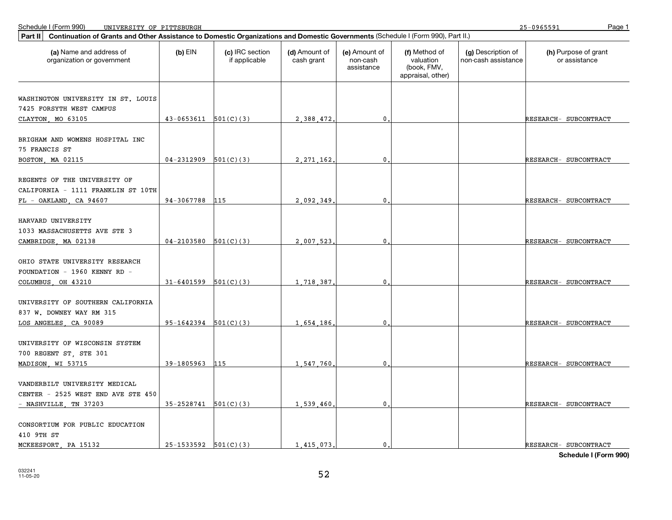| Continuation of Grants and Other Assistance to Domestic Organizations and Domestic Governments (Schedule I (Form 990), Part II.)<br>Part II |                          |                                  |                             |                                         |                                                                |                                           |                                       |
|---------------------------------------------------------------------------------------------------------------------------------------------|--------------------------|----------------------------------|-----------------------------|-----------------------------------------|----------------------------------------------------------------|-------------------------------------------|---------------------------------------|
| (a) Name and address of<br>organization or government                                                                                       | $(b)$ EIN                | (c) IRC section<br>if applicable | (d) Amount of<br>cash grant | (e) Amount of<br>non-cash<br>assistance | (f) Method of<br>valuation<br>(book, FMV,<br>appraisal, other) | (g) Description of<br>non-cash assistance | (h) Purpose of grant<br>or assistance |
|                                                                                                                                             |                          |                                  |                             |                                         |                                                                |                                           |                                       |
| WASHINGTON UNIVERSITY IN ST. LOUIS                                                                                                          |                          |                                  |                             |                                         |                                                                |                                           |                                       |
| 7425 FORSYTH WEST CAMPUS                                                                                                                    |                          |                                  |                             |                                         |                                                                |                                           |                                       |
| CLAYTON, MO 63105                                                                                                                           | $43-0653611$ $501(C)(3)$ |                                  | 2.388.472.                  | $\mathbf{0}$ .                          |                                                                |                                           | RESEARCH- SUBCONTRACT                 |
| BRIGHAM AND WOMENS HOSPITAL INC<br>75 FRANCIS ST                                                                                            |                          |                                  |                             |                                         |                                                                |                                           |                                       |
| BOSTON, MA 02115                                                                                                                            | $04-2312909$ $501(C)(3)$ |                                  | 2.271.162                   | $\mathbf 0$                             |                                                                |                                           | RESEARCH- SUBCONTRACT                 |
| REGENTS OF THE UNIVERSITY OF<br>CALIFORNIA - 1111 FRANKLIN ST 10TH<br>$FL - OAKLAND$ , CA 94607                                             | 94-3067788               | 115                              | 2.092.349                   | $\mathbf 0$                             |                                                                |                                           | RESEARCH- SUBCONTRACT                 |
|                                                                                                                                             |                          |                                  |                             |                                         |                                                                |                                           |                                       |
| HARVARD UNIVERSITY<br>1033 MASSACHUSETTS AVE STE 3                                                                                          |                          |                                  |                             |                                         |                                                                |                                           |                                       |
| CAMBRIDGE, MA 02138                                                                                                                         | $04-2103580$ $501(C)(3)$ |                                  | 2 007 523                   | $\underline{0}$ .                       |                                                                |                                           | RESEARCH- SUBCONTRACT                 |
| OHIO STATE UNIVERSITY RESEARCH<br>FOUNDATION - 1960 KENNY RD -<br>COLUMBUS OH 43210                                                         | $31-6401599$ $501(C)(3)$ |                                  | 1,718,387                   | $\mathbf 0$                             |                                                                |                                           | RESEARCH- SUBCONTRACT                 |
| UNIVERSITY OF SOUTHERN CALIFORNIA<br>837 W. DOWNEY WAY RM 315                                                                               |                          |                                  |                             |                                         |                                                                |                                           |                                       |
| LOS ANGELES, CA 90089                                                                                                                       | $95-1642394$ $501(C)(3)$ |                                  | 1,654,186                   | $\mathbf{0}$ .                          |                                                                |                                           | RESEARCH- SUBCONTRACT                 |
| UNIVERSITY OF WISCONSIN SYSTEM<br>700 REGENT ST, STE 301                                                                                    |                          |                                  |                             |                                         |                                                                |                                           |                                       |
| MADISON, WI 53715                                                                                                                           | 39-1805963               | 115                              | 1,547,760                   | $\mathbf 0$                             |                                                                |                                           | RESEARCH- SUBCONTRACT                 |
| VANDERBILT UNIVERSITY MEDICAL<br>CENTER - 2525 WEST END AVE STE 450                                                                         |                          |                                  |                             |                                         |                                                                |                                           |                                       |
| - NASHVILLE, TN 37203                                                                                                                       | $35-2528741$ $501(C)(3)$ |                                  | 1.539.460                   | $\mathbf{0}$                            |                                                                |                                           | RESEARCH- SUBCONTRACT                 |
| CONSORTIUM FOR PUBLIC EDUCATION<br>410 9TH ST                                                                                               |                          |                                  |                             |                                         |                                                                |                                           |                                       |
| MCKEESPORT, PA 15132                                                                                                                        | $25-1533592$ $501(C)(3)$ |                                  | 1,415,073,                  | $\mathbf{0}$ .                          |                                                                |                                           | RESEARCH- SUBCONTRACT                 |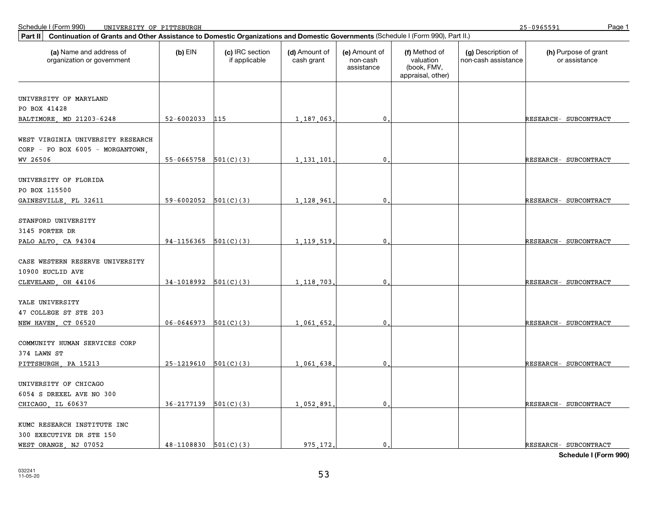| Part II                                               | Continuation of Grants and Other Assistance to Domestic Organizations and Domestic Governments (Schedule I (Form 990), Part II.) |                                  |                             |                                         |                                                                |                                           |                                       |  |  |  |
|-------------------------------------------------------|----------------------------------------------------------------------------------------------------------------------------------|----------------------------------|-----------------------------|-----------------------------------------|----------------------------------------------------------------|-------------------------------------------|---------------------------------------|--|--|--|
| (a) Name and address of<br>organization or government | $(b)$ EIN                                                                                                                        | (c) IRC section<br>if applicable | (d) Amount of<br>cash grant | (e) Amount of<br>non-cash<br>assistance | (f) Method of<br>valuation<br>(book, FMV,<br>appraisal, other) | (g) Description of<br>non-cash assistance | (h) Purpose of grant<br>or assistance |  |  |  |
|                                                       |                                                                                                                                  |                                  |                             |                                         |                                                                |                                           |                                       |  |  |  |
| UNIVERSITY OF MARYLAND                                |                                                                                                                                  |                                  |                             |                                         |                                                                |                                           |                                       |  |  |  |
| PO BOX 41428                                          |                                                                                                                                  |                                  |                             |                                         |                                                                |                                           |                                       |  |  |  |
| BALTIMORE, MD 21203-6248                              | $52 - 6002033$ 115                                                                                                               |                                  | 1,187,063                   | $\mathbf{0}$                            |                                                                |                                           | RESEARCH- SUBCONTRACT                 |  |  |  |
| WEST VIRGINIA UNIVERSITY RESEARCH                     |                                                                                                                                  |                                  |                             |                                         |                                                                |                                           |                                       |  |  |  |
| CORP - PO BOX 6005 - MORGANTOWN,                      |                                                                                                                                  |                                  |                             |                                         |                                                                |                                           |                                       |  |  |  |
| WV 26506                                              | $55-0665758$ $501(C)(3)$                                                                                                         |                                  | 1, 131, 101                 | $\mathbf 0$                             |                                                                |                                           | RESEARCH- SUBCONTRACT                 |  |  |  |
| UNIVERSITY OF FLORIDA                                 |                                                                                                                                  |                                  |                             |                                         |                                                                |                                           |                                       |  |  |  |
| PO BOX 115500                                         |                                                                                                                                  |                                  |                             |                                         |                                                                |                                           |                                       |  |  |  |
| GAINESVILLE, FL 32611                                 | 59-6002052                                                                                                                       | 501(C)(3)                        | 1,128,961                   | $\mathbf 0$                             |                                                                |                                           | RESEARCH- SUBCONTRACT                 |  |  |  |
|                                                       |                                                                                                                                  |                                  |                             |                                         |                                                                |                                           |                                       |  |  |  |
| STANFORD UNIVERSITY                                   |                                                                                                                                  |                                  |                             |                                         |                                                                |                                           |                                       |  |  |  |
| 3145 PORTER DR                                        |                                                                                                                                  |                                  |                             |                                         |                                                                |                                           |                                       |  |  |  |
| PALO ALTO, CA 94304                                   | $94-1156365$ $501(C)(3)$                                                                                                         |                                  | 1, 119, 519                 | $\mathbf 0$                             |                                                                |                                           | RESEARCH- SUBCONTRACT                 |  |  |  |
|                                                       |                                                                                                                                  |                                  |                             |                                         |                                                                |                                           |                                       |  |  |  |
| CASE WESTERN RESERVE UNIVERSITY                       |                                                                                                                                  |                                  |                             |                                         |                                                                |                                           |                                       |  |  |  |
| 10900 EUCLID AVE                                      |                                                                                                                                  |                                  |                             |                                         |                                                                |                                           |                                       |  |  |  |
| CLEVELAND, OH 44106                                   | $34-10\underline{18992}$ $501(C)(3)$                                                                                             |                                  | 1,118,703                   | $\mathbf 0$                             |                                                                |                                           | RESEARCH- SUBCONTRACT                 |  |  |  |
| YALE UNIVERSITY                                       |                                                                                                                                  |                                  |                             |                                         |                                                                |                                           |                                       |  |  |  |
| 47 COLLEGE ST STE 203                                 |                                                                                                                                  |                                  |                             |                                         |                                                                |                                           |                                       |  |  |  |
| NEW HAVEN, CT 06520                                   | $06-0646973$ 501(C)(3)                                                                                                           |                                  | 1,061,652.                  | $\mathbf 0$                             |                                                                |                                           | RESEARCH- SUBCONTRACT                 |  |  |  |
|                                                       |                                                                                                                                  |                                  |                             |                                         |                                                                |                                           |                                       |  |  |  |
| COMMUNITY HUMAN SERVICES CORP                         |                                                                                                                                  |                                  |                             |                                         |                                                                |                                           |                                       |  |  |  |
| 374 LAWN ST                                           |                                                                                                                                  |                                  |                             |                                         |                                                                |                                           |                                       |  |  |  |
| PITTSBURGH, PA 15213                                  | $25-1219610$ $501(C)(3)$                                                                                                         |                                  | 1,061,638                   | $\mathbf 0$                             |                                                                |                                           | RESEARCH- SUBCONTRACT                 |  |  |  |
| UNIVERSITY OF CHICAGO                                 |                                                                                                                                  |                                  |                             |                                         |                                                                |                                           |                                       |  |  |  |
| 6054 S DREXEL AVE NO 300                              |                                                                                                                                  |                                  |                             |                                         |                                                                |                                           |                                       |  |  |  |
| CHICAGO LL 60637                                      | $36-2177139$ $501(C)(3)$                                                                                                         |                                  | 1.052.891                   | 0                                       |                                                                |                                           | RESEARCH- SUBCONTRACT                 |  |  |  |
|                                                       |                                                                                                                                  |                                  |                             |                                         |                                                                |                                           |                                       |  |  |  |
| KUMC RESEARCH INSTITUTE INC                           |                                                                                                                                  |                                  |                             |                                         |                                                                |                                           |                                       |  |  |  |
| 300 EXECUTIVE DR STE 150                              |                                                                                                                                  |                                  |                             |                                         |                                                                |                                           |                                       |  |  |  |
| WEST ORANGE, NJ 07052                                 | $48-1108830$ $501(C)(3)$                                                                                                         |                                  | 975.172.                    | $\mathbf{0}$ .                          |                                                                |                                           | RESEARCH- SUBCONTRACT                 |  |  |  |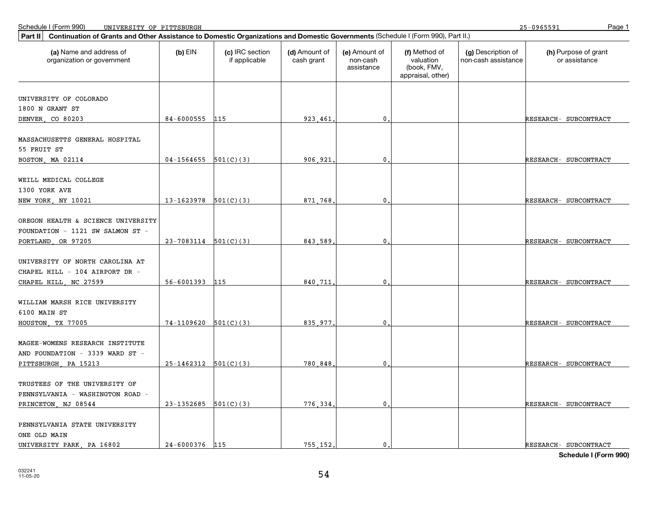| Continuation of Grants and Other Assistance to Domestic Organizations and Domestic Governments (Schedule I (Form 990), Part II.)<br>Part II |                            |                                  |                             |                                         |                                                                |                                           |                                       |
|---------------------------------------------------------------------------------------------------------------------------------------------|----------------------------|----------------------------------|-----------------------------|-----------------------------------------|----------------------------------------------------------------|-------------------------------------------|---------------------------------------|
| (a) Name and address of<br>organization or government                                                                                       | $(b)$ EIN                  | (c) IRC section<br>if applicable | (d) Amount of<br>cash grant | (e) Amount of<br>non-cash<br>assistance | (f) Method of<br>valuation<br>(book, FMV,<br>appraisal, other) | (g) Description of<br>non-cash assistance | (h) Purpose of grant<br>or assistance |
|                                                                                                                                             |                            |                                  |                             |                                         |                                                                |                                           |                                       |
| UNIVERSITY OF COLORADO                                                                                                                      |                            |                                  |                             |                                         |                                                                |                                           |                                       |
| 1800 N GRANT ST                                                                                                                             |                            |                                  |                             |                                         |                                                                |                                           |                                       |
| DENVER CO 80203                                                                                                                             | 84-6000555 115             |                                  | 923,461                     | $\mathbf{0}$                            |                                                                |                                           | RESEARCH- SUBCONTRACT                 |
| MASSACHUSETTS GENERAL HOSPITAL<br>55 FRUIT ST                                                                                               |                            |                                  |                             |                                         |                                                                |                                           |                                       |
| BOSTON, MA 02114                                                                                                                            | 04-1564655                 | 501(C)(3)                        | 906.921                     | 0                                       |                                                                |                                           | RESEARCH- SUBCONTRACT                 |
| WEILL MEDICAL COLLEGE<br>1300 YORK AVE<br>NEW YORK, NY 10021                                                                                | $13-1623978$ $501(C)(3)$   |                                  | 871.768                     | $\mathbf{0}$ .                          |                                                                |                                           | RESEARCH- SUBCONTRACT                 |
|                                                                                                                                             |                            |                                  |                             |                                         |                                                                |                                           |                                       |
| OREGON HEALTH & SCIENCE UNIVERSITY<br>FOUNDATION - 1121 SW SALMON ST -<br>PORTLAND, OR 97205                                                | $23 - 7083114$ $501(C)(3)$ |                                  | 843,589                     | $\mathbf 0$                             |                                                                |                                           | RESEARCH- SUBCONTRACT                 |
|                                                                                                                                             |                            |                                  |                             |                                         |                                                                |                                           |                                       |
| UNIVERSITY OF NORTH CAROLINA AT<br>CHAPEL HILL - 104 AIRPORT DR -                                                                           |                            |                                  |                             |                                         |                                                                |                                           |                                       |
| CHAPEL HILL, NC 27599                                                                                                                       | 56-6001393 115             |                                  | 840.711                     | $\mathbf{0}$                            |                                                                |                                           | RESEARCH- SUBCONTRACT                 |
| WILLIAM MARSH RICE UNIVERSITY<br>6100 MAIN ST                                                                                               |                            |                                  |                             |                                         |                                                                |                                           |                                       |
| HOUSTON, TX 77005                                                                                                                           | $74-1109620$ 501(C)(3)     |                                  | 835,977                     | $\mathbf{0}$                            |                                                                |                                           | RESEARCH- SUBCONTRACT                 |
| MAGEE-WOMENS RESEARCH INSTITUTE<br>AND FOUNDATION - 3339 WARD ST -                                                                          |                            |                                  |                             |                                         |                                                                |                                           |                                       |
| PITTSBURGH, PA 15213                                                                                                                        | $25-1462312$ $501(C)(3)$   |                                  | 780,848                     | $\mathbf 0$                             |                                                                |                                           | RESEARCH- SUBCONTRACT                 |
| TRUSTEES OF THE UNIVERSITY OF<br>PENNSYLVANIA - WASHINGTON ROAD -                                                                           |                            |                                  |                             |                                         |                                                                |                                           |                                       |
| PRINCETON, NJ 08544                                                                                                                         | 23-1352685                 | 501(C)(3)                        | 776.334                     | $\mathbf{0}$                            |                                                                |                                           | RESEARCH- SUBCONTRACT                 |
| PENNSYLVANIA STATE UNIVERSITY<br>ONE OLD MAIN                                                                                               |                            |                                  |                             |                                         |                                                                |                                           |                                       |
| UNIVERSITY PARK, PA 16802                                                                                                                   | 24-6000376 115             |                                  | 755.152.                    | $\mathbf{0}$ .                          |                                                                |                                           | RESEARCH- SUBCONTRACT                 |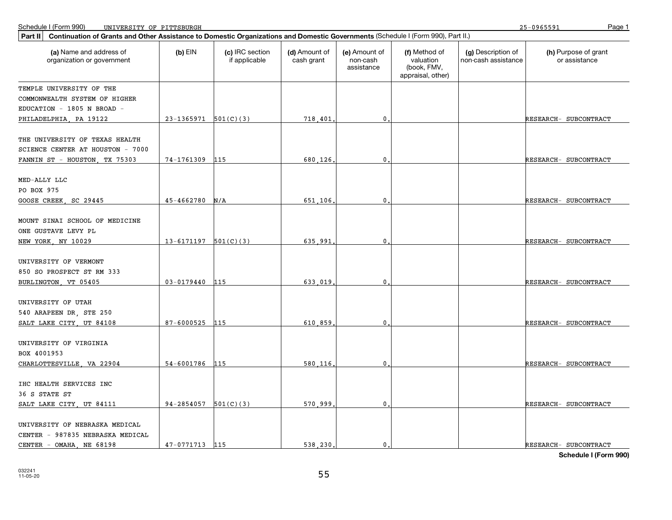25-0965591

| Part II   Continuation of Grants and Other Assistance to Domestic Organizations and Domestic Governments (Schedule I (Form 990), Part II.) |                            |                                  |                             |                                         |                                                                |                                           |                                       |
|--------------------------------------------------------------------------------------------------------------------------------------------|----------------------------|----------------------------------|-----------------------------|-----------------------------------------|----------------------------------------------------------------|-------------------------------------------|---------------------------------------|
| (a) Name and address of<br>organization or government                                                                                      | $(b)$ EIN                  | (c) IRC section<br>if applicable | (d) Amount of<br>cash grant | (e) Amount of<br>non-cash<br>assistance | (f) Method of<br>valuation<br>(book, FMV,<br>appraisal, other) | (g) Description of<br>non-cash assistance | (h) Purpose of grant<br>or assistance |
| TEMPLE UNIVERSITY OF THE                                                                                                                   |                            |                                  |                             |                                         |                                                                |                                           |                                       |
| COMMONWEALTH SYSTEM OF HIGHER                                                                                                              |                            |                                  |                             |                                         |                                                                |                                           |                                       |
| EDUCATION - 1805 N BROAD -                                                                                                                 |                            |                                  |                             |                                         |                                                                |                                           |                                       |
| PHILADELPHIA, PA 19122                                                                                                                     | $23-1365971$ $501(C)(3)$   |                                  | 718.401                     | 0                                       |                                                                |                                           | RESEARCH- SUBCONTRACT                 |
| THE UNIVERSITY OF TEXAS HEALTH<br>SCIENCE CENTER AT HOUSTON - 7000                                                                         |                            |                                  |                             |                                         |                                                                |                                           |                                       |
| FANNIN ST - HOUSTON, TX 75303                                                                                                              | 74-1761309                 | 115                              | 680.126                     | $\mathbf 0$                             |                                                                |                                           | RESEARCH- SUBCONTRACT                 |
|                                                                                                                                            |                            |                                  |                             |                                         |                                                                |                                           |                                       |
| MED-ALLY LLC                                                                                                                               |                            |                                  |                             |                                         |                                                                |                                           |                                       |
| PO BOX 975                                                                                                                                 |                            |                                  |                             |                                         |                                                                |                                           |                                       |
| GOOSE CREEK, SC 29445                                                                                                                      | 45-4662780                 | N/A                              | 651,106                     | 0                                       |                                                                |                                           | RESEARCH- SUBCONTRACT                 |
|                                                                                                                                            |                            |                                  |                             |                                         |                                                                |                                           |                                       |
| MOUNT SINAI SCHOOL OF MEDICINE                                                                                                             |                            |                                  |                             |                                         |                                                                |                                           |                                       |
| ONE GUSTAVE LEVY PL                                                                                                                        |                            |                                  |                             |                                         |                                                                |                                           |                                       |
| NEW YORK, NY 10029                                                                                                                         | $13 - 6171197$ $501(C)(3)$ |                                  | 635.991                     | 0                                       |                                                                |                                           | RESEARCH- SUBCONTRACT                 |
| UNIVERSITY OF VERMONT                                                                                                                      |                            |                                  |                             |                                         |                                                                |                                           |                                       |
| 850 SO PROSPECT ST RM 333                                                                                                                  |                            |                                  |                             |                                         |                                                                |                                           |                                       |
| BURLINGTON, VT 05405                                                                                                                       | $03 - 0179440$             | 115                              | 633 019                     | 0                                       |                                                                |                                           | RESEARCH- SUBCONTRACT                 |
|                                                                                                                                            |                            |                                  |                             |                                         |                                                                |                                           |                                       |
| UNIVERSITY OF UTAH                                                                                                                         |                            |                                  |                             |                                         |                                                                |                                           |                                       |
| 540 ARAPEEN DR, STE 250                                                                                                                    |                            |                                  |                             |                                         |                                                                |                                           |                                       |
| SALT LAKE CITY, UT 84108                                                                                                                   | 87-6000525                 | 115                              | 610,859                     | 0                                       |                                                                |                                           | RESEARCH- SUBCONTRACT                 |
|                                                                                                                                            |                            |                                  |                             |                                         |                                                                |                                           |                                       |
| UNIVERSITY OF VIRGINIA                                                                                                                     |                            |                                  |                             |                                         |                                                                |                                           |                                       |
| BOX 4001953                                                                                                                                |                            |                                  |                             |                                         |                                                                |                                           |                                       |
| CHARLOTTESVILLE, VA 22904                                                                                                                  | 54-6001786 115             |                                  | 580.116                     | $\Omega$                                |                                                                |                                           | RESEARCH- SUBCONTRACT                 |
| IHC HEALTH SERVICES INC                                                                                                                    |                            |                                  |                             |                                         |                                                                |                                           |                                       |
| 36 S STATE ST                                                                                                                              |                            |                                  |                             |                                         |                                                                |                                           |                                       |
| SALT LAKE CITY, UT 84111                                                                                                                   | $94-2854057$ $501(C)(3)$   |                                  | 570,999                     | $\mathbf{0}$                            |                                                                |                                           | RESEARCH- SUBCONTRACT                 |
|                                                                                                                                            |                            |                                  |                             |                                         |                                                                |                                           |                                       |
| UNIVERSITY OF NEBRASKA MEDICAL                                                                                                             |                            |                                  |                             |                                         |                                                                |                                           |                                       |
| CENTER - 987835 NEBRASKA MEDICAL                                                                                                           |                            |                                  |                             |                                         |                                                                |                                           |                                       |
| CENTER - OMAHA, NE 68198                                                                                                                   | 47-0771713 115             |                                  | 538,230.                    | $\mathbf{0}$ .                          |                                                                |                                           | RESEARCH- SUBCONTRACT                 |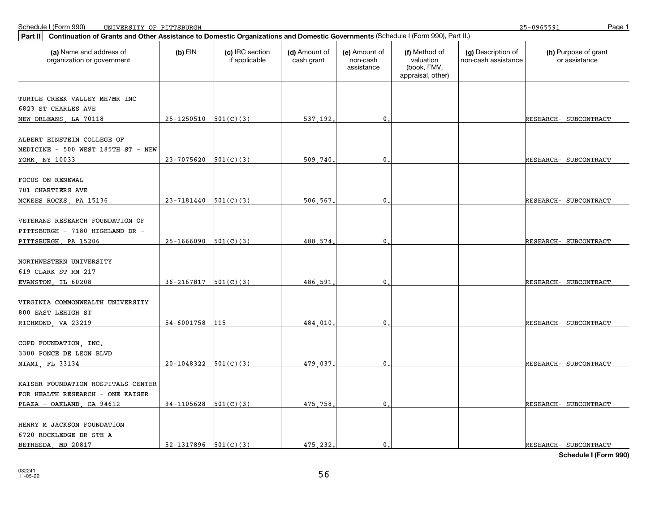25-0965591

| Continuation of Grants and Other Assistance to Domestic Organizations and Domestic Governments (Schedule I (Form 990), Part II.)<br>Part II |                            |                                  |                             |                                         |                                                                |                                           |                                       |
|---------------------------------------------------------------------------------------------------------------------------------------------|----------------------------|----------------------------------|-----------------------------|-----------------------------------------|----------------------------------------------------------------|-------------------------------------------|---------------------------------------|
| (a) Name and address of<br>organization or government                                                                                       | $(b)$ EIN                  | (c) IRC section<br>if applicable | (d) Amount of<br>cash grant | (e) Amount of<br>non-cash<br>assistance | (f) Method of<br>valuation<br>(book, FMV,<br>appraisal, other) | (g) Description of<br>non-cash assistance | (h) Purpose of grant<br>or assistance |
|                                                                                                                                             |                            |                                  |                             |                                         |                                                                |                                           |                                       |
| TURTLE CREEK VALLEY MH/MR INC                                                                                                               |                            |                                  |                             |                                         |                                                                |                                           |                                       |
| 6823 ST CHARLES AVE                                                                                                                         | $25-1250510$ $501(C)(3)$   |                                  | 537.192.                    | $\mathbf{0}$                            |                                                                |                                           | RESEARCH- SUBCONTRACT                 |
| NEW ORLEANS, LA 70118                                                                                                                       |                            |                                  |                             |                                         |                                                                |                                           |                                       |
| ALBERT EINSTEIN COLLEGE OF                                                                                                                  |                            |                                  |                             |                                         |                                                                |                                           |                                       |
| MEDICINE - 500 WEST 185TH ST - NEW                                                                                                          |                            |                                  |                             |                                         |                                                                |                                           |                                       |
| YORK, NY 10033                                                                                                                              | $23 - 7075620$ $501(C)(3)$ |                                  | 509.740                     | $\mathbf 0$ .                           |                                                                |                                           | RESEARCH- SUBCONTRACT                 |
|                                                                                                                                             |                            |                                  |                             |                                         |                                                                |                                           |                                       |
| <b>FOCUS ON RENEWAL</b>                                                                                                                     |                            |                                  |                             |                                         |                                                                |                                           |                                       |
| 701 CHARTIERS AVE                                                                                                                           |                            |                                  |                             |                                         |                                                                |                                           |                                       |
| MCKEES ROCKS, PA 15136                                                                                                                      | 23-7181440                 | 501(C)(3)                        | 506.567                     | 0                                       |                                                                |                                           | RESEARCH- SUBCONTRACT                 |
|                                                                                                                                             |                            |                                  |                             |                                         |                                                                |                                           |                                       |
| VETERANS RESEARCH FOUNDATION OF                                                                                                             |                            |                                  |                             |                                         |                                                                |                                           |                                       |
| PITTSBURGH - 7180 HIGHLAND DR -                                                                                                             |                            |                                  |                             |                                         |                                                                |                                           |                                       |
| PITTSBURGH, PA 15206                                                                                                                        | $25-1666090$ $501(C)(3)$   |                                  | 488.574                     | 0.                                      |                                                                |                                           | RESEARCH- SUBCONTRACT                 |
| NORTHWESTERN UNIVERSITY                                                                                                                     |                            |                                  |                             |                                         |                                                                |                                           |                                       |
| 619 CLARK ST RM 217                                                                                                                         |                            |                                  |                             |                                         |                                                                |                                           |                                       |
| EVANSTON, IL 60208                                                                                                                          | $36-2167817$ $501(C)(3)$   |                                  | 486.591                     | $\mathbf{0}$                            |                                                                |                                           | RESEARCH- SUBCONTRACT                 |
|                                                                                                                                             |                            |                                  |                             |                                         |                                                                |                                           |                                       |
| VIRGINIA COMMONWEALTH UNIVERSITY                                                                                                            |                            |                                  |                             |                                         |                                                                |                                           |                                       |
| 800 EAST LEHIGH ST                                                                                                                          |                            |                                  |                             |                                         |                                                                |                                           |                                       |
| RICHMOND, VA 23219                                                                                                                          | 54-6001758                 | 115                              | 484.010                     | $\mathbf{0}$                            |                                                                |                                           | RESEARCH- SUBCONTRACT                 |
|                                                                                                                                             |                            |                                  |                             |                                         |                                                                |                                           |                                       |
| COPD FOUNDATION, INC.                                                                                                                       |                            |                                  |                             |                                         |                                                                |                                           |                                       |
| 3300 PONCE DE LEON BLVD                                                                                                                     |                            |                                  |                             |                                         |                                                                |                                           |                                       |
| MIAMI, FL 33134                                                                                                                             | $20-1048322$ $501(C)(3)$   |                                  | 479.037                     | $\mathbf 0$ .                           |                                                                |                                           | RESEARCH- SUBCONTRACT                 |
|                                                                                                                                             |                            |                                  |                             |                                         |                                                                |                                           |                                       |
| KAISER FOUNDATION HOSPITALS CENTER                                                                                                          |                            |                                  |                             |                                         |                                                                |                                           |                                       |
| FOR HEALTH RESEARCH - ONE KAISER                                                                                                            |                            |                                  |                             |                                         |                                                                |                                           |                                       |
| PLAZA - OAKLAND, CA 94612                                                                                                                   | $94-1105628$ $501(C)(3)$   |                                  | 475.758.                    | $\mathbf{0}$                            |                                                                |                                           | RESEARCH- SUBCONTRACT                 |
| HENRY M JACKSON FOUNDATION                                                                                                                  |                            |                                  |                             |                                         |                                                                |                                           |                                       |
| 6720 ROCKLEDGE DR STE A                                                                                                                     |                            |                                  |                             |                                         |                                                                |                                           |                                       |
| BETHESDA MD 20817                                                                                                                           | $52-1317896$ $501(C)(3)$   |                                  | 475.232.                    | $\mathbf{0}$ .                          |                                                                |                                           | RESEARCH- SUBCONTRACT                 |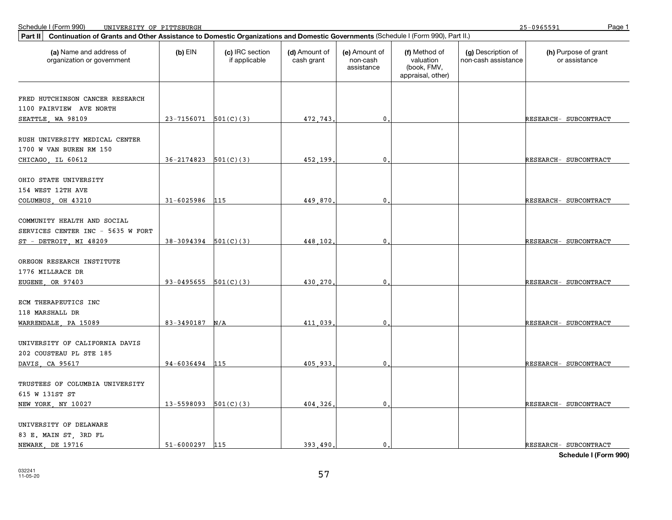| Continuation of Grants and Other Assistance to Domestic Organizations and Domestic Governments (Schedule I (Form 990), Part II.)<br><b>Part II</b> |                            |                                  |                             |                                         |                                                                |                                           |                                       |
|----------------------------------------------------------------------------------------------------------------------------------------------------|----------------------------|----------------------------------|-----------------------------|-----------------------------------------|----------------------------------------------------------------|-------------------------------------------|---------------------------------------|
| (a) Name and address of<br>organization or government                                                                                              | $(b)$ EIN                  | (c) IRC section<br>if applicable | (d) Amount of<br>cash grant | (e) Amount of<br>non-cash<br>assistance | (f) Method of<br>valuation<br>(book, FMV,<br>appraisal, other) | (g) Description of<br>non-cash assistance | (h) Purpose of grant<br>or assistance |
| FRED HUTCHINSON CANCER RESEARCH                                                                                                                    |                            |                                  |                             |                                         |                                                                |                                           |                                       |
| 1100 FAIRVIEW AVE NORTH                                                                                                                            |                            |                                  |                             |                                         |                                                                |                                           |                                       |
| SEATTLE, WA 98109                                                                                                                                  | $23-7156071$ 501(C)(3)     |                                  | 472.743.                    | $\mathbf{0}$                            |                                                                |                                           | RESEARCH- SUBCONTRACT                 |
|                                                                                                                                                    |                            |                                  |                             |                                         |                                                                |                                           |                                       |
| RUSH UNIVERSITY MEDICAL CENTER                                                                                                                     |                            |                                  |                             |                                         |                                                                |                                           |                                       |
| 1700 W VAN BUREN RM 150                                                                                                                            |                            |                                  |                             |                                         |                                                                |                                           |                                       |
| CHICAGO, IL 60612                                                                                                                                  | $36-2174823$ $501(C)(3)$   |                                  | 452.199.                    | $\mathbf{0}$                            |                                                                |                                           | RESEARCH- SUBCONTRACT                 |
|                                                                                                                                                    |                            |                                  |                             |                                         |                                                                |                                           |                                       |
| OHIO STATE UNIVERSITY                                                                                                                              |                            |                                  |                             |                                         |                                                                |                                           |                                       |
| 154 WEST 12TH AVE                                                                                                                                  |                            |                                  |                             |                                         |                                                                |                                           |                                       |
| COLUMBUS OH 43210                                                                                                                                  | $31 - 6025986$             | 115                              | 449.870                     | $\mathbf{0}$                            |                                                                |                                           | RESEARCH- SUBCONTRACT                 |
|                                                                                                                                                    |                            |                                  |                             |                                         |                                                                |                                           |                                       |
| COMMUNITY HEALTH AND SOCIAL                                                                                                                        |                            |                                  |                             |                                         |                                                                |                                           |                                       |
| SERVICES CENTER INC - 5635 W FORT                                                                                                                  |                            |                                  |                             |                                         |                                                                |                                           |                                       |
| ST - DETROIT, MI 48209                                                                                                                             | $38-3094394$ $501(C)(3)$   |                                  | 448.102.                    | $\mathbf{0}$                            |                                                                |                                           | RESEARCH- SUBCONTRACT                 |
|                                                                                                                                                    |                            |                                  |                             |                                         |                                                                |                                           |                                       |
| OREGON RESEARCH INSTITUTE<br>1776 MILLRACE DR                                                                                                      |                            |                                  |                             |                                         |                                                                |                                           |                                       |
| EUGENE, OR 97403                                                                                                                                   | 93-0495655 $501(C)(3)$     |                                  | 430.270.                    | $\mathbf{0}$                            |                                                                |                                           | RESEARCH- SUBCONTRACT                 |
|                                                                                                                                                    |                            |                                  |                             |                                         |                                                                |                                           |                                       |
| ECM THERAPEUTICS INC                                                                                                                               |                            |                                  |                             |                                         |                                                                |                                           |                                       |
| 118 MARSHALL DR                                                                                                                                    |                            |                                  |                             |                                         |                                                                |                                           |                                       |
| WARRENDALE, PA 15089                                                                                                                               | 83-3490187                 | N/A                              | 411.039                     | $\mathbf{0}$                            |                                                                |                                           | RESEARCH- SUBCONTRACT                 |
|                                                                                                                                                    |                            |                                  |                             |                                         |                                                                |                                           |                                       |
| UNIVERSITY OF CALIFORNIA DAVIS                                                                                                                     |                            |                                  |                             |                                         |                                                                |                                           |                                       |
| 202 COUSTEAU PL STE 185                                                                                                                            |                            |                                  |                             |                                         |                                                                |                                           |                                       |
| DAVIS, CA 95617                                                                                                                                    | 94-6036494 115             |                                  | 405.933.                    | $\mathbf 0$ .                           |                                                                |                                           | RESEARCH- SUBCONTRACT                 |
|                                                                                                                                                    |                            |                                  |                             |                                         |                                                                |                                           |                                       |
| TRUSTEES OF COLUMBIA UNIVERSITY                                                                                                                    |                            |                                  |                             |                                         |                                                                |                                           |                                       |
| 615 W 131ST ST                                                                                                                                     |                            |                                  |                             |                                         |                                                                |                                           |                                       |
| NEW YORK, NY 10027                                                                                                                                 | $13 - 5598093$ $501(C)(3)$ |                                  | 404.326.                    | $\mathbf{0}$                            |                                                                |                                           | RESEARCH- SUBCONTRACT                 |
|                                                                                                                                                    |                            |                                  |                             |                                         |                                                                |                                           |                                       |
| UNIVERSITY OF DELAWARE                                                                                                                             |                            |                                  |                             |                                         |                                                                |                                           |                                       |
| 83 E. MAIN ST, 3RD FL                                                                                                                              |                            |                                  |                             |                                         |                                                                |                                           |                                       |
| NEWARK, DE 19716                                                                                                                                   | 51-6000297                 | 115                              | 393.490.                    | $\mathbf{0}$ .                          |                                                                |                                           | RESEARCH- SUBCONTRACT                 |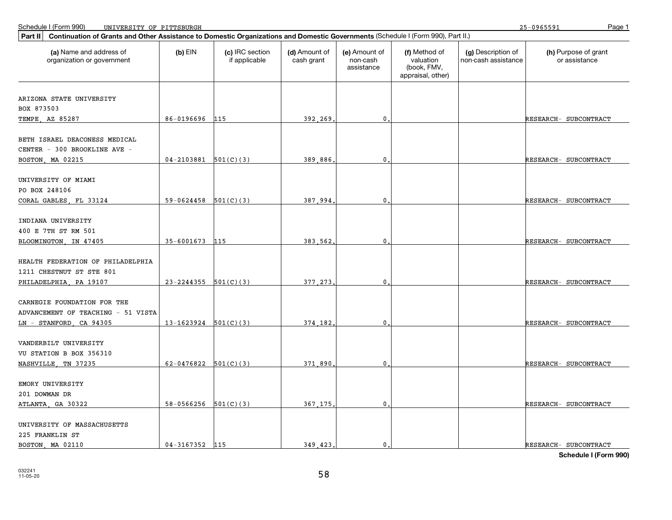| Part II   Continuation of Grants and Other Assistance to Domestic Organizations and Domestic Governments (Schedule I (Form 990), Part II.) |                            |                                  |                             |                                         |                                                                |                                           |                                       |  |
|--------------------------------------------------------------------------------------------------------------------------------------------|----------------------------|----------------------------------|-----------------------------|-----------------------------------------|----------------------------------------------------------------|-------------------------------------------|---------------------------------------|--|
| (a) Name and address of<br>organization or government                                                                                      | $(b)$ EIN                  | (c) IRC section<br>if applicable | (d) Amount of<br>cash grant | (e) Amount of<br>non-cash<br>assistance | (f) Method of<br>valuation<br>(book, FMV,<br>appraisal, other) | (g) Description of<br>non-cash assistance | (h) Purpose of grant<br>or assistance |  |
|                                                                                                                                            |                            |                                  |                             |                                         |                                                                |                                           |                                       |  |
| ARIZONA STATE UNIVERSITY                                                                                                                   |                            |                                  |                             |                                         |                                                                |                                           |                                       |  |
| BOX 873503                                                                                                                                 |                            |                                  |                             |                                         |                                                                |                                           |                                       |  |
| TEMPE, AZ 85287                                                                                                                            | 86-0196696                 | 115                              | 392,269                     | $\mathbf{0}$                            |                                                                |                                           | RESEARCH- SUBCONTRACT                 |  |
| BETH ISRAEL DEACONESS MEDICAL                                                                                                              |                            |                                  |                             |                                         |                                                                |                                           |                                       |  |
| CENTER - 300 BROOKLINE AVE -                                                                                                               | $04-2103881$ 501(C)(3)     |                                  | 389.886                     | $\mathbf{0}$                            |                                                                |                                           |                                       |  |
| BOSTON, MA 02215                                                                                                                           |                            |                                  |                             |                                         |                                                                |                                           | RESEARCH- SUBCONTRACT                 |  |
| UNIVERSITY OF MIAMI                                                                                                                        |                            |                                  |                             |                                         |                                                                |                                           |                                       |  |
| PO BOX 248106                                                                                                                              |                            |                                  |                             |                                         |                                                                |                                           |                                       |  |
| CORAL GABLES, FL 33124                                                                                                                     | $59-0624458$ $501(C)(3)$   |                                  | 387 994                     | $\mathbf 0$ .                           |                                                                |                                           | RESEARCH- SUBCONTRACT                 |  |
|                                                                                                                                            |                            |                                  |                             |                                         |                                                                |                                           |                                       |  |
| INDIANA UNIVERSITY                                                                                                                         |                            |                                  |                             |                                         |                                                                |                                           |                                       |  |
| 400 E 7TH ST RM 501                                                                                                                        |                            |                                  |                             |                                         |                                                                |                                           |                                       |  |
| BLOOMINGTON, IN 47405                                                                                                                      | 35-6001673                 | 115                              | 383.562                     | $\mathbf 0$                             |                                                                |                                           | RESEARCH- SUBCONTRACT                 |  |
| HEALTH FEDERATION OF PHILADELPHIA<br>1211 CHESTNUT ST STE 801                                                                              |                            |                                  |                             |                                         |                                                                |                                           |                                       |  |
| PHILADELPHIA, PA 19107                                                                                                                     | $23 - 2244355$ $501(C)(3)$ |                                  | 377.273                     | $\mathbf{0}$                            |                                                                |                                           | RESEARCH- SUBCONTRACT                 |  |
|                                                                                                                                            |                            |                                  |                             |                                         |                                                                |                                           |                                       |  |
| CARNEGIE FOUNDATION FOR THE                                                                                                                |                            |                                  |                             |                                         |                                                                |                                           |                                       |  |
| ADVANCEMENT OF TEACHING - 51 VISTA                                                                                                         |                            |                                  |                             |                                         |                                                                |                                           |                                       |  |
| $LN - STANFORD$ , CA 94305                                                                                                                 | $13-1623924$ $501(C)(3)$   |                                  | 374.182.                    | $\mathbf 0$ .                           |                                                                |                                           | RESEARCH- SUBCONTRACT                 |  |
|                                                                                                                                            |                            |                                  |                             |                                         |                                                                |                                           |                                       |  |
| VANDERBILT UNIVERSITY                                                                                                                      |                            |                                  |                             |                                         |                                                                |                                           |                                       |  |
| VU STATION B BOX 356310                                                                                                                    |                            |                                  |                             |                                         |                                                                |                                           |                                       |  |
| NASHVILLE, TN 37235                                                                                                                        | 62-0476822                 | 501(C)(3)                        | 371,890                     | 0                                       |                                                                |                                           | RESEARCH- SUBCONTRACT                 |  |
|                                                                                                                                            |                            |                                  |                             |                                         |                                                                |                                           |                                       |  |
| EMORY UNIVERSITY                                                                                                                           |                            |                                  |                             |                                         |                                                                |                                           |                                       |  |
| 201 DOWMAN DR                                                                                                                              |                            |                                  |                             |                                         |                                                                |                                           |                                       |  |
| ATLANTA, GA 30322                                                                                                                          | $58-0566256$ $501(C)(3)$   |                                  | 367.175                     | $\mathbf{0}$                            |                                                                |                                           | RESEARCH- SUBCONTRACT                 |  |
| UNIVERSITY OF MASSACHUSETTS                                                                                                                |                            |                                  |                             |                                         |                                                                |                                           |                                       |  |
| 225 FRANKLIN ST                                                                                                                            |                            |                                  |                             |                                         |                                                                |                                           |                                       |  |
| BOSTON, MA 02110                                                                                                                           | $04 - 3167352$ 115         |                                  | 349.423.                    | $\mathbf{0}$ .                          |                                                                |                                           | RESEARCH- SUBCONTRACT                 |  |
|                                                                                                                                            |                            |                                  |                             |                                         |                                                                |                                           |                                       |  |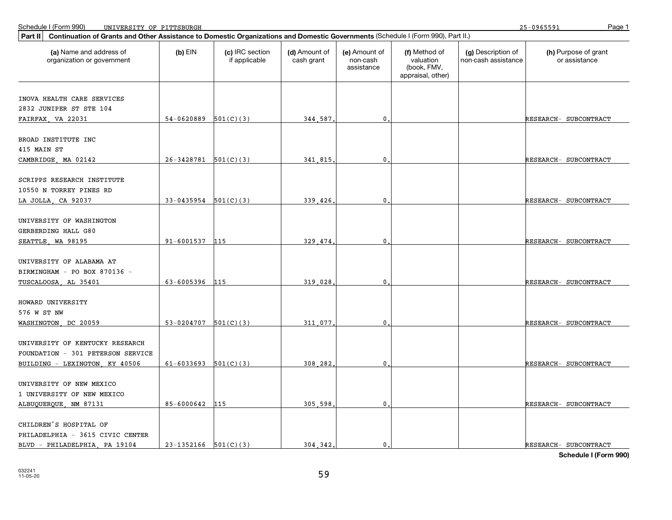25-0965591

| Continuation of Grants and Other Assistance to Domestic Organizations and Domestic Governments (Schedule I (Form 990), Part II.)<br>Part II |                          |                                  |                             |                                         |                                                                |                                           |                                       |
|---------------------------------------------------------------------------------------------------------------------------------------------|--------------------------|----------------------------------|-----------------------------|-----------------------------------------|----------------------------------------------------------------|-------------------------------------------|---------------------------------------|
| (a) Name and address of<br>organization or government                                                                                       | $(b)$ EIN                | (c) IRC section<br>if applicable | (d) Amount of<br>cash grant | (e) Amount of<br>non-cash<br>assistance | (f) Method of<br>valuation<br>(book, FMV,<br>appraisal, other) | (g) Description of<br>non-cash assistance | (h) Purpose of grant<br>or assistance |
|                                                                                                                                             |                          |                                  |                             |                                         |                                                                |                                           |                                       |
| INOVA HEALTH CARE SERVICES                                                                                                                  |                          |                                  |                             |                                         |                                                                |                                           |                                       |
| 2832 JUNIPER ST STE 104                                                                                                                     | $54-0620889$ $501(C)(3)$ |                                  |                             | $\mathbf{0}$                            |                                                                |                                           |                                       |
| FAIRFAX, VA 22031                                                                                                                           |                          |                                  | 344.587.                    |                                         |                                                                |                                           | RESEARCH- SUBCONTRACT                 |
| BROAD INSTITUTE INC                                                                                                                         |                          |                                  |                             |                                         |                                                                |                                           |                                       |
| 415 MAIN ST                                                                                                                                 |                          |                                  |                             |                                         |                                                                |                                           |                                       |
| CAMBRIDGE, MA 02142                                                                                                                         | $26-3428781$ 501(C)(3)   |                                  | 341,815                     | 0                                       |                                                                |                                           | RESEARCH- SUBCONTRACT                 |
|                                                                                                                                             |                          |                                  |                             |                                         |                                                                |                                           |                                       |
| SCRIPPS RESEARCH INSTITUTE                                                                                                                  |                          |                                  |                             |                                         |                                                                |                                           |                                       |
| 10550 N TORREY PINES RD                                                                                                                     |                          |                                  |                             |                                         |                                                                |                                           |                                       |
| LA JOLLA, CA 92037                                                                                                                          | 33-0435954               | 501(C)(3)                        | 339.426                     | 0                                       |                                                                |                                           | RESEARCH- SUBCONTRACT                 |
|                                                                                                                                             |                          |                                  |                             |                                         |                                                                |                                           |                                       |
| UNIVERSITY OF WASHINGTON                                                                                                                    |                          |                                  |                             |                                         |                                                                |                                           |                                       |
| GERBERDING HALL G80                                                                                                                         |                          |                                  |                             |                                         |                                                                |                                           |                                       |
| SEATTLE, WA 98195                                                                                                                           | 91-6001537 115           |                                  | 329.474                     | $\mathbf{0}$ .                          |                                                                |                                           | RESEARCH- SUBCONTRACT                 |
|                                                                                                                                             |                          |                                  |                             |                                         |                                                                |                                           |                                       |
| UNIVERSITY OF ALABAMA AT                                                                                                                    |                          |                                  |                             |                                         |                                                                |                                           |                                       |
| BIRMINGHAM - PO BOX 870136 -                                                                                                                |                          |                                  |                             |                                         |                                                                |                                           |                                       |
| TUSCALOOSA, AL 35401                                                                                                                        | 63-6005396               | 115                              | 319,028                     | $\mathbf 0$                             |                                                                |                                           | RESEARCH- SUBCONTRACT                 |
| HOWARD UNIVERSITY                                                                                                                           |                          |                                  |                             |                                         |                                                                |                                           |                                       |
| 576 W ST NW                                                                                                                                 |                          |                                  |                             |                                         |                                                                |                                           |                                       |
| WASHINGTON, DC 20059                                                                                                                        | 53-0204707               | 501(C)(3)                        | 311.077                     | $\mathbf{0}$                            |                                                                |                                           | RESEARCH- SUBCONTRACT                 |
|                                                                                                                                             |                          |                                  |                             |                                         |                                                                |                                           |                                       |
| UNIVERSITY OF KENTUCKY RESEARCH                                                                                                             |                          |                                  |                             |                                         |                                                                |                                           |                                       |
| FOUNDATION - 301 PETERSON SERVICE                                                                                                           |                          |                                  |                             |                                         |                                                                |                                           |                                       |
| BUILDING - LEXINGTON, KY 40506                                                                                                              | 61-6033693 $501(C)(3)$   |                                  | 308,282                     | $\pmb{0}$                               |                                                                |                                           | RESEARCH- SUBCONTRACT                 |
|                                                                                                                                             |                          |                                  |                             |                                         |                                                                |                                           |                                       |
| UNIVERSITY OF NEW MEXICO                                                                                                                    |                          |                                  |                             |                                         |                                                                |                                           |                                       |
| 1 UNIVERSITY OF NEW MEXICO                                                                                                                  |                          |                                  |                             |                                         |                                                                |                                           |                                       |
| ALBUQUERQUE, NM 87131                                                                                                                       | 85-6000642               | 115                              | 305,598,                    | $\mathbf{0}$                            |                                                                |                                           | RESEARCH- SUBCONTRACT                 |
|                                                                                                                                             |                          |                                  |                             |                                         |                                                                |                                           |                                       |
| CHILDREN'S HOSPITAL OF                                                                                                                      |                          |                                  |                             |                                         |                                                                |                                           |                                       |
| PHILADELPHIA - 3615 CIVIC CENTER                                                                                                            |                          |                                  |                             |                                         |                                                                |                                           |                                       |
| BLVD - PHILADELPHIA, PA 19104                                                                                                               | $23-1352166$ 501(C)(3)   |                                  | 304.342.                    | $\mathbf{0}$ .                          |                                                                |                                           | RESEARCH- SUBCONTRACT                 |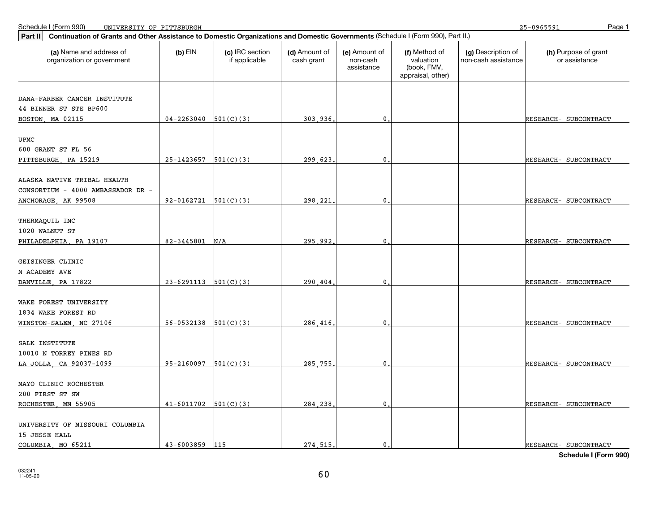25-0965591

| Continuation of Grants and Other Assistance to Domestic Organizations and Domestic Governments (Schedule I (Form 990), Part II.)<br>Part II |                          |                                  |                             |                                         |                                                                |                                           |                                       |
|---------------------------------------------------------------------------------------------------------------------------------------------|--------------------------|----------------------------------|-----------------------------|-----------------------------------------|----------------------------------------------------------------|-------------------------------------------|---------------------------------------|
| (a) Name and address of<br>organization or government                                                                                       | $(b)$ EIN                | (c) IRC section<br>if applicable | (d) Amount of<br>cash grant | (e) Amount of<br>non-cash<br>assistance | (f) Method of<br>valuation<br>(book, FMV,<br>appraisal, other) | (g) Description of<br>non-cash assistance | (h) Purpose of grant<br>or assistance |
| DANA-FARBER CANCER INSTITUTE                                                                                                                |                          |                                  |                             |                                         |                                                                |                                           |                                       |
| 44 BINNER ST STE BP600                                                                                                                      |                          |                                  |                             |                                         |                                                                |                                           |                                       |
| BOSTON, MA 02115                                                                                                                            | $04 - 2263040$ 501(C)(3) |                                  | 303,936                     | $\mathbf{0}$ .                          |                                                                |                                           | RESEARCH- SUBCONTRACT                 |
| UPMC                                                                                                                                        |                          |                                  |                             |                                         |                                                                |                                           |                                       |
| 600 GRANT ST FL 56                                                                                                                          |                          |                                  |                             |                                         |                                                                |                                           |                                       |
| PITTSBURGH, PA 15219                                                                                                                        | $25-1423657$ 501(C)(3)   |                                  | 299.623                     | $\mathbf 0$                             |                                                                |                                           | RESEARCH- SUBCONTRACT                 |
| ALASKA NATIVE TRIBAL HEALTH                                                                                                                 |                          |                                  |                             |                                         |                                                                |                                           |                                       |
| CONSORTIUM - 4000 AMBASSADOR DR -                                                                                                           |                          |                                  |                             |                                         |                                                                |                                           |                                       |
| ANCHORAGE, AK 99508                                                                                                                         | $92-0162721$ $501(C)(3)$ |                                  | 298.221                     | $\mathbf 0$                             |                                                                |                                           | RESEARCH- SUBCONTRACT                 |
|                                                                                                                                             |                          |                                  |                             |                                         |                                                                |                                           |                                       |
| THERMAQUIL INC                                                                                                                              |                          |                                  |                             |                                         |                                                                |                                           |                                       |
| 1020 WALNUT ST                                                                                                                              |                          |                                  |                             |                                         |                                                                |                                           |                                       |
| PHILADELPHIA, PA 19107                                                                                                                      | 82-3445801               | N/A                              | 295.992                     | $\mathbf{0}$ .                          |                                                                |                                           | RESEARCH- SUBCONTRACT                 |
|                                                                                                                                             |                          |                                  |                             |                                         |                                                                |                                           |                                       |
| GEISINGER CLINIC                                                                                                                            |                          |                                  |                             |                                         |                                                                |                                           |                                       |
| N ACADEMY AVE<br>DANVILLE, PA 17822                                                                                                         | $23-6291113$ $501(C)(3)$ |                                  | 290.404.                    | $\mathbf{0}$                            |                                                                |                                           | RESEARCH- SUBCONTRACT                 |
|                                                                                                                                             |                          |                                  |                             |                                         |                                                                |                                           |                                       |
| WAKE FOREST UNIVERSITY                                                                                                                      |                          |                                  |                             |                                         |                                                                |                                           |                                       |
| 1834 WAKE FOREST RD                                                                                                                         |                          |                                  |                             |                                         |                                                                |                                           |                                       |
| WINSTON-SALEM, NC 27106                                                                                                                     | $56-0532138$ $501(C)(3)$ |                                  | 286.416.                    | $\mathbf{0}$ .                          |                                                                |                                           | RESEARCH- SUBCONTRACT                 |
|                                                                                                                                             |                          |                                  |                             |                                         |                                                                |                                           |                                       |
| SALK INSTITUTE                                                                                                                              |                          |                                  |                             |                                         |                                                                |                                           |                                       |
| 10010 N TORREY PINES RD<br>LA JOLLA, CA 92037-1099                                                                                          | $95-2160097$ $501(C)(3)$ |                                  | 285.755                     | 0                                       |                                                                |                                           | RESEARCH- SUBCONTRACT                 |
|                                                                                                                                             |                          |                                  |                             |                                         |                                                                |                                           |                                       |
| MAYO CLINIC ROCHESTER                                                                                                                       |                          |                                  |                             |                                         |                                                                |                                           |                                       |
| 200 FIRST ST SW                                                                                                                             |                          |                                  |                             |                                         |                                                                |                                           |                                       |
| ROCHESTER, MN 55905                                                                                                                         | $41-6011702$ $501(C)(3)$ |                                  | 284,238                     | $\mathbf{0}$ .                          |                                                                |                                           | RESEARCH- SUBCONTRACT                 |
|                                                                                                                                             |                          |                                  |                             |                                         |                                                                |                                           |                                       |
| UNIVERSITY OF MISSOURI COLUMBIA                                                                                                             |                          |                                  |                             |                                         |                                                                |                                           |                                       |
| 15 JESSE HALL<br>COLUMBIA, MO 65211                                                                                                         | 43-6003859               | 115                              | 274.515.                    | $\mathbf{0}$                            |                                                                |                                           | RESEARCH- SUBCONTRACT                 |
|                                                                                                                                             |                          |                                  |                             |                                         |                                                                |                                           |                                       |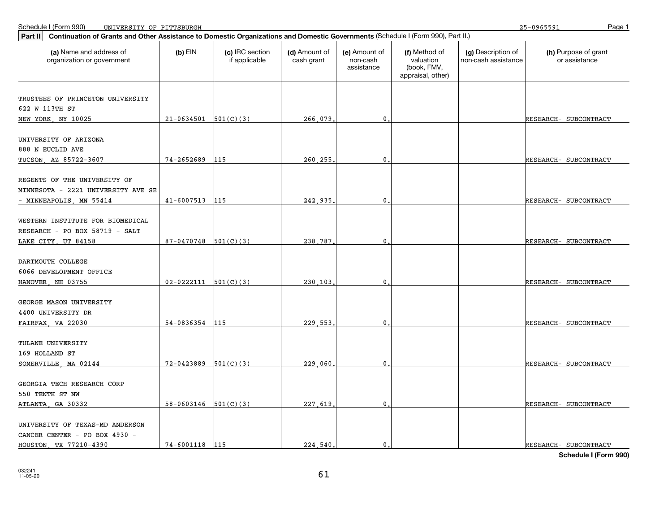25-0965591

| Part II                                               | Continuation of Grants and Other Assistance to Domestic Organizations and Domestic Governments (Schedule I (Form 990), Part II.) |                                  |                             |                                         |                                                                |                                           |                                       |  |  |
|-------------------------------------------------------|----------------------------------------------------------------------------------------------------------------------------------|----------------------------------|-----------------------------|-----------------------------------------|----------------------------------------------------------------|-------------------------------------------|---------------------------------------|--|--|
| (a) Name and address of<br>organization or government | $(b)$ EIN                                                                                                                        | (c) IRC section<br>if applicable | (d) Amount of<br>cash grant | (e) Amount of<br>non-cash<br>assistance | (f) Method of<br>valuation<br>(book, FMV,<br>appraisal, other) | (g) Description of<br>non-cash assistance | (h) Purpose of grant<br>or assistance |  |  |
|                                                       |                                                                                                                                  |                                  |                             |                                         |                                                                |                                           |                                       |  |  |
| TRUSTEES OF PRINCETON UNIVERSITY                      |                                                                                                                                  |                                  |                             |                                         |                                                                |                                           |                                       |  |  |
| 622 W 113TH ST                                        |                                                                                                                                  |                                  |                             |                                         |                                                                |                                           |                                       |  |  |
| NEW YORK, NY 10025                                    | $21-0634501$ $501(C)(3)$                                                                                                         |                                  | 266.079                     | $\mathbf{0}$ .                          |                                                                |                                           | RESEARCH- SUBCONTRACT                 |  |  |
| UNIVERSITY OF ARIZONA                                 |                                                                                                                                  |                                  |                             |                                         |                                                                |                                           |                                       |  |  |
| 888 N EUCLID AVE                                      |                                                                                                                                  |                                  |                             |                                         |                                                                |                                           |                                       |  |  |
| TUCSON, AZ 85722-3607                                 | 74-2652689                                                                                                                       | 115                              | 260.255                     | 0                                       |                                                                |                                           | RESEARCH- SUBCONTRACT                 |  |  |
|                                                       |                                                                                                                                  |                                  |                             |                                         |                                                                |                                           |                                       |  |  |
| REGENTS OF THE UNIVERSITY OF                          |                                                                                                                                  |                                  |                             |                                         |                                                                |                                           |                                       |  |  |
| MINNESOTA - 2221 UNIVERSITY AVE SE                    |                                                                                                                                  |                                  |                             |                                         |                                                                |                                           |                                       |  |  |
| - MINNEAPOLIS, MN 55414                               | 41-6007513 115                                                                                                                   |                                  | 242,935                     | $\mathbf 0$                             |                                                                |                                           | RESEARCH- SUBCONTRACT                 |  |  |
|                                                       |                                                                                                                                  |                                  |                             |                                         |                                                                |                                           |                                       |  |  |
| WESTERN INSTITUTE FOR BIOMEDICAL                      |                                                                                                                                  |                                  |                             |                                         |                                                                |                                           |                                       |  |  |
| RESEARCH - PO BOX 58719 - SALT                        |                                                                                                                                  |                                  |                             |                                         |                                                                |                                           |                                       |  |  |
| LAKE CITY, UT 84158                                   | $87-0470748$ 501(C)(3)                                                                                                           |                                  | 238,787                     | $\mathbf 0$                             |                                                                |                                           | RESEARCH- SUBCONTRACT                 |  |  |
|                                                       |                                                                                                                                  |                                  |                             |                                         |                                                                |                                           |                                       |  |  |
| DARTMOUTH COLLEGE                                     |                                                                                                                                  |                                  |                             |                                         |                                                                |                                           |                                       |  |  |
| 6066 DEVELOPMENT OFFICE                               |                                                                                                                                  |                                  |                             |                                         |                                                                |                                           |                                       |  |  |
| HANOVER, NH 03755                                     | $02 - 0222111$ $501(C)(3)$                                                                                                       |                                  | 230.103                     | $\mathbf 0$                             |                                                                |                                           | RESEARCH- SUBCONTRACT                 |  |  |
| GEORGE MASON UNIVERSITY                               |                                                                                                                                  |                                  |                             |                                         |                                                                |                                           |                                       |  |  |
| 4400 UNIVERSITY DR                                    |                                                                                                                                  |                                  |                             |                                         |                                                                |                                           |                                       |  |  |
| FAIRFAX, VA 22030                                     | 54-0836354                                                                                                                       | 115                              | 229,553                     | 0.                                      |                                                                |                                           | RESEARCH- SUBCONTRACT                 |  |  |
|                                                       |                                                                                                                                  |                                  |                             |                                         |                                                                |                                           |                                       |  |  |
| TULANE UNIVERSITY                                     |                                                                                                                                  |                                  |                             |                                         |                                                                |                                           |                                       |  |  |
| 169 HOLLAND ST                                        |                                                                                                                                  |                                  |                             |                                         |                                                                |                                           |                                       |  |  |
| SOMERVILLE, MA 02144                                  | $72 - 0423889$ $501(C)(3)$                                                                                                       |                                  | 229,060                     | 0                                       |                                                                |                                           | RESEARCH- SUBCONTRACT                 |  |  |
|                                                       |                                                                                                                                  |                                  |                             |                                         |                                                                |                                           |                                       |  |  |
| GEORGIA TECH RESEARCH CORP                            |                                                                                                                                  |                                  |                             |                                         |                                                                |                                           |                                       |  |  |
| 550 TENTH ST NW                                       |                                                                                                                                  |                                  |                             |                                         |                                                                |                                           |                                       |  |  |
| ATLANTA, GA 30332                                     | $58-0603146$ $501(C)(3)$                                                                                                         |                                  | 227 619.                    | $\mathbf{0}$ .                          |                                                                |                                           | RESEARCH- SUBCONTRACT                 |  |  |
|                                                       |                                                                                                                                  |                                  |                             |                                         |                                                                |                                           |                                       |  |  |
| UNIVERSITY OF TEXAS-MD ANDERSON                       |                                                                                                                                  |                                  |                             |                                         |                                                                |                                           |                                       |  |  |
| CANCER CENTER - PO BOX 4930 -                         |                                                                                                                                  |                                  |                             |                                         |                                                                |                                           |                                       |  |  |
| HOUSTON, TX 77210-4390                                | 74-6001118 115                                                                                                                   |                                  | 224,540                     | $\mathbf{0}$ .                          |                                                                |                                           | RESEARCH- SUBCONTRACT                 |  |  |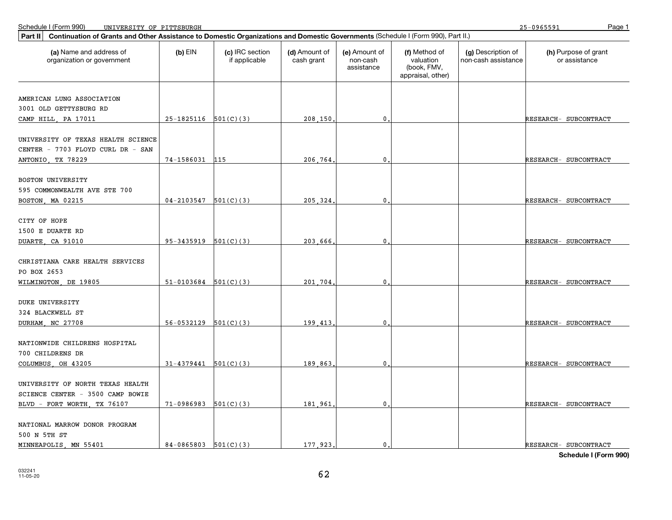25-0965591

| Continuation of Grants and Other Assistance to Domestic Organizations and Domestic Governments (Schedule I (Form 990), Part II.)<br>Part II |                          |                                  |                             |                                         |                                                                |                                           |                                       |
|---------------------------------------------------------------------------------------------------------------------------------------------|--------------------------|----------------------------------|-----------------------------|-----------------------------------------|----------------------------------------------------------------|-------------------------------------------|---------------------------------------|
| (a) Name and address of<br>organization or government                                                                                       | $(b)$ EIN                | (c) IRC section<br>if applicable | (d) Amount of<br>cash grant | (e) Amount of<br>non-cash<br>assistance | (f) Method of<br>valuation<br>(book, FMV,<br>appraisal, other) | (g) Description of<br>non-cash assistance | (h) Purpose of grant<br>or assistance |
| AMERICAN LUNG ASSOCIATION                                                                                                                   |                          |                                  |                             |                                         |                                                                |                                           |                                       |
| 3001 OLD GETTYSBURG RD                                                                                                                      |                          |                                  |                             |                                         |                                                                |                                           |                                       |
| CAMP HILL, PA 17011                                                                                                                         | $25-1825116$ $501(C)(3)$ |                                  | 208,150                     | $\mathbf{0}$                            |                                                                |                                           | RESEARCH- SUBCONTRACT                 |
| UNIVERSITY OF TEXAS HEALTH SCIENCE<br>CENTER - 7703 FLOYD CURL DR - SAN                                                                     |                          |                                  |                             |                                         |                                                                |                                           |                                       |
| ANTONIO, TX 78229                                                                                                                           | 74-1586031 115           |                                  | 206.764                     | 0                                       |                                                                |                                           | RESEARCH- SUBCONTRACT                 |
| BOSTON UNIVERSITY<br>595 COMMONWEALTH AVE STE 700                                                                                           |                          |                                  |                             |                                         |                                                                |                                           |                                       |
| BOSTON, MA 02215                                                                                                                            | 04-2103547               | 501(C)(3)                        | 205.324                     | $\mathbf 0$                             |                                                                |                                           | RESEARCH- SUBCONTRACT                 |
| CITY OF HOPE<br>1500 E DUARTE RD<br>DUARTE, CA 91010                                                                                        | $95-3435919$ $501(C)(3)$ |                                  | 203.666.                    | $\mathbf{0}$                            |                                                                |                                           | RESEARCH- SUBCONTRACT                 |
| CHRISTIANA CARE HEALTH SERVICES<br>PO BOX 2653<br>WILMINGTON, DE 19805                                                                      | $51-0103684$ $501(C)(3)$ |                                  | 201.704                     | $\mathbf 0$                             |                                                                |                                           | RESEARCH- SUBCONTRACT                 |
|                                                                                                                                             |                          |                                  |                             |                                         |                                                                |                                           |                                       |
| DUKE UNIVERSITY                                                                                                                             |                          |                                  |                             |                                         |                                                                |                                           |                                       |
| 324 BLACKWELL ST<br>DURHAM, NC 27708                                                                                                        | 56-0532129               | 501(C)(3)                        | 199.413                     | $\mathbf 0$                             |                                                                |                                           | RESEARCH- SUBCONTRACT                 |
| NATIONWIDE CHILDRENS HOSPITAL<br>700 CHILDRENS DR                                                                                           |                          |                                  |                             |                                         |                                                                |                                           |                                       |
| COLUMBUS, OH 43205                                                                                                                          | $31-4379441$ $501(C)(3)$ |                                  | 189,863                     | $\mathbf{0}$                            |                                                                |                                           | RESEARCH- SUBCONTRACT                 |
| UNIVERSITY OF NORTH TEXAS HEALTH<br>SCIENCE CENTER - 3500 CAMP BOWIE                                                                        |                          |                                  |                             |                                         |                                                                |                                           |                                       |
| BLVD - FORT WORTH, TX 76107                                                                                                                 | $71-0986983$ $501(C)(3)$ |                                  | 181,961                     | 0                                       |                                                                |                                           | RESEARCH- SUBCONTRACT                 |
| NATIONAL MARROW DONOR PROGRAM<br>500 N 5TH ST                                                                                               |                          |                                  |                             |                                         |                                                                |                                           |                                       |
| MINNEAPOLIS, MN 55401                                                                                                                       | $84-0865803$ $501(C)(3)$ |                                  | 177,923,                    | $\mathbf{0}$ .                          |                                                                |                                           | RESEARCH- SUBCONTRACT                 |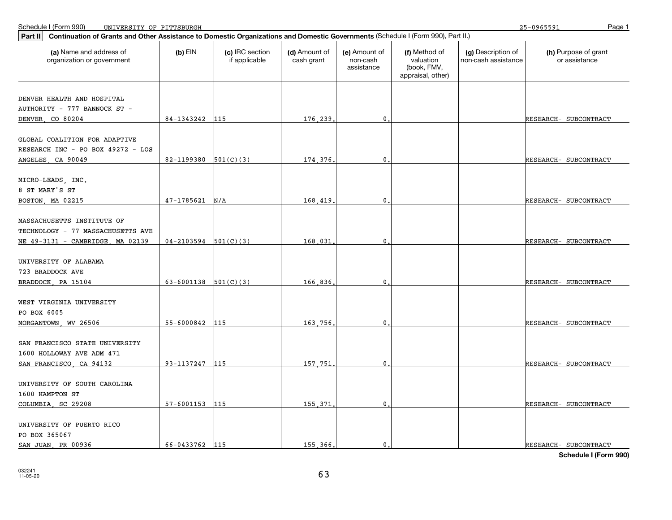| Part II<br>Continuation of Grants and Other Assistance to Domestic Organizations and Domestic Governments (Schedule I (Form 990), Part II.) |                            |                                  |                             |                                         |                                                                |                                           |                                       |  |  |
|---------------------------------------------------------------------------------------------------------------------------------------------|----------------------------|----------------------------------|-----------------------------|-----------------------------------------|----------------------------------------------------------------|-------------------------------------------|---------------------------------------|--|--|
| (a) Name and address of<br>organization or government                                                                                       | $(b)$ EIN                  | (c) IRC section<br>if applicable | (d) Amount of<br>cash grant | (e) Amount of<br>non-cash<br>assistance | (f) Method of<br>valuation<br>(book, FMV,<br>appraisal, other) | (g) Description of<br>non-cash assistance | (h) Purpose of grant<br>or assistance |  |  |
|                                                                                                                                             |                            |                                  |                             |                                         |                                                                |                                           |                                       |  |  |
| DENVER HEALTH AND HOSPITAL                                                                                                                  |                            |                                  |                             |                                         |                                                                |                                           |                                       |  |  |
| AUTHORITY - 777 BANNOCK ST -                                                                                                                |                            |                                  |                             |                                         |                                                                |                                           |                                       |  |  |
| DENVER CO 80204                                                                                                                             | 84-1343242 115             |                                  | 176,239.                    | 0.                                      |                                                                |                                           | RESEARCH- SUBCONTRACT                 |  |  |
| GLOBAL COALITION FOR ADAPTIVE                                                                                                               |                            |                                  |                             |                                         |                                                                |                                           |                                       |  |  |
| RESEARCH INC - PO BOX 49272 - LOS                                                                                                           |                            |                                  |                             |                                         |                                                                |                                           |                                       |  |  |
| ANGELES CA 90049                                                                                                                            | 82-1199380 $501(C)(3)$     |                                  | 174,376                     | $\mathbf{0}$                            |                                                                |                                           | RESEARCH- SUBCONTRACT                 |  |  |
|                                                                                                                                             |                            |                                  |                             |                                         |                                                                |                                           |                                       |  |  |
| MICRO-LEADS, INC.                                                                                                                           |                            |                                  |                             |                                         |                                                                |                                           |                                       |  |  |
| 8 ST MARY'S ST                                                                                                                              |                            |                                  |                             |                                         |                                                                |                                           |                                       |  |  |
| BOSTON, MA 02215                                                                                                                            | 47-1785621                 | N/A                              | 168.419                     | $\mathbf{0}$                            |                                                                |                                           | RESEARCH- SUBCONTRACT                 |  |  |
|                                                                                                                                             |                            |                                  |                             |                                         |                                                                |                                           |                                       |  |  |
| MASSACHUSETTS INSTITUTE OF                                                                                                                  |                            |                                  |                             |                                         |                                                                |                                           |                                       |  |  |
| TECHNOLOGY - 77 MASSACHUSETTS AVE                                                                                                           |                            |                                  |                             |                                         |                                                                |                                           |                                       |  |  |
| NE 49-3131 - CAMBRIDGE, MA 02139                                                                                                            | $04-2103594$ 501(C)(3)     |                                  | 168,031                     | $\mathbf{0}$ .                          |                                                                |                                           | RESEARCH- SUBCONTRACT                 |  |  |
| UNIVERSITY OF ALABAMA                                                                                                                       |                            |                                  |                             |                                         |                                                                |                                           |                                       |  |  |
| 723 BRADDOCK AVE                                                                                                                            |                            |                                  |                             |                                         |                                                                |                                           |                                       |  |  |
| BRADDOCK, PA 15104                                                                                                                          | $63 - 6001138$ $501(C)(3)$ |                                  | 166.836                     | $\mathbf{0}$                            |                                                                |                                           | RESEARCH- SUBCONTRACT                 |  |  |
|                                                                                                                                             |                            |                                  |                             |                                         |                                                                |                                           |                                       |  |  |
| WEST VIRGINIA UNIVERSITY                                                                                                                    |                            |                                  |                             |                                         |                                                                |                                           |                                       |  |  |
| PO BOX 6005                                                                                                                                 |                            |                                  |                             |                                         |                                                                |                                           |                                       |  |  |
| MORGANTOWN, WV 26506                                                                                                                        | 55-6000842 115             |                                  | 163,756                     | $\mathbf{0}$ .                          |                                                                |                                           | RESEARCH- SUBCONTRACT                 |  |  |
|                                                                                                                                             |                            |                                  |                             |                                         |                                                                |                                           |                                       |  |  |
| SAN FRANCISCO STATE UNIVERSITY                                                                                                              |                            |                                  |                             |                                         |                                                                |                                           |                                       |  |  |
| 1600 HOLLOWAY AVE ADM 471                                                                                                                   |                            |                                  |                             |                                         |                                                                |                                           |                                       |  |  |
| SAN FRANCISCO, CA 94132                                                                                                                     | 93-1137247                 | 115                              | 157.751                     | $\mathbf{0}$                            |                                                                |                                           | RESEARCH- SUBCONTRACT                 |  |  |
| UNIVERSITY OF SOUTH CAROLINA                                                                                                                |                            |                                  |                             |                                         |                                                                |                                           |                                       |  |  |
| 1600 HAMPTON ST                                                                                                                             |                            |                                  |                             |                                         |                                                                |                                           |                                       |  |  |
| COLUMBIA, SC 29208                                                                                                                          | 57-6001153                 | 115                              | 155.371                     | $\mathbf{0}$                            |                                                                |                                           | RESEARCH- SUBCONTRACT                 |  |  |
|                                                                                                                                             |                            |                                  |                             |                                         |                                                                |                                           |                                       |  |  |
| UNIVERSITY OF PUERTO RICO                                                                                                                   |                            |                                  |                             |                                         |                                                                |                                           |                                       |  |  |
| PO BOX 365067                                                                                                                               |                            |                                  |                             |                                         |                                                                |                                           |                                       |  |  |
| SAN JUAN, PR 00936                                                                                                                          | 66-0433762 115             |                                  | 155,366,                    | $\mathbf{0}$ .                          |                                                                |                                           | RESEARCH- SUBCONTRACT                 |  |  |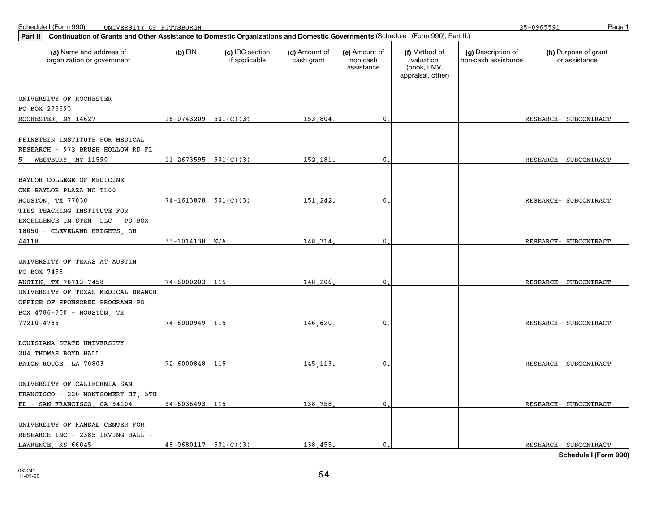25-0965591

| Continuation of Grants and Other Assistance to Domestic Organizations and Domestic Governments (Schedule I (Form 990), Part II.)<br>Part II |                          |                                  |                             |                                         |                                                                |                                           |                                       |
|---------------------------------------------------------------------------------------------------------------------------------------------|--------------------------|----------------------------------|-----------------------------|-----------------------------------------|----------------------------------------------------------------|-------------------------------------------|---------------------------------------|
| (a) Name and address of<br>organization or government                                                                                       | $(b)$ EIN                | (c) IRC section<br>if applicable | (d) Amount of<br>cash grant | (e) Amount of<br>non-cash<br>assistance | (f) Method of<br>valuation<br>(book, FMV,<br>appraisal, other) | (g) Description of<br>non-cash assistance | (h) Purpose of grant<br>or assistance |
|                                                                                                                                             |                          |                                  |                             |                                         |                                                                |                                           |                                       |
| UNIVERSITY OF ROCHESTER                                                                                                                     |                          |                                  |                             |                                         |                                                                |                                           |                                       |
| PO BOX 278893                                                                                                                               |                          |                                  |                             |                                         |                                                                |                                           |                                       |
| ROCHESTER, NY 14627                                                                                                                         | $16-0743209$ $501(C)(3)$ |                                  | 153.804.                    | $\mathbf 0$ .                           |                                                                |                                           | RESEARCH- SUBCONTRACT                 |
| FEINSTEIN INSTITUTE FOR MEDICAL<br>RESEARCH - 972 BRUSH HOLLOW RD FL                                                                        |                          |                                  |                             |                                         |                                                                |                                           |                                       |
| 5 - WESTBURY, NY 11590                                                                                                                      | $11-2673595$ $501(C)(3)$ |                                  | 152,181.                    | $\mathbf{0}$                            |                                                                |                                           | RESEARCH- SUBCONTRACT                 |
| BAYLOR COLLEGE OF MEDICINE<br>ONE BAYLOR PLAZA NO T100<br>HOUSTON, TX 77030                                                                 | $74-1613878$ 501(C)(3)   |                                  | 151,242                     | 0                                       |                                                                |                                           | RESEARCH- SUBCONTRACT                 |
| TIES TEACHING INSTITUTE FOR                                                                                                                 |                          |                                  |                             |                                         |                                                                |                                           |                                       |
| EXCELLENCE IN STEM LLC - PO BOX<br>18050 - CLEVELAND HEIGHTS, OH                                                                            |                          |                                  |                             |                                         |                                                                |                                           |                                       |
| 44118                                                                                                                                       | $33-1014138$ N/A         |                                  | 148.714.                    | $\mathbf{0}$                            |                                                                |                                           | RESEARCH- SUBCONTRACT                 |
| UNIVERSITY OF TEXAS AT AUSTIN<br>PO BOX 7458<br>AUSTIN, TX 78713-7458                                                                       | 74-6000203               | 115                              | 148,206,                    | 0                                       |                                                                |                                           | RESEARCH- SUBCONTRACT                 |
| UNIVERSITY OF TEXAS MEDICAL BRANCH                                                                                                          |                          |                                  |                             |                                         |                                                                |                                           |                                       |
| OFFICE OF SPONSORED PROGRAMS PO                                                                                                             |                          |                                  |                             |                                         |                                                                |                                           |                                       |
| BOX 4786-750 - HOUSTON, TX                                                                                                                  |                          |                                  |                             |                                         |                                                                |                                           |                                       |
| 77210-4786                                                                                                                                  | 74-6000949               | 115                              | 146.620.                    | $\mathbf{0}$                            |                                                                |                                           | RESEARCH- SUBCONTRACT                 |
| LOUISIANA STATE UNIVERSITY<br>204 THOMAS BOYD HALL                                                                                          |                          |                                  |                             |                                         |                                                                |                                           |                                       |
| BATON ROUGE, LA 70803                                                                                                                       | $72 - 6000848$           | 115                              | 145, 113.                   | $\mathbf{0}$                            |                                                                |                                           | RESEARCH- SUBCONTRACT                 |
| UNIVERSITY OF CALIFORNIA SAN<br>FRANCISCO - 220 MONTGOMERY ST, 5TH<br>FL - SAN FRANCISCO, CA 94104                                          | 94-6036493 115           |                                  | 138.758.                    | $\mathbf{0}$                            |                                                                |                                           | RESEARCH- SUBCONTRACT                 |
| UNIVERSITY OF KANSAS CENTER FOR<br>RESEARCH INC - 2385 IRVING HALL -<br>LAWRENCE, KS 66045                                                  | $48-0680117$ 501(C)(3)   |                                  | 138.455.                    | $\mathbf{0}$ .                          |                                                                |                                           | RESEARCH- SUBCONTRACT                 |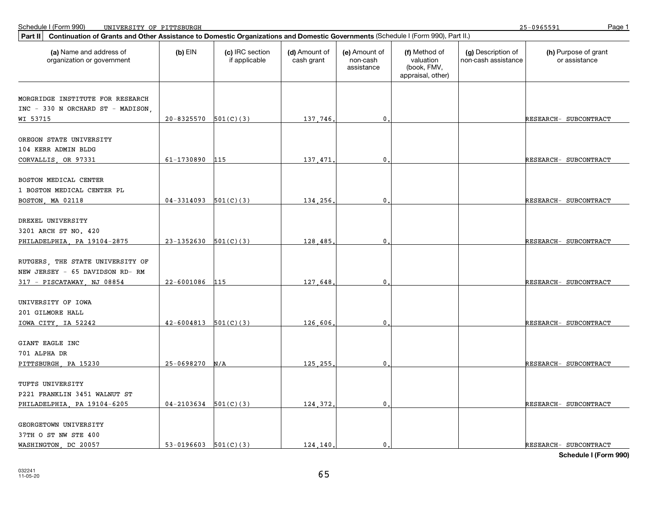25-0965591

| Continuation of Grants and Other Assistance to Domestic Organizations and Domestic Governments (Schedule I (Form 990), Part II.)<br>Part II |                            |                                  |                             |                                         |                                                                |                                           |                                       |
|---------------------------------------------------------------------------------------------------------------------------------------------|----------------------------|----------------------------------|-----------------------------|-----------------------------------------|----------------------------------------------------------------|-------------------------------------------|---------------------------------------|
| (a) Name and address of<br>organization or government                                                                                       | $(b)$ EIN                  | (c) IRC section<br>if applicable | (d) Amount of<br>cash grant | (e) Amount of<br>non-cash<br>assistance | (f) Method of<br>valuation<br>(book, FMV,<br>appraisal, other) | (g) Description of<br>non-cash assistance | (h) Purpose of grant<br>or assistance |
| MORGRIDGE INSTITUTE FOR RESEARCH                                                                                                            |                            |                                  |                             |                                         |                                                                |                                           |                                       |
| INC - 330 N ORCHARD ST - MADISON,                                                                                                           |                            |                                  |                             |                                         |                                                                |                                           |                                       |
| WI 53715                                                                                                                                    | $20 - 8325570$ $501(C)(3)$ |                                  | 137,746                     | $\mathbf{0}$                            |                                                                |                                           | RESEARCH- SUBCONTRACT                 |
|                                                                                                                                             |                            |                                  |                             |                                         |                                                                |                                           |                                       |
| OREGON STATE UNIVERSITY                                                                                                                     |                            |                                  |                             |                                         |                                                                |                                           |                                       |
| 104 KERR ADMIN BLDG                                                                                                                         |                            |                                  |                             |                                         |                                                                |                                           |                                       |
| CORVALLIS OR 97331                                                                                                                          | 61-1730890                 | 115                              | 137.471                     | 0                                       |                                                                |                                           | RESEARCH- SUBCONTRACT                 |
|                                                                                                                                             |                            |                                  |                             |                                         |                                                                |                                           |                                       |
| BOSTON MEDICAL CENTER                                                                                                                       |                            |                                  |                             |                                         |                                                                |                                           |                                       |
| 1 BOSTON MEDICAL CENTER PL                                                                                                                  |                            |                                  |                             |                                         |                                                                |                                           |                                       |
| BOSTON, MA 02118                                                                                                                            | $04-3314093$ $501(C)(3)$   |                                  | 134,256                     | $\mathbf 0$                             |                                                                |                                           | RESEARCH- SUBCONTRACT                 |
|                                                                                                                                             |                            |                                  |                             |                                         |                                                                |                                           |                                       |
| DREXEL UNIVERSITY                                                                                                                           |                            |                                  |                             |                                         |                                                                |                                           |                                       |
| 3201 ARCH ST NO. 420                                                                                                                        |                            |                                  |                             |                                         |                                                                |                                           |                                       |
| PHILADELPHIA, PA 19104-2875                                                                                                                 | $23-1352630$ $501(C)(3)$   |                                  | 128,485                     | $\mathbf{0}$                            |                                                                |                                           | RESEARCH- SUBCONTRACT                 |
|                                                                                                                                             |                            |                                  |                             |                                         |                                                                |                                           |                                       |
| RUTGERS, THE STATE UNIVERSITY OF                                                                                                            |                            |                                  |                             |                                         |                                                                |                                           |                                       |
| NEW JERSEY - 65 DAVIDSON RD-RM                                                                                                              |                            |                                  |                             |                                         |                                                                |                                           |                                       |
| 317 - PISCATAWAY, NJ 08854                                                                                                                  | $22 - 6001086$             | 115                              | 127 648                     | $\mathbf{0}$                            |                                                                |                                           | RESEARCH- SUBCONTRACT                 |
|                                                                                                                                             |                            |                                  |                             |                                         |                                                                |                                           |                                       |
| UNIVERSITY OF IOWA                                                                                                                          |                            |                                  |                             |                                         |                                                                |                                           |                                       |
| 201 GILMORE HALL                                                                                                                            |                            |                                  |                             |                                         |                                                                |                                           |                                       |
| IOWA CITY, IA 52242                                                                                                                         | $42 - 6004813$ $501(C)(3)$ |                                  | 126,606                     | 0.                                      |                                                                |                                           | RESEARCH- SUBCONTRACT                 |
| GIANT EAGLE INC                                                                                                                             |                            |                                  |                             |                                         |                                                                |                                           |                                       |
| 701 ALPHA DR                                                                                                                                |                            |                                  |                             |                                         |                                                                |                                           |                                       |
| PITTSBURGH, PA 15230                                                                                                                        | $25 - 0698270$ N/A         |                                  | 125.255                     | 0                                       |                                                                |                                           | RESEARCH- SUBCONTRACT                 |
|                                                                                                                                             |                            |                                  |                             |                                         |                                                                |                                           |                                       |
| TUFTS UNIVERSITY                                                                                                                            |                            |                                  |                             |                                         |                                                                |                                           |                                       |
| P221 FRANKLIN 3451 WALNUT ST                                                                                                                |                            |                                  |                             |                                         |                                                                |                                           |                                       |
| PHILADELPHIA, PA 19104-6205                                                                                                                 | $04-2103634$ 501(C)(3)     |                                  | 124.372.                    | $\mathbf 0$                             |                                                                |                                           | RESEARCH- SUBCONTRACT                 |
|                                                                                                                                             |                            |                                  |                             |                                         |                                                                |                                           |                                       |
| GEORGETOWN UNIVERSITY                                                                                                                       |                            |                                  |                             |                                         |                                                                |                                           |                                       |
| 37TH O ST NW STE 400                                                                                                                        |                            |                                  |                             |                                         |                                                                |                                           |                                       |
| WASHINGTON, DC 20057                                                                                                                        | $53-0196603$ $501(C)(3)$   |                                  | 124,140                     | $\mathbf 0$                             |                                                                |                                           | RESEARCH- SUBCONTRACT                 |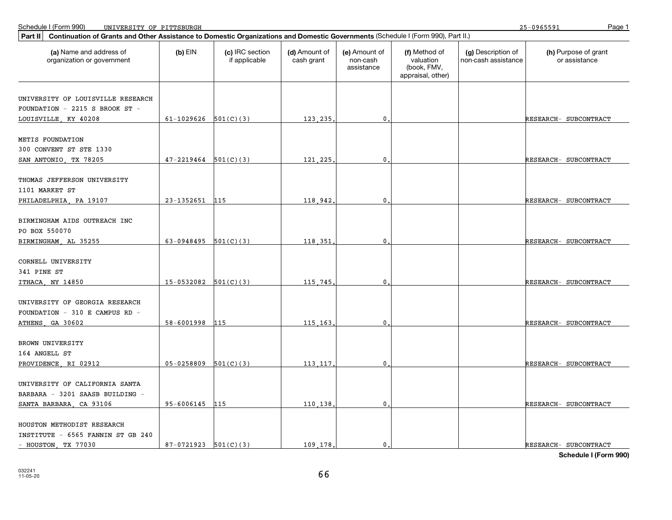25-0965591

| Continuation of Grants and Other Assistance to Domestic Organizations and Domestic Governments (Schedule I (Form 990), Part II.)<br>Part II |                            |                                  |                             |                                         |                                                                |                                           |                                       |
|---------------------------------------------------------------------------------------------------------------------------------------------|----------------------------|----------------------------------|-----------------------------|-----------------------------------------|----------------------------------------------------------------|-------------------------------------------|---------------------------------------|
| (a) Name and address of<br>organization or government                                                                                       | $(b)$ EIN                  | (c) IRC section<br>if applicable | (d) Amount of<br>cash grant | (e) Amount of<br>non-cash<br>assistance | (f) Method of<br>valuation<br>(book, FMV,<br>appraisal, other) | (g) Description of<br>non-cash assistance | (h) Purpose of grant<br>or assistance |
| UNIVERSITY OF LOUISVILLE RESEARCH                                                                                                           |                            |                                  |                             |                                         |                                                                |                                           |                                       |
| FOUNDATION - 2215 S BROOK ST -                                                                                                              |                            |                                  |                             |                                         |                                                                |                                           |                                       |
| LOUISVILLE, KY 40208                                                                                                                        | 61-1029626 $501(C)(3)$     |                                  | 123,235                     | $\mathbf{0}$                            |                                                                |                                           | RESEARCH- SUBCONTRACT                 |
|                                                                                                                                             |                            |                                  |                             |                                         |                                                                |                                           |                                       |
| METIS FOUNDATION                                                                                                                            |                            |                                  |                             |                                         |                                                                |                                           |                                       |
| 300 CONVENT ST STE 1330                                                                                                                     |                            |                                  |                             |                                         |                                                                |                                           |                                       |
| SAN ANTONIO, TX 78205                                                                                                                       | $47 - 2219464$ $501(C)(3)$ |                                  | 121, 225,                   | $\mathbf{0}$                            |                                                                |                                           | RESEARCH- SUBCONTRACT                 |
| THOMAS JEFFERSON UNIVERSITY<br>1101 MARKET ST                                                                                               |                            |                                  |                             |                                         |                                                                |                                           |                                       |
| PHILADELPHIA, PA 19107                                                                                                                      | 23-1352651                 | 115                              | 118,942                     | 0                                       |                                                                |                                           | RESEARCH- SUBCONTRACT                 |
| BIRMINGHAM AIDS OUTREACH INC<br>PO BOX 550070                                                                                               |                            |                                  |                             |                                         |                                                                |                                           |                                       |
| BIRMINGHAM, AL 35255                                                                                                                        | $63-0948495$ $501(C)(3)$   |                                  | 118.351                     | $\mathbf{0}$ .                          |                                                                |                                           | RESEARCH- SUBCONTRACT                 |
| CORNELL UNIVERSITY<br>341 PINE ST                                                                                                           |                            |                                  |                             |                                         |                                                                |                                           |                                       |
| ITHACA, NY 14850                                                                                                                            | $15-0532082$ $501(C)(3)$   |                                  | 115,745                     | 0                                       |                                                                |                                           | RESEARCH- SUBCONTRACT                 |
| UNIVERSITY OF GEORGIA RESEARCH<br>FOUNDATION - 310 E CAMPUS RD -<br>ATHENS, GA 30602                                                        | 58-6001998                 | 115                              | 115,163                     | $\mathbf 0$                             |                                                                |                                           | RESEARCH- SUBCONTRACT                 |
|                                                                                                                                             |                            |                                  |                             |                                         |                                                                |                                           |                                       |
| BROWN UNIVERSITY                                                                                                                            |                            |                                  |                             |                                         |                                                                |                                           |                                       |
| 164 ANGELL ST                                                                                                                               |                            |                                  |                             |                                         |                                                                |                                           |                                       |
| PROVIDENCE, RI 02912                                                                                                                        | $05-0258809$ $501(C)(3)$   |                                  | 113, 117,                   | $\overline{0}$ .                        |                                                                |                                           | RESEARCH- SUBCONTRACT                 |
| UNIVERSITY OF CALIFORNIA SANTA<br>BARBARA - 3201 SAASB BUILDING -                                                                           |                            |                                  |                             |                                         |                                                                |                                           |                                       |
| SANTA BARBARA, CA 93106                                                                                                                     | 95-6006145                 | 115                              | 110,138                     | $\mathbf{0}$                            |                                                                |                                           | RESEARCH- SUBCONTRACT                 |
| HOUSTON METHODIST RESEARCH<br>INSTITUTE - 6565 FANNIN ST GB 240                                                                             |                            |                                  |                             | $\mathbf{0}$ .                          |                                                                |                                           | RESEARCH- SUBCONTRACT                 |
| - HOUSTON, TX 77030                                                                                                                         | $87-0721923$ $501(C)(3)$   |                                  | 109.178.                    |                                         |                                                                |                                           |                                       |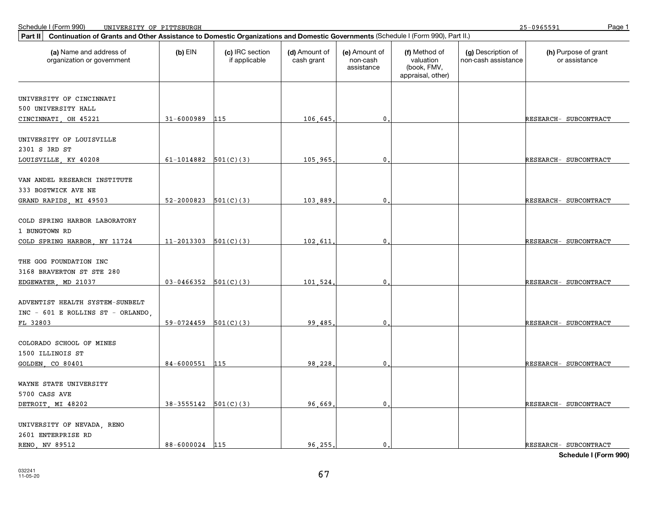| Continuation of Grants and Other Assistance to Domestic Organizations and Domestic Governments (Schedule I (Form 990), Part II.)<br>Part II |                          |                                  |                             |                                         |                                                                |                                           |                                       |  |  |
|---------------------------------------------------------------------------------------------------------------------------------------------|--------------------------|----------------------------------|-----------------------------|-----------------------------------------|----------------------------------------------------------------|-------------------------------------------|---------------------------------------|--|--|
| (a) Name and address of<br>organization or government                                                                                       | $(b)$ EIN                | (c) IRC section<br>if applicable | (d) Amount of<br>cash grant | (e) Amount of<br>non-cash<br>assistance | (f) Method of<br>valuation<br>(book, FMV,<br>appraisal, other) | (g) Description of<br>non-cash assistance | (h) Purpose of grant<br>or assistance |  |  |
|                                                                                                                                             |                          |                                  |                             |                                         |                                                                |                                           |                                       |  |  |
| UNIVERSITY OF CINCINNATI                                                                                                                    |                          |                                  |                             |                                         |                                                                |                                           |                                       |  |  |
| 500 UNIVERSITY HALL                                                                                                                         |                          |                                  |                             |                                         |                                                                |                                           |                                       |  |  |
| CINCINNATI, OH 45221                                                                                                                        | 31-6000989               | 115                              | 106.645                     | $\mathbf 0$                             |                                                                |                                           | RESEARCH- SUBCONTRACT                 |  |  |
| UNIVERSITY OF LOUISVILLE<br>2301 S 3RD ST                                                                                                   |                          |                                  |                             |                                         |                                                                |                                           |                                       |  |  |
| LOUISVILLE, KY 40208                                                                                                                        | 61-1014882 $501(C)(3)$   |                                  | 105,965                     | $\mathbf 0$                             |                                                                |                                           | RESEARCH- SUBCONTRACT                 |  |  |
| VAN ANDEL RESEARCH INSTITUTE<br>333 BOSTWICK AVE NE                                                                                         |                          |                                  |                             |                                         |                                                                |                                           |                                       |  |  |
| GRAND RAPIDS, MI 49503                                                                                                                      | 52-2000823               | 501(C)(3)                        | 103,889                     | 0                                       |                                                                |                                           | RESEARCH- SUBCONTRACT                 |  |  |
| COLD SPRING HARBOR LABORATORY<br>1 BUNGTOWN RD<br>COLD SPRING HARBOR, NY 11724                                                              | $11-2013303$ $501(C)(3)$ |                                  | 102,611                     | $\mathbf 0$                             |                                                                |                                           | RESEARCH- SUBCONTRACT                 |  |  |
|                                                                                                                                             |                          |                                  |                             |                                         |                                                                |                                           |                                       |  |  |
| THE GOG FOUNDATION INC<br>3168 BRAVERTON ST STE 280                                                                                         |                          |                                  |                             |                                         |                                                                |                                           |                                       |  |  |
| EDGEWATER, MD 21037                                                                                                                         | $03-0466352$ $501(C)(3)$ |                                  | 101,524                     | $\mathbf 0$                             |                                                                |                                           | RESEARCH- SUBCONTRACT                 |  |  |
| ADVENTIST HEALTH SYSTEM-SUNBELT<br>INC - 601 E ROLLINS ST - ORLANDO,                                                                        |                          |                                  |                             |                                         |                                                                |                                           |                                       |  |  |
| FL 32803                                                                                                                                    | $59-0724459$ $501(C)(3)$ |                                  | 99.485                      | $\mathbf{0}$                            |                                                                |                                           | RESEARCH- SUBCONTRACT                 |  |  |
| COLORADO SCHOOL OF MINES<br>1500 ILLINOIS ST                                                                                                |                          |                                  |                             |                                         |                                                                |                                           |                                       |  |  |
| GOLDEN, CO 80401                                                                                                                            | 84-6000551               | 115                              | 98,228                      | $\mathbf 0$                             |                                                                |                                           | RESEARCH- SUBCONTRACT                 |  |  |
| WAYNE STATE UNIVERSITY<br>5700 CASS AVE                                                                                                     |                          |                                  |                             |                                         |                                                                |                                           |                                       |  |  |
| DETROIT, MI 48202                                                                                                                           | $38-3555142$ $501(C)(3)$ |                                  | 96.669                      | $\mathbf 0$                             |                                                                |                                           | RESEARCH- SUBCONTRACT                 |  |  |
| UNIVERSITY OF NEVADA, RENO<br>2601 ENTERPRISE RD                                                                                            |                          |                                  |                             |                                         |                                                                |                                           |                                       |  |  |
| RENO, NV 89512                                                                                                                              | 88-6000024 115           |                                  | 96.255.                     | $\mathbf{0}$ .                          |                                                                |                                           | RESEARCH- SUBCONTRACT                 |  |  |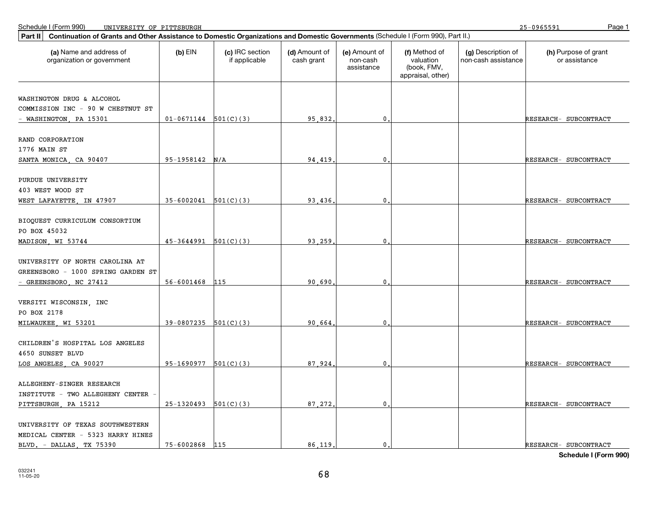25-0965591

| Continuation of Grants and Other Assistance to Domestic Organizations and Domestic Governments (Schedule I (Form 990), Part II.)<br>Part II |                            |                                  |                             |                                         |                                                                |                                           |                                       |  |
|---------------------------------------------------------------------------------------------------------------------------------------------|----------------------------|----------------------------------|-----------------------------|-----------------------------------------|----------------------------------------------------------------|-------------------------------------------|---------------------------------------|--|
| (a) Name and address of<br>organization or government                                                                                       | $(b)$ EIN                  | (c) IRC section<br>if applicable | (d) Amount of<br>cash grant | (e) Amount of<br>non-cash<br>assistance | (f) Method of<br>valuation<br>(book, FMV,<br>appraisal, other) | (g) Description of<br>non-cash assistance | (h) Purpose of grant<br>or assistance |  |
|                                                                                                                                             |                            |                                  |                             |                                         |                                                                |                                           |                                       |  |
| WASHINGTON DRUG & ALCOHOL                                                                                                                   |                            |                                  |                             |                                         |                                                                |                                           |                                       |  |
| COMMISSION INC - 90 W CHESTNUT ST                                                                                                           |                            |                                  |                             |                                         |                                                                |                                           |                                       |  |
| - WASHINGTON, PA 15301                                                                                                                      | $01-0671144$ 501(C)(3)     |                                  | 95,832                      | $\mathbf{0}$                            |                                                                |                                           | RESEARCH- SUBCONTRACT                 |  |
| RAND CORPORATION                                                                                                                            |                            |                                  |                             |                                         |                                                                |                                           |                                       |  |
| 1776 MAIN ST                                                                                                                                |                            |                                  |                             |                                         |                                                                |                                           |                                       |  |
| SANTA MONICA, CA 90407                                                                                                                      | 95-1958142                 | N/A                              | 94.419                      | $\mathbf 0$                             |                                                                |                                           | RESEARCH- SUBCONTRACT                 |  |
|                                                                                                                                             |                            |                                  |                             |                                         |                                                                |                                           |                                       |  |
| PURDUE UNIVERSITY                                                                                                                           |                            |                                  |                             |                                         |                                                                |                                           |                                       |  |
| 403 WEST WOOD ST                                                                                                                            |                            |                                  |                             |                                         |                                                                |                                           |                                       |  |
| WEST LAFAYETTE, IN 47907                                                                                                                    | $35 - 6002041$ $501(C)(3)$ |                                  | 93,436                      | $\mathbf 0$                             |                                                                |                                           | RESEARCH- SUBCONTRACT                 |  |
|                                                                                                                                             |                            |                                  |                             |                                         |                                                                |                                           |                                       |  |
| BIOOUEST CURRICULUM CONSORTIUM                                                                                                              |                            |                                  |                             |                                         |                                                                |                                           |                                       |  |
| PO BOX 45032                                                                                                                                |                            |                                  |                             |                                         |                                                                |                                           |                                       |  |
| MADISON, WI 53744                                                                                                                           | $45-3644991$ $501(C)(3)$   |                                  | 93,259                      | $\mathbf{0}$                            |                                                                |                                           | RESEARCH- SUBCONTRACT                 |  |
| UNIVERSITY OF NORTH CAROLINA AT                                                                                                             |                            |                                  |                             |                                         |                                                                |                                           |                                       |  |
| GREENSBORO - 1000 SPRING GARDEN ST                                                                                                          |                            |                                  |                             |                                         |                                                                |                                           |                                       |  |
| - GREENSBORO, NC 27412                                                                                                                      | 56-6001468                 | 115                              | 90,690                      | $\mathbf{0}$                            |                                                                |                                           | RESEARCH- SUBCONTRACT                 |  |
|                                                                                                                                             |                            |                                  |                             |                                         |                                                                |                                           |                                       |  |
| VERSITI WISCONSIN, INC                                                                                                                      |                            |                                  |                             |                                         |                                                                |                                           |                                       |  |
| PO BOX 2178                                                                                                                                 |                            |                                  |                             |                                         |                                                                |                                           |                                       |  |
| MILWAUKEE, WI 53201                                                                                                                         | $39-0807235$ $501(C)(3)$   |                                  | 90.664                      | 0.                                      |                                                                |                                           | RESEARCH- SUBCONTRACT                 |  |
|                                                                                                                                             |                            |                                  |                             |                                         |                                                                |                                           |                                       |  |
| CHILDREN'S HOSPITAL LOS ANGELES                                                                                                             |                            |                                  |                             |                                         |                                                                |                                           |                                       |  |
| 4650 SUNSET BLVD                                                                                                                            |                            |                                  |                             |                                         |                                                                |                                           |                                       |  |
| LOS ANGELES, CA 90027                                                                                                                       | $95-1690977$ $501(C)(3)$   |                                  | 87.924                      | 0                                       |                                                                |                                           | RESEARCH- SUBCONTRACT                 |  |
|                                                                                                                                             |                            |                                  |                             |                                         |                                                                |                                           |                                       |  |
| ALLEGHENY-SINGER RESEARCH<br>INSTITUTE - TWO ALLEGHENY CENTER                                                                               |                            |                                  |                             |                                         |                                                                |                                           |                                       |  |
| PITTSBURGH, PA 15212                                                                                                                        | 25-1320493                 | 501(C)(3)                        | 87.272.                     | $\mathbf{0}$                            |                                                                |                                           | RESEARCH- SUBCONTRACT                 |  |
|                                                                                                                                             |                            |                                  |                             |                                         |                                                                |                                           |                                       |  |
| UNIVERSITY OF TEXAS SOUTHWESTERN                                                                                                            |                            |                                  |                             |                                         |                                                                |                                           |                                       |  |
| MEDICAL CENTER - 5323 HARRY HINES                                                                                                           |                            |                                  |                             |                                         |                                                                |                                           |                                       |  |
| BLVD. - DALLAS, TX 75390                                                                                                                    | 75-6002868                 | 115                              | 86.119                      | $\mathbf{0}$                            |                                                                |                                           | RESEARCH- SUBCONTRACT                 |  |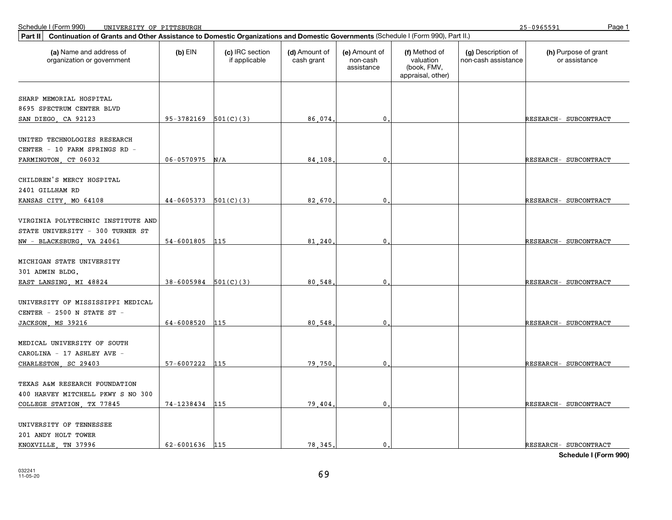| Part II<br>Continuation of Grants and Other Assistance to Domestic Organizations and Domestic Governments (Schedule I (Form 990), Part II.) |                          |                                  |                             |                                         |                                                                |                                           |                                       |
|---------------------------------------------------------------------------------------------------------------------------------------------|--------------------------|----------------------------------|-----------------------------|-----------------------------------------|----------------------------------------------------------------|-------------------------------------------|---------------------------------------|
| (a) Name and address of<br>organization or government                                                                                       | $(b)$ EIN                | (c) IRC section<br>if applicable | (d) Amount of<br>cash grant | (e) Amount of<br>non-cash<br>assistance | (f) Method of<br>valuation<br>(book, FMV,<br>appraisal, other) | (g) Description of<br>non-cash assistance | (h) Purpose of grant<br>or assistance |
|                                                                                                                                             |                          |                                  |                             |                                         |                                                                |                                           |                                       |
| SHARP MEMORIAL HOSPITAL                                                                                                                     |                          |                                  |                             |                                         |                                                                |                                           |                                       |
| 8695 SPECTRUM CENTER BLVD                                                                                                                   |                          |                                  |                             |                                         |                                                                |                                           |                                       |
| SAN DIEGO, CA 92123                                                                                                                         | $95-3782169$ $501(C)(3)$ |                                  | 86.074                      | $\mathbf 0$                             |                                                                |                                           | RESEARCH- SUBCONTRACT                 |
| UNITED TECHNOLOGIES RESEARCH                                                                                                                |                          |                                  |                             |                                         |                                                                |                                           |                                       |
| CENTER - 10 FARM SPRINGS RD -                                                                                                               |                          |                                  |                             |                                         |                                                                |                                           |                                       |
| FARMINGTON, CT 06032                                                                                                                        | 06-0570975               | N/A                              | 84.108                      | $\mathbf 0$                             |                                                                |                                           | RESEARCH- SUBCONTRACT                 |
|                                                                                                                                             |                          |                                  |                             |                                         |                                                                |                                           |                                       |
| CHILDREN'S MERCY HOSPITAL                                                                                                                   |                          |                                  |                             |                                         |                                                                |                                           |                                       |
| 2401 GILLHAM RD                                                                                                                             |                          |                                  |                             |                                         |                                                                |                                           |                                       |
| KANSAS CITY, MO 64108                                                                                                                       | 44-0605373               | 501(C)(3)                        | 82,670.                     | $\mathbf 0$                             |                                                                |                                           | RESEARCH- SUBCONTRACT                 |
|                                                                                                                                             |                          |                                  |                             |                                         |                                                                |                                           |                                       |
| VIRGINIA POLYTECHNIC INSTITUTE AND                                                                                                          |                          |                                  |                             |                                         |                                                                |                                           |                                       |
| STATE UNIVERSITY - 300 TURNER ST                                                                                                            |                          |                                  |                             |                                         |                                                                |                                           |                                       |
| NW - BLACKSBURG, VA 24061                                                                                                                   | 54-6001805               | 115                              | 81,240                      | $\pmb{0}$                               |                                                                |                                           | RESEARCH- SUBCONTRACT                 |
| MICHIGAN STATE UNIVERSITY                                                                                                                   |                          |                                  |                             |                                         |                                                                |                                           |                                       |
| 301 ADMIN BLDG.                                                                                                                             |                          |                                  |                             |                                         |                                                                |                                           |                                       |
| EAST LANSING, MI 48824                                                                                                                      | 38-6005984               | 501(C)(3)                        | 80.548                      | 0                                       |                                                                |                                           | RESEARCH- SUBCONTRACT                 |
|                                                                                                                                             |                          |                                  |                             |                                         |                                                                |                                           |                                       |
| UNIVERSITY OF MISSISSIPPI MEDICAL                                                                                                           |                          |                                  |                             |                                         |                                                                |                                           |                                       |
| CENTER - 2500 N STATE ST -                                                                                                                  |                          |                                  |                             |                                         |                                                                |                                           |                                       |
| JACKSON MS 39216                                                                                                                            | 64-6008520               | 115                              | 80.548                      | $\mathbf{0}$                            |                                                                |                                           | RESEARCH- SUBCONTRACT                 |
|                                                                                                                                             |                          |                                  |                             |                                         |                                                                |                                           |                                       |
| MEDICAL UNIVERSITY OF SOUTH                                                                                                                 |                          |                                  |                             |                                         |                                                                |                                           |                                       |
| CAROLINA - 17 ASHLEY AVE -                                                                                                                  |                          |                                  |                             |                                         |                                                                |                                           |                                       |
| CHARLESTON, SC 29403                                                                                                                        | 57-6007222               | 115                              | 79.750                      | $\mathbf 0$                             |                                                                |                                           | RESEARCH- SUBCONTRACT                 |
|                                                                                                                                             |                          |                                  |                             |                                         |                                                                |                                           |                                       |
| TEXAS A&M RESEARCH FOUNDATION                                                                                                               |                          |                                  |                             |                                         |                                                                |                                           |                                       |
| 400 HARVEY MITCHELL PKWY S NO 300                                                                                                           |                          |                                  |                             |                                         |                                                                |                                           |                                       |
| COLLEGE STATION, TX 77845                                                                                                                   | 74-1238434               | 115                              | 79,404                      | $\mathbf 0$                             |                                                                |                                           | RESEARCH- SUBCONTRACT                 |
| UNIVERSITY OF TENNESSEE                                                                                                                     |                          |                                  |                             |                                         |                                                                |                                           |                                       |
| 201 ANDY HOLT TOWER                                                                                                                         |                          |                                  |                             |                                         |                                                                |                                           |                                       |
| KNOXVILLE, TN 37996                                                                                                                         | 62-6001636 115           |                                  | 78, 345,                    | $\mathbf{0}$ .                          |                                                                |                                           | RESEARCH- SUBCONTRACT                 |
|                                                                                                                                             |                          |                                  |                             |                                         |                                                                |                                           |                                       |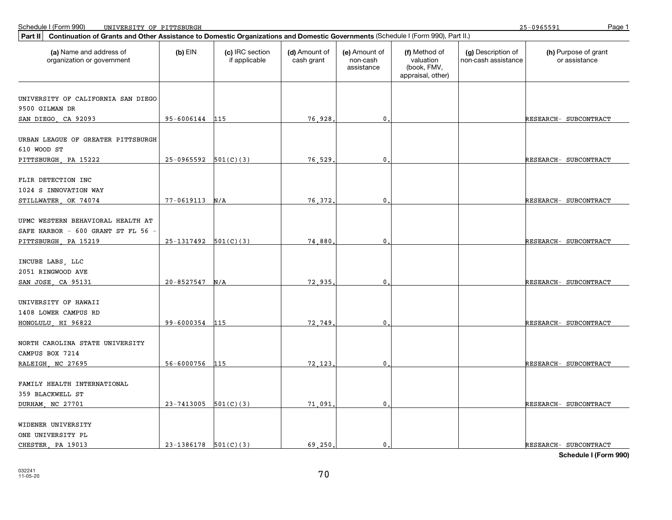25-0965591

| Part II<br>Continuation of Grants and Other Assistance to Domestic Organizations and Domestic Governments (Schedule I (Form 990), Part II.) |                          |                                  |                             |                                         |                                                                |                                           |                                       |
|---------------------------------------------------------------------------------------------------------------------------------------------|--------------------------|----------------------------------|-----------------------------|-----------------------------------------|----------------------------------------------------------------|-------------------------------------------|---------------------------------------|
| (a) Name and address of<br>organization or government                                                                                       | $(b)$ EIN                | (c) IRC section<br>if applicable | (d) Amount of<br>cash grant | (e) Amount of<br>non-cash<br>assistance | (f) Method of<br>valuation<br>(book, FMV,<br>appraisal, other) | (g) Description of<br>non-cash assistance | (h) Purpose of grant<br>or assistance |
| UNIVERSITY OF CALIFORNIA SAN DIEGO                                                                                                          |                          |                                  |                             |                                         |                                                                |                                           |                                       |
| 9500 GILMAN DR                                                                                                                              |                          |                                  |                             |                                         |                                                                |                                           |                                       |
| SAN DIEGO, CA 92093                                                                                                                         | 95-6006144 115           |                                  | 76.928                      | $\mathbf{0}$                            |                                                                |                                           | RESEARCH- SUBCONTRACT                 |
| URBAN LEAGUE OF GREATER PITTSBURGH                                                                                                          |                          |                                  |                             |                                         |                                                                |                                           |                                       |
| 610 WOOD ST                                                                                                                                 |                          |                                  |                             |                                         |                                                                |                                           |                                       |
| PITTSBURGH, PA 15222                                                                                                                        | $25-0965592$ $501(C)(3)$ |                                  | 76.529                      | $\mathbf{0}$                            |                                                                |                                           | RESEARCH- SUBCONTRACT                 |
| FLIR DETECTION INC                                                                                                                          |                          |                                  |                             |                                         |                                                                |                                           |                                       |
| 1024 S INNOVATION WAY                                                                                                                       |                          |                                  |                             |                                         |                                                                |                                           |                                       |
| STILLWATER, OK 74074                                                                                                                        | 77-0619113               | N/A                              | 76.372                      | $\mathbf 0$                             |                                                                |                                           | RESEARCH- SUBCONTRACT                 |
|                                                                                                                                             |                          |                                  |                             |                                         |                                                                |                                           |                                       |
| UPMC WESTERN BEHAVIORAL HEALTH AT                                                                                                           |                          |                                  |                             |                                         |                                                                |                                           |                                       |
| SAFE HARBOR - 600 GRANT ST FL 56 -                                                                                                          |                          |                                  |                             |                                         |                                                                |                                           |                                       |
| PITTSBURGH, PA 15219                                                                                                                        | $25-1317492$ $501(C)(3)$ |                                  | 74,880                      | $\mathbf{0}$                            |                                                                |                                           | RESEARCH- SUBCONTRACT                 |
| INCUBE LABS, LLC                                                                                                                            |                          |                                  |                             |                                         |                                                                |                                           |                                       |
| 2051 RINGWOOD AVE                                                                                                                           |                          |                                  |                             |                                         |                                                                |                                           |                                       |
| SAN JOSE, CA 95131                                                                                                                          | 20-8527547               | N/A                              | 72,935                      | 0                                       |                                                                |                                           | RESEARCH- SUBCONTRACT                 |
|                                                                                                                                             |                          |                                  |                             |                                         |                                                                |                                           |                                       |
| UNIVERSITY OF HAWAII<br>1408 LOWER CAMPUS RD                                                                                                |                          |                                  |                             |                                         |                                                                |                                           |                                       |
| HONOLULU, HI 96822                                                                                                                          | 99-6000354               | 115                              | 72.749                      | 0                                       |                                                                |                                           | RESEARCH- SUBCONTRACT                 |
|                                                                                                                                             |                          |                                  |                             |                                         |                                                                |                                           |                                       |
| NORTH CAROLINA STATE UNIVERSITY                                                                                                             |                          |                                  |                             |                                         |                                                                |                                           |                                       |
| CAMPUS BOX 7214                                                                                                                             |                          |                                  |                             |                                         |                                                                |                                           |                                       |
| RALEIGH, NC 27695                                                                                                                           | 56-6000756               | 115                              | 72.123                      | $\mathbf{0}$ .                          |                                                                |                                           | RESEARCH- SUBCONTRACT                 |
| FAMILY HEALTH INTERNATIONAL                                                                                                                 |                          |                                  |                             |                                         |                                                                |                                           |                                       |
| 359 BLACKWELL ST                                                                                                                            |                          |                                  |                             |                                         |                                                                |                                           |                                       |
| DURHAM, NC 27701                                                                                                                            | $23-7413005$ 501(C)(3)   |                                  | 71.091                      | $\mathbf 0$                             |                                                                |                                           | RESEARCH- SUBCONTRACT                 |
|                                                                                                                                             |                          |                                  |                             |                                         |                                                                |                                           |                                       |
| WIDENER UNIVERSITY                                                                                                                          |                          |                                  |                             |                                         |                                                                |                                           |                                       |
| ONE UNIVERSITY PL                                                                                                                           |                          |                                  |                             |                                         |                                                                |                                           |                                       |
| CHESTER PA 19013                                                                                                                            | $23-1386178$ 501(C)(3)   |                                  | 69.250.                     | $\mathbf{0}$ .                          |                                                                |                                           | RESEARCH- SUBCONTRACT                 |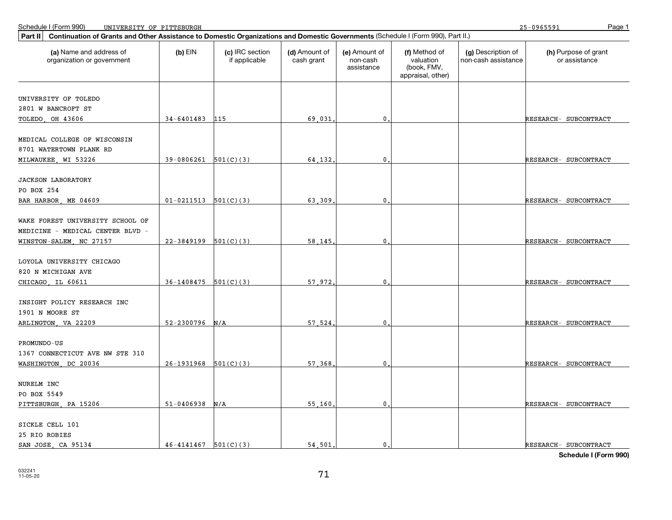| Part II                                                                                         | Continuation of Grants and Other Assistance to Domestic Organizations and Domestic Governments (Schedule I (Form 990), Part II.) |                                  |                             |                                         |                                                                |                                           |                                       |  |  |  |
|-------------------------------------------------------------------------------------------------|----------------------------------------------------------------------------------------------------------------------------------|----------------------------------|-----------------------------|-----------------------------------------|----------------------------------------------------------------|-------------------------------------------|---------------------------------------|--|--|--|
| (a) Name and address of<br>organization or government                                           | $(b)$ EIN                                                                                                                        | (c) IRC section<br>if applicable | (d) Amount of<br>cash grant | (e) Amount of<br>non-cash<br>assistance | (f) Method of<br>valuation<br>(book, FMV,<br>appraisal, other) | (g) Description of<br>non-cash assistance | (h) Purpose of grant<br>or assistance |  |  |  |
|                                                                                                 |                                                                                                                                  |                                  |                             |                                         |                                                                |                                           |                                       |  |  |  |
| UNIVERSITY OF TOLEDO                                                                            |                                                                                                                                  |                                  |                             |                                         |                                                                |                                           |                                       |  |  |  |
| 2801 W BANCROFT ST                                                                              |                                                                                                                                  |                                  |                             |                                         |                                                                |                                           |                                       |  |  |  |
| TOLEDO, OH 43606                                                                                | $34 - 6401483$ 115                                                                                                               |                                  | 69.031                      | $\mathbf{0}$ .                          |                                                                |                                           | RESEARCH- SUBCONTRACT                 |  |  |  |
| MEDICAL COLLEGE OF WISCONSIN<br>8701 WATERTOWN PLANK RD                                         |                                                                                                                                  |                                  |                             |                                         |                                                                |                                           |                                       |  |  |  |
| MILWAUKEE, WI 53226                                                                             | $39-0806261$ $501(C)(3)$                                                                                                         |                                  | 64.132                      | $\mathbf{0}$                            |                                                                |                                           | RESEARCH- SUBCONTRACT                 |  |  |  |
| <b>JACKSON LABORATORY</b><br>PO BOX 254                                                         |                                                                                                                                  |                                  |                             |                                         |                                                                |                                           |                                       |  |  |  |
| BAR HARBOR, ME 04609                                                                            | $01-0211513$ $501(C)(3)$                                                                                                         |                                  | 63,309                      | $\mathbf{0}$                            |                                                                |                                           | RESEARCH- SUBCONTRACT                 |  |  |  |
| WAKE FOREST UNIVERSITY SCHOOL OF<br>MEDICINE - MEDICAL CENTER BLVD -<br>WINSTON-SALEM, NC 27157 | $22-3849199$ $501(C)(3)$                                                                                                         |                                  | 58,145                      | $\mathbf 0$                             |                                                                |                                           | RESEARCH- SUBCONTRACT                 |  |  |  |
| LOYOLA UNIVERSITY CHICAGO<br>820 N MICHIGAN AVE<br>CHICAGO LL 60611                             | 36-1408475                                                                                                                       | 501(C)(3)                        | 57.972                      | 0                                       |                                                                |                                           | RESEARCH- SUBCONTRACT                 |  |  |  |
| INSIGHT POLICY RESEARCH INC<br>1901 N MOORE ST                                                  |                                                                                                                                  |                                  |                             |                                         |                                                                |                                           |                                       |  |  |  |
| ARLINGTON, VA 22209                                                                             | 52-2300796                                                                                                                       | N/A                              | 57.524                      | 0.                                      |                                                                |                                           | RESEARCH- SUBCONTRACT                 |  |  |  |
| PROMUNDO-US<br>1367 CONNECTICUT AVE NW STE 310<br>WASHINGTON, DC 20036                          | $26-1931968$ 501(C)(3)                                                                                                           |                                  | 57,368                      | $\mathbf 0$                             |                                                                |                                           | RESEARCH- SUBCONTRACT                 |  |  |  |
|                                                                                                 |                                                                                                                                  |                                  |                             |                                         |                                                                |                                           |                                       |  |  |  |
| NURELM INC                                                                                      |                                                                                                                                  |                                  |                             |                                         |                                                                |                                           |                                       |  |  |  |
| PO BOX 5549                                                                                     |                                                                                                                                  |                                  |                             |                                         |                                                                |                                           |                                       |  |  |  |
| PITTSBURGH, PA 15206                                                                            | 51-0406938                                                                                                                       | N/A                              | 55,160                      | $\mathbf{0}$                            |                                                                |                                           | RESEARCH- SUBCONTRACT                 |  |  |  |
| SICKLE CELL 101<br>25 RIO ROBIES                                                                |                                                                                                                                  |                                  |                             |                                         |                                                                |                                           |                                       |  |  |  |
| SAN JOSE, CA 95134                                                                              | $46 - 4141467$ $501(C)(3)$                                                                                                       |                                  | 54,501                      | 0.                                      |                                                                |                                           | RESEARCH- SUBCONTRACT                 |  |  |  |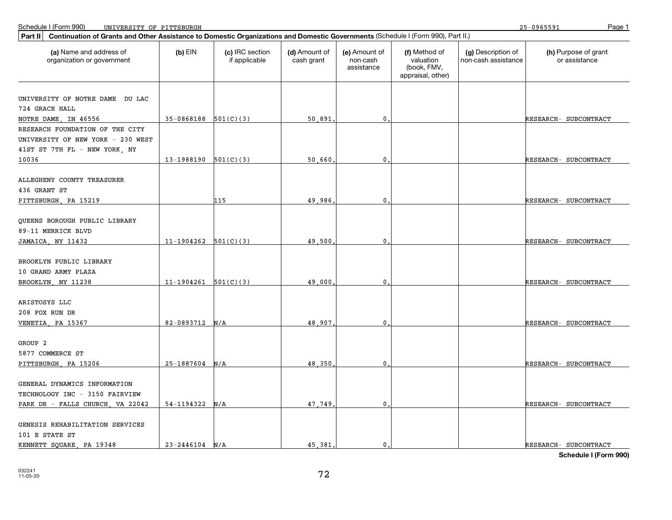25-0965591

| Continuation of Grants and Other Assistance to Domestic Organizations and Domestic Governments (Schedule I (Form 990), Part II.)<br>Part II |                          |                                  |                             |                                         |                                                                |                                           |                                       |
|---------------------------------------------------------------------------------------------------------------------------------------------|--------------------------|----------------------------------|-----------------------------|-----------------------------------------|----------------------------------------------------------------|-------------------------------------------|---------------------------------------|
| (a) Name and address of<br>organization or government                                                                                       | $(b)$ EIN                | (c) IRC section<br>if applicable | (d) Amount of<br>cash grant | (e) Amount of<br>non-cash<br>assistance | (f) Method of<br>valuation<br>(book, FMV,<br>appraisal, other) | (g) Description of<br>non-cash assistance | (h) Purpose of grant<br>or assistance |
| UNIVERSITY OF NOTRE DAME DU LAC                                                                                                             |                          |                                  |                             |                                         |                                                                |                                           |                                       |
| 724 GRACE HALL                                                                                                                              |                          |                                  |                             |                                         |                                                                |                                           |                                       |
| NOTRE DAME, IN 46556                                                                                                                        | $35-0868188$ $501(C)(3)$ |                                  | 50,891                      | $\mathbf{0}$ .                          |                                                                |                                           | RESEARCH- SUBCONTRACT                 |
| RESEARCH FOUNDATION OF THE CITY<br>UNIVERSITY OF NEW YORK - 230 WEST<br>41ST ST 7TH FL - NEW YORK, NY                                       |                          |                                  |                             |                                         |                                                                |                                           |                                       |
| 10036                                                                                                                                       | $13-1988190$ $501(C)(3)$ |                                  | 50,660                      | $\mathbf{0}$                            |                                                                |                                           | RESEARCH- SUBCONTRACT                 |
| ALLEGHENY COUNTY TREASURER<br>436 GRANT ST<br>PITTSBURGH, PA 15219                                                                          |                          | 115                              | 49.986                      | $\mathbf{0}$                            |                                                                |                                           | RESEARCH- SUBCONTRACT                 |
| QUEENS BOROUGH PUBLIC LIBRARY<br>89-11 MERRICK BLVD                                                                                         |                          |                                  |                             |                                         |                                                                |                                           |                                       |
| JAMAICA, NY 11432                                                                                                                           | $11-1904262$ $501(C)(3)$ |                                  | 49,500                      | 0                                       |                                                                |                                           | RESEARCH- SUBCONTRACT                 |
| BROOKLYN PUBLIC LIBRARY<br>10 GRAND ARMY PLAZA<br>BROOKLYN NY 11238                                                                         | 11-1904261               | 501(C)(3)                        | 49,000                      | $\mathbf{0}$                            |                                                                |                                           | RESEARCH- SUBCONTRACT                 |
| ARISTOSYS LLC<br>208 FOX RUN DR<br>VENETIA, PA 15367                                                                                        | $82-0893712$ N/A         |                                  | 48,907                      | $\mathbf{0}$ .                          |                                                                |                                           |                                       |
| GROUP <sub>2</sub><br>5877 COMMERCE ST                                                                                                      |                          |                                  |                             |                                         |                                                                |                                           | RESEARCH- SUBCONTRACT                 |
| PITTSBURGH, PA 15206                                                                                                                        | $25-1887604$ N/A         |                                  | 48,350                      | $\mathbf 0$                             |                                                                |                                           | RESEARCH- SUBCONTRACT                 |
| GENERAL DYNAMICS INFORMATION<br>TECHNOLOGY INC - 3150 FAIRVIEW<br>PARK DR - FALLS CHURCH, VA 22042                                          | $54-1194322$ N/A         |                                  | 47.749                      | $\mathbf{0}$ .                          |                                                                |                                           | RESEARCH- SUBCONTRACT                 |
| GENESIS REHABILITATION SERVICES<br>101 E STATE ST<br>KENNETT SQUARE, PA 19348                                                               | $23 - 2446104$ N/A       |                                  | 45,381                      | $\mathbf{0}$ .                          |                                                                |                                           | RESEARCH- SUBCONTRACT                 |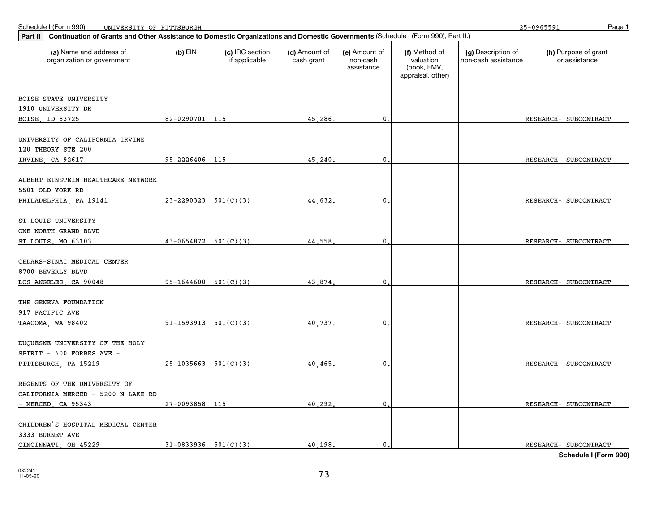25-0965591

| Part II                                                                                    | Continuation of Grants and Other Assistance to Domestic Organizations and Domestic Governments (Schedule I (Form 990), Part II.) |                                  |                             |                                         |                                                                |                                           |                                       |  |  |
|--------------------------------------------------------------------------------------------|----------------------------------------------------------------------------------------------------------------------------------|----------------------------------|-----------------------------|-----------------------------------------|----------------------------------------------------------------|-------------------------------------------|---------------------------------------|--|--|
| (a) Name and address of<br>organization or government                                      | $(b)$ EIN                                                                                                                        | (c) IRC section<br>if applicable | (d) Amount of<br>cash grant | (e) Amount of<br>non-cash<br>assistance | (f) Method of<br>valuation<br>(book, FMV,<br>appraisal, other) | (g) Description of<br>non-cash assistance | (h) Purpose of grant<br>or assistance |  |  |
| BOISE STATE UNIVERSITY                                                                     |                                                                                                                                  |                                  |                             |                                         |                                                                |                                           |                                       |  |  |
| 1910 UNIVERSITY DR                                                                         |                                                                                                                                  |                                  |                             |                                         |                                                                |                                           |                                       |  |  |
| BOISE, ID 83725                                                                            | 82-0290701 115                                                                                                                   |                                  | 45,286                      | $\mathbf{0}$                            |                                                                |                                           | RESEARCH- SUBCONTRACT                 |  |  |
| UNIVERSITY OF CALIFORNIA IRVINE<br>120 THEORY STE 200                                      |                                                                                                                                  |                                  |                             |                                         |                                                                |                                           |                                       |  |  |
| IRVINE, CA 92617                                                                           | 95-2226406 115                                                                                                                   |                                  | 45,240                      | $\mathbf{0}$                            |                                                                |                                           | RESEARCH- SUBCONTRACT                 |  |  |
| ALBERT EINSTEIN HEALTHCARE NETWORK<br>5501 OLD YORK RD                                     |                                                                                                                                  |                                  |                             |                                         |                                                                |                                           |                                       |  |  |
| PHILADELPHIA, PA 19141                                                                     | 23-2290323                                                                                                                       | 501(C)(3)                        | 44.632                      | $\mathbf 0$                             |                                                                |                                           | RESEARCH- SUBCONTRACT                 |  |  |
| ST LOUIS UNIVERSITY<br>ONE NORTH GRAND BLVD<br>ST LOUIS, MO 63103                          | $43-0654872$ $501(C)(3)$                                                                                                         |                                  | 44.558                      | $\mathbf{0}$ .                          |                                                                |                                           | RESEARCH- SUBCONTRACT                 |  |  |
| CEDARS-SINAI MEDICAL CENTER<br>8700 BEVERLY BLVD<br>LOS ANGELES, CA 90048                  | $95-1644600$ $501(C)(3)$                                                                                                         |                                  | 43.874                      | $\mathbf 0$                             |                                                                |                                           | RESEARCH- SUBCONTRACT                 |  |  |
|                                                                                            |                                                                                                                                  |                                  |                             |                                         |                                                                |                                           |                                       |  |  |
| THE GENEVA FOUNDATION<br>917 PACIFIC AVE                                                   |                                                                                                                                  |                                  |                             |                                         |                                                                |                                           |                                       |  |  |
| TAACOMA, WA 98402                                                                          | 91-1593913                                                                                                                       | 501(C)(3)                        | 40,737                      | $\mathbf 0$                             |                                                                |                                           | RESEARCH- SUBCONTRACT                 |  |  |
| DUQUESNE UNIVERSITY OF THE HOLY<br>SPIRIT - 600 FORBES AVE -                               |                                                                                                                                  |                                  |                             |                                         |                                                                |                                           |                                       |  |  |
| PITTSBURGH, PA 15219                                                                       | $25-1035663$ $501(C)(3)$                                                                                                         |                                  | 40.465                      | $\mathbf{0}$                            |                                                                |                                           | RESEARCH- SUBCONTRACT                 |  |  |
| REGENTS OF THE UNIVERSITY OF<br>CALIFORNIA MERCED - 5200 N LAKE RD<br>$-MERCED$ , CA 95343 | 27-0093858                                                                                                                       | 115                              | 40.292                      | 0                                       |                                                                |                                           | RESEARCH- SUBCONTRACT                 |  |  |
| CHILDREN'S HOSPITAL MEDICAL CENTER<br>3333 BURNET AVE                                      |                                                                                                                                  |                                  |                             |                                         |                                                                |                                           |                                       |  |  |
| CINCINNATI, OH 45229                                                                       | $31-0833936$ $501(C)(3)$                                                                                                         |                                  | 40.198.                     | $\mathbf{0}$ .                          |                                                                |                                           | RESEARCH- SUBCONTRACT                 |  |  |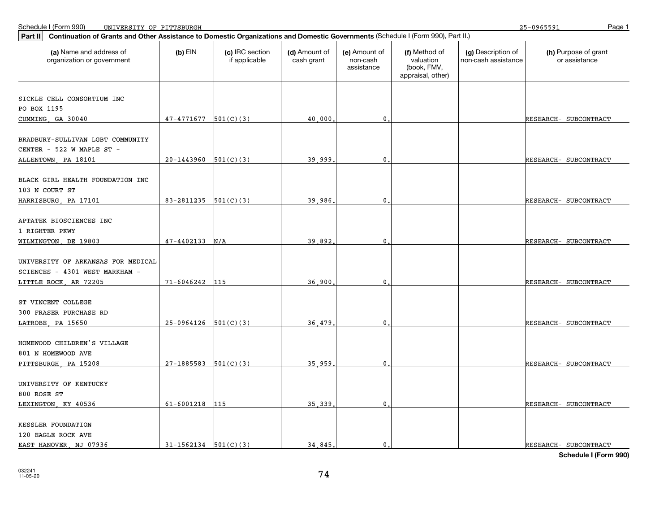| Continuation of Grants and Other Assistance to Domestic Organizations and Domestic Governments (Schedule I (Form 990), Part II.)<br>Part II |                          |                                  |                             |                                         |                                                                |                                           |                                       |
|---------------------------------------------------------------------------------------------------------------------------------------------|--------------------------|----------------------------------|-----------------------------|-----------------------------------------|----------------------------------------------------------------|-------------------------------------------|---------------------------------------|
| (a) Name and address of<br>organization or government                                                                                       | $(b)$ EIN                | (c) IRC section<br>if applicable | (d) Amount of<br>cash grant | (e) Amount of<br>non-cash<br>assistance | (f) Method of<br>valuation<br>(book, FMV,<br>appraisal, other) | (g) Description of<br>non-cash assistance | (h) Purpose of grant<br>or assistance |
|                                                                                                                                             |                          |                                  |                             |                                         |                                                                |                                           |                                       |
| SICKLE CELL CONSORTIUM INC                                                                                                                  |                          |                                  |                             |                                         |                                                                |                                           |                                       |
| PO BOX 1195                                                                                                                                 |                          |                                  |                             |                                         |                                                                |                                           |                                       |
| CUMMING, GA 30040                                                                                                                           | $47-4771677$ 501(C)(3)   |                                  | 40,000                      | $\mathbf 0$                             |                                                                |                                           | RESEARCH- SUBCONTRACT                 |
| BRADBURY-SULLIVAN LGBT COMMUNITY<br>CENTER - 522 W MAPLE ST -                                                                               |                          |                                  |                             |                                         |                                                                |                                           |                                       |
| ALLENTOWN, PA 18101                                                                                                                         | 20-1443960               | 501(C)(3)                        | 39,999                      | $\mathbf 0$                             |                                                                |                                           | RESEARCH- SUBCONTRACT                 |
| BLACK GIRL HEALTH FOUNDATION INC<br>103 N COURT ST                                                                                          |                          |                                  |                             |                                         |                                                                |                                           |                                       |
| HARRISBURG, PA 17101                                                                                                                        | 83-2811235               | 501(C)(3)                        | 39,986                      | 0                                       |                                                                |                                           | RESEARCH- SUBCONTRACT                 |
| APTATEK BIOSCIENCES INC<br>1 RIGHTER PKWY                                                                                                   |                          |                                  |                             |                                         |                                                                |                                           |                                       |
| WILMINGTON, DE 19803                                                                                                                        | $47 - 4402133$ N/A       |                                  | 39,892                      | $\mathbf 0$                             |                                                                |                                           | RESEARCH- SUBCONTRACT                 |
| UNIVERSITY OF ARKANSAS FOR MEDICAL<br>SCIENCES - 4301 WEST MARKHAM -<br>LITTLE ROCK, AR 72205                                               | $71 - 6046242$           | 115                              | 36,900                      | $\mathbf 0$                             |                                                                |                                           | RESEARCH- SUBCONTRACT                 |
|                                                                                                                                             |                          |                                  |                             |                                         |                                                                |                                           |                                       |
| ST VINCENT COLLEGE<br><b>300 FRASER PURCHASE RD</b>                                                                                         |                          |                                  |                             |                                         |                                                                |                                           |                                       |
| LATROBE, PA 15650                                                                                                                           | $25-0964126$ 501(C)(3)   |                                  | 36,479                      | 0                                       |                                                                |                                           | RESEARCH- SUBCONTRACT                 |
| HOMEWOOD CHILDREN'S VILLAGE<br>801 N HOMEWOOD AVE                                                                                           |                          |                                  |                             |                                         |                                                                |                                           |                                       |
| PITTSBURGH, PA 15208                                                                                                                        | 27-1885583               | 501(C)(3)                        | 35.959                      | $\mathbf 0$                             |                                                                |                                           | RESEARCH- SUBCONTRACT                 |
| UNIVERSITY OF KENTUCKY<br>800 ROSE ST                                                                                                       |                          |                                  |                             |                                         |                                                                |                                           |                                       |
| LEXINGTON, KY 40536                                                                                                                         | $61 - 6001218$           | 115                              | 35,339                      | $\mathbf 0$                             |                                                                |                                           | RESEARCH- SUBCONTRACT                 |
| KESSLER FOUNDATION<br>120 EAGLE ROCK AVE                                                                                                    |                          |                                  |                             |                                         |                                                                |                                           |                                       |
| EAST HANOVER, NJ 07936                                                                                                                      | $31-1562134$ $501(C)(3)$ |                                  | 34,845,                     | $\mathbf{0}$ .                          |                                                                |                                           | RESEARCH- SUBCONTRACT                 |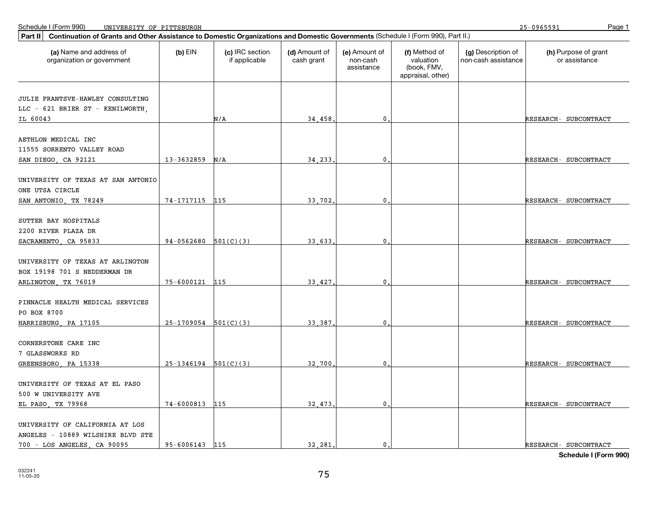25-0965591

| Continuation of Grants and Other Assistance to Domestic Organizations and Domestic Governments (Schedule I (Form 990), Part II.)<br>Part II |                          |                                  |                             |                                         |                                                                |                                           |                                       |
|---------------------------------------------------------------------------------------------------------------------------------------------|--------------------------|----------------------------------|-----------------------------|-----------------------------------------|----------------------------------------------------------------|-------------------------------------------|---------------------------------------|
| (a) Name and address of<br>organization or government                                                                                       | $(b)$ EIN                | (c) IRC section<br>if applicable | (d) Amount of<br>cash grant | (e) Amount of<br>non-cash<br>assistance | (f) Method of<br>valuation<br>(book, FMV,<br>appraisal, other) | (g) Description of<br>non-cash assistance | (h) Purpose of grant<br>or assistance |
| JULIE FRANTSVE-HAWLEY CONSULTING                                                                                                            |                          |                                  |                             |                                         |                                                                |                                           |                                       |
| LLC - 621 BRIER ST - KENILWORTH,                                                                                                            |                          |                                  |                             |                                         |                                                                |                                           |                                       |
| IL 60043                                                                                                                                    |                          | N/A                              | 34,458                      | $\mathbf{0}$ .                          |                                                                |                                           | RESEARCH- SUBCONTRACT                 |
| AETHLON MEDICAL INC<br>11555 SORRENTO VALLEY ROAD                                                                                           |                          |                                  |                             |                                         |                                                                |                                           |                                       |
| SAN DIEGO, CA 92121                                                                                                                         | 13-3632859               | N/A                              | 34,233                      | $\mathbf{0}$ .                          |                                                                |                                           | RESEARCH- SUBCONTRACT                 |
| UNIVERSITY OF TEXAS AT SAN ANTONIO<br>ONE UTSA CIRCLE                                                                                       |                          |                                  |                             |                                         |                                                                |                                           |                                       |
| SAN ANTONIO, TX 78249                                                                                                                       | 74-1717115               | 115                              | 33.702                      | 0                                       |                                                                |                                           | RESEARCH- SUBCONTRACT                 |
| SUTTER BAY HOSPITALS<br>2200 RIVER PLAZA DR<br>SACRAMENTO, CA 95833                                                                         | $94-0562680$ $501(C)(3)$ |                                  | 33.633                      | $\mathbf{0}$ .                          |                                                                |                                           | RESEARCH- SUBCONTRACT                 |
| UNIVERSITY OF TEXAS AT ARLINGTON<br>BOX 19198 701 S NEDDERMAN DR<br>ARLINGTON, TX 76019                                                     | 75-6000121               | 115                              | 33,427                      | 0                                       |                                                                |                                           | RESEARCH- SUBCONTRACT                 |
| PINNACLE HEALTH MEDICAL SERVICES<br>PO BOX 8700<br>HARRISBURG, PA 17105                                                                     | 25-1709054               | 501(C)(3)                        | 33,387                      | 0                                       |                                                                |                                           | RESEARCH- SUBCONTRACT                 |
| CORNERSTONE CARE INC<br>7 GLASSWORKS RD                                                                                                     |                          |                                  |                             |                                         |                                                                |                                           |                                       |
| GREENSBORO, PA 15338                                                                                                                        | $25-1346194$ $501(C)(3)$ |                                  | 32,700                      | $\mathbf{0}$ .                          |                                                                |                                           | RESEARCH- SUBCONTRACT                 |
| UNIVERSITY OF TEXAS AT EL PASO<br>500 W UNIVERSITY AVE<br>EL PASO, TX 79968                                                                 | 74-6000813               | 115                              | 32,473                      | $\mathbf{0}$                            |                                                                |                                           | RESEARCH- SUBCONTRACT                 |
| UNIVERSITY OF CALIFORNIA AT LOS<br>ANGELES - 10889 WILSHIRE BLVD STE<br>700 - LOS ANGELES, CA 90095                                         | 95-6006143 115           |                                  | 32.281.                     | $\mathbf{0}$ .                          |                                                                |                                           | RESEARCH- SUBCONTRACT                 |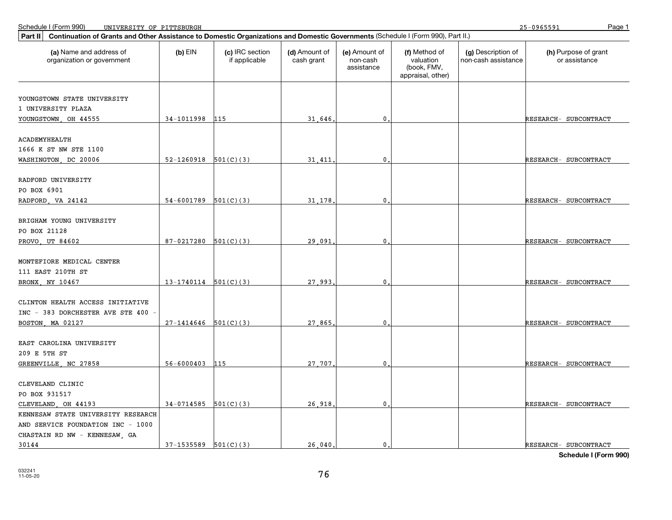| $(b)$ EIN<br>(c) IRC section<br>(d) Amount of<br>(e) Amount of<br>(h) Purpose of grant<br>(a) Name and address of<br>(f) Method of<br>(g) Description of<br>valuation<br>or assistance<br>organization or government<br>if applicable<br>cash grant<br>non-cash<br>non-cash assistance<br>assistance<br>(book, FMV,<br>appraisal, other)<br>YOUNGSTOWN STATE UNIVERSITY<br>1 UNIVERSITY PLAZA<br>34-1011998<br>YOUNGSTOWN OH 44555<br>115<br>31,646<br>0.<br>RESEARCH- SUBCONTRACT<br><b>ACADEMYHEALTH</b><br>1666 K ST NW STE 1100<br>WASHINGTON, DC 20006<br>52-1260918<br>501(C)(3)<br>31,411<br>$\mathbf{0}$<br>RESEARCH- SUBCONTRACT<br>RADFORD UNIVERSITY<br>PO BOX 6901<br>$\mathbf{0}$<br>54-6001789<br>501(C)(3)<br>31,178<br>RADFORD, VA 24142<br>RESEARCH- SUBCONTRACT<br>BRIGHAM YOUNG UNIVERSITY<br>PO BOX 21128<br>87-0217280<br>501(C)(3)<br>29,091<br>$\mathbf{0}$<br>PROVO, UT 84602<br>RESEARCH- SUBCONTRACT<br>MONTEFIORE MEDICAL CENTER<br>111 EAST 210TH ST<br>$13-1740114$ 501(C)(3)<br>27.993<br>BRONX, NY 10467<br>0<br>RESEARCH- SUBCONTRACT<br>CLINTON HEALTH ACCESS INITIATIVE<br>INC - 383 DORCHESTER AVE STE 400<br>$27-1414646$ 501(C)(3)<br>27.865<br>$\mathbf 0$ .<br>BOSTON, MA 02127<br>RESEARCH- SUBCONTRACT<br>EAST CAROLINA UNIVERSITY<br>209 E 5TH ST<br>$56 - 6000403$<br>27,707<br>$\mathbf 0$<br>GREENVILLE, NC 27858<br>115<br>RESEARCH- SUBCONTRACT<br>CLEVELAND CLINIC<br>PO BOX 931517<br>26,918<br>$\mathbf{0}$<br>CLEVELAND, OH 44193<br>$34-0714585$ $501(C)(3)$<br>RESEARCH- SUBCONTRACT<br>KENNESAW STATE UNIVERSITY RESEARCH<br>AND SERVICE FOUNDATION INC - 1000<br>CHASTAIN RD NW - KENNESAW, GA | Continuation of Grants and Other Assistance to Domestic Organizations and Domestic Governments (Schedule I (Form 990), Part II.)<br>Part II |  |  |  |  |  |  |  |  |  |
|-------------------------------------------------------------------------------------------------------------------------------------------------------------------------------------------------------------------------------------------------------------------------------------------------------------------------------------------------------------------------------------------------------------------------------------------------------------------------------------------------------------------------------------------------------------------------------------------------------------------------------------------------------------------------------------------------------------------------------------------------------------------------------------------------------------------------------------------------------------------------------------------------------------------------------------------------------------------------------------------------------------------------------------------------------------------------------------------------------------------------------------------------------------------------------------------------------------------------------------------------------------------------------------------------------------------------------------------------------------------------------------------------------------------------------------------------------------------------------------------------------------------------------------------------------------------------------------------------------------------------------------------------------|---------------------------------------------------------------------------------------------------------------------------------------------|--|--|--|--|--|--|--|--|--|
|                                                                                                                                                                                                                                                                                                                                                                                                                                                                                                                                                                                                                                                                                                                                                                                                                                                                                                                                                                                                                                                                                                                                                                                                                                                                                                                                                                                                                                                                                                                                                                                                                                                       |                                                                                                                                             |  |  |  |  |  |  |  |  |  |
|                                                                                                                                                                                                                                                                                                                                                                                                                                                                                                                                                                                                                                                                                                                                                                                                                                                                                                                                                                                                                                                                                                                                                                                                                                                                                                                                                                                                                                                                                                                                                                                                                                                       |                                                                                                                                             |  |  |  |  |  |  |  |  |  |
|                                                                                                                                                                                                                                                                                                                                                                                                                                                                                                                                                                                                                                                                                                                                                                                                                                                                                                                                                                                                                                                                                                                                                                                                                                                                                                                                                                                                                                                                                                                                                                                                                                                       |                                                                                                                                             |  |  |  |  |  |  |  |  |  |
|                                                                                                                                                                                                                                                                                                                                                                                                                                                                                                                                                                                                                                                                                                                                                                                                                                                                                                                                                                                                                                                                                                                                                                                                                                                                                                                                                                                                                                                                                                                                                                                                                                                       |                                                                                                                                             |  |  |  |  |  |  |  |  |  |
|                                                                                                                                                                                                                                                                                                                                                                                                                                                                                                                                                                                                                                                                                                                                                                                                                                                                                                                                                                                                                                                                                                                                                                                                                                                                                                                                                                                                                                                                                                                                                                                                                                                       |                                                                                                                                             |  |  |  |  |  |  |  |  |  |
|                                                                                                                                                                                                                                                                                                                                                                                                                                                                                                                                                                                                                                                                                                                                                                                                                                                                                                                                                                                                                                                                                                                                                                                                                                                                                                                                                                                                                                                                                                                                                                                                                                                       |                                                                                                                                             |  |  |  |  |  |  |  |  |  |
|                                                                                                                                                                                                                                                                                                                                                                                                                                                                                                                                                                                                                                                                                                                                                                                                                                                                                                                                                                                                                                                                                                                                                                                                                                                                                                                                                                                                                                                                                                                                                                                                                                                       |                                                                                                                                             |  |  |  |  |  |  |  |  |  |
|                                                                                                                                                                                                                                                                                                                                                                                                                                                                                                                                                                                                                                                                                                                                                                                                                                                                                                                                                                                                                                                                                                                                                                                                                                                                                                                                                                                                                                                                                                                                                                                                                                                       |                                                                                                                                             |  |  |  |  |  |  |  |  |  |
|                                                                                                                                                                                                                                                                                                                                                                                                                                                                                                                                                                                                                                                                                                                                                                                                                                                                                                                                                                                                                                                                                                                                                                                                                                                                                                                                                                                                                                                                                                                                                                                                                                                       |                                                                                                                                             |  |  |  |  |  |  |  |  |  |
|                                                                                                                                                                                                                                                                                                                                                                                                                                                                                                                                                                                                                                                                                                                                                                                                                                                                                                                                                                                                                                                                                                                                                                                                                                                                                                                                                                                                                                                                                                                                                                                                                                                       |                                                                                                                                             |  |  |  |  |  |  |  |  |  |
|                                                                                                                                                                                                                                                                                                                                                                                                                                                                                                                                                                                                                                                                                                                                                                                                                                                                                                                                                                                                                                                                                                                                                                                                                                                                                                                                                                                                                                                                                                                                                                                                                                                       |                                                                                                                                             |  |  |  |  |  |  |  |  |  |
|                                                                                                                                                                                                                                                                                                                                                                                                                                                                                                                                                                                                                                                                                                                                                                                                                                                                                                                                                                                                                                                                                                                                                                                                                                                                                                                                                                                                                                                                                                                                                                                                                                                       |                                                                                                                                             |  |  |  |  |  |  |  |  |  |
|                                                                                                                                                                                                                                                                                                                                                                                                                                                                                                                                                                                                                                                                                                                                                                                                                                                                                                                                                                                                                                                                                                                                                                                                                                                                                                                                                                                                                                                                                                                                                                                                                                                       |                                                                                                                                             |  |  |  |  |  |  |  |  |  |
|                                                                                                                                                                                                                                                                                                                                                                                                                                                                                                                                                                                                                                                                                                                                                                                                                                                                                                                                                                                                                                                                                                                                                                                                                                                                                                                                                                                                                                                                                                                                                                                                                                                       |                                                                                                                                             |  |  |  |  |  |  |  |  |  |
|                                                                                                                                                                                                                                                                                                                                                                                                                                                                                                                                                                                                                                                                                                                                                                                                                                                                                                                                                                                                                                                                                                                                                                                                                                                                                                                                                                                                                                                                                                                                                                                                                                                       |                                                                                                                                             |  |  |  |  |  |  |  |  |  |
|                                                                                                                                                                                                                                                                                                                                                                                                                                                                                                                                                                                                                                                                                                                                                                                                                                                                                                                                                                                                                                                                                                                                                                                                                                                                                                                                                                                                                                                                                                                                                                                                                                                       |                                                                                                                                             |  |  |  |  |  |  |  |  |  |
|                                                                                                                                                                                                                                                                                                                                                                                                                                                                                                                                                                                                                                                                                                                                                                                                                                                                                                                                                                                                                                                                                                                                                                                                                                                                                                                                                                                                                                                                                                                                                                                                                                                       |                                                                                                                                             |  |  |  |  |  |  |  |  |  |
|                                                                                                                                                                                                                                                                                                                                                                                                                                                                                                                                                                                                                                                                                                                                                                                                                                                                                                                                                                                                                                                                                                                                                                                                                                                                                                                                                                                                                                                                                                                                                                                                                                                       |                                                                                                                                             |  |  |  |  |  |  |  |  |  |
|                                                                                                                                                                                                                                                                                                                                                                                                                                                                                                                                                                                                                                                                                                                                                                                                                                                                                                                                                                                                                                                                                                                                                                                                                                                                                                                                                                                                                                                                                                                                                                                                                                                       |                                                                                                                                             |  |  |  |  |  |  |  |  |  |
|                                                                                                                                                                                                                                                                                                                                                                                                                                                                                                                                                                                                                                                                                                                                                                                                                                                                                                                                                                                                                                                                                                                                                                                                                                                                                                                                                                                                                                                                                                                                                                                                                                                       |                                                                                                                                             |  |  |  |  |  |  |  |  |  |
|                                                                                                                                                                                                                                                                                                                                                                                                                                                                                                                                                                                                                                                                                                                                                                                                                                                                                                                                                                                                                                                                                                                                                                                                                                                                                                                                                                                                                                                                                                                                                                                                                                                       |                                                                                                                                             |  |  |  |  |  |  |  |  |  |
|                                                                                                                                                                                                                                                                                                                                                                                                                                                                                                                                                                                                                                                                                                                                                                                                                                                                                                                                                                                                                                                                                                                                                                                                                                                                                                                                                                                                                                                                                                                                                                                                                                                       |                                                                                                                                             |  |  |  |  |  |  |  |  |  |
|                                                                                                                                                                                                                                                                                                                                                                                                                                                                                                                                                                                                                                                                                                                                                                                                                                                                                                                                                                                                                                                                                                                                                                                                                                                                                                                                                                                                                                                                                                                                                                                                                                                       |                                                                                                                                             |  |  |  |  |  |  |  |  |  |
|                                                                                                                                                                                                                                                                                                                                                                                                                                                                                                                                                                                                                                                                                                                                                                                                                                                                                                                                                                                                                                                                                                                                                                                                                                                                                                                                                                                                                                                                                                                                                                                                                                                       |                                                                                                                                             |  |  |  |  |  |  |  |  |  |
|                                                                                                                                                                                                                                                                                                                                                                                                                                                                                                                                                                                                                                                                                                                                                                                                                                                                                                                                                                                                                                                                                                                                                                                                                                                                                                                                                                                                                                                                                                                                                                                                                                                       |                                                                                                                                             |  |  |  |  |  |  |  |  |  |
|                                                                                                                                                                                                                                                                                                                                                                                                                                                                                                                                                                                                                                                                                                                                                                                                                                                                                                                                                                                                                                                                                                                                                                                                                                                                                                                                                                                                                                                                                                                                                                                                                                                       |                                                                                                                                             |  |  |  |  |  |  |  |  |  |
|                                                                                                                                                                                                                                                                                                                                                                                                                                                                                                                                                                                                                                                                                                                                                                                                                                                                                                                                                                                                                                                                                                                                                                                                                                                                                                                                                                                                                                                                                                                                                                                                                                                       |                                                                                                                                             |  |  |  |  |  |  |  |  |  |
|                                                                                                                                                                                                                                                                                                                                                                                                                                                                                                                                                                                                                                                                                                                                                                                                                                                                                                                                                                                                                                                                                                                                                                                                                                                                                                                                                                                                                                                                                                                                                                                                                                                       |                                                                                                                                             |  |  |  |  |  |  |  |  |  |
|                                                                                                                                                                                                                                                                                                                                                                                                                                                                                                                                                                                                                                                                                                                                                                                                                                                                                                                                                                                                                                                                                                                                                                                                                                                                                                                                                                                                                                                                                                                                                                                                                                                       |                                                                                                                                             |  |  |  |  |  |  |  |  |  |
|                                                                                                                                                                                                                                                                                                                                                                                                                                                                                                                                                                                                                                                                                                                                                                                                                                                                                                                                                                                                                                                                                                                                                                                                                                                                                                                                                                                                                                                                                                                                                                                                                                                       |                                                                                                                                             |  |  |  |  |  |  |  |  |  |
|                                                                                                                                                                                                                                                                                                                                                                                                                                                                                                                                                                                                                                                                                                                                                                                                                                                                                                                                                                                                                                                                                                                                                                                                                                                                                                                                                                                                                                                                                                                                                                                                                                                       |                                                                                                                                             |  |  |  |  |  |  |  |  |  |
|                                                                                                                                                                                                                                                                                                                                                                                                                                                                                                                                                                                                                                                                                                                                                                                                                                                                                                                                                                                                                                                                                                                                                                                                                                                                                                                                                                                                                                                                                                                                                                                                                                                       |                                                                                                                                             |  |  |  |  |  |  |  |  |  |
|                                                                                                                                                                                                                                                                                                                                                                                                                                                                                                                                                                                                                                                                                                                                                                                                                                                                                                                                                                                                                                                                                                                                                                                                                                                                                                                                                                                                                                                                                                                                                                                                                                                       |                                                                                                                                             |  |  |  |  |  |  |  |  |  |
|                                                                                                                                                                                                                                                                                                                                                                                                                                                                                                                                                                                                                                                                                                                                                                                                                                                                                                                                                                                                                                                                                                                                                                                                                                                                                                                                                                                                                                                                                                                                                                                                                                                       |                                                                                                                                             |  |  |  |  |  |  |  |  |  |
|                                                                                                                                                                                                                                                                                                                                                                                                                                                                                                                                                                                                                                                                                                                                                                                                                                                                                                                                                                                                                                                                                                                                                                                                                                                                                                                                                                                                                                                                                                                                                                                                                                                       |                                                                                                                                             |  |  |  |  |  |  |  |  |  |
| $37-1535589$ $501(C)(3)$<br>26,040<br>$\mathbf{0}$ .<br>30144<br>RESEARCH- SUBCONTRACT                                                                                                                                                                                                                                                                                                                                                                                                                                                                                                                                                                                                                                                                                                                                                                                                                                                                                                                                                                                                                                                                                                                                                                                                                                                                                                                                                                                                                                                                                                                                                                |                                                                                                                                             |  |  |  |  |  |  |  |  |  |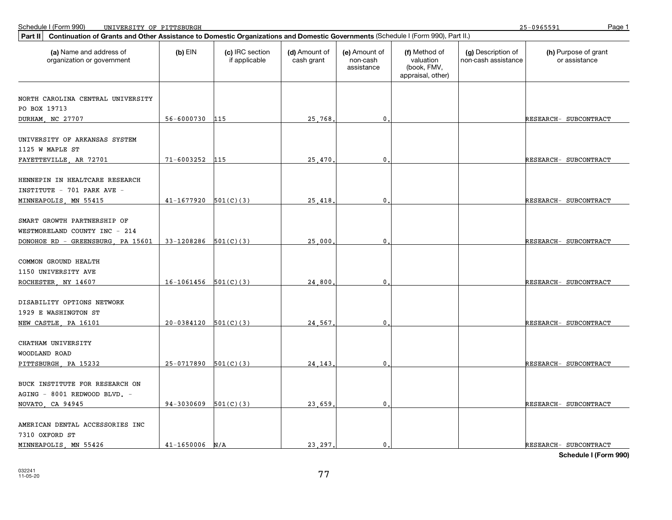25-0965591

| Part II   Continuation of Grants and Other Assistance to Domestic Organizations and Domestic Governments (Schedule I (Form 990), Part II.) |                        |                                  |                             |                                         |                                                                |                                           |                                       |  |  |
|--------------------------------------------------------------------------------------------------------------------------------------------|------------------------|----------------------------------|-----------------------------|-----------------------------------------|----------------------------------------------------------------|-------------------------------------------|---------------------------------------|--|--|
| (a) Name and address of<br>organization or government                                                                                      | $(b)$ EIN              | (c) IRC section<br>if applicable | (d) Amount of<br>cash grant | (e) Amount of<br>non-cash<br>assistance | (f) Method of<br>valuation<br>(book, FMV,<br>appraisal, other) | (g) Description of<br>non-cash assistance | (h) Purpose of grant<br>or assistance |  |  |
|                                                                                                                                            |                        |                                  |                             |                                         |                                                                |                                           |                                       |  |  |
| NORTH CAROLINA CENTRAL UNIVERSITY                                                                                                          |                        |                                  |                             |                                         |                                                                |                                           |                                       |  |  |
| PO BOX 19713                                                                                                                               |                        |                                  |                             |                                         |                                                                |                                           |                                       |  |  |
| DURHAM, NC 27707                                                                                                                           | 56-6000730             | 115                              | 25,768                      | $\overline{0}$ .                        |                                                                |                                           | RESEARCH- SUBCONTRACT                 |  |  |
| UNIVERSITY OF ARKANSAS SYSTEM<br>1125 W MAPLE ST                                                                                           |                        |                                  |                             |                                         |                                                                |                                           |                                       |  |  |
| FAYETTEVILLE, AR 72701                                                                                                                     | $71 - 6003252$         | 115                              | 25.470                      | $\mathbf{0}$                            |                                                                |                                           | RESEARCH- SUBCONTRACT                 |  |  |
| HENNEPIN IN HEALTCARE RESEARCH<br>INSTITUTE - 701 PARK AVE -                                                                               |                        |                                  |                             |                                         |                                                                |                                           |                                       |  |  |
| MINNEAPOLIS, MN 55415                                                                                                                      | $41 - 1677920$         | 501(C)(3)                        | 25.418                      | $\mathbf 0$ .                           |                                                                |                                           | RESEARCH- SUBCONTRACT                 |  |  |
| SMART GROWTH PARTNERSHIP OF<br>WESTMORELAND COUNTY INC - 214<br>DONOHOE RD - GREENSBURG, PA 15601                                          | 33-1208286             | 501(C)(3)                        | 25,000                      | 0                                       |                                                                |                                           | RESEARCH- SUBCONTRACT                 |  |  |
|                                                                                                                                            |                        |                                  |                             |                                         |                                                                |                                           |                                       |  |  |
| COMMON GROUND HEALTH<br>1150 UNIVERSITY AVE                                                                                                |                        |                                  |                             |                                         |                                                                |                                           |                                       |  |  |
| ROCHESTER, NY 14607                                                                                                                        | $16-1061456$ 501(C)(3) |                                  | 24,800                      | $\mathbf{0}$                            |                                                                |                                           | RESEARCH- SUBCONTRACT                 |  |  |
| DISABILITY OPTIONS NETWORK<br>1929 E WASHINGTON ST<br>NEW CASTLE, PA 16101                                                                 | $20-0384120$ 501(C)(3) |                                  | 24,567                      | $\mathbf 0$ .                           |                                                                |                                           | RESEARCH- SUBCONTRACT                 |  |  |
|                                                                                                                                            |                        |                                  |                             |                                         |                                                                |                                           |                                       |  |  |
| CHATHAM UNIVERSITY<br>WOODLAND ROAD                                                                                                        |                        |                                  |                             |                                         |                                                                |                                           |                                       |  |  |
| PITTSBURGH, PA 15232                                                                                                                       | 25-0717890             | 501(C)(3)                        | 24.143                      | $\mathbf{0}$                            |                                                                |                                           | RESEARCH- SUBCONTRACT                 |  |  |
| BUCK INSTITUTE FOR RESEARCH ON<br>AGING - 8001 REDWOOD BLVD. -<br>NOVATO, CA 94945                                                         | 94-3030609             | 501(C)(3)                        | 23.659                      | $\mathbf 0$ .                           |                                                                |                                           | RESEARCH- SUBCONTRACT                 |  |  |
| AMERICAN DENTAL ACCESSORIES INC<br>7310 OXFORD ST                                                                                          |                        |                                  |                             |                                         |                                                                |                                           |                                       |  |  |
| MINNEAPOLIS, MN 55426                                                                                                                      | $41 - 1650006$         | N/A                              | 23, 297.                    | $\mathbf{0}$ .                          |                                                                |                                           | RESEARCH- SUBCONTRACT                 |  |  |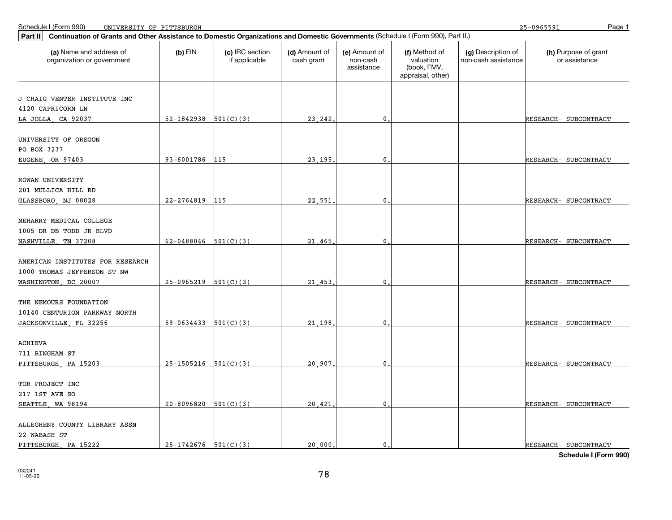25-0965591

| Continuation of Grants and Other Assistance to Domestic Organizations and Domestic Governments (Schedule I (Form 990), Part II.)<br>Part II |                          |                                  |                             |                                         |                                                                |                                           |                                       |  |  |  |
|---------------------------------------------------------------------------------------------------------------------------------------------|--------------------------|----------------------------------|-----------------------------|-----------------------------------------|----------------------------------------------------------------|-------------------------------------------|---------------------------------------|--|--|--|
| (a) Name and address of<br>organization or government                                                                                       | $(b)$ EIN                | (c) IRC section<br>if applicable | (d) Amount of<br>cash grant | (e) Amount of<br>non-cash<br>assistance | (f) Method of<br>valuation<br>(book, FMV,<br>appraisal, other) | (g) Description of<br>non-cash assistance | (h) Purpose of grant<br>or assistance |  |  |  |
| J CRAIG VENTER INSTITUTE INC                                                                                                                |                          |                                  |                             |                                         |                                                                |                                           |                                       |  |  |  |
| 4120 CAPRICORN LN                                                                                                                           |                          |                                  |                             |                                         |                                                                |                                           |                                       |  |  |  |
| LA JOLLA, CA 92037                                                                                                                          | $52-1842938$ $501(C)(3)$ |                                  | 23, 242                     | $\mathbf{0}$                            |                                                                |                                           | RESEARCH- SUBCONTRACT                 |  |  |  |
|                                                                                                                                             |                          |                                  |                             |                                         |                                                                |                                           |                                       |  |  |  |
| UNIVERSITY OF OREGON                                                                                                                        |                          |                                  |                             |                                         |                                                                |                                           |                                       |  |  |  |
| PO BOX 3237                                                                                                                                 |                          |                                  |                             |                                         |                                                                |                                           |                                       |  |  |  |
| EUGENE, OR 97403                                                                                                                            | 93-6001786               | 115                              | 23,195                      | $\mathbf 0$                             |                                                                |                                           | RESEARCH- SUBCONTRACT                 |  |  |  |
|                                                                                                                                             |                          |                                  |                             |                                         |                                                                |                                           |                                       |  |  |  |
| ROWAN UNIVERSITY                                                                                                                            |                          |                                  |                             |                                         |                                                                |                                           |                                       |  |  |  |
| 201 MULLICA HILL RD                                                                                                                         |                          |                                  |                             |                                         |                                                                |                                           |                                       |  |  |  |
| GLASSBORO, NJ 08028                                                                                                                         | $22 - 2764819$           | 115                              | 22.551                      | $\mathbf 0$                             |                                                                |                                           | RESEARCH- SUBCONTRACT                 |  |  |  |
| MEHARRY MEDICAL COLLEGE                                                                                                                     |                          |                                  |                             |                                         |                                                                |                                           |                                       |  |  |  |
| 1005 DR DB TODD JR BLVD                                                                                                                     |                          |                                  |                             |                                         |                                                                |                                           |                                       |  |  |  |
| NASHVILLE, TN 37208                                                                                                                         | 62-0488046 $501(C)(3)$   |                                  | 21,465                      | $\mathbf 0$                             |                                                                |                                           | RESEARCH- SUBCONTRACT                 |  |  |  |
|                                                                                                                                             |                          |                                  |                             |                                         |                                                                |                                           |                                       |  |  |  |
| AMERICAN INSTITUTES FOR RESEARCH                                                                                                            |                          |                                  |                             |                                         |                                                                |                                           |                                       |  |  |  |
| 1000 THOMAS JEFFERSON ST NW                                                                                                                 |                          |                                  |                             |                                         |                                                                |                                           |                                       |  |  |  |
| WASHINGTON, DC 20007                                                                                                                        | 25-0965219               | 501(C)(3)                        | 21,453                      | 0                                       |                                                                |                                           | RESEARCH- SUBCONTRACT                 |  |  |  |
|                                                                                                                                             |                          |                                  |                             |                                         |                                                                |                                           |                                       |  |  |  |
| THE NEMOURS FOUNDATION                                                                                                                      |                          |                                  |                             |                                         |                                                                |                                           |                                       |  |  |  |
| 10140 CENTURION PARKWAY NORTH                                                                                                               |                          |                                  |                             |                                         |                                                                |                                           |                                       |  |  |  |
| JACKSONVILLE, FL 32256                                                                                                                      | $59-0634433$ $501(C)(3)$ |                                  | 21.198                      | $\mathbf{0}$ .                          |                                                                |                                           | RESEARCH- SUBCONTRACT                 |  |  |  |
|                                                                                                                                             |                          |                                  |                             |                                         |                                                                |                                           |                                       |  |  |  |
| <b>ACHIEVA</b>                                                                                                                              |                          |                                  |                             |                                         |                                                                |                                           |                                       |  |  |  |
| 711 BINGHAM ST                                                                                                                              |                          |                                  |                             |                                         |                                                                |                                           |                                       |  |  |  |
| PITTSBURGH, PA 15203                                                                                                                        | $25-1505216$ $501(C)(3)$ |                                  | 20,907                      | $\mathbf 0$                             |                                                                |                                           | RESEARCH- SUBCONTRACT                 |  |  |  |
| TOR PROJECT INC                                                                                                                             |                          |                                  |                             |                                         |                                                                |                                           |                                       |  |  |  |
| 217 1ST AVE SO                                                                                                                              |                          |                                  |                             |                                         |                                                                |                                           |                                       |  |  |  |
| SEATTLE, WA 98194                                                                                                                           | $20 - 8096820$           | 501(C)(3)                        | 20.421                      | $\mathbf{0}$ .                          |                                                                |                                           | RESEARCH- SUBCONTRACT                 |  |  |  |
|                                                                                                                                             |                          |                                  |                             |                                         |                                                                |                                           |                                       |  |  |  |
| ALLEGHENY COUNTY LIBRARY ASSN                                                                                                               |                          |                                  |                             |                                         |                                                                |                                           |                                       |  |  |  |
| 22 WABASH ST                                                                                                                                |                          |                                  |                             |                                         |                                                                |                                           |                                       |  |  |  |
| PITTSBURGH, PA 15222                                                                                                                        | $25-1742676$ $501(C)(3)$ |                                  | 20,000                      | $\mathbf{0}$ .                          |                                                                |                                           | RESEARCH- SUBCONTRACT                 |  |  |  |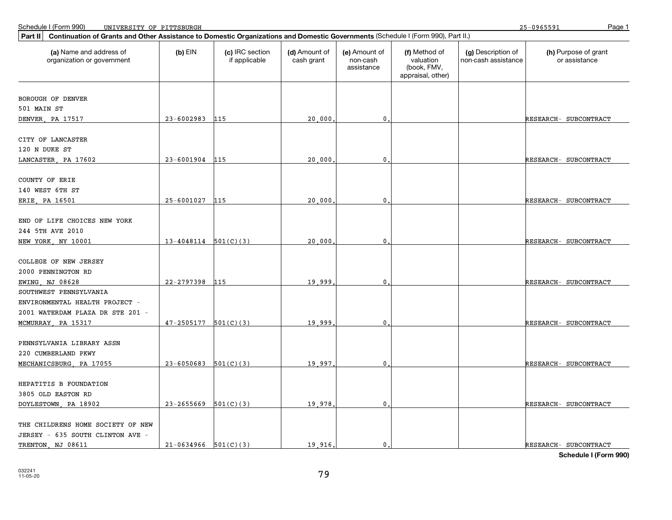25-0965591

| Part II<br>Continuation of Grants and Other Assistance to Domestic Organizations and Domestic Governments (Schedule I (Form 990), Part II.) |                          |                                  |                             |                                         |                                                                |                                           |                                       |
|---------------------------------------------------------------------------------------------------------------------------------------------|--------------------------|----------------------------------|-----------------------------|-----------------------------------------|----------------------------------------------------------------|-------------------------------------------|---------------------------------------|
| (a) Name and address of<br>organization or government                                                                                       | $(b)$ EIN                | (c) IRC section<br>if applicable | (d) Amount of<br>cash grant | (e) Amount of<br>non-cash<br>assistance | (f) Method of<br>valuation<br>(book, FMV,<br>appraisal, other) | (g) Description of<br>non-cash assistance | (h) Purpose of grant<br>or assistance |
| BOROUGH OF DENVER                                                                                                                           |                          |                                  |                             |                                         |                                                                |                                           |                                       |
| 501 MAIN ST                                                                                                                                 |                          |                                  |                             |                                         |                                                                |                                           |                                       |
| DENVER, PA 17517                                                                                                                            | 23-6002983               | 115                              | 20,000                      | $\mathbf{0}$                            |                                                                |                                           | RESEARCH- SUBCONTRACT                 |
| CITY OF LANCASTER                                                                                                                           |                          |                                  |                             |                                         |                                                                |                                           |                                       |
| 120 N DUKE ST                                                                                                                               |                          |                                  |                             |                                         |                                                                |                                           |                                       |
| LANCASTER, PA 17602                                                                                                                         | 23-6001904               | 115                              | 20,000                      | $\mathbf{0}$                            |                                                                |                                           | RESEARCH- SUBCONTRACT                 |
| COUNTY OF ERIE                                                                                                                              |                          |                                  |                             |                                         |                                                                |                                           |                                       |
| 140 WEST 6TH ST                                                                                                                             |                          |                                  |                             |                                         |                                                                |                                           |                                       |
| ERIE, PA 16501                                                                                                                              | 25-6001027               | 115                              | 20,000                      | 0                                       |                                                                |                                           | RESEARCH- SUBCONTRACT                 |
|                                                                                                                                             |                          |                                  |                             |                                         |                                                                |                                           |                                       |
| END OF LIFE CHOICES NEW YORK                                                                                                                |                          |                                  |                             |                                         |                                                                |                                           |                                       |
| 244 5TH AVE 2010                                                                                                                            | $13-4048114$ 501(C)(3)   |                                  | 20,000                      | $\mathbf{0}$                            |                                                                |                                           | RESEARCH- SUBCONTRACT                 |
| NEW YORK, NY 10001                                                                                                                          |                          |                                  |                             |                                         |                                                                |                                           |                                       |
| COLLEGE OF NEW JERSEY                                                                                                                       |                          |                                  |                             |                                         |                                                                |                                           |                                       |
| 2000 PENNINGTON RD                                                                                                                          |                          |                                  |                             |                                         |                                                                |                                           |                                       |
| EWING NJ 08628                                                                                                                              | 22-2797398               | 115                              | 19,999                      | 0                                       |                                                                |                                           | RESEARCH- SUBCONTRACT                 |
| SOUTHWEST PENNSYLVANIA                                                                                                                      |                          |                                  |                             |                                         |                                                                |                                           |                                       |
| ENVIRONMENTAL HEALTH PROJECT -                                                                                                              |                          |                                  |                             |                                         |                                                                |                                           |                                       |
| 2001 WATERDAM PLAZA DR STE 201 -                                                                                                            |                          |                                  |                             |                                         |                                                                |                                           |                                       |
| MCMURRAY, PA 15317                                                                                                                          | 47-2505177               | 501(C)(3)                        | 19,999                      | $\mathbf 0$                             |                                                                |                                           | RESEARCH- SUBCONTRACT                 |
|                                                                                                                                             |                          |                                  |                             |                                         |                                                                |                                           |                                       |
| PENNSYLVANIA LIBRARY ASSN                                                                                                                   |                          |                                  |                             |                                         |                                                                |                                           |                                       |
| 220 CUMBERLAND PKWY                                                                                                                         | $23 - 6050683$ 501(C)(3) |                                  | 19,997                      | $\mathbf{0}$                            |                                                                |                                           |                                       |
| MECHANICSBURG, PA 17055                                                                                                                     |                          |                                  |                             |                                         |                                                                |                                           | RESEARCH- SUBCONTRACT                 |
| HEPATITIS B FOUNDATION                                                                                                                      |                          |                                  |                             |                                         |                                                                |                                           |                                       |
| 3805 OLD EASTON RD                                                                                                                          |                          |                                  |                             |                                         |                                                                |                                           |                                       |
| DOYLESTOWN, PA 18902                                                                                                                        | 23-2655669               | 501(C)(3)                        | 19,978                      | 0                                       |                                                                |                                           | RESEARCH- SUBCONTRACT                 |
|                                                                                                                                             |                          |                                  |                             |                                         |                                                                |                                           |                                       |
| THE CHILDRENS HOME SOCIETY OF NEW                                                                                                           |                          |                                  |                             |                                         |                                                                |                                           |                                       |
| JERSEY - 635 SOUTH CLINTON AVE -                                                                                                            |                          |                                  |                             |                                         |                                                                |                                           |                                       |
| TRENTON, NJ 08611                                                                                                                           | $21-0634966$ $501(C)(3)$ |                                  | 19.916.                     | $\mathbf{0}$ .                          |                                                                |                                           | RESEARCH- SUBCONTRACT                 |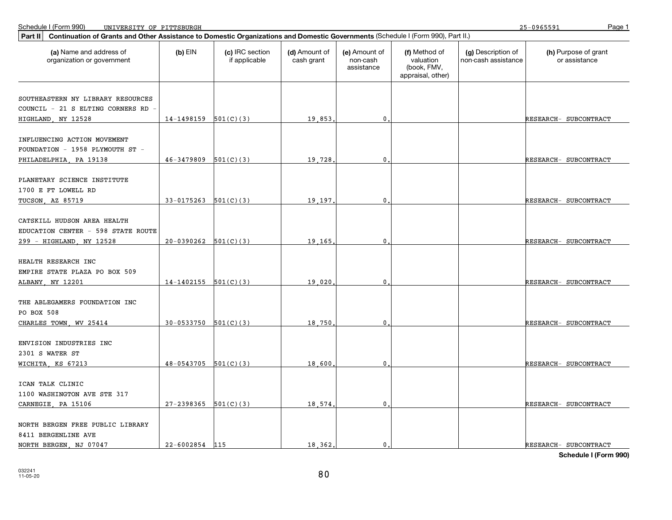25-0965591

| Continuation of Grants and Other Assistance to Domestic Organizations and Domestic Governments (Schedule I (Form 990), Part II.)<br>Part II |                            |                                  |                             |                                         |                                                                |                                           |                                       |
|---------------------------------------------------------------------------------------------------------------------------------------------|----------------------------|----------------------------------|-----------------------------|-----------------------------------------|----------------------------------------------------------------|-------------------------------------------|---------------------------------------|
| (a) Name and address of<br>organization or government                                                                                       | $(b)$ EIN                  | (c) IRC section<br>if applicable | (d) Amount of<br>cash grant | (e) Amount of<br>non-cash<br>assistance | (f) Method of<br>valuation<br>(book, FMV,<br>appraisal, other) | (g) Description of<br>non-cash assistance | (h) Purpose of grant<br>or assistance |
|                                                                                                                                             |                            |                                  |                             |                                         |                                                                |                                           |                                       |
| SOUTHEASTERN NY LIBRARY RESOURCES                                                                                                           |                            |                                  |                             |                                         |                                                                |                                           |                                       |
| COUNCIL - 21 S ELTING CORNERS RD                                                                                                            |                            |                                  |                             |                                         |                                                                |                                           |                                       |
| HIGHLAND, NY 12528                                                                                                                          | $14-1498159$ $501(C)(3)$   |                                  | 19,853                      | $\mathbf{0}$                            |                                                                |                                           | RESEARCH- SUBCONTRACT                 |
| INFLUENCING ACTION MOVEMENT                                                                                                                 |                            |                                  |                             |                                         |                                                                |                                           |                                       |
| FOUNDATION - 1958 PLYMOUTH ST -                                                                                                             |                            |                                  |                             |                                         |                                                                |                                           |                                       |
| PHILADELPHIA, PA 19138                                                                                                                      | $46-3479809$ $501(C)(3)$   |                                  | 19,728                      | $\mathbf 0$                             |                                                                |                                           | RESEARCH- SUBCONTRACT                 |
|                                                                                                                                             |                            |                                  |                             |                                         |                                                                |                                           |                                       |
| PLANETARY SCIENCE INSTITUTE                                                                                                                 |                            |                                  |                             |                                         |                                                                |                                           |                                       |
| 1700 E FT LOWELL RD                                                                                                                         |                            |                                  |                             |                                         |                                                                |                                           |                                       |
| TUCSON, AZ 85719                                                                                                                            | $33-0175263$ $501(C)(3)$   |                                  | 19.197                      | $\mathbf 0$                             |                                                                |                                           | RESEARCH- SUBCONTRACT                 |
|                                                                                                                                             |                            |                                  |                             |                                         |                                                                |                                           |                                       |
| CATSKILL HUDSON AREA HEALTH                                                                                                                 |                            |                                  |                             |                                         |                                                                |                                           |                                       |
| EDUCATION CENTER - 598 STATE ROUTE                                                                                                          |                            |                                  |                             |                                         |                                                                |                                           |                                       |
| 299 - HIGHLAND, NY 12528                                                                                                                    | $20-0390262$ $501(C)(3)$   |                                  | 19,165                      | $\mathbf{0}$                            |                                                                |                                           | RESEARCH- SUBCONTRACT                 |
|                                                                                                                                             |                            |                                  |                             |                                         |                                                                |                                           |                                       |
| HEALTH RESEARCH INC                                                                                                                         |                            |                                  |                             |                                         |                                                                |                                           |                                       |
| EMPIRE STATE PLAZA PO BOX 509                                                                                                               |                            |                                  |                             |                                         |                                                                |                                           |                                       |
| ALBANY, NY 12201                                                                                                                            | $14-1402155$ $501(C)(3)$   |                                  | 19,020                      | $\mathbf 0$                             |                                                                |                                           | RESEARCH- SUBCONTRACT                 |
| THE ABLEGAMERS FOUNDATION INC                                                                                                               |                            |                                  |                             |                                         |                                                                |                                           |                                       |
| PO BOX 508                                                                                                                                  |                            |                                  |                             |                                         |                                                                |                                           |                                       |
| CHARLES TOWN, WV 25414                                                                                                                      | $30 - 0533750$ $501(C)(3)$ |                                  | 18,750                      | $\mathbf{0}$ .                          |                                                                |                                           | RESEARCH- SUBCONTRACT                 |
|                                                                                                                                             |                            |                                  |                             |                                         |                                                                |                                           |                                       |
| ENVISION INDUSTRIES INC                                                                                                                     |                            |                                  |                             |                                         |                                                                |                                           |                                       |
| 2301 S WATER ST                                                                                                                             |                            |                                  |                             |                                         |                                                                |                                           |                                       |
| WICHITA, KS 67213                                                                                                                           | $48-0543705$ 501(C)(3)     |                                  | 18,600                      | $\mathbf 0$                             |                                                                |                                           | RESEARCH- SUBCONTRACT                 |
|                                                                                                                                             |                            |                                  |                             |                                         |                                                                |                                           |                                       |
| ICAN TALK CLINIC                                                                                                                            |                            |                                  |                             |                                         |                                                                |                                           |                                       |
| 1100 WASHINGTON AVE STE 317                                                                                                                 |                            |                                  |                             |                                         |                                                                |                                           |                                       |
| CARNEGIE, PA 15106                                                                                                                          | $27 - 2398365$ 501(C)(3)   |                                  | 18,574.                     | $\mathbf{0}$ .                          |                                                                |                                           | RESEARCH- SUBCONTRACT                 |
|                                                                                                                                             |                            |                                  |                             |                                         |                                                                |                                           |                                       |
| NORTH BERGEN FREE PUBLIC LIBRARY                                                                                                            |                            |                                  |                             |                                         |                                                                |                                           |                                       |
| 8411 BERGENLINE AVE                                                                                                                         |                            |                                  |                             |                                         |                                                                |                                           |                                       |
| NORTH BERGEN, NJ 07047                                                                                                                      | 22-6002854 115             |                                  | 18,362,                     | $\mathbf{0}$ .                          |                                                                |                                           | RESEARCH- SUBCONTRACT                 |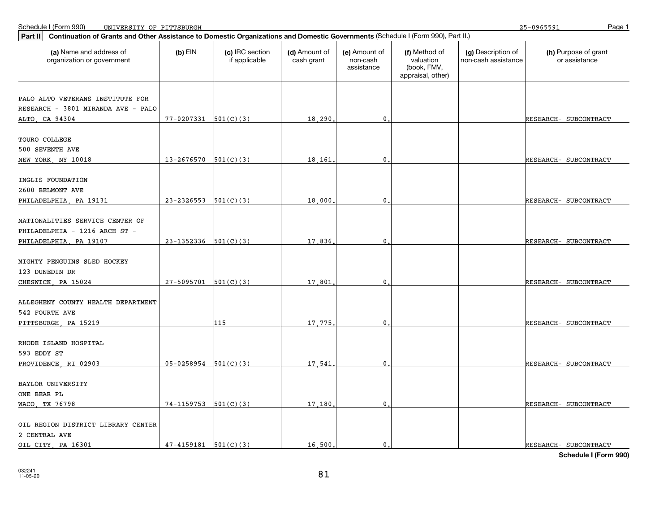25-0965591

| Continuation of Grants and Other Assistance to Domestic Organizations and Domestic Governments (Schedule I (Form 990), Part II.)<br>Part II |                            |                                  |                             |                                         |                                                                |                                           |                                       |
|---------------------------------------------------------------------------------------------------------------------------------------------|----------------------------|----------------------------------|-----------------------------|-----------------------------------------|----------------------------------------------------------------|-------------------------------------------|---------------------------------------|
| (a) Name and address of<br>organization or government                                                                                       | $(b)$ EIN                  | (c) IRC section<br>if applicable | (d) Amount of<br>cash grant | (e) Amount of<br>non-cash<br>assistance | (f) Method of<br>valuation<br>(book, FMV,<br>appraisal, other) | (g) Description of<br>non-cash assistance | (h) Purpose of grant<br>or assistance |
|                                                                                                                                             |                            |                                  |                             |                                         |                                                                |                                           |                                       |
| PALO ALTO VETERANS INSTITUTE FOR                                                                                                            |                            |                                  |                             |                                         |                                                                |                                           |                                       |
| RESEARCH - 3801 MIRANDA AVE - PALO                                                                                                          |                            |                                  |                             |                                         |                                                                |                                           |                                       |
| ALTO, CA 94304                                                                                                                              | $77 - 0207331$ 501(C)(3)   |                                  | 18,290                      | $\mathbf{0}$                            |                                                                |                                           | RESEARCH- SUBCONTRACT                 |
| <b>TOURO COLLEGE</b>                                                                                                                        |                            |                                  |                             |                                         |                                                                |                                           |                                       |
| 500 SEVENTH AVE                                                                                                                             |                            |                                  |                             |                                         |                                                                |                                           |                                       |
| NEW YORK, NY 10018                                                                                                                          | $13-2676570$ 501(C)(3)     |                                  | 18,161                      | 0                                       |                                                                |                                           | RESEARCH- SUBCONTRACT                 |
|                                                                                                                                             |                            |                                  |                             |                                         |                                                                |                                           |                                       |
| INGLIS FOUNDATION                                                                                                                           |                            |                                  |                             |                                         |                                                                |                                           |                                       |
| 2600 BELMONT AVE                                                                                                                            |                            |                                  |                             |                                         |                                                                |                                           |                                       |
| PHILADELPHIA, PA 19131                                                                                                                      | 23-2326553                 | 501(C)(3)                        | 18,000                      | 0                                       |                                                                |                                           | RESEARCH- SUBCONTRACT                 |
|                                                                                                                                             |                            |                                  |                             |                                         |                                                                |                                           |                                       |
| NATIONALITIES SERVICE CENTER OF                                                                                                             |                            |                                  |                             |                                         |                                                                |                                           |                                       |
| PHILADELPHIA - 1216 ARCH ST -                                                                                                               |                            |                                  |                             |                                         |                                                                |                                           |                                       |
| PHILADELPHIA, PA 19107                                                                                                                      | $23-1352336$ $501(C)(3)$   |                                  | 17,836                      | 0                                       |                                                                |                                           | RESEARCH- SUBCONTRACT                 |
|                                                                                                                                             |                            |                                  |                             |                                         |                                                                |                                           |                                       |
| MIGHTY PENGUINS SLED HOCKEY                                                                                                                 |                            |                                  |                             |                                         |                                                                |                                           |                                       |
| 123 DUNEDIN DR                                                                                                                              |                            |                                  |                             |                                         |                                                                |                                           |                                       |
| CHESWICK, PA 15024                                                                                                                          | $27-5095701$ 501(C)(3)     |                                  | 17,801                      | 0                                       |                                                                |                                           | RESEARCH- SUBCONTRACT                 |
|                                                                                                                                             |                            |                                  |                             |                                         |                                                                |                                           |                                       |
| ALLEGHENY COUNTY HEALTH DEPARTMENT                                                                                                          |                            |                                  |                             |                                         |                                                                |                                           |                                       |
| 542 FOURTH AVE                                                                                                                              |                            |                                  |                             |                                         |                                                                |                                           |                                       |
| PITTSBURGH, PA 15219                                                                                                                        |                            | 115                              | 17.775                      | 0                                       |                                                                |                                           | RESEARCH- SUBCONTRACT                 |
|                                                                                                                                             |                            |                                  |                             |                                         |                                                                |                                           |                                       |
| RHODE ISLAND HOSPITAL                                                                                                                       |                            |                                  |                             |                                         |                                                                |                                           |                                       |
| 593 EDDY ST                                                                                                                                 |                            |                                  |                             |                                         |                                                                |                                           |                                       |
| PROVIDENCE, RI 02903                                                                                                                        | $05-0258954$ $501(C)(3)$   |                                  | 17.541                      | 0                                       |                                                                |                                           | RESEARCH- SUBCONTRACT                 |
|                                                                                                                                             |                            |                                  |                             |                                         |                                                                |                                           |                                       |
| BAYLOR UNIVERSITY                                                                                                                           |                            |                                  |                             |                                         |                                                                |                                           |                                       |
| ONE BEAR PL                                                                                                                                 |                            |                                  |                             |                                         |                                                                |                                           |                                       |
| WACO, TX 76798                                                                                                                              | $74-1159753$ $501(C)(3)$   |                                  | 17,180                      | 0                                       |                                                                |                                           | RESEARCH- SUBCONTRACT                 |
| OIL REGION DISTRICT LIBRARY CENTER                                                                                                          |                            |                                  |                             |                                         |                                                                |                                           |                                       |
| 2 CENTRAL AVE                                                                                                                               |                            |                                  |                             |                                         |                                                                |                                           |                                       |
| OIL CITY PA 16301                                                                                                                           | $47 - 4159181$ $501(C)(3)$ |                                  | 16,500                      | 0.                                      |                                                                |                                           | RESEARCH- SUBCONTRACT                 |
|                                                                                                                                             |                            |                                  |                             |                                         |                                                                |                                           |                                       |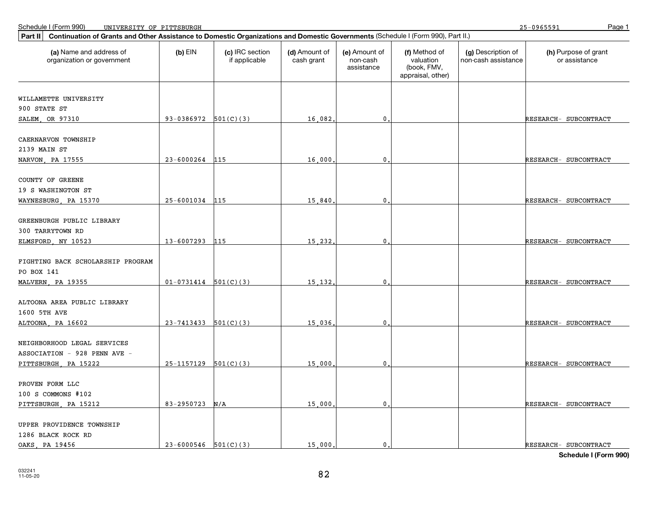25-0965591

| Continuation of Grants and Other Assistance to Domestic Organizations and Domestic Governments (Schedule I (Form 990), Part II.)<br>Part II |                            |                                  |                             |                                         |                                                                |                                           |                                       |
|---------------------------------------------------------------------------------------------------------------------------------------------|----------------------------|----------------------------------|-----------------------------|-----------------------------------------|----------------------------------------------------------------|-------------------------------------------|---------------------------------------|
| (a) Name and address of<br>organization or government                                                                                       | $(b)$ EIN                  | (c) IRC section<br>if applicable | (d) Amount of<br>cash grant | (e) Amount of<br>non-cash<br>assistance | (f) Method of<br>valuation<br>(book, FMV,<br>appraisal, other) | (g) Description of<br>non-cash assistance | (h) Purpose of grant<br>or assistance |
|                                                                                                                                             |                            |                                  |                             |                                         |                                                                |                                           |                                       |
| WILLAMETTE UNIVERSITY                                                                                                                       |                            |                                  |                             |                                         |                                                                |                                           |                                       |
| 900 STATE ST                                                                                                                                |                            |                                  |                             |                                         |                                                                |                                           |                                       |
| SALEM, OR 97310                                                                                                                             | $93-0386972$ $501(C)(3)$   |                                  | 16,082,                     | $\mathbf 0$                             |                                                                |                                           | RESEARCH- SUBCONTRACT                 |
| CAERNARVON TOWNSHIP                                                                                                                         |                            |                                  |                             |                                         |                                                                |                                           |                                       |
| 2139 MAIN ST                                                                                                                                |                            |                                  |                             |                                         |                                                                |                                           |                                       |
| NARVON, PA 17555                                                                                                                            | 23-6000264                 | 115                              | 16,000                      | $\pmb{0}$                               |                                                                |                                           | RESEARCH- SUBCONTRACT                 |
|                                                                                                                                             |                            |                                  |                             |                                         |                                                                |                                           |                                       |
| COUNTY OF GREENE                                                                                                                            |                            |                                  |                             |                                         |                                                                |                                           |                                       |
| 19 S WASHINGTON ST                                                                                                                          |                            |                                  |                             |                                         |                                                                |                                           |                                       |
| WAYNESBURG, PA 15370                                                                                                                        | 25-6001034                 | 115                              | 15,840                      | 0                                       |                                                                |                                           | RESEARCH- SUBCONTRACT                 |
|                                                                                                                                             |                            |                                  |                             |                                         |                                                                |                                           |                                       |
| GREENBURGH PUBLIC LIBRARY<br>300 TARRYTOWN RD                                                                                               |                            |                                  |                             |                                         |                                                                |                                           |                                       |
| ELMSFORD, NY 10523                                                                                                                          | 13-6007293 115             |                                  | 15.232                      | $\mathbf{0}$ .                          |                                                                |                                           | RESEARCH- SUBCONTRACT                 |
|                                                                                                                                             |                            |                                  |                             |                                         |                                                                |                                           |                                       |
| FIGHTING BACK SCHOLARSHIP PROGRAM                                                                                                           |                            |                                  |                             |                                         |                                                                |                                           |                                       |
| PO BOX 141                                                                                                                                  |                            |                                  |                             |                                         |                                                                |                                           |                                       |
| MALVERN, PA 19355                                                                                                                           | $01-0731414$ $501(C)(3)$   |                                  | 15,132                      | 0                                       |                                                                |                                           | RESEARCH- SUBCONTRACT                 |
|                                                                                                                                             |                            |                                  |                             |                                         |                                                                |                                           |                                       |
| ALTOONA AREA PUBLIC LIBRARY                                                                                                                 |                            |                                  |                             |                                         |                                                                |                                           |                                       |
| 1600 5TH AVE                                                                                                                                |                            |                                  |                             |                                         |                                                                |                                           |                                       |
| ALTOONA, PA 16602                                                                                                                           | $23 - 7413433$ $501(C)(3)$ |                                  | 15,036                      | $\mathbf{0}$ .                          |                                                                |                                           | RESEARCH- SUBCONTRACT                 |
|                                                                                                                                             |                            |                                  |                             |                                         |                                                                |                                           |                                       |
| NEIGHBORHOOD LEGAL SERVICES                                                                                                                 |                            |                                  |                             |                                         |                                                                |                                           |                                       |
| ASSOCIATION - 928 PENN AVE -                                                                                                                |                            |                                  |                             |                                         |                                                                |                                           |                                       |
| PITTSBURGH, PA 15222                                                                                                                        | 25-1157129                 | 501(C)(3)                        | 15,000                      | $\mathbf 0$                             |                                                                |                                           | RESEARCH- SUBCONTRACT                 |
| PROVEN FORM LLC                                                                                                                             |                            |                                  |                             |                                         |                                                                |                                           |                                       |
| 100 S COMMONS #102                                                                                                                          |                            |                                  |                             |                                         |                                                                |                                           |                                       |
| PITTSBURGH, PA 15212                                                                                                                        | 83-2950723                 | N/A                              | 15,000                      | 0                                       |                                                                |                                           | RESEARCH- SUBCONTRACT                 |
|                                                                                                                                             |                            |                                  |                             |                                         |                                                                |                                           |                                       |
| UPPER PROVIDENCE TOWNSHIP                                                                                                                   |                            |                                  |                             |                                         |                                                                |                                           |                                       |
| 1286 BLACK ROCK RD                                                                                                                          |                            |                                  |                             |                                         |                                                                |                                           |                                       |
| OAKS, PA 19456                                                                                                                              | $23-6000546$ 501(C)(3)     |                                  | 15,000                      | $\mathbf 0$ .                           |                                                                |                                           | RESEARCH- SUBCONTRACT                 |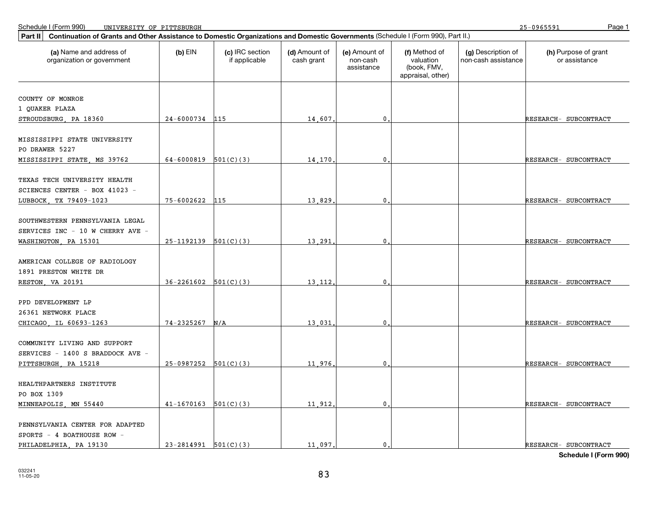25-0965591

| Continuation of Grants and Other Assistance to Domestic Organizations and Domestic Governments (Schedule I (Form 990), Part II.)<br>Part II |                            |                                  |                             |                                         |                                                                |                                           |                                       |  |  |  |
|---------------------------------------------------------------------------------------------------------------------------------------------|----------------------------|----------------------------------|-----------------------------|-----------------------------------------|----------------------------------------------------------------|-------------------------------------------|---------------------------------------|--|--|--|
| (a) Name and address of<br>organization or government                                                                                       | $(b)$ EIN                  | (c) IRC section<br>if applicable | (d) Amount of<br>cash grant | (e) Amount of<br>non-cash<br>assistance | (f) Method of<br>valuation<br>(book, FMV,<br>appraisal, other) | (g) Description of<br>non-cash assistance | (h) Purpose of grant<br>or assistance |  |  |  |
|                                                                                                                                             |                            |                                  |                             |                                         |                                                                |                                           |                                       |  |  |  |
| COUNTY OF MONROE                                                                                                                            |                            |                                  |                             |                                         |                                                                |                                           |                                       |  |  |  |
| 1 QUAKER PLAZA                                                                                                                              |                            |                                  |                             |                                         |                                                                |                                           |                                       |  |  |  |
| STROUDSBURG, PA 18360                                                                                                                       | 24-6000734 115             |                                  | 14,607                      | $\mathbf{0}$                            |                                                                |                                           | RESEARCH- SUBCONTRACT                 |  |  |  |
| MISSISSIPPI STATE UNIVERSITY<br>PO DRAWER 5227                                                                                              |                            |                                  |                             |                                         |                                                                |                                           |                                       |  |  |  |
| MISSISSIPPI STATE, MS 39762                                                                                                                 | 64-6000819 $501(C)(3)$     |                                  | 14,170                      | 0                                       |                                                                |                                           | RESEARCH- SUBCONTRACT                 |  |  |  |
| TEXAS TECH UNIVERSITY HEALTH<br>SCIENCES CENTER - BOX 41023 -                                                                               | 75-6002622                 | 115                              | 13,829                      | $\mathbf 0$                             |                                                                |                                           |                                       |  |  |  |
| LUBBOCK, TX 79409-1023                                                                                                                      |                            |                                  |                             |                                         |                                                                |                                           | RESEARCH- SUBCONTRACT                 |  |  |  |
| SOUTHWESTERN PENNSYLVANIA LEGAL<br>SERVICES INC - 10 W CHERRY AVE -                                                                         |                            |                                  |                             |                                         |                                                                |                                           |                                       |  |  |  |
| WASHINGTON, PA 15301                                                                                                                        | $25-1192139$ $501(C)(3)$   |                                  | 13,291                      | $\mathbf 0$                             |                                                                |                                           | RESEARCH- SUBCONTRACT                 |  |  |  |
| AMERICAN COLLEGE OF RADIOLOGY<br>1891 PRESTON WHITE DR                                                                                      |                            |                                  |                             |                                         |                                                                |                                           |                                       |  |  |  |
| RESTON, VA 20191                                                                                                                            | $36 - 2261602$ $501(C)(3)$ |                                  | 13,112                      | 0                                       |                                                                |                                           | RESEARCH- SUBCONTRACT                 |  |  |  |
| PPD DEVELOPMENT LP<br>26361 NETWORK PLACE                                                                                                   |                            |                                  |                             |                                         |                                                                |                                           |                                       |  |  |  |
| CHICAGO, IL 60693-1263                                                                                                                      | 74-2325267                 | N/A                              | 13,031                      | $\mathbf{0}$                            |                                                                |                                           | RESEARCH- SUBCONTRACT                 |  |  |  |
| COMMUNITY LIVING AND SUPPORT<br>SERVICES - 1400 S BRADDOCK AVE -                                                                            |                            |                                  |                             |                                         |                                                                |                                           |                                       |  |  |  |
| PITTSBURGH, PA 15218                                                                                                                        | $25-0987252$ $501(C)(3)$   |                                  | 11,976                      | $\mathbf 0$                             |                                                                |                                           | RESEARCH- SUBCONTRACT                 |  |  |  |
| HEALTHPARTNERS INSTITUTE<br>PO BOX 1309                                                                                                     |                            |                                  |                             |                                         |                                                                |                                           |                                       |  |  |  |
| MINNEAPOLIS, MN 55440                                                                                                                       | $41-1670163$ $501(C)(3)$   |                                  | 11,912                      | $\mathbf 0$                             |                                                                |                                           | RESEARCH- SUBCONTRACT                 |  |  |  |
| PENNSYLVANIA CENTER FOR ADAPTED<br>SPORTS - 4 BOATHOUSE ROW -<br>PHILADELPHIA, PA 19130                                                     | $23-2814991$ $501(C)(3)$   |                                  | 11,097.                     | 0.                                      |                                                                |                                           | RESEARCH- SUBCONTRACT                 |  |  |  |
|                                                                                                                                             |                            |                                  |                             |                                         |                                                                |                                           |                                       |  |  |  |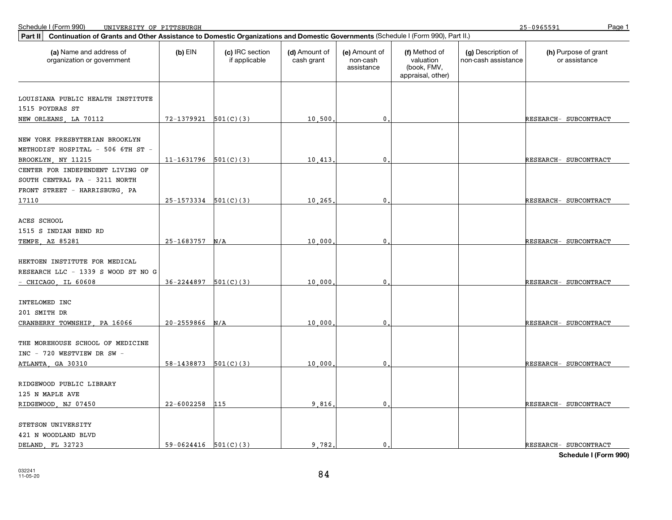25-0965591

| (d) Amount of<br>(h) Purpose of grant<br>(a) Name and address of<br>$(b)$ EIN<br>(c) IRC section<br>(e) Amount of<br>(f) Method of<br>(g) Description of<br>if applicable<br>valuation<br>organization or government<br>cash grant<br>non-cash<br>non-cash assistance<br>or assistance<br>assistance<br>(book, FMV,<br>appraisal, other)<br>LOUISIANA PUBLIC HEALTH INSTITUTE<br>1515 POYDRAS ST<br>$72-1379921$ 501(C)(3)<br>NEW ORLEANS, LA 70112<br>10,500,<br>0<br>RESEARCH- SUBCONTRACT<br>METHODIST HOSPITAL - 506 6TH ST -<br>$11-1631796$ 501(C)(3)<br>10, 413<br>0<br>RESEARCH- SUBCONTRACT<br>BROOKLYN, NY 11215<br>CENTER FOR INDEPENDENT LIVING OF<br>SOUTH CENTRAL PA - 3211 NORTH<br>FRONT STREET - HARRISBURG, PA<br>$25-1573334$ $501(C)(3)$<br>10.265<br>0<br>RESEARCH- SUBCONTRACT<br>17110<br>ACES SCHOOL<br>1515 S INDIAN BEND RD<br>$25 - 1683757$ N/A<br>10,000<br>0<br>RESEARCH- SUBCONTRACT<br>$36 - 2244897$ $501(C)(3)$<br>10,000<br>$-$ CHICAGO, IL 60608<br>0<br>RESEARCH- SUBCONTRACT<br>$20 - 2559866$ N/A<br>10,000<br>$\mathbf{0}$<br>RESEARCH- SUBCONTRACT<br>THE MOREHOUSE SCHOOL OF MEDICINE<br>INC - 720 WESTVIEW DR SW -<br>$58-1438873$ $501(C)(3)$<br>10,000<br>0<br>ATLANTA, GA 30310<br>RESEARCH- SUBCONTRACT<br>RIDGEWOOD PUBLIC LIBRARY<br>125 N MAPLE AVE<br>22-6002258<br>115<br>9,816,<br>RESEARCH- SUBCONTRACT<br>RIDGEWOOD, NJ 07450<br>0<br>STETSON UNIVERSITY<br>421 N WOODLAND BLVD | Continuation of Grants and Other Assistance to Domestic Organizations and Domestic Governments (Schedule I (Form 990), Part II.)<br>Part II |  |  |  |  |  |  |  |  |  |  |
|----------------------------------------------------------------------------------------------------------------------------------------------------------------------------------------------------------------------------------------------------------------------------------------------------------------------------------------------------------------------------------------------------------------------------------------------------------------------------------------------------------------------------------------------------------------------------------------------------------------------------------------------------------------------------------------------------------------------------------------------------------------------------------------------------------------------------------------------------------------------------------------------------------------------------------------------------------------------------------------------------------------------------------------------------------------------------------------------------------------------------------------------------------------------------------------------------------------------------------------------------------------------------------------------------------------------------------------------------------------------------------------------------------------------------------------|---------------------------------------------------------------------------------------------------------------------------------------------|--|--|--|--|--|--|--|--|--|--|
|                                                                                                                                                                                                                                                                                                                                                                                                                                                                                                                                                                                                                                                                                                                                                                                                                                                                                                                                                                                                                                                                                                                                                                                                                                                                                                                                                                                                                                        |                                                                                                                                             |  |  |  |  |  |  |  |  |  |  |
|                                                                                                                                                                                                                                                                                                                                                                                                                                                                                                                                                                                                                                                                                                                                                                                                                                                                                                                                                                                                                                                                                                                                                                                                                                                                                                                                                                                                                                        |                                                                                                                                             |  |  |  |  |  |  |  |  |  |  |
|                                                                                                                                                                                                                                                                                                                                                                                                                                                                                                                                                                                                                                                                                                                                                                                                                                                                                                                                                                                                                                                                                                                                                                                                                                                                                                                                                                                                                                        |                                                                                                                                             |  |  |  |  |  |  |  |  |  |  |
|                                                                                                                                                                                                                                                                                                                                                                                                                                                                                                                                                                                                                                                                                                                                                                                                                                                                                                                                                                                                                                                                                                                                                                                                                                                                                                                                                                                                                                        |                                                                                                                                             |  |  |  |  |  |  |  |  |  |  |
|                                                                                                                                                                                                                                                                                                                                                                                                                                                                                                                                                                                                                                                                                                                                                                                                                                                                                                                                                                                                                                                                                                                                                                                                                                                                                                                                                                                                                                        |                                                                                                                                             |  |  |  |  |  |  |  |  |  |  |
|                                                                                                                                                                                                                                                                                                                                                                                                                                                                                                                                                                                                                                                                                                                                                                                                                                                                                                                                                                                                                                                                                                                                                                                                                                                                                                                                                                                                                                        | NEW YORK PRESBYTERIAN BROOKLYN                                                                                                              |  |  |  |  |  |  |  |  |  |  |
|                                                                                                                                                                                                                                                                                                                                                                                                                                                                                                                                                                                                                                                                                                                                                                                                                                                                                                                                                                                                                                                                                                                                                                                                                                                                                                                                                                                                                                        |                                                                                                                                             |  |  |  |  |  |  |  |  |  |  |
|                                                                                                                                                                                                                                                                                                                                                                                                                                                                                                                                                                                                                                                                                                                                                                                                                                                                                                                                                                                                                                                                                                                                                                                                                                                                                                                                                                                                                                        |                                                                                                                                             |  |  |  |  |  |  |  |  |  |  |
|                                                                                                                                                                                                                                                                                                                                                                                                                                                                                                                                                                                                                                                                                                                                                                                                                                                                                                                                                                                                                                                                                                                                                                                                                                                                                                                                                                                                                                        |                                                                                                                                             |  |  |  |  |  |  |  |  |  |  |
|                                                                                                                                                                                                                                                                                                                                                                                                                                                                                                                                                                                                                                                                                                                                                                                                                                                                                                                                                                                                                                                                                                                                                                                                                                                                                                                                                                                                                                        |                                                                                                                                             |  |  |  |  |  |  |  |  |  |  |
|                                                                                                                                                                                                                                                                                                                                                                                                                                                                                                                                                                                                                                                                                                                                                                                                                                                                                                                                                                                                                                                                                                                                                                                                                                                                                                                                                                                                                                        |                                                                                                                                             |  |  |  |  |  |  |  |  |  |  |
|                                                                                                                                                                                                                                                                                                                                                                                                                                                                                                                                                                                                                                                                                                                                                                                                                                                                                                                                                                                                                                                                                                                                                                                                                                                                                                                                                                                                                                        |                                                                                                                                             |  |  |  |  |  |  |  |  |  |  |
|                                                                                                                                                                                                                                                                                                                                                                                                                                                                                                                                                                                                                                                                                                                                                                                                                                                                                                                                                                                                                                                                                                                                                                                                                                                                                                                                                                                                                                        |                                                                                                                                             |  |  |  |  |  |  |  |  |  |  |
|                                                                                                                                                                                                                                                                                                                                                                                                                                                                                                                                                                                                                                                                                                                                                                                                                                                                                                                                                                                                                                                                                                                                                                                                                                                                                                                                                                                                                                        |                                                                                                                                             |  |  |  |  |  |  |  |  |  |  |
|                                                                                                                                                                                                                                                                                                                                                                                                                                                                                                                                                                                                                                                                                                                                                                                                                                                                                                                                                                                                                                                                                                                                                                                                                                                                                                                                                                                                                                        | TEMPE, AZ 85281                                                                                                                             |  |  |  |  |  |  |  |  |  |  |
|                                                                                                                                                                                                                                                                                                                                                                                                                                                                                                                                                                                                                                                                                                                                                                                                                                                                                                                                                                                                                                                                                                                                                                                                                                                                                                                                                                                                                                        |                                                                                                                                             |  |  |  |  |  |  |  |  |  |  |
|                                                                                                                                                                                                                                                                                                                                                                                                                                                                                                                                                                                                                                                                                                                                                                                                                                                                                                                                                                                                                                                                                                                                                                                                                                                                                                                                                                                                                                        | HEKTOEN INSTITUTE FOR MEDICAL                                                                                                               |  |  |  |  |  |  |  |  |  |  |
|                                                                                                                                                                                                                                                                                                                                                                                                                                                                                                                                                                                                                                                                                                                                                                                                                                                                                                                                                                                                                                                                                                                                                                                                                                                                                                                                                                                                                                        | RESEARCH LLC - 1339 S WOOD ST NO G                                                                                                          |  |  |  |  |  |  |  |  |  |  |
|                                                                                                                                                                                                                                                                                                                                                                                                                                                                                                                                                                                                                                                                                                                                                                                                                                                                                                                                                                                                                                                                                                                                                                                                                                                                                                                                                                                                                                        |                                                                                                                                             |  |  |  |  |  |  |  |  |  |  |
|                                                                                                                                                                                                                                                                                                                                                                                                                                                                                                                                                                                                                                                                                                                                                                                                                                                                                                                                                                                                                                                                                                                                                                                                                                                                                                                                                                                                                                        |                                                                                                                                             |  |  |  |  |  |  |  |  |  |  |
|                                                                                                                                                                                                                                                                                                                                                                                                                                                                                                                                                                                                                                                                                                                                                                                                                                                                                                                                                                                                                                                                                                                                                                                                                                                                                                                                                                                                                                        | INTELOMED INC                                                                                                                               |  |  |  |  |  |  |  |  |  |  |
|                                                                                                                                                                                                                                                                                                                                                                                                                                                                                                                                                                                                                                                                                                                                                                                                                                                                                                                                                                                                                                                                                                                                                                                                                                                                                                                                                                                                                                        | 201 SMITH DR                                                                                                                                |  |  |  |  |  |  |  |  |  |  |
|                                                                                                                                                                                                                                                                                                                                                                                                                                                                                                                                                                                                                                                                                                                                                                                                                                                                                                                                                                                                                                                                                                                                                                                                                                                                                                                                                                                                                                        | CRANBERRY TOWNSHIP, PA 16066                                                                                                                |  |  |  |  |  |  |  |  |  |  |
|                                                                                                                                                                                                                                                                                                                                                                                                                                                                                                                                                                                                                                                                                                                                                                                                                                                                                                                                                                                                                                                                                                                                                                                                                                                                                                                                                                                                                                        |                                                                                                                                             |  |  |  |  |  |  |  |  |  |  |
|                                                                                                                                                                                                                                                                                                                                                                                                                                                                                                                                                                                                                                                                                                                                                                                                                                                                                                                                                                                                                                                                                                                                                                                                                                                                                                                                                                                                                                        |                                                                                                                                             |  |  |  |  |  |  |  |  |  |  |
|                                                                                                                                                                                                                                                                                                                                                                                                                                                                                                                                                                                                                                                                                                                                                                                                                                                                                                                                                                                                                                                                                                                                                                                                                                                                                                                                                                                                                                        |                                                                                                                                             |  |  |  |  |  |  |  |  |  |  |
|                                                                                                                                                                                                                                                                                                                                                                                                                                                                                                                                                                                                                                                                                                                                                                                                                                                                                                                                                                                                                                                                                                                                                                                                                                                                                                                                                                                                                                        |                                                                                                                                             |  |  |  |  |  |  |  |  |  |  |
|                                                                                                                                                                                                                                                                                                                                                                                                                                                                                                                                                                                                                                                                                                                                                                                                                                                                                                                                                                                                                                                                                                                                                                                                                                                                                                                                                                                                                                        |                                                                                                                                             |  |  |  |  |  |  |  |  |  |  |
|                                                                                                                                                                                                                                                                                                                                                                                                                                                                                                                                                                                                                                                                                                                                                                                                                                                                                                                                                                                                                                                                                                                                                                                                                                                                                                                                                                                                                                        |                                                                                                                                             |  |  |  |  |  |  |  |  |  |  |
|                                                                                                                                                                                                                                                                                                                                                                                                                                                                                                                                                                                                                                                                                                                                                                                                                                                                                                                                                                                                                                                                                                                                                                                                                                                                                                                                                                                                                                        |                                                                                                                                             |  |  |  |  |  |  |  |  |  |  |
|                                                                                                                                                                                                                                                                                                                                                                                                                                                                                                                                                                                                                                                                                                                                                                                                                                                                                                                                                                                                                                                                                                                                                                                                                                                                                                                                                                                                                                        |                                                                                                                                             |  |  |  |  |  |  |  |  |  |  |
|                                                                                                                                                                                                                                                                                                                                                                                                                                                                                                                                                                                                                                                                                                                                                                                                                                                                                                                                                                                                                                                                                                                                                                                                                                                                                                                                                                                                                                        |                                                                                                                                             |  |  |  |  |  |  |  |  |  |  |
|                                                                                                                                                                                                                                                                                                                                                                                                                                                                                                                                                                                                                                                                                                                                                                                                                                                                                                                                                                                                                                                                                                                                                                                                                                                                                                                                                                                                                                        |                                                                                                                                             |  |  |  |  |  |  |  |  |  |  |
| $59-0624416$ $501(C)(3)$<br>9.782.<br>$\mathbf{0}$ .<br>RESEARCH- SUBCONTRACT                                                                                                                                                                                                                                                                                                                                                                                                                                                                                                                                                                                                                                                                                                                                                                                                                                                                                                                                                                                                                                                                                                                                                                                                                                                                                                                                                          | DELAND, FL 32723                                                                                                                            |  |  |  |  |  |  |  |  |  |  |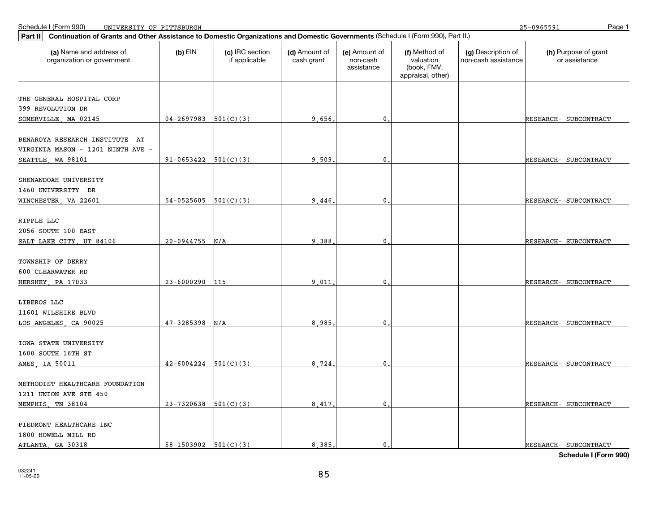25-0965591

| Continuation of Grants and Other Assistance to Domestic Organizations and Domestic Governments (Schedule I (Form 990), Part II.)<br>Part II |                            |                                  |                             |                                         |                                                                |                                           |                                       |  |  |
|---------------------------------------------------------------------------------------------------------------------------------------------|----------------------------|----------------------------------|-----------------------------|-----------------------------------------|----------------------------------------------------------------|-------------------------------------------|---------------------------------------|--|--|
| (a) Name and address of<br>organization or government                                                                                       | $(b)$ EIN                  | (c) IRC section<br>if applicable | (d) Amount of<br>cash grant | (e) Amount of<br>non-cash<br>assistance | (f) Method of<br>valuation<br>(book, FMV,<br>appraisal, other) | (g) Description of<br>non-cash assistance | (h) Purpose of grant<br>or assistance |  |  |
|                                                                                                                                             |                            |                                  |                             |                                         |                                                                |                                           |                                       |  |  |
| THE GENERAL HOSPITAL CORP                                                                                                                   |                            |                                  |                             |                                         |                                                                |                                           |                                       |  |  |
| 399 REVOLUTION DR                                                                                                                           |                            |                                  |                             |                                         |                                                                |                                           |                                       |  |  |
| SOMERVILLE, MA 02145                                                                                                                        | $04-2697983$ 501(C)(3)     |                                  | 9.656                       | $\mathbf{0}$                            |                                                                |                                           | RESEARCH- SUBCONTRACT                 |  |  |
| BENAROYA RESEARCH INSTITUTE AT                                                                                                              |                            |                                  |                             |                                         |                                                                |                                           |                                       |  |  |
| VIRGINIA MASON - 1201 NINTH AVE -                                                                                                           |                            |                                  |                             |                                         |                                                                |                                           |                                       |  |  |
| SEATTLE, WA 98101                                                                                                                           | $91-0653422$ $501(C)(3)$   |                                  | 9,509                       | $\mathbf 0$                             |                                                                |                                           | RESEARCH- SUBCONTRACT                 |  |  |
|                                                                                                                                             |                            |                                  |                             |                                         |                                                                |                                           |                                       |  |  |
| SHENANDOAH UNIVERSITY                                                                                                                       |                            |                                  |                             |                                         |                                                                |                                           |                                       |  |  |
| 1460 UNIVERSITY DR                                                                                                                          |                            |                                  |                             |                                         |                                                                |                                           |                                       |  |  |
| WINCHESTER, VA 22601                                                                                                                        | $54-0525605$ $501(C)(3)$   |                                  | 9.446                       | $\mathbf 0$                             |                                                                |                                           | RESEARCH- SUBCONTRACT                 |  |  |
|                                                                                                                                             |                            |                                  |                             |                                         |                                                                |                                           |                                       |  |  |
| RIPPLE LLC                                                                                                                                  |                            |                                  |                             |                                         |                                                                |                                           |                                       |  |  |
| 2056 SOUTH 100 EAST                                                                                                                         |                            |                                  |                             |                                         |                                                                |                                           |                                       |  |  |
| SALT LAKE CITY, UT 84106                                                                                                                    | $20 - 0944755$ N/A         |                                  | 9.388                       | $\mathbf{0}$                            |                                                                |                                           | RESEARCH- SUBCONTRACT                 |  |  |
| TOWNSHIP OF DERRY                                                                                                                           |                            |                                  |                             |                                         |                                                                |                                           |                                       |  |  |
| 600 CLEARWATER RD                                                                                                                           |                            |                                  |                             |                                         |                                                                |                                           |                                       |  |  |
| HERSHEY, PA 17033                                                                                                                           | $23 - 6000290$             | 115                              | 9.011                       | 0                                       |                                                                |                                           | RESEARCH- SUBCONTRACT                 |  |  |
|                                                                                                                                             |                            |                                  |                             |                                         |                                                                |                                           |                                       |  |  |
| LIBEROS LLC                                                                                                                                 |                            |                                  |                             |                                         |                                                                |                                           |                                       |  |  |
| 11601 WILSHIRE BLVD                                                                                                                         |                            |                                  |                             |                                         |                                                                |                                           |                                       |  |  |
| LOS ANGELES, CA 90025                                                                                                                       | $47 - 3285398$             | N/A                              | 8.985                       | 0                                       |                                                                |                                           | RESEARCH- SUBCONTRACT                 |  |  |
| IOWA STATE UNIVERSITY                                                                                                                       |                            |                                  |                             |                                         |                                                                |                                           |                                       |  |  |
| 1600 SOUTH 16TH ST                                                                                                                          |                            |                                  |                             |                                         |                                                                |                                           |                                       |  |  |
| AMES, IA 50011                                                                                                                              | $42 - 6004224$ $501(C)(3)$ |                                  | 8,724                       | $\mathbf{0}$                            |                                                                |                                           | RESEARCH- SUBCONTRACT                 |  |  |
|                                                                                                                                             |                            |                                  |                             |                                         |                                                                |                                           |                                       |  |  |
| METHODIST HEALTHCARE FOUNDATION                                                                                                             |                            |                                  |                             |                                         |                                                                |                                           |                                       |  |  |
| 1211 UNION AVE STE 450                                                                                                                      |                            |                                  |                             |                                         |                                                                |                                           |                                       |  |  |
| MEMPHIS, TN 38104                                                                                                                           | $23-7320638$ 501(C)(3)     |                                  | 8,417                       | $\mathbf{0}$                            |                                                                |                                           | RESEARCH- SUBCONTRACT                 |  |  |
|                                                                                                                                             |                            |                                  |                             |                                         |                                                                |                                           |                                       |  |  |
| PIEDMONT HEALTHCARE INC                                                                                                                     |                            |                                  |                             |                                         |                                                                |                                           |                                       |  |  |
| 1800 HOWELL MILL RD                                                                                                                         |                            |                                  |                             |                                         |                                                                |                                           |                                       |  |  |
| ATLANTA, GA 30318                                                                                                                           | $58-1503902$ $501(C)(3)$   |                                  | 8,385                       | $\mathbf{0}$ .                          |                                                                |                                           | RESEARCH- SUBCONTRACT                 |  |  |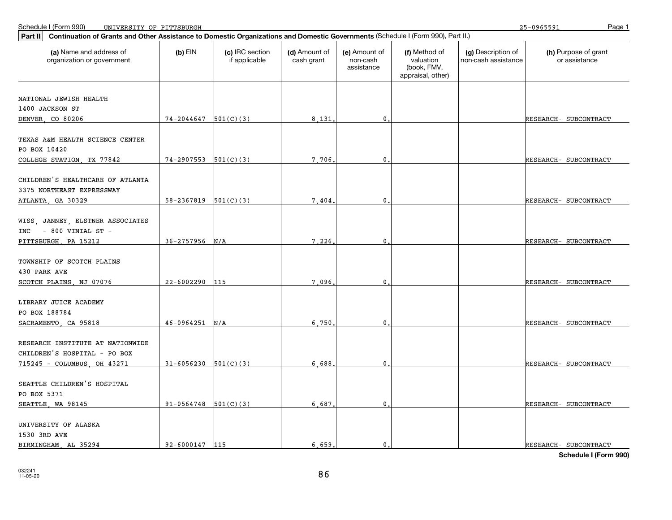25-0965591

| Continuation of Grants and Other Assistance to Domestic Organizations and Domestic Governments (Schedule I (Form 990), Part II.)<br>Part II |                          |                                  |                             |                                         |                                                                |                                           |                                       |  |  |  |
|---------------------------------------------------------------------------------------------------------------------------------------------|--------------------------|----------------------------------|-----------------------------|-----------------------------------------|----------------------------------------------------------------|-------------------------------------------|---------------------------------------|--|--|--|
| (a) Name and address of<br>organization or government                                                                                       | $(b)$ EIN                | (c) IRC section<br>if applicable | (d) Amount of<br>cash grant | (e) Amount of<br>non-cash<br>assistance | (f) Method of<br>valuation<br>(book, FMV,<br>appraisal, other) | (g) Description of<br>non-cash assistance | (h) Purpose of grant<br>or assistance |  |  |  |
| NATIONAL JEWISH HEALTH                                                                                                                      |                          |                                  |                             |                                         |                                                                |                                           |                                       |  |  |  |
| 1400 JACKSON ST                                                                                                                             |                          |                                  |                             |                                         |                                                                |                                           |                                       |  |  |  |
| DENVER, CO 80206                                                                                                                            | $74-2044647$ $501(C)(3)$ |                                  | 8,131                       | $\mathbf{0}$                            |                                                                |                                           | RESEARCH- SUBCONTRACT                 |  |  |  |
| TEXAS A&M HEALTH SCIENCE CENTER<br>PO BOX 10420                                                                                             |                          |                                  |                             |                                         |                                                                |                                           |                                       |  |  |  |
| COLLEGE STATION, TX 77842                                                                                                                   | 74-2907553               | 501(C)(3)                        | 7.706                       | $\mathbf{0}$                            |                                                                |                                           | RESEARCH- SUBCONTRACT                 |  |  |  |
| CHILDREN'S HEALTHCARE OF ATLANTA<br>3375 NORTHEAST EXPRESSWAY                                                                               |                          |                                  |                             |                                         |                                                                |                                           |                                       |  |  |  |
| ATLANTA, GA 30329                                                                                                                           | 58-2367819               | 501(C)(3)                        | 7,404                       | 0                                       |                                                                |                                           | RESEARCH- SUBCONTRACT                 |  |  |  |
| WISS, JANNEY, ELSTNER ASSOCIATES<br>$-$ 800 VINIAL ST $-$<br>INC<br>PITTSBURGH, PA 15212                                                    | 36-2757956               | N/A                              | 7.226                       | $\mathbf{0}$ .                          |                                                                |                                           | RESEARCH- SUBCONTRACT                 |  |  |  |
| TOWNSHIP OF SCOTCH PLAINS<br>430 PARK AVE<br>SCOTCH PLAINS, NJ 07076                                                                        | $22 - 6002290$           | 115                              | 7.096                       | $\mathbf 0$                             |                                                                |                                           | RESEARCH- SUBCONTRACT                 |  |  |  |
| LIBRARY JUICE ACADEMY<br>PO BOX 188784                                                                                                      | 46-0964251               | N/A                              | 6.750                       | $\mathbf{0}$                            |                                                                |                                           | RESEARCH- SUBCONTRACT                 |  |  |  |
| SACRAMENTO, CA 95818<br>RESEARCH INSTITUTE AT NATIONWIDE<br>CHILDREN'S HOSPITAL - PO BOX                                                    |                          |                                  |                             |                                         |                                                                |                                           |                                       |  |  |  |
| 715245 - COLUMBUS, OH 43271                                                                                                                 | $31 - 6056230$           | 501(C)(3)                        | 6,688                       | $\mathbf{0}$                            |                                                                |                                           | RESEARCH- SUBCONTRACT                 |  |  |  |
| SEATTLE CHILDREN'S HOSPITAL<br>PO BOX 5371                                                                                                  |                          |                                  |                             |                                         |                                                                |                                           |                                       |  |  |  |
| SEATTLE, WA 98145                                                                                                                           | 91-0564748               | 501(C)(3)                        | 6,687                       | 0                                       |                                                                |                                           | RESEARCH- SUBCONTRACT                 |  |  |  |
| UNIVERSITY OF ALASKA<br>1530 3RD AVE<br>BIRMINGHAM, AL 35294                                                                                | 92-6000147               | 115                              | 6.659                       | $\mathbf{0}$ .                          |                                                                |                                           | RESEARCH- SUBCONTRACT                 |  |  |  |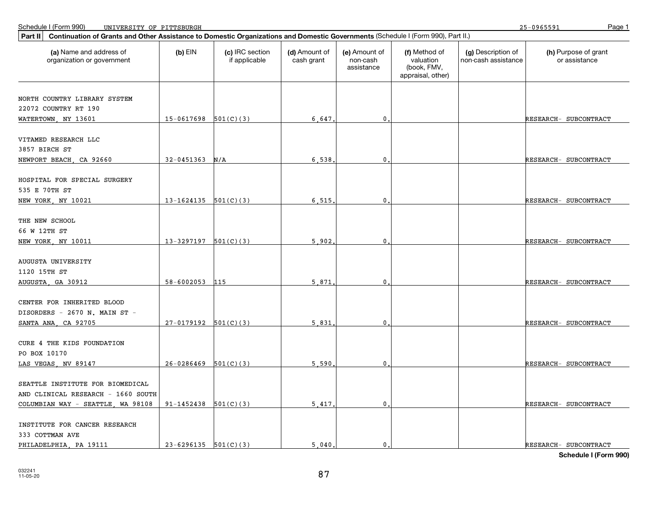25-0965591

| Continuation of Grants and Other Assistance to Domestic Organizations and Domestic Governments (Schedule I (Form 990), Part II.)<br>Part II |                          |                                  |                             |                                         |                                                                |                                           |                                       |
|---------------------------------------------------------------------------------------------------------------------------------------------|--------------------------|----------------------------------|-----------------------------|-----------------------------------------|----------------------------------------------------------------|-------------------------------------------|---------------------------------------|
| (a) Name and address of<br>organization or government                                                                                       | $(b)$ EIN                | (c) IRC section<br>if applicable | (d) Amount of<br>cash grant | (e) Amount of<br>non-cash<br>assistance | (f) Method of<br>valuation<br>(book, FMV,<br>appraisal, other) | (g) Description of<br>non-cash assistance | (h) Purpose of grant<br>or assistance |
|                                                                                                                                             |                          |                                  |                             |                                         |                                                                |                                           |                                       |
| NORTH COUNTRY LIBRARY SYSTEM                                                                                                                |                          |                                  |                             |                                         |                                                                |                                           |                                       |
| 22072 COUNTRY RT 190<br>WATERTOWN, NY 13601                                                                                                 | $15-0617698$ 501(C)(3)   |                                  | 6.647                       | $\mathbf{0}$                            |                                                                |                                           | RESEARCH- SUBCONTRACT                 |
|                                                                                                                                             |                          |                                  |                             |                                         |                                                                |                                           |                                       |
| VITAMED RESEARCH LLC                                                                                                                        |                          |                                  |                             |                                         |                                                                |                                           |                                       |
| 3857 BIRCH ST                                                                                                                               |                          |                                  |                             |                                         |                                                                |                                           |                                       |
| NEWPORT BEACH, CA 92660                                                                                                                     | 32-0451363               | N/A                              | 6,538                       | $\mathbf{0}$                            |                                                                |                                           | RESEARCH- SUBCONTRACT                 |
|                                                                                                                                             |                          |                                  |                             |                                         |                                                                |                                           |                                       |
| HOSPITAL FOR SPECIAL SURGERY                                                                                                                |                          |                                  |                             |                                         |                                                                |                                           |                                       |
| 535 E 70TH ST                                                                                                                               |                          |                                  |                             |                                         |                                                                |                                           |                                       |
| NEW YORK, NY 10021                                                                                                                          | 13-1624135               | 501(C)(3)                        | 6.515                       | 0                                       |                                                                |                                           | RESEARCH- SUBCONTRACT                 |
|                                                                                                                                             |                          |                                  |                             |                                         |                                                                |                                           |                                       |
| THE NEW SCHOOL                                                                                                                              |                          |                                  |                             |                                         |                                                                |                                           |                                       |
| 66 W 12TH ST                                                                                                                                |                          |                                  |                             |                                         |                                                                |                                           |                                       |
| NEW YORK, NY 10011                                                                                                                          | $13-3297197$ 501(C)(3)   |                                  | 5.902                       | $\mathbf{0}$                            |                                                                |                                           | RESEARCH- SUBCONTRACT                 |
|                                                                                                                                             |                          |                                  |                             |                                         |                                                                |                                           |                                       |
| AUGUSTA UNIVERSITY                                                                                                                          |                          |                                  |                             |                                         |                                                                |                                           |                                       |
| 1120 15TH ST                                                                                                                                |                          |                                  |                             |                                         |                                                                |                                           |                                       |
| AUGUSTA, GA 30912                                                                                                                           | 58-6002053               | 115                              | 5,871                       | $\mathbf 0$                             |                                                                |                                           | RESEARCH- SUBCONTRACT                 |
|                                                                                                                                             |                          |                                  |                             |                                         |                                                                |                                           |                                       |
| CENTER FOR INHERITED BLOOD                                                                                                                  |                          |                                  |                             |                                         |                                                                |                                           |                                       |
| DISORDERS - 2670 N. MAIN ST -                                                                                                               |                          |                                  |                             |                                         |                                                                |                                           |                                       |
| SANTA ANA, CA 92705                                                                                                                         | 27-0179192               | 501(C)(3)                        | 5.831                       | 0                                       |                                                                |                                           | RESEARCH- SUBCONTRACT                 |
| CURE 4 THE KIDS FOUNDATION                                                                                                                  |                          |                                  |                             |                                         |                                                                |                                           |                                       |
|                                                                                                                                             |                          |                                  |                             |                                         |                                                                |                                           |                                       |
| PO BOX 10170                                                                                                                                | $26 - 0286469$ 501(C)(3) |                                  |                             | $\mathbf{0}$ .                          |                                                                |                                           |                                       |
| LAS VEGAS, NV 89147                                                                                                                         |                          |                                  | 5.590                       |                                         |                                                                |                                           | RESEARCH- SUBCONTRACT                 |
| SEATTLE INSTITUTE FOR BIOMEDICAL                                                                                                            |                          |                                  |                             |                                         |                                                                |                                           |                                       |
| AND CLINICAL RESEARCH - 1660 SOUTH                                                                                                          |                          |                                  |                             |                                         |                                                                |                                           |                                       |
| COLUMBIAN WAY - SEATTLE, WA 98108                                                                                                           | $91-1452438$ $501(C)(3)$ |                                  | 5.417                       | 0                                       |                                                                |                                           | RESEARCH- SUBCONTRACT                 |
|                                                                                                                                             |                          |                                  |                             |                                         |                                                                |                                           |                                       |
| INSTITUTE FOR CANCER RESEARCH                                                                                                               |                          |                                  |                             |                                         |                                                                |                                           |                                       |
| 333 COTTMAN AVE                                                                                                                             |                          |                                  |                             |                                         |                                                                |                                           |                                       |
| PHILADELPHIA, PA 19111                                                                                                                      | $23-6296135$ $501(C)(3)$ |                                  | 5.040.                      | $\mathbf{0}$ .                          |                                                                |                                           | RESEARCH- SUBCONTRACT                 |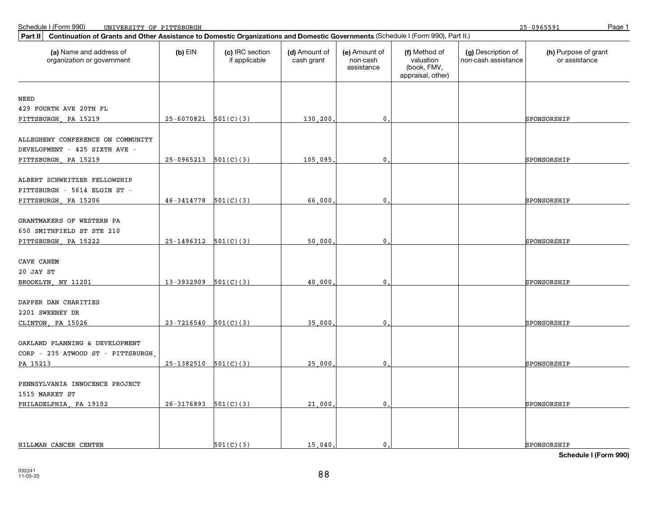25-0965591

| Continuation of Grants and Other Assistance to Domestic Organizations and Domestic Governments (Schedule I (Form 990), Part II.)<br>Part II |                          |                                  |                             |                                         |                                                                |                                           |                                       |
|---------------------------------------------------------------------------------------------------------------------------------------------|--------------------------|----------------------------------|-----------------------------|-----------------------------------------|----------------------------------------------------------------|-------------------------------------------|---------------------------------------|
| (a) Name and address of<br>organization or government                                                                                       | $(b)$ EIN                | (c) IRC section<br>if applicable | (d) Amount of<br>cash grant | (e) Amount of<br>non-cash<br>assistance | (f) Method of<br>valuation<br>(book, FMV,<br>appraisal, other) | (a) Description of<br>non-cash assistance | (h) Purpose of grant<br>or assistance |
| NEED                                                                                                                                        |                          |                                  |                             |                                         |                                                                |                                           |                                       |
| 429 FOURTH AVE 20TH FL                                                                                                                      |                          |                                  |                             |                                         |                                                                |                                           |                                       |
| PITTSBURGH, PA 15219                                                                                                                        | $25-6070821$ $501(C)(3)$ |                                  | 130,200                     | 0                                       |                                                                |                                           | SPONSORSHIP                           |
|                                                                                                                                             |                          |                                  |                             |                                         |                                                                |                                           |                                       |
| ALLEGHENY CONFERENCE ON COMMUNITY                                                                                                           |                          |                                  |                             |                                         |                                                                |                                           |                                       |
| DEVELOPMENT - 425 SIXTH AVE -                                                                                                               |                          |                                  |                             |                                         |                                                                |                                           |                                       |
| PITTSBURGH, PA 15219                                                                                                                        | $25-0965213$ $501(C)(3)$ |                                  | 105,095,                    | $\mathbf 0$                             |                                                                |                                           | SPONSORSHIP                           |
| ALBERT SCHWEITZER FELLOWSHIP<br>PITTSBURGH - 5614 ELGIN ST -<br>PITTSBURGH, PA 15206                                                        | 46-3414778               | 501(C)(3)                        | 66,000                      | $\mathbf 0$                             |                                                                |                                           | SPONSORSHIP                           |
|                                                                                                                                             |                          |                                  |                             |                                         |                                                                |                                           |                                       |
| GRANTMAKERS OF WESTERN PA                                                                                                                   |                          |                                  |                             |                                         |                                                                |                                           |                                       |
| 650 SMITHFIELD ST STE 210                                                                                                                   |                          |                                  |                             |                                         |                                                                |                                           |                                       |
| PITTSBURGH, PA 15222                                                                                                                        | $25-1496312$ $501(C)(3)$ |                                  | 50,000                      | 0                                       |                                                                |                                           | SPONSORSHIP                           |
| CAVE CANEM<br>20 JAY ST<br>BROOKLYN, NY 11201                                                                                               | 13-3932909               | 501(C)(3)                        | 40,000                      | $\mathbf 0$                             |                                                                |                                           | SPONSORSHIP                           |
| DAPPER DAN CHARITIES                                                                                                                        |                          |                                  |                             |                                         |                                                                |                                           |                                       |
| 2201 SWEENEY DR                                                                                                                             |                          |                                  |                             |                                         |                                                                |                                           |                                       |
| CLINTON, PA 15026                                                                                                                           | 23-7216540               | 501(C)(3)                        | 35,000                      | $\mathbf 0$                             |                                                                |                                           | SPONSORSHIP                           |
| OAKLAND PLANNING & DEVELOPMENT<br>CORP - 235 ATWOOD ST - PITTSBURGH<br>PA 15213                                                             | $25-1382510$ $501(C)(3)$ |                                  | 25,000                      | $\mathbf 0$                             |                                                                |                                           | SPONSORSHIP                           |
|                                                                                                                                             |                          |                                  |                             |                                         |                                                                |                                           |                                       |
| PENNSYLVANIA INNOCENCE PROJECT<br>1515 MARKET ST<br>PHILADELPHIA, PA 19102                                                                  | $26-3176893$ 501(C)(3)   |                                  | 21,000                      | $\mathbf 0$                             |                                                                |                                           | SPONSORSHIP                           |
| HILLMAN CANCER CENTER                                                                                                                       |                          | 501(C)(3)                        | 15 040.                     | $\mathbf{0}$                            |                                                                |                                           | SPONSORSHIP                           |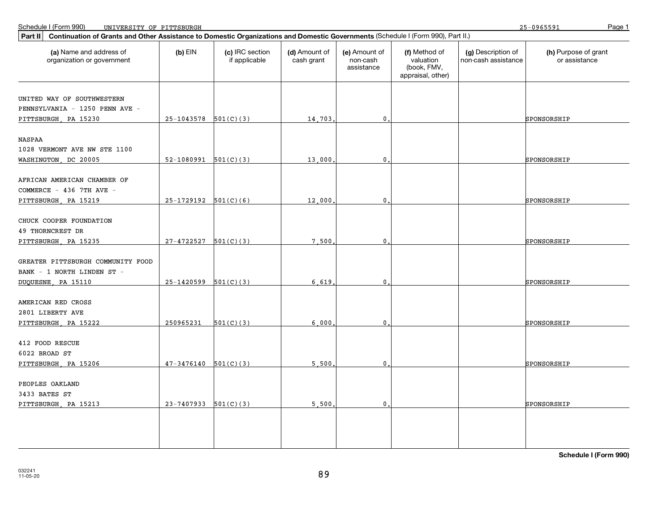25-0965591

| Continuation of Grants and Other Assistance to Domestic Organizations and Domestic Governments (Schedule I (Form 990), Part II.)<br>Part II |                          |                                  |                             |                                         |                                                                |                                           |                                       |
|---------------------------------------------------------------------------------------------------------------------------------------------|--------------------------|----------------------------------|-----------------------------|-----------------------------------------|----------------------------------------------------------------|-------------------------------------------|---------------------------------------|
| (a) Name and address of<br>organization or government                                                                                       | $(b)$ EIN                | (c) IRC section<br>if applicable | (d) Amount of<br>cash grant | (e) Amount of<br>non-cash<br>assistance | (f) Method of<br>valuation<br>(book, FMV,<br>appraisal, other) | (g) Description of<br>non-cash assistance | (h) Purpose of grant<br>or assistance |
| UNITED WAY OF SOUTHWESTERN<br>PENNSYLVANIA - 1250 PENN AVE -<br>PITTSBURGH, PA 15230                                                        | $25-1043578$ 501(C)(3)   |                                  | 14,703                      | $\mathbf{0}$                            |                                                                |                                           | SPONSORSHIP                           |
| NASPAA<br>1028 VERMONT AVE NW STE 1100<br>WASHINGTON, DC 20005                                                                              | $52-1080991$ $501(C)(3)$ |                                  | 13,000                      | 0                                       |                                                                |                                           | SPONSORSHIP                           |
| AFRICAN AMERICAN CHAMBER OF<br>COMMERCE - 436 7TH AVE -<br>PITTSBURGH, PA 15219                                                             | $25-1729192$ $501(C)(6)$ |                                  | 12,000                      | $\mathbf 0$                             |                                                                |                                           | SPONSORSHIP                           |
| CHUCK COOPER FOUNDATION<br><b>49 THORNCREST DR</b><br>PITTSBURGH, PA 15235                                                                  | $27-4722527$ 501(C)(3)   |                                  | 7.500                       | $\mathbf{0}$                            |                                                                |                                           | SPONSORSHIP                           |
| GREATER PITTSBURGH COMMUNITY FOOD<br>BANK - 1 NORTH LINDEN ST -<br>DUQUESNE, PA 15110                                                       | 25-1420599               | 501(C)(3)                        | 6.619                       | $\mathbf{0}$ .                          |                                                                |                                           | SPONSORSHIP                           |
| AMERICAN RED CROSS<br>2801 LIBERTY AVE<br>PITTSBURGH, PA 15222                                                                              | 250965231                | 501(C)(3)                        | 6.000                       | $\mathbf 0$                             |                                                                |                                           | SPONSORSHIP                           |
| 412 FOOD RESCUE<br>6022 BROAD ST<br>PITTSBURGH, PA 15206                                                                                    | $47-3476140$ $501(C)(3)$ |                                  | 5,500                       | $\mathbf{0}$                            |                                                                |                                           | SPONSORSHIP                           |
| PEOPLES OAKLAND<br>3433 BATES ST<br>PITTSBURGH, PA 15213                                                                                    | $23-7407933$ $501(C)(3)$ |                                  | 5,500                       | $\mathbf 0$ .                           |                                                                |                                           | SPONSORSHIP                           |
|                                                                                                                                             |                          |                                  |                             |                                         |                                                                |                                           |                                       |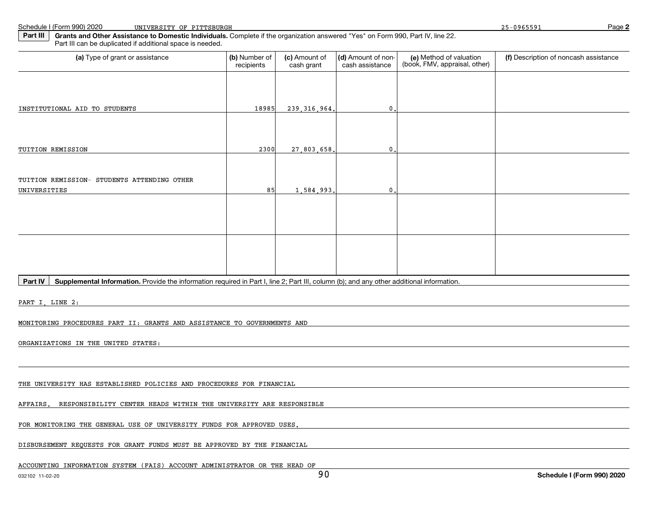Schedule I (Form 990) 2020

**2**

**Part III Grants and Other Assistance to Domestic Individuals.** Complete if the organization answered "Yes" on Form 990, Part IV, line 22.Part III can be duplicated if additional space is needed.

| (a) Type of grant or assistance                                                                                                                                                                                                | (b) Number of<br>recipients | (c) Amount of<br>cash grant | (d) Amount of non-<br>cash assistance | (e) Method of valuation<br>(book, FMV, appraisal, other) | (f) Description of noncash assistance |
|--------------------------------------------------------------------------------------------------------------------------------------------------------------------------------------------------------------------------------|-----------------------------|-----------------------------|---------------------------------------|----------------------------------------------------------|---------------------------------------|
|                                                                                                                                                                                                                                |                             |                             |                                       |                                                          |                                       |
|                                                                                                                                                                                                                                |                             |                             |                                       |                                                          |                                       |
| INSTITUTIONAL AID TO STUDENTS                                                                                                                                                                                                  | 18985                       | 239, 316, 964.              | $\mathbf 0$ .                         |                                                          |                                       |
|                                                                                                                                                                                                                                |                             |                             |                                       |                                                          |                                       |
|                                                                                                                                                                                                                                |                             |                             |                                       |                                                          |                                       |
| TUITION REMISSION                                                                                                                                                                                                              | 2300                        | 27,803,658.                 | 0                                     |                                                          |                                       |
|                                                                                                                                                                                                                                |                             |                             |                                       |                                                          |                                       |
| TUITION REMISSION- STUDENTS ATTENDING OTHER                                                                                                                                                                                    |                             |                             |                                       |                                                          |                                       |
| UNIVERSITIES                                                                                                                                                                                                                   | 85                          | 1,584,993.                  | 0                                     |                                                          |                                       |
|                                                                                                                                                                                                                                |                             |                             |                                       |                                                          |                                       |
|                                                                                                                                                                                                                                |                             |                             |                                       |                                                          |                                       |
|                                                                                                                                                                                                                                |                             |                             |                                       |                                                          |                                       |
|                                                                                                                                                                                                                                |                             |                             |                                       |                                                          |                                       |
|                                                                                                                                                                                                                                |                             |                             |                                       |                                                          |                                       |
| Supplemental Information. Provide the information required in Part I, line 2; Part III, column (b); and any other additional information.<br>Part IV                                                                           |                             |                             |                                       |                                                          |                                       |
|                                                                                                                                                                                                                                |                             |                             |                                       |                                                          |                                       |
| PART I, LINE 2: The contract of the contract of the contract of the contract of the contract of the contract of the contract of the contract of the contract of the contract of the contract of the contract of the contract o |                             |                             |                                       |                                                          |                                       |
| MONITORING PROCEDURES PART II: GRANTS AND ASSISTANCE TO GOVERNMENTS AND                                                                                                                                                        |                             |                             |                                       |                                                          |                                       |
|                                                                                                                                                                                                                                |                             |                             |                                       |                                                          |                                       |
| ORGANIZATIONS IN THE UNITED STATES:                                                                                                                                                                                            |                             |                             |                                       |                                                          |                                       |
|                                                                                                                                                                                                                                |                             |                             |                                       |                                                          |                                       |
|                                                                                                                                                                                                                                |                             |                             |                                       |                                                          |                                       |
| THE UNIVERSITY HAS ESTABLISHED POLICIES AND PROCEDURES FOR FINANCIAL                                                                                                                                                           |                             |                             |                                       |                                                          |                                       |

AFFAIRS. RESPONSIBILITY CENTER HEADS WITHIN THE UNIVERSITY ARE RESPONSIBLE

FOR MONITORING THE GENERAL USE OF UNIVERSITY FUNDS FOR APPROVED USES.

DISBURSEMENT REQUESTS FOR GRANT FUNDS MUST BE APPROVED BY THE FINANCIAL

ACCOUNTING INFORMATION SYSTEM (FAIS) ACCOUNT ADMINISTRATOR OR THE HEAD OF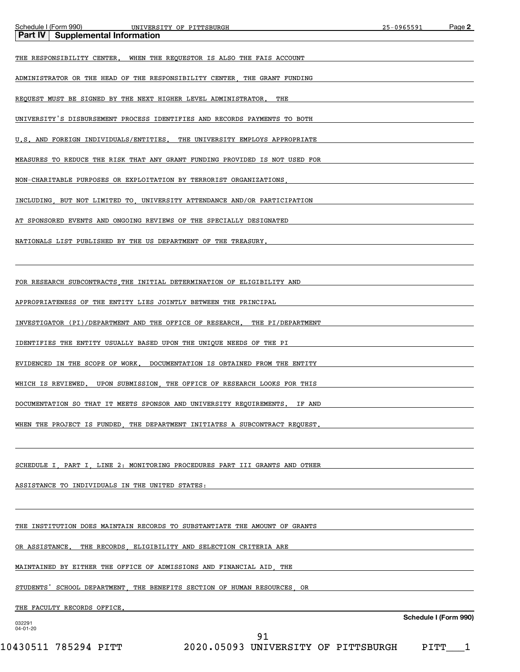| Schedule I (Form 990)<br>UNIVERSITY OF PITTSBURGH                                    | 25-0965591 | Page 2                |
|--------------------------------------------------------------------------------------|------------|-----------------------|
| <b>Supplemental Information</b><br>Part IV                                           |            |                       |
| THE RESPONSIBILITY CENTER. WHEN THE REQUESTOR IS ALSO THE FAIS ACCOUNT               |            |                       |
| ADMINISTRATOR OR THE HEAD OF THE RESPONSIBILITY CENTER, THE GRANT FUNDING            |            |                       |
| REQUEST MUST BE SIGNED BY THE NEXT HIGHER LEVEL ADMINISTRATOR.<br>THE                |            |                       |
| UNIVERSITY'S DISBURSEMENT PROCESS IDENTIFIES AND RECORDS PAYMENTS TO BOTH            |            |                       |
| U.S. AND FOREIGN INDIVIDUALS/ENTITIES. THE UNIVERSITY EMPLOYS APPROPRIATE            |            |                       |
| MEASURES TO REDUCE THE RISK THAT ANY GRANT FUNDING PROVIDED IS NOT USED FOR          |            |                       |
| NON-CHARITABLE PURPOSES OR EXPLOITATION BY TERRORIST ORGANIZATIONS                   |            |                       |
| INCLUDING BUT NOT LIMITED TO UNIVERSITY ATTENDANCE AND/OR PARTICIPATION              |            |                       |
| AT SPONSORED EVENTS AND ONGOING REVIEWS OF THE SPECIALLY DESIGNATED                  |            |                       |
| NATIONALS LIST PUBLISHED BY THE US DEPARTMENT OF THE TREASURY.                       |            |                       |
|                                                                                      |            |                       |
| FOR RESEARCH SUBCONTRACTS THE INITIAL DETERMINATION OF ELIGIBILITY AND               |            |                       |
| APPROPRIATENESS OF THE ENTITY LIES JOINTLY BETWEEN THE PRINCIPAL                     |            |                       |
| INVESTIGATOR (PI)/DEPARTMENT AND THE OFFICE OF RESEARCH. THE PI/DEPARTMENT           |            |                       |
| IDENTIFIES THE ENTITY USUALLY BASED UPON THE UNIQUE NEEDS OF THE PI                  |            |                       |
| EVIDENCED IN THE SCOPE OF WORK. DOCUMENTATION IS OBTAINED FROM THE ENTITY            |            |                       |
| WHICH IS REVIEWED.<br>UPON SUBMISSION, THE OFFICE OF RESEARCH LOOKS FOR THIS         |            |                       |
| DOCUMENTATION SO THAT IT MEETS SPONSOR AND UNIVERSITY REQUIREMENTS.<br><b>IF AND</b> |            |                       |
| WHEN THE PROJECT IS FUNDED, THE DEPARTMENT INITIATES A SUBCONTRACT REQUEST.          |            |                       |
|                                                                                      |            |                       |
| SCHEDULE I, PART I, LINE 2: MONITORING PROCEDURES PART III GRANTS AND OTHER          |            |                       |
| ASSISTANCE TO INDIVIDUALS IN THE UNITED STATES:                                      |            |                       |
|                                                                                      |            |                       |
| THE INSTITUTION DOES MAINTAIN RECORDS TO SUBSTANTIATE THE AMOUNT OF GRANTS           |            |                       |
| OR ASSISTANCE. THE RECORDS, ELIGIBILITY AND SELECTION CRITERIA ARE                   |            |                       |
| MAINTAINED BY EITHER THE OFFICE OF ADMISSIONS AND FINANCIAL AID, THE                 |            |                       |
| STUDENTS' SCHOOL DEPARTMENT, THE BENEFITS SECTION OF HUMAN RESOURCES, OR             |            |                       |
| THE FACULTY RECORDS OFFICE.                                                          |            |                       |
| 032291                                                                               |            | Schedule I (Form 990) |
| 04-01-20<br>91                                                                       |            |                       |

10430511 785294 PITT 2020.05093 UNIVERSITY OF PITTSBURGH PITT\_\_\_1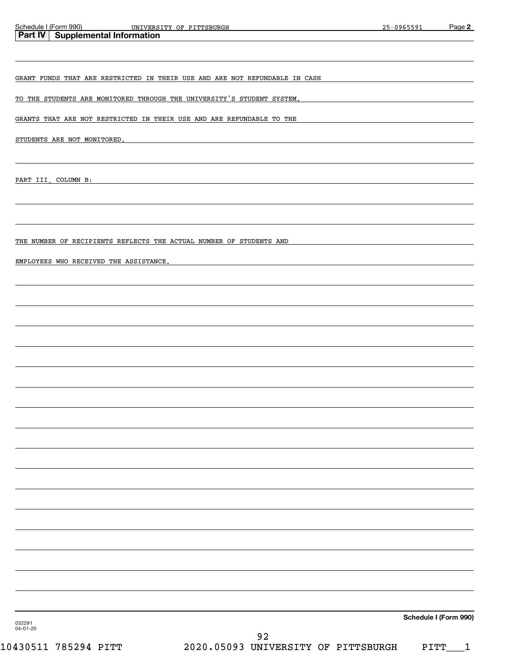| Schedule I (Form 990)<br>UNIVERSITY OF PITTSBURGH                                                                                                                                                                             |                                           | 25-0965591 |                       | Page 2 |
|-------------------------------------------------------------------------------------------------------------------------------------------------------------------------------------------------------------------------------|-------------------------------------------|------------|-----------------------|--------|
| Part IV   Supplemental Information                                                                                                                                                                                            |                                           |            |                       |        |
| GRANT FUNDS THAT ARE RESTRICTED IN THEIR USE AND ARE NOT REFUNDABLE IN CASH                                                                                                                                                   |                                           |            |                       |        |
| <u>TO THE STUDENTS ARE MONITORED THROUGH THE UNIVERSITY'S STUDENT SYSTEM.</u>                                                                                                                                                 |                                           |            |                       |        |
| GRANTS THAT ARE NOT RESTRICTED IN THEIR USE AND ARE REFUNDABLE TO THE                                                                                                                                                         |                                           |            |                       |        |
|                                                                                                                                                                                                                               |                                           |            |                       |        |
| STUDENTS ARE NOT MONITORED. THE RESIDENCE OF A SERIES AND RESIDENCE OF A SERIES OF A SERIES OF A SERIES OF A SAME OF A SERIES OF A SERIES OF A SERIES OF A SERIES OF A SERIES OF A SERIES OF A SERIES OF A SERIES OF A SERIES |                                           |            |                       |        |
| PART III, COLUMN B:                                                                                                                                                                                                           |                                           |            |                       |        |
|                                                                                                                                                                                                                               |                                           |            |                       |        |
| THE NUMBER OF RECIPIENTS REFLECTS THE ACTUAL NUMBER OF STUDENTS AND                                                                                                                                                           |                                           |            |                       |        |
| EMPLOYEES WHO RECEIVED THE ASSISTANCE.                                                                                                                                                                                        |                                           |            |                       |        |
|                                                                                                                                                                                                                               |                                           |            |                       |        |
|                                                                                                                                                                                                                               |                                           |            |                       |        |
|                                                                                                                                                                                                                               |                                           |            |                       |        |
|                                                                                                                                                                                                                               |                                           |            |                       |        |
|                                                                                                                                                                                                                               |                                           |            |                       |        |
|                                                                                                                                                                                                                               |                                           |            |                       |        |
|                                                                                                                                                                                                                               |                                           |            |                       |        |
|                                                                                                                                                                                                                               |                                           |            |                       |        |
|                                                                                                                                                                                                                               |                                           |            |                       |        |
|                                                                                                                                                                                                                               |                                           |            |                       |        |
|                                                                                                                                                                                                                               |                                           |            |                       |        |
|                                                                                                                                                                                                                               |                                           |            |                       |        |
|                                                                                                                                                                                                                               |                                           |            |                       |        |
|                                                                                                                                                                                                                               |                                           |            |                       |        |
|                                                                                                                                                                                                                               |                                           |            |                       |        |
|                                                                                                                                                                                                                               |                                           |            |                       |        |
|                                                                                                                                                                                                                               |                                           |            |                       |        |
| 032291<br>04-01-20                                                                                                                                                                                                            |                                           |            | Schedule I (Form 990) |        |
| 10430511 785294 PITT                                                                                                                                                                                                          | 92<br>2020.05093 UNIVERSITY OF PITTSBURGH |            | PITT                  | 1      |
|                                                                                                                                                                                                                               |                                           |            |                       |        |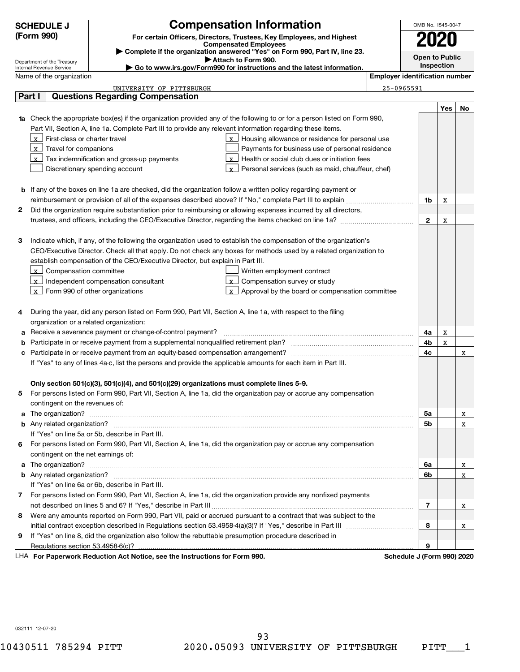|   | <b>Compensation Information</b><br><b>SCHEDULE J</b>                                                                                                                                                                                |                                       | OMB No. 1545-0047     |            |     |
|---|-------------------------------------------------------------------------------------------------------------------------------------------------------------------------------------------------------------------------------------|---------------------------------------|-----------------------|------------|-----|
|   | (Form 990)<br>For certain Officers, Directors, Trustees, Key Employees, and Highest                                                                                                                                                 |                                       |                       |            |     |
|   | <b>Compensated Employees</b>                                                                                                                                                                                                        |                                       |                       |            |     |
|   | Complete if the organization answered "Yes" on Form 990, Part IV, line 23.<br>Attach to Form 990.<br>Department of the Treasury                                                                                                     |                                       | <b>Open to Public</b> |            |     |
|   | Go to www.irs.gov/Form990 for instructions and the latest information.<br>Internal Revenue Service                                                                                                                                  |                                       |                       | Inspection |     |
|   | Name of the organization                                                                                                                                                                                                            | <b>Employer identification number</b> |                       |            |     |
|   | UNIVERSITY OF PITTSBURGH                                                                                                                                                                                                            | 25-0965591                            |                       |            |     |
|   | <b>Questions Regarding Compensation</b><br>Part I                                                                                                                                                                                   |                                       |                       |            |     |
|   |                                                                                                                                                                                                                                     |                                       |                       | Yes        | No. |
|   | 1a Check the appropriate box(es) if the organization provided any of the following to or for a person listed on Form 990,                                                                                                           |                                       |                       |            |     |
|   | Part VII, Section A, line 1a. Complete Part III to provide any relevant information regarding these items.                                                                                                                          |                                       |                       |            |     |
|   | $x$ First-class or charter travel<br>$\lfloor x \rfloor$ Housing allowance or residence for personal use                                                                                                                            |                                       |                       |            |     |
|   | $\lfloor x \rfloor$ Travel for companions<br>Payments for business use of personal residence                                                                                                                                        |                                       |                       |            |     |
|   | $x$ Tax indemnification and gross-up payments<br>$\mathbf{x}$ Health or social club dues or initiation fees<br>Discretionary spending account                                                                                       |                                       |                       |            |     |
|   | $\lfloor x \rfloor$ Personal services (such as maid, chauffeur, chef)                                                                                                                                                               |                                       |                       |            |     |
|   |                                                                                                                                                                                                                                     |                                       |                       |            |     |
|   | <b>b</b> If any of the boxes on line 1a are checked, did the organization follow a written policy regarding payment or                                                                                                              |                                       |                       |            |     |
| 2 | Did the organization require substantiation prior to reimbursing or allowing expenses incurred by all directors,                                                                                                                    |                                       | 1b                    | X          |     |
|   |                                                                                                                                                                                                                                     |                                       | $\mathbf{2}$          | X          |     |
|   |                                                                                                                                                                                                                                     |                                       |                       |            |     |
| з | Indicate which, if any, of the following the organization used to establish the compensation of the organization's                                                                                                                  |                                       |                       |            |     |
|   | CEO/Executive Director. Check all that apply. Do not check any boxes for methods used by a related organization to                                                                                                                  |                                       |                       |            |     |
|   | establish compensation of the CEO/Executive Director, but explain in Part III.                                                                                                                                                      |                                       |                       |            |     |
|   | $\lfloor x \rfloor$ Compensation committee<br>Written employment contract                                                                                                                                                           |                                       |                       |            |     |
|   | $\lfloor x \rfloor$ Compensation survey or study<br>$\lfloor x \rfloor$ Independent compensation consultant                                                                                                                         |                                       |                       |            |     |
|   | $\lfloor x \rfloor$ Form 990 of other organizations<br>$\lfloor x \rfloor$ Approval by the board or compensation committee                                                                                                          |                                       |                       |            |     |
|   |                                                                                                                                                                                                                                     |                                       |                       |            |     |
| 4 | During the year, did any person listed on Form 990, Part VII, Section A, line 1a, with respect to the filing                                                                                                                        |                                       |                       |            |     |
|   | organization or a related organization:                                                                                                                                                                                             |                                       |                       |            |     |
| a | Receive a severance payment or change-of-control payment?                                                                                                                                                                           |                                       | 4a                    | х          |     |
| b |                                                                                                                                                                                                                                     |                                       | 4b                    | X          |     |
| c |                                                                                                                                                                                                                                     |                                       | 4c                    |            | х   |
|   | If "Yes" to any of lines 4a-c, list the persons and provide the applicable amounts for each item in Part III.                                                                                                                       |                                       |                       |            |     |
|   |                                                                                                                                                                                                                                     |                                       |                       |            |     |
|   | Only section 501(c)(3), 501(c)(4), and 501(c)(29) organizations must complete lines 5-9.                                                                                                                                            |                                       |                       |            |     |
| 5 | For persons listed on Form 990, Part VII, Section A, line 1a, did the organization pay or accrue any compensation                                                                                                                   |                                       |                       |            |     |
|   | contingent on the revenues of:                                                                                                                                                                                                      |                                       |                       |            |     |
|   | a The organization? <b>contracts</b> and contracts are contracted and contract and contract and contract and contract and contract and contract and contract and contract and contract and contract and contract and contract and c |                                       | 5a                    |            | X   |
|   |                                                                                                                                                                                                                                     |                                       | 5b                    |            | X   |
|   | If "Yes" on line 5a or 5b, describe in Part III.                                                                                                                                                                                    |                                       |                       |            |     |
| 6 | For persons listed on Form 990, Part VII, Section A, line 1a, did the organization pay or accrue any compensation                                                                                                                   |                                       |                       |            |     |
|   | contingent on the net earnings of:                                                                                                                                                                                                  |                                       |                       |            |     |
| a |                                                                                                                                                                                                                                     |                                       | 6a                    |            | X   |
|   |                                                                                                                                                                                                                                     |                                       | 6b                    |            | X   |
|   | If "Yes" on line 6a or 6b, describe in Part III.                                                                                                                                                                                    |                                       |                       |            |     |
| 7 | For persons listed on Form 990, Part VII, Section A, line 1a, did the organization provide any nonfixed payments                                                                                                                    |                                       |                       |            |     |
|   |                                                                                                                                                                                                                                     |                                       | 7                     |            | X   |
| 8 | Were any amounts reported on Form 990, Part VII, paid or accrued pursuant to a contract that was subject to the                                                                                                                     |                                       |                       |            |     |
|   |                                                                                                                                                                                                                                     |                                       | 8                     |            | X   |

**9** If "Yes" on line 8, did the organization also follow the rebuttable presumption procedure described in

**9**

 $\overline{\mathbf{x}}$ 

 $\overline{\mathbf{x}}$ 

032111 12-07-20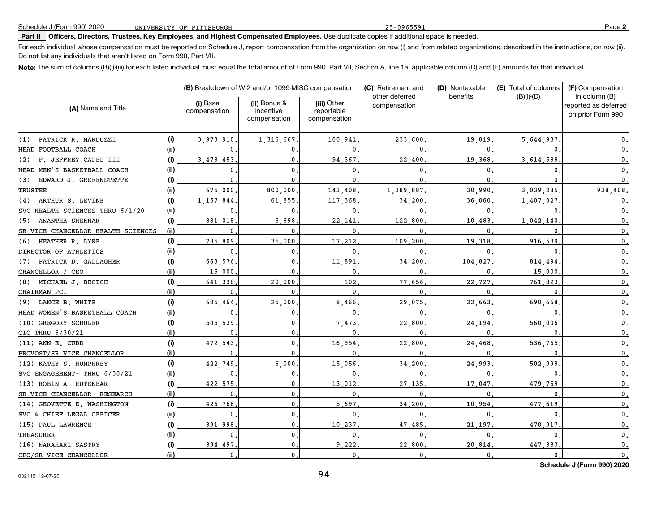### **Part II Officers, Directors, Trustees, Key Employees, and Highest Compensated Employees.** Use duplicate copies if additional space is needed.

For each individual whose compensation must be reported on Schedule J, report compensation from the organization on row (i) and from related organizations, described in the instructions, on row (ii). Do not list any individuals that aren't listed on Form 990, Part VII.

**Note:** The sum of columns (B)(i)-(iii) for each listed individual must equal the total amount of Form 990, Part VII, Section A, line 1a, applicable column (D) and (E) amounts for that individual.

|                                    |       |                          | (B) Breakdown of W-2 and/or 1099-MISC compensation |                                           | (C) Retirement and<br>other deferred | (D) Nontaxable | (E) Total of columns | (F) Compensation                                           |
|------------------------------------|-------|--------------------------|----------------------------------------------------|-------------------------------------------|--------------------------------------|----------------|----------------------|------------------------------------------------------------|
| (A) Name and Title                 |       | (i) Base<br>compensation | (ii) Bonus &<br>incentive<br>compensation          | (iii) Other<br>reportable<br>compensation | compensation                         | benefits       | $(B)(i)-(D)$         | in column (B)<br>reported as deferred<br>on prior Form 990 |
| PATRICK R. NARDUZZI<br>(1)         | (i)   | 3,973,910                | 1,316,667                                          | 100.941                                   | 233.600                              | 19,819         | 5,644,937            | 0.                                                         |
| HEAD FOOTBALL COACH                | (ii)  | 0                        | 0                                                  | $\mathbf{0}$                              | $\Omega$                             | 0              |                      | $\mathfrak o$ .                                            |
| F. JEFFREY CAPEL III<br>(2)        | (i)   | 3.478.453                | 0                                                  | 94.367                                    | 22,400                               | 19,368         | 3,614,588            | $\mathbf{0}$ .                                             |
| HEAD MEN'S BASKETBALL COACH        | (ii)  | $\mathbf{0}$             | $\mathbf{0}$ .                                     | $\mathbf{0}$                              | 0                                    | $\mathbf{0}$   |                      | 0.                                                         |
| EDWARD J. GREFENSTETTE<br>(3)      | (i)   | $\mathbf{0}$             | $\mathbf{0}$                                       | $\mathbf{0}$                              | $\mathbf{0}$                         | $\mathbf{0}$   | $\Omega$             | $\mathbf{0}$ .                                             |
| TRUSTEE                            | (ii)  | 675.000                  | 800,000                                            | 143.408                                   | 1 389 887                            | 30.990         | 3.039.285            | 938.468.                                                   |
| (4) ARTHUR S. LEVINE               | (i)   | 1.157.844                | 61.855                                             | 117 368                                   | 34.200                               | 36,060         | 1,407,327            | $\mathfrak o$ .                                            |
| SVC HEALTH SCIENCES THRU 6/1/20    | (ii)  | $\mathbf{0}$             | $\Omega$                                           | 0                                         | 0                                    | $\mathbf{0}$ . |                      | $\mathfrak o$ .                                            |
| <b>ANANTHA SHEKHAR</b><br>(5)      | (i)   | 881.018                  | 5.698                                              | 22.141                                    | 122,800                              | 10.483         | 1,042,140            | $\mathbf{0}$ .                                             |
| SR VICE CHANCELLOR HEALTH SCIENCES | (ii)  | $\mathbf{0}$             | $\Omega$                                           | $\mathbf 0$                               | $\mathbf 0$                          | 0              |                      | $\mathsf{0}\,.$                                            |
| (6) HEATHER R. LYKE                | (i)   | 735.809                  | 35,000                                             | 17,212                                    | 109.200                              | 19.318         | 916.539              | $\mathbf{0}$ .                                             |
| DIRECTOR OF ATHLETICS              | (ii)  | $\mathbf 0$              | 0                                                  | 0                                         | $\mathbf 0$                          | $\mathbf 0$    |                      | $\mathfrak o$ .                                            |
| (7) PATRICK D. GALLAGHER           | (i)   | 663.576.                 | $\mathbf{0}$                                       | 11,891                                    | 34,200                               | 104.827        | 814.494              | $\mathfrak o$ .                                            |
| CHANCELLOR / CEO                   | (ii)  | 15,000                   | $\mathbf{0}$                                       | 0                                         | $\mathbf 0$                          | $\mathbf 0$ .  | 15,000               | $\mathbf{0}$ .                                             |
| (8) MICHAEL J. BECICH              | (i)   | 641,338                  | 20,000                                             | 102                                       | 77.656                               | 22.727         | 761.823              | $\mathbf{0}$ .                                             |
| CHAIRMAN PCI                       | (ii)  | $\mathbf{0}$             | $\mathbf 0$                                        | 0                                         | $\mathbf 0$                          | 0              |                      | $\mathsf{0}\,.$                                            |
| (9) LANCE B. WHITE                 | (i)   | 605.464                  | 25,000                                             | 8.466                                     | 29.075                               | 22.663         | 690.668              | $\mathbf{0}$ .                                             |
| HEAD WOMEN'S BASKETBALL COACH      | (ii)  | $\mathbf{0}$             | 0                                                  | $\mathbf{0}$                              | $\mathbf 0$                          | $\mathbf 0$    |                      | $\mathsf{0}\,.$                                            |
| (10) GREGORY SCHULER               | (i)   | 505.539                  | $\mathbf{0}$                                       | 7.473                                     | 22 800                               | 24.194         | 560,006              | $\mathbf{0}$ .                                             |
| CIO THRU 6/30/21                   | (iii) | $\mathbf{0}$             | $\mathbf{0}$                                       | $\mathbf{0}$                              | $\mathbf 0$                          | $\mathbf{0}$   |                      | $\mathbf{0}$ .                                             |
| $(11)$ ANN E. CUDD                 | (i)   | 472.543                  | 0                                                  | 16,954                                    | 22,800                               | 24,468         | 536.765              | $\mathbf{0}$ .                                             |
| PROVOST/SR VICE CHANCELLOR         | (ii)  | $\mathbf 0$              | $\Omega$                                           | $\Omega$                                  | $\Omega$                             | $\Omega$       |                      | 0.                                                         |
| (12) KATHY S. HUMPHREY             | (i)   | 422,749                  | 6.000                                              | 15,056                                    | 34,200                               | 24.993         | 502.998              | $\mathbf{0}$ .                                             |
| SVC ENGAGEMENT- THRU 6/30/21       | (ii)  | $\mathbf 0$              | 0                                                  | $\mathbf{0}$                              | 0                                    | 0              | $\Omega$             | $\mathbf{0}$ .                                             |
| (13) ROBIN A. RUTENBAR             | (i)   | 422.575                  | 0                                                  | 13.012                                    | 27.135                               | 17.047         | 479.769              | $\mathbf{0}$ .                                             |
| SR VICE CHANCELLOR- RESEARCH       | (ii)  | $\mathbf 0$              | $\mathbf{0}$                                       | 0                                         | $\mathbf 0$                          | 0              | $\Omega$             | $\mathbf{0}$ .                                             |
| (14) GEOVETTE E. WASHINGTON        | (i)   | 426,768                  | $\Omega$                                           | 5.697                                     | 34.200                               | 10.954         | 477 619              | 0.                                                         |
| SVC & CHIEF LEGAL OFFICER          | (ii)  | $\mathbf 0$              | $\mathbf{0}$                                       | $\Omega$                                  | $\mathbf 0$                          | 0              | $\Omega$             | $\mathbf{0}$ .                                             |
| (15) PAUL LAWRENCE                 | (i)   | 391,998                  | 0                                                  | 10,237                                    | 47.485                               | 21.197         | 470.917              | $\mathbf{0}$ .                                             |
| <b>TREASURER</b>                   | (ii)  | $\mathbf{0}$             | $\mathbf{0}$                                       | $\Omega$                                  | $\Omega$                             | $\Omega$       |                      | $\mathbf{0}$ .                                             |
| (16) NARAHARI SASTRY               | (i)   | 394.497                  | 0                                                  | 9,222                                     | 22,800                               | 20.814         | 447 333              | $\mathbf{0}$ .                                             |
| CFO/SR VICE CHANCELLOR             | (ii)  | $\mathbf{0}$ .           | $\Omega$                                           | 0                                         | 0                                    | 0              | $\Omega$             | $\mathbf{0}$ .                                             |

032112 12-07-20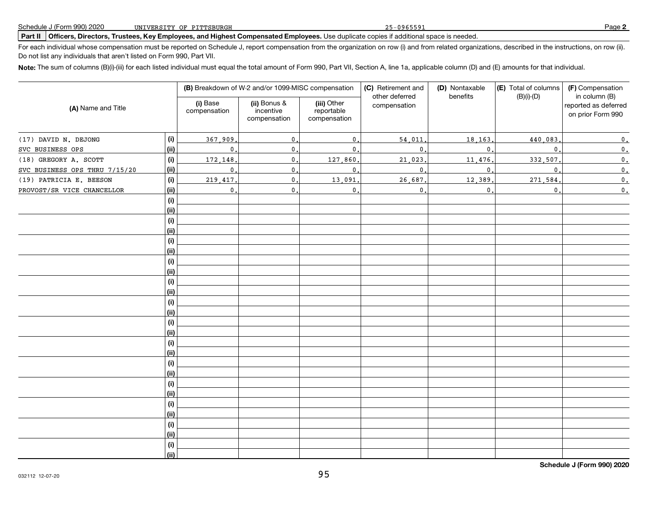### **Part II Officers, Directors, Trustees, Key Employees, and Highest Compensated Employees.** Use duplicate copies if additional space is needed.

For each individual whose compensation must be reported on Schedule J, report compensation from the organization on row (i) and from related organizations, described in the instructions, on row (ii). Do not list any individuals that aren't listed on Form 990, Part VII.

**Note:** The sum of columns (B)(i)-(iii) for each listed individual must equal the total amount of Form 990, Part VII, Section A, line 1a, applicable column (D) and (E) amounts for that individual.

|                               |      |                          | (B) Breakdown of W-2 and/or 1099-MISC compensation |                                           | (C) Retirement and<br>other deferred | (D) Nontaxable<br>benefits | (E) Total of columns<br>$(B)(i)-(D)$ | (F) Compensation<br>in column (B)<br>reported as deferred<br>on prior Form 990 |  |
|-------------------------------|------|--------------------------|----------------------------------------------------|-------------------------------------------|--------------------------------------|----------------------------|--------------------------------------|--------------------------------------------------------------------------------|--|
| (A) Name and Title            |      | (i) Base<br>compensation | (ii) Bonus &<br>incentive<br>compensation          | (iii) Other<br>reportable<br>compensation | compensation                         |                            |                                      |                                                                                |  |
| (17) DAVID N. DEJONG          | (i)  | 367,909                  | $\mathbf{0}$                                       | $\mathbf{0}$                              | 54,011                               | 18, 163,                   | 440,083                              | $\mathfrak o$ .                                                                |  |
| SVC BUSINESS OPS              | (ii) | $\mathbf{0}$ .           | $\mathbf{0}$ .                                     | $\mathbf{0}$                              | 0                                    | $\mathbf{0}$               | $\mathbf{0}$                         | $\mathbf{0}$ .                                                                 |  |
| (18) GREGORY A. SCOTT         | (i)  | 172,148                  | $\mathbf{0}$ .                                     | 127,860                                   | 21,023                               | 11,476                     | 332,507                              | $\mathfrak{o}$ .                                                               |  |
| SVC BUSINESS OPS THRU 7/15/20 | (ii) | $\mathbf 0$              | $\mathbf 0$                                        | $\mathbf{0}$                              | 0                                    | $\mathbf{0}$               | $\mathbf{0}$                         | $\mathfrak o$ .                                                                |  |
| (19) PATRICIA E. BEESON       | (i)  | 219,417                  | $\mathbf{0}$                                       | 13,091                                    | 26,687                               | 12,389                     | 271,584                              | $\mathbf{0}$ .                                                                 |  |
| PROVOST/SR VICE CHANCELLOR    | (ii) | $\mathbf{0}$ .           | $\mathbf{0}$ .                                     | $\mathbf{0}$                              | 0                                    | $\mathbf{0}$ .             | $\mathbf{0}$ .                       | $\mathbf{0}$ .                                                                 |  |
|                               | (i)  |                          |                                                    |                                           |                                      |                            |                                      |                                                                                |  |
|                               | (ii) |                          |                                                    |                                           |                                      |                            |                                      |                                                                                |  |
|                               | (i)  |                          |                                                    |                                           |                                      |                            |                                      |                                                                                |  |
|                               | (ii) |                          |                                                    |                                           |                                      |                            |                                      |                                                                                |  |
|                               | (i)  |                          |                                                    |                                           |                                      |                            |                                      |                                                                                |  |
|                               | (ii) |                          |                                                    |                                           |                                      |                            |                                      |                                                                                |  |
|                               | (i)  |                          |                                                    |                                           |                                      |                            |                                      |                                                                                |  |
|                               | (ii) |                          |                                                    |                                           |                                      |                            |                                      |                                                                                |  |
|                               | (i)  |                          |                                                    |                                           |                                      |                            |                                      |                                                                                |  |
|                               | (i)  |                          |                                                    |                                           |                                      |                            |                                      |                                                                                |  |
|                               | (i)  |                          |                                                    |                                           |                                      |                            |                                      |                                                                                |  |
|                               | (ii) |                          |                                                    |                                           |                                      |                            |                                      |                                                                                |  |
|                               | (i)  |                          |                                                    |                                           |                                      |                            |                                      |                                                                                |  |
|                               | (i)  |                          |                                                    |                                           |                                      |                            |                                      |                                                                                |  |
|                               | (i)  |                          |                                                    |                                           |                                      |                            |                                      |                                                                                |  |
|                               | (ii) |                          |                                                    |                                           |                                      |                            |                                      |                                                                                |  |
|                               | (i)  |                          |                                                    |                                           |                                      |                            |                                      |                                                                                |  |
|                               | (ii) |                          |                                                    |                                           |                                      |                            |                                      |                                                                                |  |
|                               | (i)  |                          |                                                    |                                           |                                      |                            |                                      |                                                                                |  |
|                               | (ii) |                          |                                                    |                                           |                                      |                            |                                      |                                                                                |  |
|                               | (i)  |                          |                                                    |                                           |                                      |                            |                                      |                                                                                |  |
|                               | (ii) |                          |                                                    |                                           |                                      |                            |                                      |                                                                                |  |
|                               | (i)  |                          |                                                    |                                           |                                      |                            |                                      |                                                                                |  |
|                               | (i)  |                          |                                                    |                                           |                                      |                            |                                      |                                                                                |  |
|                               | (i)  |                          |                                                    |                                           |                                      |                            |                                      |                                                                                |  |
|                               | (ii) |                          |                                                    |                                           |                                      |                            |                                      |                                                                                |  |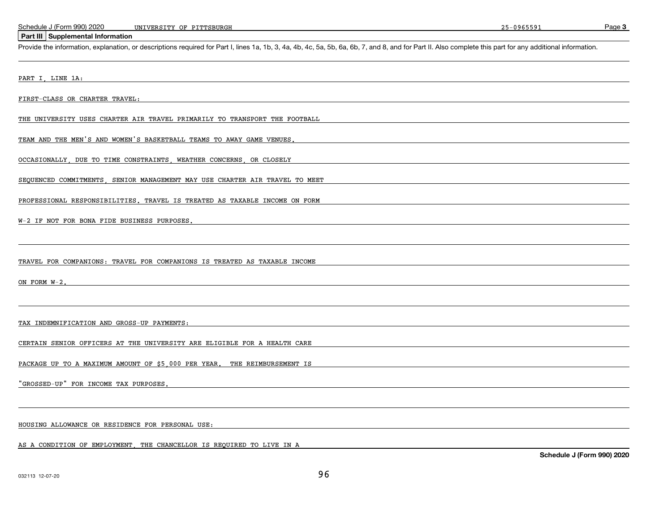Page 3

#### **Part III Supplemental Information**

Provide the information, explanation, or descriptions required for Part I, lines 1a, 1b, 3, 4a, 4b, 4c, 5a, 5b, 6a, 6b, 7, and 8, and for Part II. Also complete this part for any additional information.

#### PART I, LINE 1A:

FIRST-CLASS OR CHARTER TRAVEL:

THE UNIVERSITY USES CHARTER AIR TRAVEL PRIMARILY TO TRANSPORT THE FOOTBALL

TEAM AND THE MEN'S AND WOMEN'S BASKETBALL TEAMS TO AWAY GAME VENUES.

OCCASIONALLY, DUE TO TIME CONSTRAINTS, WEATHER CONCERNS, OR CLOSELY

SEQUENCED COMMITMENTS, SENIOR MANAGEMENT MAY USE CHARTER AIR TRAVEL TO MEET

PROFESSIONAL RESPONSIBILITIES. TRAVEL IS TREATED AS TAXABLE INCOME ON FORM

#### W-2 IF NOT FOR BONA FIDE BUSINESS PURPOSES.

TRAVEL FOR COMPANIONS: TRAVEL FOR COMPANIONS IS TREATED AS TAXABLE INCOME

ON FORM W-2.

TAX INDEMNIFICATION AND GROSS-UP PAYMENTS:

CERTAIN SENIOR OFFICERS AT THE UNIVERSITY ARE ELIGIBLE FOR A HEALTH CARE

PACKAGE UP TO A MAXIMUM AMOUNT OF \$5,000 PER YEAR. THE REIMBURSEMENT IS

"GROSSED-UP" FOR INCOME TAX PURPOSES.

### HOUSING ALLOWANCE OR RESIDENCE FOR PERSONAL USE:

AS A CONDITION OF EMPLOYMENT THE CHANCELLOR IS REQUIRED TO LIVE IN A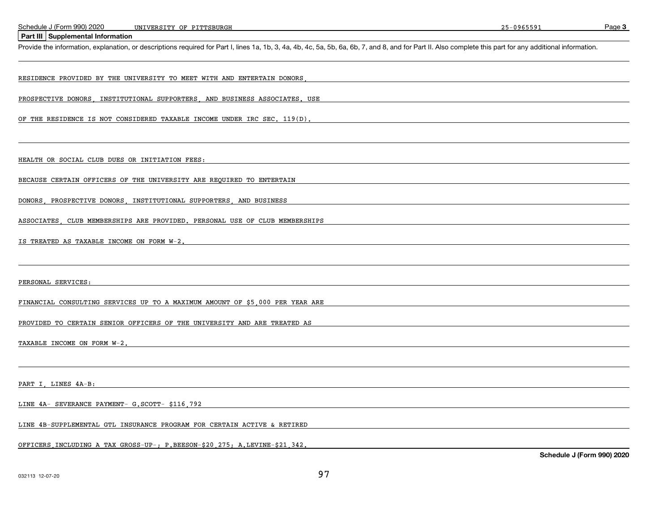Page 3

### **Part III Supplemental Information**

Provide the information, explanation, or descriptions required for Part I, lines 1a, 1b, 3, 4a, 4b, 4c, 5a, 5b, 6a, 6b, 7, and 8, and for Part II. Also complete this part for any additional information.

#### RESIDENCE PROVIDED BY THE UNIVERSITY TO MEET WITH AND ENTERTAIN DONORS,

PROSPECTIVE DONORS INSTITUTIONAL SUPPORTERS AND BUSINESS ASSOCIATES. USE

OF THE RESIDENCE IS NOT CONSIDERED TAXABLE INCOME UNDER IRC SEC. 119(D).

HEALTH OR SOCIAL CLUB DUES OR INITIATION FEES:

BECAUSE CERTAIN OFFICERS OF THE UNIVERSITY ARE REQUIRED TO ENTERTAIN

DONORS, PROSPECTIVE DONORS, INSTITUTIONAL SUPPORTERS, AND BUSINESS

ASSOCIATES, CLUB MEMBERSHIPS ARE PROVIDED. PERSONAL USE OF CLUB MEMBERSHIPS

IS TREATED AS TAXABLE INCOME ON FORM W-2.

PERSONAL SERVICES:

FINANCIAL CONSULTING SERVICES UP TO A MAXIMUM AMOUNT OF \$5,000 PER YEAR ARE

PROVIDED TO CERTAIN SENIOR OFFICERS OF THE UNIVERSITY AND ARE TREATED AS

TAXABLE INCOME ON FORM W-2.

PART I, LINES 4A-B:

LINE 4A- SEVERANCE PAYMENT- G.SCOTT- \$116,792

LINE 4B-SUPPLEMENTAL GTL INSURANCE PROGRAM FOR CERTAIN ACTIVE & RETIRED

OFFICERS,INCLUDING A TAX GROSS-UP-; P.BEESON-\$20,275; A.LEVINE-\$21,342.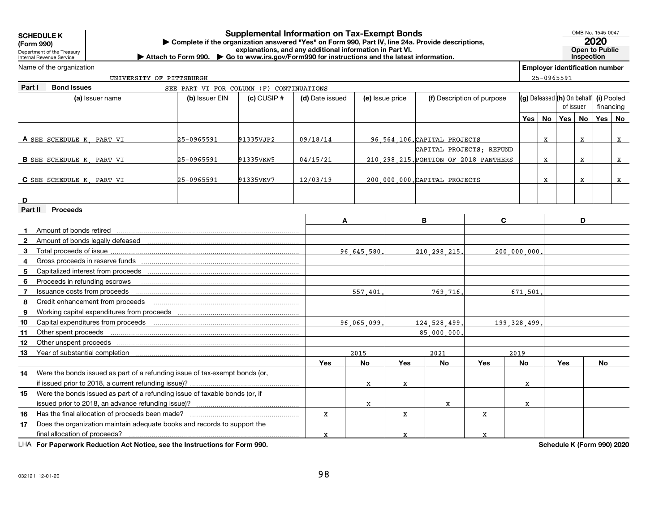**SCHEDULE K**

**(Form 990)**

### **Exercise and Secure 1990, Part IV, line 24a. Provide descriptions, and any additional information in Part IV, line 24a. Provide descriptions, and any additional information in Part II. <b>Explanations, and any additional i Supplemental Information on Tax-Exempt Bonds**

OMB No. 1545-0047

**Inspection**

Department of the TreasuryInternal Revenue Service

Name of the organization

**D**

**Constitution of the Constitution of the Constitution of the Constitution of the Constitution of the Constitution of the Constitution of the Constitution of the Constitution of the Constitution of the Constitution of the C | Attach to Form 990. | Go to www.irs.gov/Form990 for instructions and the latest information.**

**Employer identification number**

**Part I Bond Issues(a) (b) (c) (d) (e) (f) (g) (h) (i)**Issuer name Issuer EIN CUSIP # Date issued Issue price Description of purpose Pooled**Yes No Yes No Yes NoA** SEE SCHEDULE K PART VI **B** SEE SCHEDULE K, PART VI 25-0965591 25-0965591 21335VKW5 204/15/21 210,298,215. **C** SEE SCHEDULE K PART VI **Part II Proceeds**A IB IC ID **1**Amount of bonds retired**2**Amount of bonds legally defeased**14**Were the bonds issued as part of a refunding issue of tax-exempt bonds (or,**15**Were the bonds issued as part of a refunding issue of taxable bonds (or, if**Yes No Yes No Yes No Yes No**Defeased **(h)** On behalf of issuerfinancingTotal proceeds of issueGross proceeds in reserve fundsCapitalized interest from proceeds<u>- ………………………………………………………………………</u> Proceeds in refunding escrows<u>- ………………………………………………………………………</u> Issuance costs from proceedsCredit enhancement from proceedsWorking capital expenditures from proceedsCapital expenditures from proceedsOther spent proceedsOther unspent proceedsYear of substantial completionif issued prior to 2018, a current refunding issue)? issued prior to 2018, an advance refunding issue)?Has the final allocation of proceeds been made?Does the organization maintain adequate books and records to support thefinal allocation of proceeds? 25-0965591 SEE PART VI FOR COLUMN (F) CONTINUATIONS25-0965591 91335VJP2 09/18/14 96.564.106.CAPITAL PROJECTS | |x | |x | |x CAPITAL PROJECTS; REFUND210 298 215 PORTION OF 2018 PANTHERS  $\vert$   $\vert$  x  $\vert$  x  $\vert$  x  $\vert$  x SEE SCHEDULE K, PART VI 25-0965591 91335VKV7 12/03/19 200,000,000.CAPITAL PROJECTS <sup>X</sup> <sup>X</sup> <sup>X</sup> 96,645,580. 210,298,215. 200,000,000. 557,401. 769,716. 671,501. 96,065,099. 124,528,499. 199,328,499. 85,000,000. 2015 2021 2019X X X $\mathbf{x}$  and  $\mathbf{x}$  and  $\mathbf{x}$  and  $\mathbf{x}$  $\mathbf{x}$  and  $\mathbf{x}$  and  $\mathbf{x}$  and  $\mathbf{x}$  $\mathbf{x}$  and  $\mathbf{x}$  and  $\mathbf{x}$  and  $\mathbf{x}$ 

LHA For Paperwork Reduction Act Notice, see the Instructions for Form 990.

UNIVERSITY OF PITTSBURGH

**Schedule K (Form 990) 2020**

**1617**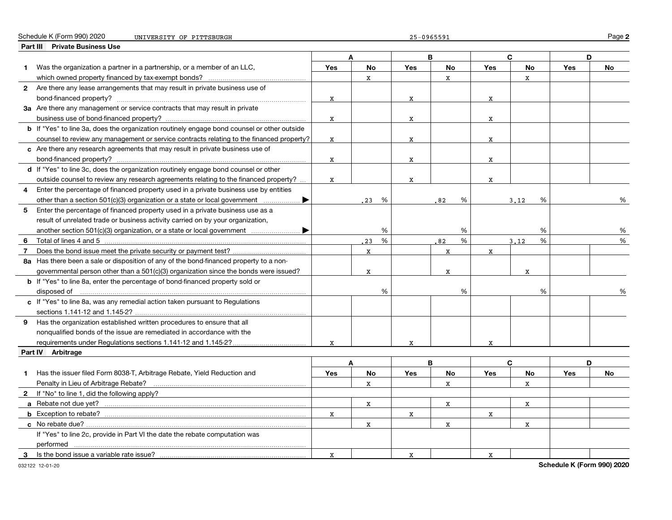| Schedule K (Fo<br>990) 2020<br>∴ (Form 1 | UNIVERSITY OF PITTSBURGH | $-0965591$<br>חה<br>∽ –<br>--- | ≌aαe |
|------------------------------------------|--------------------------|--------------------------------|------|
|------------------------------------------|--------------------------|--------------------------------|------|

|                | Part III Private Business Use                                                               |             |           |            |            |             |             |            |    |
|----------------|---------------------------------------------------------------------------------------------|-------------|-----------|------------|------------|-------------|-------------|------------|----|
|                |                                                                                             |             |           |            | B          |             | C.          | D          |    |
| 1.             | Was the organization a partner in a partnership, or a member of an LLC,                     | Yes         | No        | Yes        | No         | Yes         | No          | Yes        | No |
|                |                                                                                             |             | X         |            | x          |             | X           |            |    |
|                | 2 Are there any lease arrangements that may result in private business use of               |             |           |            |            |             |             |            |    |
|                | bond-financed property?                                                                     | X           |           | X          |            | X           |             |            |    |
|                | 3a Are there any management or service contracts that may result in private                 |             |           |            |            |             |             |            |    |
|                |                                                                                             | x           |           | X          |            | x           |             |            |    |
|                | b If "Yes" to line 3a, does the organization routinely engage bond counsel or other outside |             |           |            |            |             |             |            |    |
|                | counsel to review any management or service contracts relating to the financed property?    | X           |           | x          |            | x           |             |            |    |
|                | c Are there any research agreements that may result in private business use of              |             |           |            |            |             |             |            |    |
|                |                                                                                             | X           |           | x          |            | X           |             |            |    |
|                | d If "Yes" to line 3c, does the organization routinely engage bond counsel or other         |             |           |            |            |             |             |            |    |
|                | outside counsel to review any research agreements relating to the financed property?        | $\mathbf x$ |           | X          |            | $\mathbf x$ |             |            |    |
| 4              | Enter the percentage of financed property used in a private business use by entities        |             |           |            |            |             |             |            |    |
|                | other than a section 501(c)(3) organization or a state or local government $\ldots$         |             | 23<br>%   |            | %<br>82    |             | %<br>3.12   |            | %  |
| 5              | Enter the percentage of financed property used in a private business use as a               |             |           |            |            |             |             |            |    |
|                | result of unrelated trade or business activity carried on by your organization,             |             |           |            |            |             |             |            |    |
|                |                                                                                             |             | %         |            | %          |             | %           |            | %  |
| 6              |                                                                                             |             | %<br>23   |            | $\%$<br>82 |             | %<br>3.12   |            | %  |
| $\overline{7}$ |                                                                                             |             | x         |            | x          | x           |             |            |    |
|                | 8a Has there been a sale or disposition of any of the bond-financed property to a non-      |             |           |            |            |             |             |            |    |
|                | governmental person other than a $501(c)(3)$ organization since the bonds were issued?      |             | X         |            | x          |             | X           |            |    |
|                | <b>b</b> If "Yes" to line 8a, enter the percentage of bond-financed property sold or        |             |           |            |            |             |             |            |    |
|                |                                                                                             |             | %         |            | %          |             | %           |            | %  |
|                | c If "Yes" to line 8a, was any remedial action taken pursuant to Regulations                |             |           |            |            |             |             |            |    |
|                |                                                                                             |             |           |            |            |             |             |            |    |
| 9              | Has the organization established written procedures to ensure that all                      |             |           |            |            |             |             |            |    |
|                | nonqualified bonds of the issue are remediated in accordance with the                       |             |           |            |            |             |             |            |    |
|                | requirements under Regulations sections 1.141-12 and 1.145-2?                               |             |           |            |            |             |             |            |    |
|                | Part IV Arbitrage                                                                           |             |           |            |            |             |             |            |    |
|                |                                                                                             |             | A         |            | B          |             | C           | D          |    |
| 1.             | Has the issuer filed Form 8038-T, Arbitrage Rebate, Yield Reduction and                     | Yes         | <b>No</b> | <b>Yes</b> | No         | Yes         | No          | <b>Yes</b> | No |
|                | Penalty in Lieu of Arbitrage Rebate?                                                        |             | X         |            | x          |             | $\mathbf x$ |            |    |
|                | 2 If "No" to line 1, did the following apply?                                               |             |           |            |            |             |             |            |    |
|                |                                                                                             |             | x         |            | X          |             | x           |            |    |
|                |                                                                                             | x           |           |            |            | X           |             |            |    |
|                |                                                                                             |             | x         | X          | X          |             | x           |            |    |
|                | If "Yes" to line 2c, provide in Part VI the date the rebate computation was                 |             |           |            |            |             |             |            |    |
|                |                                                                                             |             |           |            |            |             |             |            |    |
| 3              | Is the bond issue a variable rate issue?                                                    |             |           |            |            | X           |             |            |    |
|                |                                                                                             | х           |           | x          |            |             |             |            |    |

032122 12-01-20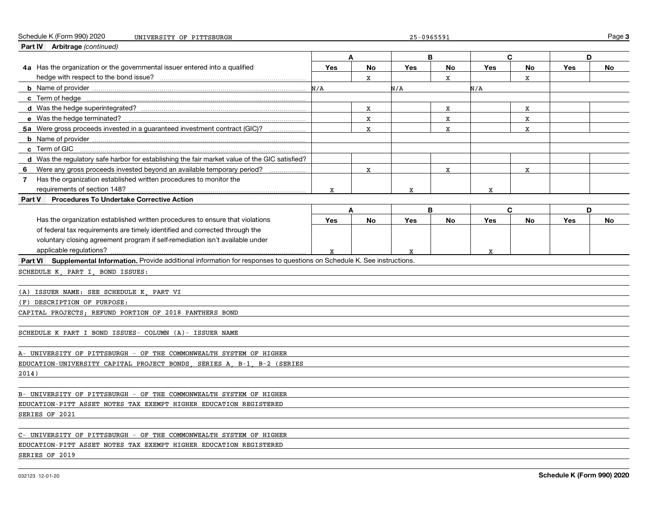| Schedule K (Form 990) 2020<br>UNIVERSITY OF PITTSBURGH                                                                       |     |             | 25-0965591 |    |     |    |            | Page 3 |
|------------------------------------------------------------------------------------------------------------------------------|-----|-------------|------------|----|-----|----|------------|--------|
| Part IV Arbitrage (continued)                                                                                                |     |             |            |    |     |    |            |        |
|                                                                                                                              |     | A           |            | B  |     | C  |            | D      |
| 4a Has the organization or the governmental issuer entered into a qualified                                                  | Yes | No          | <b>Yes</b> | No | Yes | No | Yes        | No     |
|                                                                                                                              |     | X           |            | X  |     | X  |            |        |
|                                                                                                                              | N/A |             | N/A        |    | N/A |    |            |        |
|                                                                                                                              |     |             |            |    |     |    |            |        |
|                                                                                                                              |     | x           |            | х  |     | х  |            |        |
|                                                                                                                              |     | x           |            | X  |     | X  |            |        |
| 5a Were gross proceeds invested in a quaranteed investment contract (GIC)?                                                   |     | $\mathbf x$ |            | X  |     | X  |            |        |
|                                                                                                                              |     |             |            |    |     |    |            |        |
| c Term of GIC                                                                                                                |     |             |            |    |     |    |            |        |
| d Was the regulatory safe harbor for establishing the fair market value of the GIC satisfied?                                |     |             |            |    |     |    |            |        |
| Were any gross proceeds invested beyond an available temporary period?<br>6                                                  |     | $\mathbf x$ |            | X  |     | X  |            |        |
| Has the organization established written procedures to monitor the<br>$\overline{7}$                                         |     |             |            |    |     |    |            |        |
| requirements of section 148?                                                                                                 | X   |             | X          |    | X   |    |            |        |
| Procedures To Undertake Corrective Action<br>Part V                                                                          |     |             |            |    |     |    |            |        |
|                                                                                                                              |     | A           |            | B  |     | C  |            | D      |
| Has the organization established written procedures to ensure that violations                                                | Yes | No          | Yes        | No | Yes | No | <b>Yes</b> | No     |
| of federal tax requirements are timely identified and corrected through the                                                  |     |             |            |    |     |    |            |        |
| voluntary closing agreement program if self-remediation isn't available under                                                |     |             |            |    |     |    |            |        |
| applicable regulations?                                                                                                      |     |             |            |    |     |    |            |        |
| Part VI Supplemental Information. Provide additional information for responses to questions on Schedule K. See instructions. |     |             |            |    |     |    |            |        |
| SCHEDULE K PART I BOND ISSUES:                                                                                               |     |             |            |    |     |    |            |        |
|                                                                                                                              |     |             |            |    |     |    |            |        |
| (A) ISSUER NAME: SEE SCHEDULE K PART VI                                                                                      |     |             |            |    |     |    |            |        |
| (F) DESCRIPTION OF PURPOSE:                                                                                                  |     |             |            |    |     |    |            |        |
| CAPITAL PROJECTS; REFUND PORTION OF 2018 PANTHERS BOND                                                                       |     |             |            |    |     |    |            |        |
|                                                                                                                              |     |             |            |    |     |    |            |        |
| SCHEDULE K PART I BOND ISSUES- COLUMN (A)- ISSUER NAME                                                                       |     |             |            |    |     |    |            |        |
|                                                                                                                              |     |             |            |    |     |    |            |        |
| A- UNIVERSITY OF PITTSBURGH - OF THE COMMONWEALTH SYSTEM OF HIGHER                                                           |     |             |            |    |     |    |            |        |
| EDUCATION-UNIVERSITY CAPITAL PROJECT BONDS SERIES A B-1 B-2 (SERIES                                                          |     |             |            |    |     |    |            |        |
| 2014)                                                                                                                        |     |             |            |    |     |    |            |        |
|                                                                                                                              |     |             |            |    |     |    |            |        |
| B- UNIVERSITY OF PITTSBURGH - OF THE COMMONWEALTH SYSTEM OF HIGHER                                                           |     |             |            |    |     |    |            |        |
| EDUCATION-PITT ASSET NOTES TAX EXEMPT HIGHER EDUCATION REGISTERED                                                            |     |             |            |    |     |    |            |        |
| SERIES OF 2021                                                                                                               |     |             |            |    |     |    |            |        |
|                                                                                                                              |     |             |            |    |     |    |            |        |
| C- UNIVERSITY OF PITTSBURGH - OF THE COMMONWEALTH SYSTEM OF HIGHER                                                           |     |             |            |    |     |    |            |        |
| EDUCATION-PITT ASSET NOTES TAX EXEMPT HIGHER EDUCATION REGISTERED                                                            |     |             |            |    |     |    |            |        |
| SERIES OF 2019                                                                                                               |     |             |            |    |     |    |            |        |
|                                                                                                                              |     |             |            |    |     |    |            |        |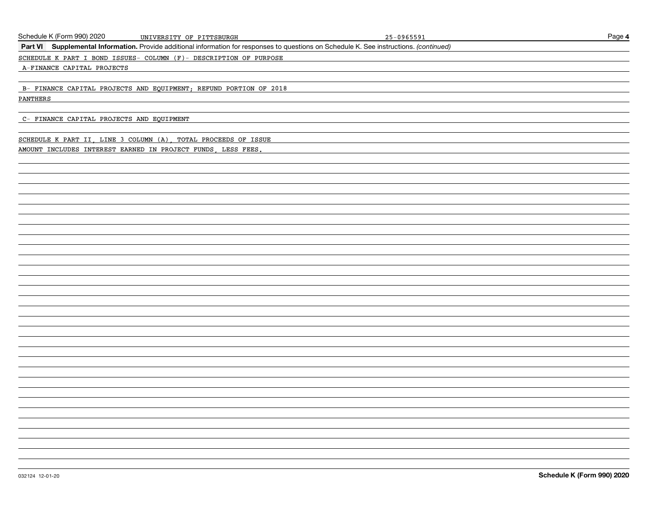| Schedule K (Form 990) 2020                | UNIVERSITY OF PITTSBURGH                                                                                                                 | 25-0965591 | Page 4                     |
|-------------------------------------------|------------------------------------------------------------------------------------------------------------------------------------------|------------|----------------------------|
|                                           | Part VI Supplemental Information. Provide additional information for responses to questions on Schedule K. See instructions. (continued) |            |                            |
|                                           | SCHEDULE K PART I BOND ISSUES- COLUMN (F)- DESCRIPTION OF PURPOSE                                                                        |            |                            |
| A-FINANCE CAPITAL PROJECTS                |                                                                                                                                          |            |                            |
|                                           |                                                                                                                                          |            |                            |
|                                           | B- FINANCE CAPITAL PROJECTS AND EQUIPMENT; REFUND PORTION OF 2018                                                                        |            |                            |
| PANTHERS                                  |                                                                                                                                          |            |                            |
|                                           |                                                                                                                                          |            |                            |
| C- FINANCE CAPITAL PROJECTS AND EQUIPMENT |                                                                                                                                          |            |                            |
|                                           |                                                                                                                                          |            |                            |
|                                           | SCHEDULE K PART II, LINE 3 COLUMN (A), TOTAL PROCEEDS OF ISSUE                                                                           |            |                            |
|                                           | AMOUNT INCLUDES INTEREST EARNED IN PROJECT FUNDS, LESS FEES.                                                                             |            |                            |
|                                           |                                                                                                                                          |            |                            |
|                                           |                                                                                                                                          |            |                            |
|                                           |                                                                                                                                          |            |                            |
|                                           |                                                                                                                                          |            |                            |
|                                           |                                                                                                                                          |            |                            |
|                                           |                                                                                                                                          |            |                            |
|                                           |                                                                                                                                          |            |                            |
|                                           |                                                                                                                                          |            |                            |
|                                           |                                                                                                                                          |            |                            |
|                                           |                                                                                                                                          |            |                            |
|                                           |                                                                                                                                          |            |                            |
|                                           |                                                                                                                                          |            |                            |
|                                           |                                                                                                                                          |            |                            |
|                                           |                                                                                                                                          |            |                            |
|                                           |                                                                                                                                          |            |                            |
|                                           |                                                                                                                                          |            |                            |
|                                           |                                                                                                                                          |            |                            |
|                                           |                                                                                                                                          |            |                            |
|                                           |                                                                                                                                          |            |                            |
|                                           |                                                                                                                                          |            |                            |
|                                           |                                                                                                                                          |            |                            |
|                                           |                                                                                                                                          |            |                            |
|                                           |                                                                                                                                          |            |                            |
|                                           |                                                                                                                                          |            |                            |
|                                           |                                                                                                                                          |            |                            |
|                                           |                                                                                                                                          |            |                            |
|                                           |                                                                                                                                          |            |                            |
|                                           |                                                                                                                                          |            |                            |
|                                           |                                                                                                                                          |            |                            |
|                                           |                                                                                                                                          |            |                            |
| 032124 12-01-20                           |                                                                                                                                          |            | Schedule K (Form 990) 2020 |
|                                           |                                                                                                                                          |            |                            |
|                                           |                                                                                                                                          |            |                            |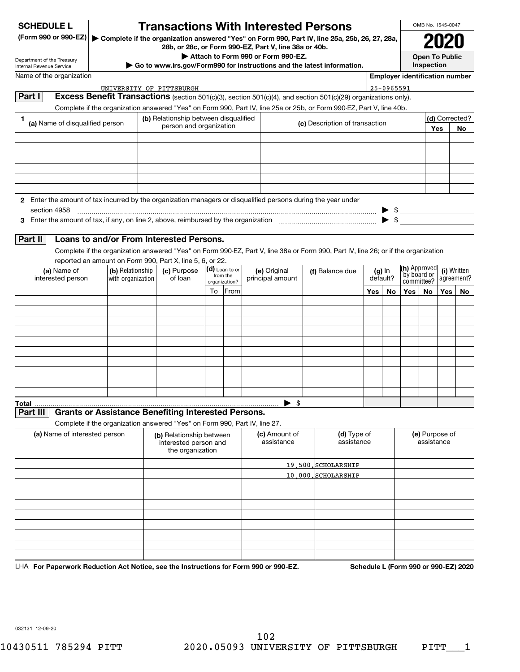| <b>SCHEDULE L</b> |  |
|-------------------|--|
|-------------------|--|

### **Transactions With Interested Persons**

**(Form 990 or 990-EZ) | Complete if the organization answered "Yes" on Form 990, Part IV, line 25a, 25b, 26, 27, 28a, 28b, or 28c, or Form 990-EZ, Part V, line 38a or 40b.**

OMB No. 1545-0047 **2020**

**Open To Public Inspection**

| $200, 01, 200, 01, 00111, 330 - LZ$ , Fail V, Illie 30a 01 40b.        |  |
|------------------------------------------------------------------------|--|
| Attach to Form 990 or Form 990-EZ.                                     |  |
| Go to www.irs.gov/Form990 for instructions and the latest information. |  |

Department of the Treasury Internal Revenue Service

| Name of the organization                                                                                                      |                                                                                                       |                                       |    |                                             |                                  |                                                                                                                                    |                    |            |                                                          |    | <b>Employer identification number</b> |    |
|-------------------------------------------------------------------------------------------------------------------------------|-------------------------------------------------------------------------------------------------------|---------------------------------------|----|---------------------------------------------|----------------------------------|------------------------------------------------------------------------------------------------------------------------------------|--------------------|------------|----------------------------------------------------------|----|---------------------------------------|----|
|                                                                                                                               | UNIVERSITY OF PITTSBURGH                                                                              |                                       |    |                                             |                                  |                                                                                                                                    |                    | 25-0965591 |                                                          |    |                                       |    |
| Part I                                                                                                                        |                                                                                                       |                                       |    |                                             |                                  | Excess Benefit Transactions (section 501(c)(3), section 501(c)(4), and section 501(c)(29) organizations only).                     |                    |            |                                                          |    |                                       |    |
|                                                                                                                               |                                                                                                       |                                       |    |                                             |                                  | Complete if the organization answered "Yes" on Form 990, Part IV, line 25a or 25b, or Form 990-EZ, Part V, line 40b.               |                    |            |                                                          |    |                                       |    |
| (a) Name of disqualified person                                                                                               |                                                                                                       | (b) Relationship between disqualified |    |                                             |                                  |                                                                                                                                    |                    |            |                                                          |    | (d) Corrected?                        |    |
|                                                                                                                               | (c) Description of transaction<br>person and organization                                             |                                       |    |                                             | Yes                              |                                                                                                                                    |                    | <b>No</b>  |                                                          |    |                                       |    |
|                                                                                                                               |                                                                                                       |                                       |    |                                             |                                  |                                                                                                                                    |                    |            |                                                          |    |                                       |    |
|                                                                                                                               |                                                                                                       |                                       |    |                                             |                                  |                                                                                                                                    |                    |            |                                                          |    |                                       |    |
| 2 Enter the amount of tax incurred by the organization managers or disqualified persons during the year under<br>section 4958 |                                                                                                       |                                       |    |                                             |                                  |                                                                                                                                    |                    |            | $\triangleright$ \$                                      |    |                                       |    |
| Part II                                                                                                                       | Loans to and/or From Interested Persons.<br>reported an amount on Form 990, Part X, line 5, 6, or 22. |                                       |    |                                             |                                  | Complete if the organization answered "Yes" on Form 990-EZ, Part V, line 38a or Form 990, Part IV, line 26; or if the organization |                    |            |                                                          |    |                                       |    |
| (a) Name of<br>interested person                                                                                              | (b) Relationship<br>with organization                                                                 | (c) Purpose<br>of loan                |    | (d) Loan to or<br>from the<br>organization? | (e) Original<br>principal amount | (f) Balance due                                                                                                                    | (g) In<br>default? |            | (h) Approved<br>`by board or<br>agreement?<br>committee? |    | (i) Written                           |    |
|                                                                                                                               |                                                                                                       |                                       | To | From                                        |                                  |                                                                                                                                    | Yes                | No         | Yes                                                      | No | Yes I                                 | No |
|                                                                                                                               |                                                                                                       |                                       |    |                                             |                                  |                                                                                                                                    |                    |            |                                                          |    |                                       |    |
|                                                                                                                               |                                                                                                       |                                       |    |                                             |                                  |                                                                                                                                    |                    |            |                                                          |    |                                       |    |
|                                                                                                                               |                                                                                                       |                                       |    |                                             |                                  |                                                                                                                                    |                    |            |                                                          |    |                                       |    |
|                                                                                                                               |                                                                                                       |                                       |    |                                             |                                  |                                                                                                                                    |                    |            |                                                          |    |                                       |    |
|                                                                                                                               |                                                                                                       |                                       |    |                                             |                                  |                                                                                                                                    |                    |            |                                                          |    |                                       |    |
|                                                                                                                               |                                                                                                       |                                       |    |                                             |                                  |                                                                                                                                    |                    |            |                                                          |    |                                       |    |
|                                                                                                                               |                                                                                                       |                                       |    |                                             |                                  |                                                                                                                                    |                    |            |                                                          |    |                                       |    |

**Total**

### | \$ Part III | Grants or Assistance Benefiting Interested Persons.

Complete if the organization answered "Yes" on Form 990, Part IV, line 27.

| (a) Name of interested person | (b) Relationship between<br>interested person and<br>the organization | (c) Amount of<br>assistance | (d) Type of<br>assistance | (e) Purpose of<br>assistance |
|-------------------------------|-----------------------------------------------------------------------|-----------------------------|---------------------------|------------------------------|
|                               |                                                                       |                             | 19.500.SCHOLARSHIP        |                              |
|                               |                                                                       |                             | 10,000.SCHOLARSHIP        |                              |
|                               |                                                                       |                             |                           |                              |
|                               |                                                                       |                             |                           |                              |
|                               |                                                                       |                             |                           |                              |
|                               |                                                                       |                             |                           |                              |
|                               |                                                                       |                             |                           |                              |
|                               |                                                                       |                             |                           |                              |
|                               |                                                                       |                             |                           |                              |
|                               |                                                                       |                             |                           |                              |

**For Paperwork Reduction Act Notice, see the Instructions for Form 990 or 990-EZ. Schedule L (Form 990 or 990-EZ) 2020** LHA

032131 12-09-20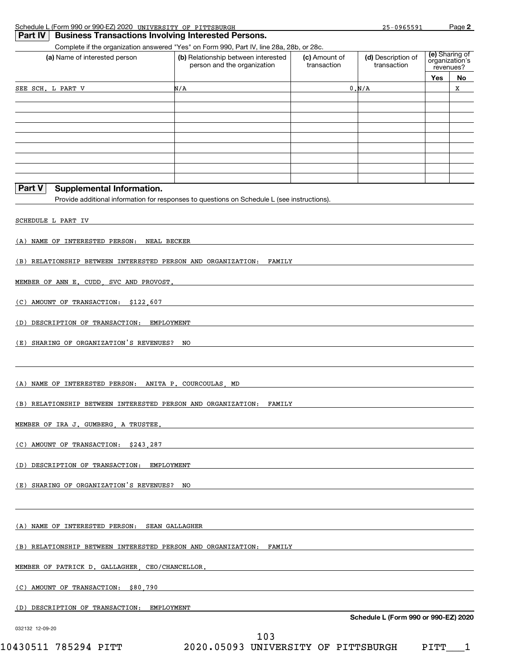| Schedule L (Form 990 or 990-EZ) 2020 | UNIVERSITY OF<br>PITTSBURGH                                                       | 096559 | Page |
|--------------------------------------|-----------------------------------------------------------------------------------|--------|------|
|                                      | $\overline{1}$ Deut BLI Dunkennen Turnennational Interfact International Devening |        |      |

| (a) Name of interested person                                       | Complete if the organization answered "Yes" on Form 990, Part IV, line 28a, 28b, or 28c.<br>(b) Relationship between interested<br>person and the organization | (c) Amount of<br>transaction | (d) Description of<br>transaction    |     | (e) Sharing of<br>organization's |
|---------------------------------------------------------------------|----------------------------------------------------------------------------------------------------------------------------------------------------------------|------------------------------|--------------------------------------|-----|----------------------------------|
|                                                                     |                                                                                                                                                                |                              |                                      | Yes | revenues?<br>No                  |
| SEE SCH. L PART V                                                   | N/A                                                                                                                                                            |                              | 0. N/A                               |     | x                                |
|                                                                     |                                                                                                                                                                |                              |                                      |     |                                  |
|                                                                     |                                                                                                                                                                |                              |                                      |     |                                  |
|                                                                     |                                                                                                                                                                |                              |                                      |     |                                  |
|                                                                     |                                                                                                                                                                |                              |                                      |     |                                  |
|                                                                     |                                                                                                                                                                |                              |                                      |     |                                  |
| Part V<br><b>Supplemental Information.</b>                          |                                                                                                                                                                |                              |                                      |     |                                  |
|                                                                     | Provide additional information for responses to questions on Schedule L (see instructions).                                                                    |                              |                                      |     |                                  |
| SCHEDULE L PART IV                                                  |                                                                                                                                                                |                              |                                      |     |                                  |
| (A) NAME OF INTERESTED PERSON:<br>NEAL BECKER                       |                                                                                                                                                                |                              |                                      |     |                                  |
| (B) RELATIONSHIP BETWEEN INTERESTED PERSON AND ORGANIZATION:        | <b>FAMILY</b>                                                                                                                                                  |                              |                                      |     |                                  |
| MEMBER OF ANN E. CUDD.<br>SVC AND PROVOST.                          |                                                                                                                                                                |                              |                                      |     |                                  |
|                                                                     |                                                                                                                                                                |                              |                                      |     |                                  |
| (C) AMOUNT OF TRANSACTION:<br>\$122,607                             |                                                                                                                                                                |                              |                                      |     |                                  |
| (D) DESCRIPTION OF TRANSACTION:<br>EMPLOYMENT                       |                                                                                                                                                                |                              |                                      |     |                                  |
| (E) SHARING OF ORGANIZATION'S REVENUES?                             | NO                                                                                                                                                             |                              |                                      |     |                                  |
|                                                                     |                                                                                                                                                                |                              |                                      |     |                                  |
| (A) NAME OF INTERESTED PERSON:                                      | ANITA P. COURCOULAS<br>MD                                                                                                                                      |                              |                                      |     |                                  |
| (B) RELATIONSHIP BETWEEN INTERESTED PERSON AND ORGANIZATION:        | FAMILY                                                                                                                                                         |                              |                                      |     |                                  |
| MEMBER OF IRA J. GUMBERG, A TRUSTEE.                                |                                                                                                                                                                |                              |                                      |     |                                  |
| (C) AMOUNT OF TRANSACTION: \$243,287                                |                                                                                                                                                                |                              |                                      |     |                                  |
| (D) DESCRIPTION OF TRANSACTION: EMPLOYMENT                          |                                                                                                                                                                |                              |                                      |     |                                  |
| (E) SHARING OF ORGANIZATION'S REVENUES? NO                          | <u> 1989 - Johann Stein, marking and de Brazilian (b. 1989)</u>                                                                                                |                              |                                      |     |                                  |
|                                                                     |                                                                                                                                                                |                              |                                      |     |                                  |
| (A) NAME OF INTERESTED PERSON: SEAN GALLAGHER                       |                                                                                                                                                                |                              |                                      |     |                                  |
| (B) RELATIONSHIP BETWEEN INTERESTED PERSON AND ORGANIZATION: FAMILY |                                                                                                                                                                |                              |                                      |     |                                  |
|                                                                     |                                                                                                                                                                |                              |                                      |     |                                  |
| MEMBER OF PATRICK D. GALLAGHER CEO/CHANCELLOR.                      |                                                                                                                                                                |                              |                                      |     |                                  |
| (C) AMOUNT OF TRANSACTION: \$80,790                                 |                                                                                                                                                                |                              |                                      |     |                                  |
| (D) DESCRIPTION OF TRANSACTION: EMPLOYMENT                          |                                                                                                                                                                |                              | Schedule L (Form 990 or 990-EZ) 2020 |     |                                  |
| 032132 12-09-20                                                     |                                                                                                                                                                |                              |                                      |     |                                  |

10430511 785294 PITT 2020.05093 UNIVERSITY OF PITTSBURGH PITT\_\_\_1 103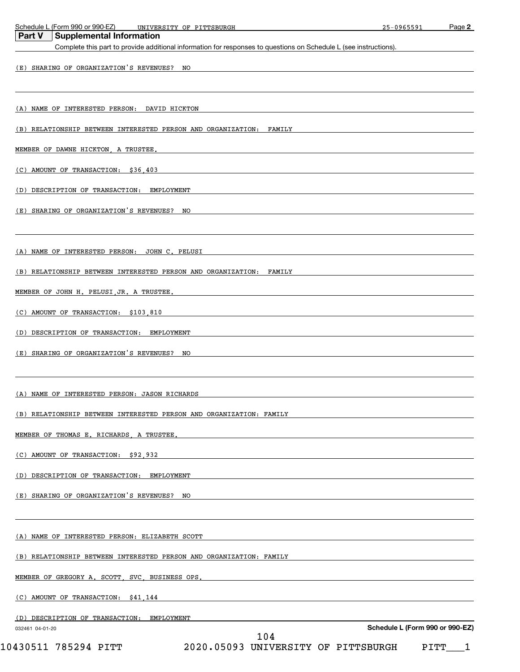|                 | Schedule L (Form 990 or 990-EZ)<br>UNIVERSITY OF PITTSBURGH                                                                                          | 25-0965591                      | Page 2 |
|-----------------|------------------------------------------------------------------------------------------------------------------------------------------------------|---------------------------------|--------|
| <b>Part V</b>   | <b>Supplemental Information</b><br>Complete this part to provide additional information for responses to questions on Schedule L (see instructions). |                                 |        |
|                 |                                                                                                                                                      |                                 |        |
|                 | (E) SHARING OF ORGANIZATION'S REVENUES? NO                                                                                                           |                                 |        |
|                 |                                                                                                                                                      |                                 |        |
|                 |                                                                                                                                                      |                                 |        |
|                 | (A) NAME OF INTERESTED PERSON: DAVID HICKTON                                                                                                         |                                 |        |
|                 | (B) RELATIONSHIP BETWEEN INTERESTED PERSON AND ORGANIZATION: FAMILY                                                                                  |                                 |        |
|                 |                                                                                                                                                      |                                 |        |
|                 | MEMBER OF DAWNE HICKTON, A TRUSTEE,                                                                                                                  |                                 |        |
|                 | (C) AMOUNT OF TRANSACTION: \$36,403                                                                                                                  |                                 |        |
|                 | (D) DESCRIPTION OF TRANSACTION: EMPLOYMENT                                                                                                           |                                 |        |
|                 |                                                                                                                                                      |                                 |        |
|                 | (E) SHARING OF ORGANIZATION'S REVENUES? NO                                                                                                           |                                 |        |
|                 |                                                                                                                                                      |                                 |        |
|                 |                                                                                                                                                      |                                 |        |
|                 | (A) NAME OF INTERESTED PERSON: JOHN C. PELUSI                                                                                                        |                                 |        |
|                 | (B) RELATIONSHIP BETWEEN INTERESTED PERSON AND ORGANIZATION: FAMILY                                                                                  |                                 |        |
|                 | MEMBER OF JOHN H. PELUSI JR. A TRUSTEE.                                                                                                              |                                 |        |
|                 |                                                                                                                                                      |                                 |        |
|                 | (C) AMOUNT OF TRANSACTION: \$103,810                                                                                                                 |                                 |        |
|                 | (D) DESCRIPTION OF TRANSACTION: EMPLOYMENT                                                                                                           |                                 |        |
|                 |                                                                                                                                                      |                                 |        |
|                 | (E) SHARING OF ORGANIZATION'S REVENUES? NO                                                                                                           |                                 |        |
|                 |                                                                                                                                                      |                                 |        |
|                 | (A) NAME OF INTERESTED PERSON: JASON RICHARDS                                                                                                        |                                 |        |
|                 |                                                                                                                                                      |                                 |        |
|                 | (B) RELATIONSHIP BETWEEN INTERESTED PERSON AND ORGANIZATION: FAMILY                                                                                  |                                 |        |
|                 | MEMBER OF THOMAS E. RICHARDS, A TRUSTEE.                                                                                                             |                                 |        |
|                 |                                                                                                                                                      |                                 |        |
|                 | (C) AMOUNT OF TRANSACTION: \$92,932                                                                                                                  |                                 |        |
|                 | (D) DESCRIPTION OF TRANSACTION: EMPLOYMENT                                                                                                           |                                 |        |
|                 | (E) SHARING OF ORGANIZATION'S REVENUES? NO                                                                                                           |                                 |        |
|                 |                                                                                                                                                      |                                 |        |
|                 |                                                                                                                                                      |                                 |        |
|                 | (A) NAME OF INTERESTED PERSON: ELIZABETH SCOTT                                                                                                       |                                 |        |
|                 |                                                                                                                                                      |                                 |        |
|                 | (B) RELATIONSHIP BETWEEN INTERESTED PERSON AND ORGANIZATION: FAMILY                                                                                  |                                 |        |
|                 | MEMBER OF GREGORY A. SCOTT, SVC, BUSINESS OPS.                                                                                                       |                                 |        |
|                 | (C) AMOUNT OF TRANSACTION: \$41,144                                                                                                                  |                                 |        |
|                 |                                                                                                                                                      |                                 |        |
|                 | (D) DESCRIPTION OF TRANSACTION: EMPLOYMENT                                                                                                           |                                 |        |
| 032461 04-01-20 | 104                                                                                                                                                  | Schedule L (Form 990 or 990-EZ) |        |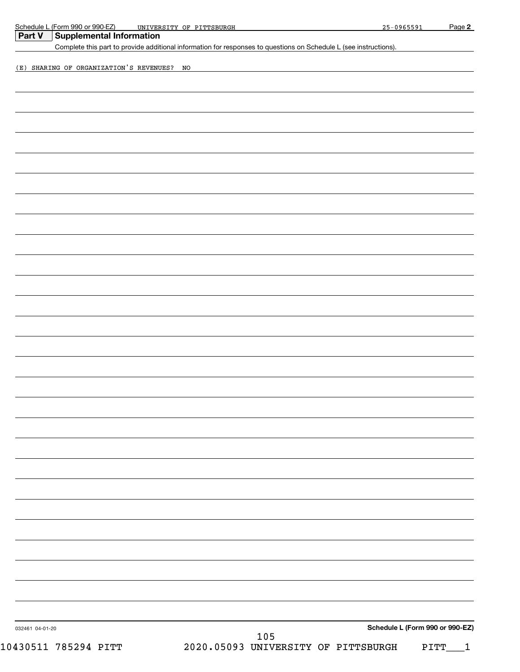| Schedule L (Form 990 or 990-EZ)            | UNIVERSITY OF PITTSBURGH                                                                                          | 25-0965591                      | Page 2 |
|--------------------------------------------|-------------------------------------------------------------------------------------------------------------------|---------------------------------|--------|
| <b>Supplemental Information</b><br>Part V  | Complete this part to provide additional information for responses to questions on Schedule L (see instructions). |                                 |        |
|                                            |                                                                                                                   |                                 |        |
| (E) SHARING OF ORGANIZATION'S REVENUES? NO |                                                                                                                   |                                 |        |
|                                            |                                                                                                                   |                                 |        |
|                                            |                                                                                                                   |                                 |        |
|                                            |                                                                                                                   |                                 |        |
|                                            |                                                                                                                   |                                 |        |
|                                            |                                                                                                                   |                                 |        |
|                                            |                                                                                                                   |                                 |        |
|                                            |                                                                                                                   |                                 |        |
|                                            |                                                                                                                   |                                 |        |
|                                            |                                                                                                                   |                                 |        |
|                                            |                                                                                                                   |                                 |        |
|                                            |                                                                                                                   |                                 |        |
|                                            |                                                                                                                   |                                 |        |
|                                            |                                                                                                                   |                                 |        |
|                                            |                                                                                                                   |                                 |        |
|                                            |                                                                                                                   |                                 |        |
|                                            |                                                                                                                   |                                 |        |
|                                            |                                                                                                                   |                                 |        |
|                                            |                                                                                                                   |                                 |        |
|                                            |                                                                                                                   |                                 |        |
|                                            |                                                                                                                   |                                 |        |
|                                            |                                                                                                                   |                                 |        |
|                                            |                                                                                                                   |                                 |        |
|                                            |                                                                                                                   |                                 |        |
|                                            |                                                                                                                   |                                 |        |
|                                            |                                                                                                                   |                                 |        |
|                                            |                                                                                                                   |                                 |        |
|                                            |                                                                                                                   |                                 |        |
|                                            |                                                                                                                   |                                 |        |
|                                            |                                                                                                                   |                                 |        |
|                                            |                                                                                                                   |                                 |        |
|                                            |                                                                                                                   |                                 |        |
|                                            |                                                                                                                   |                                 |        |
|                                            |                                                                                                                   |                                 |        |
|                                            |                                                                                                                   |                                 |        |
|                                            |                                                                                                                   |                                 |        |
|                                            |                                                                                                                   |                                 |        |
|                                            |                                                                                                                   |                                 |        |
|                                            |                                                                                                                   |                                 |        |
|                                            |                                                                                                                   |                                 |        |
|                                            |                                                                                                                   |                                 |        |
|                                            |                                                                                                                   |                                 |        |
|                                            |                                                                                                                   | Schedule L (Form 990 or 990-EZ) |        |
| 032461 04-01-20                            | 105                                                                                                               |                                 |        |
| 10430511 785294 PITT                       | 2020.05093 UNIVERSITY OF PITTSBURGH                                                                               |                                 | PITT   |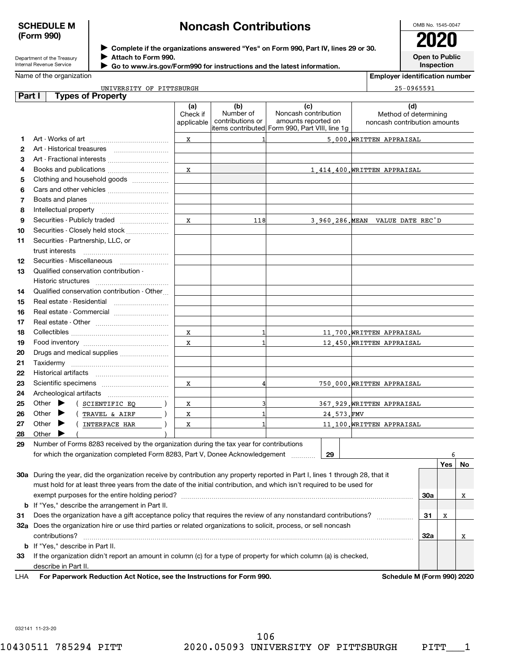### **SCHEDULE M (Form 990)**

## **Noncash Contributions**

| Department of the Treasury |
|----------------------------|
| Internal Revenue Service   |

# **Complete if the organizations answered "Yes" on Form 990, Part IV, lines 29 or 30.** <sup>J</sup>**2020**

**Attach to Form 990.** J

 **Go to www.irs.gov/Form990 for instructions and the latest information.** J

OMB No. 1545-0047 **Open to Public**

**Inspection**

**Employer identification number**

|  | UNIVERSITY<br>PITTSBURGH<br>ΟF | $A^{\alpha}C^{\beta}C^{\beta}A^{\gamma}$ |
|--|--------------------------------|------------------------------------------|
|--|--------------------------------|------------------------------------------|

| Part I | <b>Types of Property</b>                                                                                                                                                                                                                  |            |                               |                                                                       |            |                                  |     |     |    |
|--------|-------------------------------------------------------------------------------------------------------------------------------------------------------------------------------------------------------------------------------------------|------------|-------------------------------|-----------------------------------------------------------------------|------------|----------------------------------|-----|-----|----|
|        |                                                                                                                                                                                                                                           | (a)        | (b)                           | (c)                                                                   |            | (d)                              |     |     |    |
|        |                                                                                                                                                                                                                                           | Check if   | Number of<br>contributions or | Noncash contribution                                                  |            | Method of determining            |     |     |    |
|        |                                                                                                                                                                                                                                           | applicable |                               | amounts reported on<br>items contributed Form 990, Part VIII, line 1g |            | noncash contribution amounts     |     |     |    |
| 1      |                                                                                                                                                                                                                                           | x          |                               |                                                                       |            | 5 000. WRITTEN APPRAISAL         |     |     |    |
| 2      | Art - Historical treasures                                                                                                                                                                                                                |            |                               |                                                                       |            |                                  |     |     |    |
| 3      | Art - Fractional interests                                                                                                                                                                                                                |            |                               |                                                                       |            |                                  |     |     |    |
| 4      | Books and publications                                                                                                                                                                                                                    | x          |                               |                                                                       |            | 1.414.400. WRITTEN APPRAISAL     |     |     |    |
| 5      | Clothing and household goods                                                                                                                                                                                                              |            |                               |                                                                       |            |                                  |     |     |    |
| 6      |                                                                                                                                                                                                                                           |            |                               |                                                                       |            |                                  |     |     |    |
|        |                                                                                                                                                                                                                                           |            |                               |                                                                       |            |                                  |     |     |    |
| 7      |                                                                                                                                                                                                                                           |            |                               |                                                                       |            |                                  |     |     |    |
| 8      |                                                                                                                                                                                                                                           |            |                               |                                                                       |            |                                  |     |     |    |
| 9      |                                                                                                                                                                                                                                           | x          | 118                           |                                                                       |            | 3.960.286. MEAN VALUE DATE REC'D |     |     |    |
| 10     | Securities - Closely held stock                                                                                                                                                                                                           |            |                               |                                                                       |            |                                  |     |     |    |
| 11     | Securities - Partnership, LLC, or                                                                                                                                                                                                         |            |                               |                                                                       |            |                                  |     |     |    |
|        | trust interests                                                                                                                                                                                                                           |            |                               |                                                                       |            |                                  |     |     |    |
| 12     |                                                                                                                                                                                                                                           |            |                               |                                                                       |            |                                  |     |     |    |
| 13     | Qualified conservation contribution -                                                                                                                                                                                                     |            |                               |                                                                       |            |                                  |     |     |    |
|        | Historic structures                                                                                                                                                                                                                       |            |                               |                                                                       |            |                                  |     |     |    |
| 14     | Qualified conservation contribution - Other                                                                                                                                                                                               |            |                               |                                                                       |            |                                  |     |     |    |
| 15     | Real estate - Residential                                                                                                                                                                                                                 |            |                               |                                                                       |            |                                  |     |     |    |
| 16     | Real estate - Commercial                                                                                                                                                                                                                  |            |                               |                                                                       |            |                                  |     |     |    |
| 17     |                                                                                                                                                                                                                                           |            |                               |                                                                       |            |                                  |     |     |    |
| 18     |                                                                                                                                                                                                                                           | x          | 1                             |                                                                       |            | 11,700. WRITTEN APPRAISAL        |     |     |    |
| 19     |                                                                                                                                                                                                                                           | x          | 1                             |                                                                       |            | 12.450. WRITTEN APPRAISAL        |     |     |    |
| 20     |                                                                                                                                                                                                                                           |            |                               |                                                                       |            |                                  |     |     |    |
| 21     |                                                                                                                                                                                                                                           |            |                               |                                                                       |            |                                  |     |     |    |
| 22     |                                                                                                                                                                                                                                           |            |                               |                                                                       |            |                                  |     |     |    |
| 23     |                                                                                                                                                                                                                                           | x          | 4                             |                                                                       |            | 750.000.WRITTEN APPRAISAL        |     |     |    |
| 24     |                                                                                                                                                                                                                                           |            |                               |                                                                       |            |                                  |     |     |    |
| 25     | Other $\blacktriangleright$<br>( SCIENTIFIC EQ                                                                                                                                                                                            | X          | 3                             |                                                                       |            | 367,929. WRITTEN APPRAISAL       |     |     |    |
| 26     | Other $\blacktriangleright$<br>TRAVEL & AIRF                                                                                                                                                                                              | X          | 1                             |                                                                       | 24.573.FMV |                                  |     |     |    |
| 27     | Other $\blacktriangleright$<br>INTERFACE HAR                                                                                                                                                                                              | X          | 1                             |                                                                       |            | 11,100. WRITTEN APPRAISAL        |     |     |    |
| 28     | Other $\blacktriangleright$                                                                                                                                                                                                               |            |                               |                                                                       |            |                                  |     |     |    |
| 29     | Number of Forms 8283 received by the organization during the tax year for contributions                                                                                                                                                   |            |                               |                                                                       |            |                                  |     |     |    |
|        | for which the organization completed Form 8283, Part V, Donee Acknowledgement                                                                                                                                                             |            |                               |                                                                       | 29         |                                  |     | 6   |    |
|        |                                                                                                                                                                                                                                           |            |                               |                                                                       |            |                                  |     | Yes | No |
|        | 30a During the year, did the organization receive by contribution any property reported in Part I, lines 1 through 28, that it                                                                                                            |            |                               |                                                                       |            |                                  |     |     |    |
|        | must hold for at least three years from the date of the initial contribution, and which isn't required to be used for                                                                                                                     |            |                               |                                                                       |            |                                  |     |     |    |
|        |                                                                                                                                                                                                                                           |            |                               |                                                                       |            |                                  |     |     |    |
|        |                                                                                                                                                                                                                                           |            |                               |                                                                       |            |                                  | 30a |     | x  |
|        | <b>b</b> If "Yes," describe the arrangement in Part II.                                                                                                                                                                                   |            |                               |                                                                       |            |                                  |     |     |    |
|        | Does the organization have a gift acceptance policy that requires the review of any nonstandard contributions?<br>31<br>32a Does the organization hire or use third parties or related organizations to solicit, process, or sell noncash |            |                               |                                                                       |            |                                  | 31  | Χ   |    |
|        |                                                                                                                                                                                                                                           |            |                               |                                                                       |            |                                  |     |     |    |
|        | contributions?                                                                                                                                                                                                                            |            |                               |                                                                       |            |                                  | 32a |     | x  |
|        | <b>b</b> If "Yes," describe in Part II.                                                                                                                                                                                                   |            |                               |                                                                       |            |                                  |     |     |    |
| 33     | If the organization didn't report an amount in column (c) for a type of property for which column (a) is checked,                                                                                                                         |            |                               |                                                                       |            |                                  |     |     |    |
|        | describe in Part II.                                                                                                                                                                                                                      |            |                               |                                                                       |            |                                  |     |     |    |
| LHA    | For Paperwork Reduction Act Notice, see the Instructions for Form 990.                                                                                                                                                                    |            |                               |                                                                       |            | Schedule M (Form 990) 2020       |     |     |    |

032141 11-23-20

Name of the organization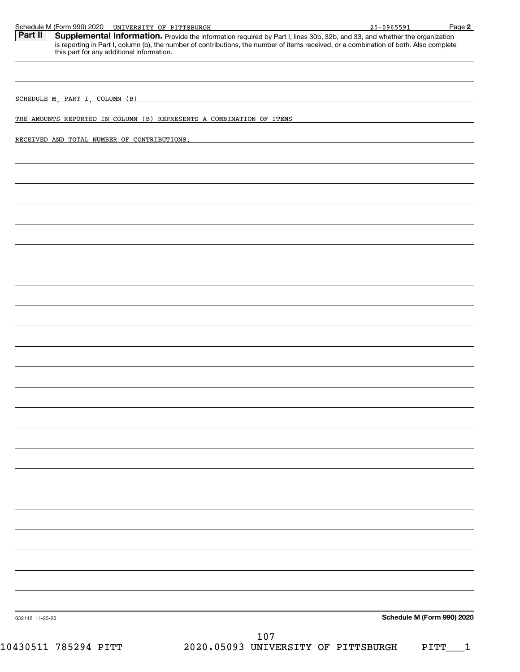| Schedule M (Form 990) 2020 UNIVERSITY OF PITTSBURGH                                                                                                                                                                                                                                         |                                     | 25-0965591 | Page 2                     |
|---------------------------------------------------------------------------------------------------------------------------------------------------------------------------------------------------------------------------------------------------------------------------------------------|-------------------------------------|------------|----------------------------|
| Part II<br><b>Supplemental Information.</b> Provide the information required by Part I, lines 30b, 32b, and 33, and whether the organization is reporting in Part I, column (b), the number of contributions, the number of items received, or<br>this part for any additional information. |                                     |            |                            |
|                                                                                                                                                                                                                                                                                             |                                     |            |                            |
| SCHEDULE M, PART I, COLUMN (B)                                                                                                                                                                                                                                                              |                                     |            |                            |
| THE AMOUNTS REPORTED IN COLUMN (B) REPRESENTS A COMBINATION OF ITEMS                                                                                                                                                                                                                        |                                     |            |                            |
| RECEIVED AND TOTAL NUMBER OF CONTRIBUTIONS.                                                                                                                                                                                                                                                 |                                     |            |                            |
|                                                                                                                                                                                                                                                                                             |                                     |            |                            |
|                                                                                                                                                                                                                                                                                             |                                     |            |                            |
|                                                                                                                                                                                                                                                                                             |                                     |            |                            |
|                                                                                                                                                                                                                                                                                             |                                     |            |                            |
|                                                                                                                                                                                                                                                                                             |                                     |            |                            |
|                                                                                                                                                                                                                                                                                             |                                     |            |                            |
|                                                                                                                                                                                                                                                                                             |                                     |            |                            |
|                                                                                                                                                                                                                                                                                             |                                     |            |                            |
|                                                                                                                                                                                                                                                                                             |                                     |            |                            |
|                                                                                                                                                                                                                                                                                             |                                     |            |                            |
|                                                                                                                                                                                                                                                                                             |                                     |            |                            |
|                                                                                                                                                                                                                                                                                             |                                     |            |                            |
|                                                                                                                                                                                                                                                                                             |                                     |            |                            |
|                                                                                                                                                                                                                                                                                             |                                     |            |                            |
|                                                                                                                                                                                                                                                                                             |                                     |            |                            |
|                                                                                                                                                                                                                                                                                             |                                     |            |                            |
|                                                                                                                                                                                                                                                                                             |                                     |            |                            |
|                                                                                                                                                                                                                                                                                             |                                     |            |                            |
|                                                                                                                                                                                                                                                                                             |                                     |            |                            |
|                                                                                                                                                                                                                                                                                             |                                     |            |                            |
|                                                                                                                                                                                                                                                                                             |                                     |            |                            |
|                                                                                                                                                                                                                                                                                             |                                     |            |                            |
|                                                                                                                                                                                                                                                                                             |                                     |            |                            |
|                                                                                                                                                                                                                                                                                             |                                     |            |                            |
|                                                                                                                                                                                                                                                                                             |                                     |            |                            |
|                                                                                                                                                                                                                                                                                             |                                     |            |                            |
| 032142 11-23-20                                                                                                                                                                                                                                                                             |                                     |            | Schedule M (Form 990) 2020 |
|                                                                                                                                                                                                                                                                                             | 107                                 |            |                            |
| 10430511 785294 PITT                                                                                                                                                                                                                                                                        | 2020.05093 UNIVERSITY OF PITTSBURGH |            | PITT<br>$\mathbf 1$        |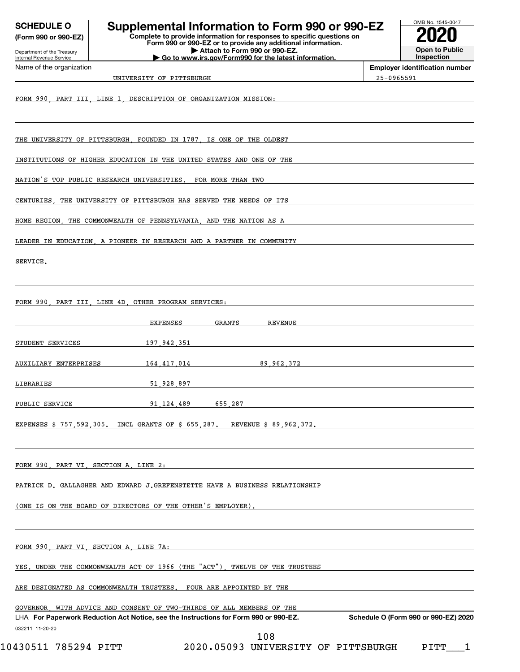| <b>SCHEDULE O</b><br>(Form 990 or 990-EZ)              | Supplemental Information to Form 990 or 990-EZ<br>Complete to provide information for responses to specific questions on<br>Form 990 or 990-EZ or to provide any additional information. |            | OMB No. 1545-0047                     |
|--------------------------------------------------------|------------------------------------------------------------------------------------------------------------------------------------------------------------------------------------------|------------|---------------------------------------|
| Department of the Treasury<br>Internal Revenue Service | Attach to Form 990 or 990-EZ.<br>Go to www.irs.gov/Form990 for the latest information.                                                                                                   |            | <b>Open to Public</b><br>Inspection   |
| Name of the organization                               | UNIVERSITY OF PITTSBURGH                                                                                                                                                                 | 25-0965591 | <b>Employer identification number</b> |
|                                                        | FORM 990, PART III, LINE 1, DESCRIPTION OF ORGANIZATION MISSION:                                                                                                                         |            |                                       |
|                                                        | THE UNIVERSITY OF PITTSBURGH FOUNDED IN 1787 IS ONE OF THE OLDEST                                                                                                                        |            |                                       |
|                                                        | INSTITUTIONS OF HIGHER EDUCATION IN THE UNITED STATES AND ONE OF THE                                                                                                                     |            |                                       |
|                                                        | NATION'S TOP PUBLIC RESEARCH UNIVERSITIES.<br>FOR MORE THAN TWO                                                                                                                          |            |                                       |
| CENTURIES                                              | THE UNIVERSITY OF PITTSBURGH HAS SERVED THE NEEDS OF ITS                                                                                                                                 |            |                                       |
|                                                        | HOME REGION THE COMMONWEALTH OF PENNSYLVANIA AND THE NATION AS A                                                                                                                         |            |                                       |
|                                                        | LEADER IN EDUCATION, A PIONEER IN RESEARCH AND A PARTNER IN COMMUNITY                                                                                                                    |            |                                       |
| SERVICE.                                               |                                                                                                                                                                                          |            |                                       |
|                                                        | FORM 990 PART III, LINE 4D, OTHER PROGRAM SERVICES:                                                                                                                                      |            |                                       |
|                                                        | EXPENSES<br><b>GRANTS</b><br><b>REVENUE</b>                                                                                                                                              |            |                                       |
| STUDENT SERVICES                                       | 197,942,351                                                                                                                                                                              |            |                                       |
| AUXILIARY ENTERPRISES                                  | 89,962,372<br>164,417,014                                                                                                                                                                |            |                                       |
| LIBRARIES                                              | 51,928,897                                                                                                                                                                               |            |                                       |
| PUBLIC SERVICE                                         | 91,124,489<br>655,287                                                                                                                                                                    |            |                                       |
|                                                        | EXPENSES \$ 757,592,305. INCL GRANTS OF \$ 655,287.<br>REVENUE \$ 89,962,372.                                                                                                            |            |                                       |
| FORM 990, PART VI, SECTION A, LINE 2:                  |                                                                                                                                                                                          |            |                                       |
|                                                        | PATRICK D. GALLAGHER AND EDWARD J.GREFENSTETTE HAVE A BUSINESS RELATIONSHIP                                                                                                              |            |                                       |
|                                                        | (ONE IS ON THE BOARD OF DIRECTORS OF THE OTHER'S EMPLOYER).                                                                                                                              |            |                                       |
|                                                        | FORM 990, PART VI, SECTION A, LINE 7A:                                                                                                                                                   |            |                                       |
|                                                        | YES. UNDER THE COMMONWEALTH ACT OF 1966 (THE "ACT").<br>TWELVE OF THE TRUSTEES                                                                                                           |            |                                       |
|                                                        | ARE DESIGNATED AS COMMONWEALTH TRUSTEES.<br>FOUR ARE APPOINTED BY THE                                                                                                                    |            |                                       |
|                                                        | GOVERNOR WITH ADVICE AND CONSENT OF TWO-THIRDS OF ALL MEMBERS OF THE<br>LHA For Paperwork Reduction Act Notice, see the Instructions for Form 990 or 990-EZ.                             |            | Schedule O (Form 990 or 990-EZ) 2020  |
| 032211 11-20-20                                        | 108                                                                                                                                                                                      |            |                                       |

 $10430511$  785294 PITT  $2020$ .05093 UNIVERSITY OF PITTSBURGH PITT $\_$  1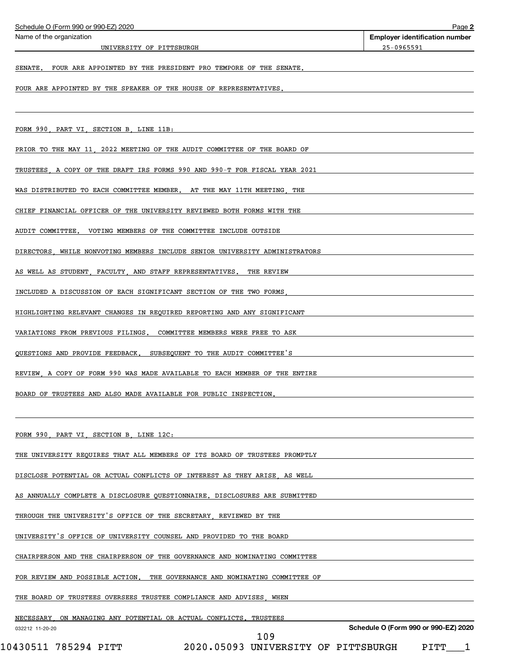| Schedule O (Form 990 or 990-EZ) 2020                                                 | Page 2                                                     |  |  |  |
|--------------------------------------------------------------------------------------|------------------------------------------------------------|--|--|--|
| Name of the organization<br>UNIVERSITY OF PITTSBURGH                                 | <b>Employer identification number</b><br><u>25-0965591</u> |  |  |  |
|                                                                                      |                                                            |  |  |  |
| FOUR ARE APPOINTED BY THE PRESIDENT PRO TEMPORE OF THE SENATE.<br>SENATE.            |                                                            |  |  |  |
| FOUR ARE APPOINTED BY THE SPEAKER OF THE HOUSE OF REPRESENTATIVES.                   |                                                            |  |  |  |
|                                                                                      |                                                            |  |  |  |
| FORM 990, PART VI, SECTION B, LINE 11B:                                              |                                                            |  |  |  |
| PRIOR TO THE MAY 11, 2022 MEETING OF THE AUDIT COMMITTEE OF THE BOARD OF             |                                                            |  |  |  |
| TRUSTEES, A COPY OF THE DRAFT IRS FORMS 990 AND 990-T FOR FISCAL YEAR 2021           |                                                            |  |  |  |
| WAS DISTRIBUTED TO EACH COMMITTEE MEMBER. AT THE MAY 11TH MEETING<br>THE             |                                                            |  |  |  |
| CHIEF FINANCIAL OFFICER OF THE UNIVERSITY REVIEWED BOTH FORMS WITH THE               |                                                            |  |  |  |
| VOTING MEMBERS OF THE COMMITTEE INCLUDE OUTSIDE<br>AUDIT COMMITTEE.                  |                                                            |  |  |  |
| DIRECTORS<br>WHILE NONVOTING MEMBERS INCLUDE SENIOR UNIVERSITY ADMINISTRATORS        |                                                            |  |  |  |
| AS WELL AS STUDENT FACULTY AND STAFF REPRESENTATIVES.<br>THE REVIEW                  |                                                            |  |  |  |
| INCLUDED A DISCUSSION OF EACH SIGNIFICANT SECTION OF THE TWO FORMS                   |                                                            |  |  |  |
| HIGHLIGHTING RELEVANT CHANGES IN REQUIRED REPORTING AND ANY SIGNIFICANT              |                                                            |  |  |  |
| VARIATIONS FROM PREVIOUS FILINGS.<br>COMMITTEE MEMBERS WERE FREE TO ASK              |                                                            |  |  |  |
| QUESTIONS AND PROVIDE FEEDBACK. SUBSEQUENT TO THE AUDIT COMMITTEE'S                  |                                                            |  |  |  |
| REVIEW A COPY OF FORM 990 WAS MADE AVAILABLE TO EACH MEMBER OF THE ENTIRE            |                                                            |  |  |  |
| BOARD OF TRUSTEES AND ALSO MADE AVAILABLE FOR PUBLIC INSPECTION.                     |                                                            |  |  |  |
|                                                                                      |                                                            |  |  |  |
| FORM 990, PART VI, SECTION B, LINE 12C:                                              |                                                            |  |  |  |
| THE UNIVERSITY REOUIRES THAT ALL MEMBERS OF ITS BOARD OF TRUSTEES PROMPTLY           |                                                            |  |  |  |
| DISCLOSE POTENTIAL OR ACTUAL CONFLICTS OF INTEREST AS THEY ARISE, AS WELL            |                                                            |  |  |  |
| AS ANNUALLY COMPLETE A DISCLOSURE OUESTIONNAIRE. DISCLOSURES ARE SUBMITTED           |                                                            |  |  |  |
| THROUGH THE UNIVERSITY'S OFFICE OF THE SECRETARY REVIEWED BY THE                     |                                                            |  |  |  |
| UNIVERSITY'S OFFICE OF UNIVERSITY COUNSEL AND PROVIDED TO THE BOARD                  |                                                            |  |  |  |
| CHAIRPERSON AND THE CHAIRPERSON OF THE GOVERNANCE AND NOMINATING COMMITTEE           |                                                            |  |  |  |
| FOR REVIEW AND POSSIBLE ACTION.<br>THE GOVERNANCE AND NOMINATING COMMITTEE OF        |                                                            |  |  |  |
| THE BOARD OF TRUSTEES OVERSEES TRUSTEE COMPLIANCE AND ADVISES<br>WHEN                |                                                            |  |  |  |
| NECESSARY ON MANAGING ANY POTENTIAL OR ACTUAL CONFLICTS. TRUSTEES<br>032212 11-20-20 | Schedule O (Form 990 or 990-EZ) 2020                       |  |  |  |

10430511 785294 PITT 2020.05093 UNIVERSITY OF PITTSBURGH PITT\_\_\_1 109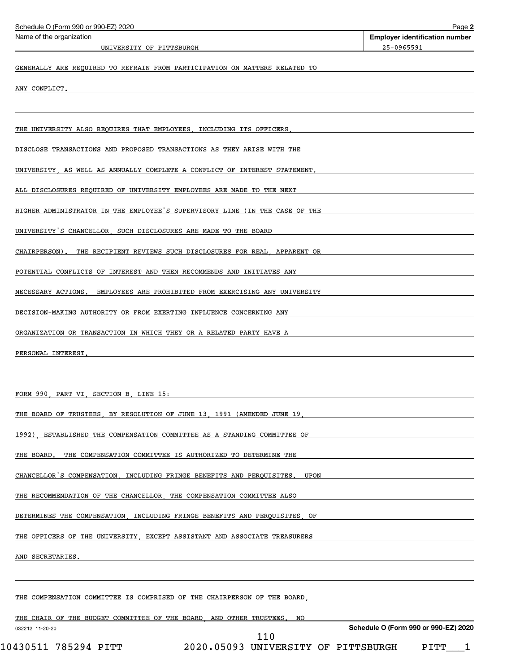| Schedule O (Form 990 or 990-EZ) 2020                                           | Page 2                                              |
|--------------------------------------------------------------------------------|-----------------------------------------------------|
| Name of the organization<br>UNIVERSITY OF PITTSBURGH                           | <b>Employer identification number</b><br>25-0965591 |
| GENERALLY ARE REQUIRED TO REFRAIN FROM PARTICIPATION ON MATTERS RELATED TO     |                                                     |
| ANY CONFLICT.                                                                  |                                                     |
|                                                                                |                                                     |
| THE UNIVERSITY ALSO REQUIRES THAT EMPLOYEES, INCLUDING ITS OFFICERS            |                                                     |
| DISCLOSE TRANSACTIONS AND PROPOSED TRANSACTIONS AS THEY ARISE WITH THE         |                                                     |
| UNIVERSITY AS WELL AS ANNUALLY COMPLETE A CONFLICT OF INTEREST STATEMENT.      |                                                     |
| ALL DISCLOSURES REQUIRED OF UNIVERSITY EMPLOYEES ARE MADE TO THE NEXT          |                                                     |
| HIGHER ADMINISTRATOR IN THE EMPLOYEE'S SUPERVISORY LINE (IN THE CASE OF THE    |                                                     |
| UNIVERSITY'S CHANCELLOR, SUCH DISCLOSURES ARE MADE TO THE BOARD                |                                                     |
| CHAIRPERSON).<br>THE RECIPIENT REVIEWS SUCH DISCLOSURES FOR REAL APPARENT OR   |                                                     |
| POTENTIAL CONFLICTS OF INTEREST AND THEN RECOMMENDS AND INITIATES ANY          |                                                     |
| NECESSARY ACTIONS.<br>EMPLOYEES ARE PROHIBITED FROM EXERCISING ANY UNIVERSITY  |                                                     |
| DECISION-MAKING AUTHORITY OR FROM EXERTING INFLUENCE CONCERNING ANY            |                                                     |
| ORGANIZATION OR TRANSACTION IN WHICH THEY OR A RELATED PARTY HAVE A            |                                                     |
| PERSONAL INTEREST.                                                             |                                                     |
|                                                                                |                                                     |
| FORM 990 PART VI SECTION B LINE 15:                                            |                                                     |
| THE BOARD OF TRUSTEES BY RESOLUTION OF JUNE 13 1991 (AMENDED JUNE 19           |                                                     |
| 1992)<br>ESTABLISHED THE COMPENSATION COMMITTEE AS A STANDING COMMITTEE OF     |                                                     |
| THE COMPENSATION COMMITTEE IS AUTHORIZED TO DETERMINE THE<br>THE BOARD.        |                                                     |
| CHANCELLOR'S COMPENSATION . INCLUDING FRINGE BENEFITS AND PERQUISITES.<br>UPON |                                                     |
| THE RECOMMENDATION OF THE CHANCELLOR. THE COMPENSATION COMMITTEE ALSO          |                                                     |
| DETERMINES THE COMPENSATION, INCLUDING FRINGE BENEFITS AND PERQUISITES<br>ОF   |                                                     |
| THE OFFICERS OF THE UNIVERSITY EXCEPT ASSISTANT AND ASSOCIATE TREASURERS       |                                                     |
| AND SECRETARIES                                                                |                                                     |
|                                                                                |                                                     |
| THE COMPENSATION COMMITTEE IS COMPRISED OF THE CHAIRPERSON OF THE BOARD        |                                                     |
| THE CHAIR OF THE BUDGET COMMITTEE OF THE BOARD AND OTHER TRUSTEES<br>NO        |                                                     |
| 032212 11-20-20<br>110                                                         | Schedule O (Form 990 or 990-EZ) 2020                |

 $10430511$  785294 PITT  $2020$ .05093 UNIVERSITY OF PITTSBURGH PITT $\_$  1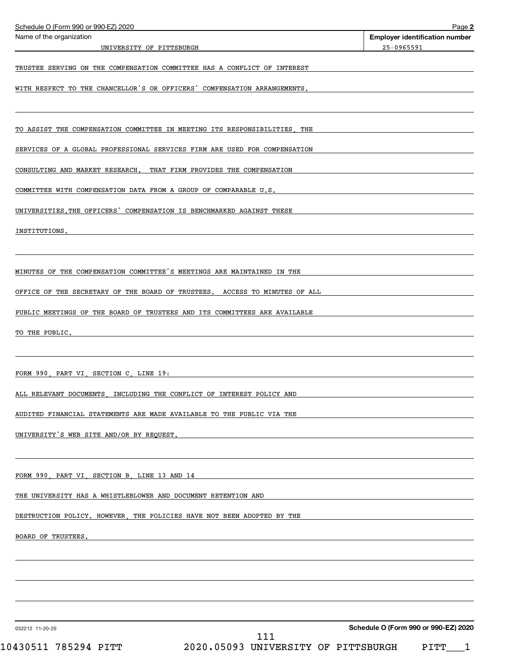| Schedule O (Form 990 or 990-EZ) 2020                                        | Page 2                                              |
|-----------------------------------------------------------------------------|-----------------------------------------------------|
| Name of the organization<br>UNIVERSITY OF PITTSBURGH                        | <b>Employer identification number</b><br>25-0965591 |
|                                                                             |                                                     |
| TRUSTEE SERVING ON THE COMPENSATION COMMITTEE HAS A CONFLICT OF INTEREST    |                                                     |
| WITH RESPECT TO THE CHANCELLOR'S OR OFFICERS' COMPENSATION ARRANGEMENTS.    |                                                     |
|                                                                             |                                                     |
| TO ASSIST THE COMPENSATION COMMITTEE IN MEETING ITS RESPONSIBILITIES<br>THE |                                                     |
| SERVICES OF A GLOBAL PROFESSIONAL SERVICES FIRM ARE USED FOR COMPENSATION   |                                                     |
| CONSULTING AND MARKET RESEARCH. THAT FIRM PROVIDES THE COMPENSATION         |                                                     |
| COMMITTEE WITH COMPENSATION DATA FROM A GROUP OF COMPARABLE U.S.            |                                                     |
| UNIVERSITIES. THE OFFICERS' COMPENSATION IS BENCHMARKED AGAINST THESE       |                                                     |
| INSTITUTIONS.                                                               |                                                     |
|                                                                             |                                                     |
| MINUTES OF THE COMPENSATION COMMITTEE'S MEETINGS ARE MAINTAINED IN THE      |                                                     |
| OFFICE OF THE SECRETARY OF THE BOARD OF TRUSTEES. ACCESS TO MINUTES OF ALL  |                                                     |
| PUBLIC MEETINGS OF THE BOARD OF TRUSTEES AND ITS COMMITTEES ARE AVAILABLE   |                                                     |
|                                                                             |                                                     |
| TO THE PUBLIC.                                                              |                                                     |
|                                                                             |                                                     |
| FORM 990, PART VI, SECTION C, LINE 19:                                      |                                                     |
| ALL RELEVANT DOCUMENTS INCLUDING THE CONFLICT OF INTEREST POLICY AND        |                                                     |
| AUDITED FINANCIAL STATEMENTS ARE MADE AVAILABLE TO THE PUBLIC VIA THE       |                                                     |
| UNIVERSITY'S WEB SITE AND/OR BY REQUEST.                                    |                                                     |
|                                                                             |                                                     |
| FORM 990 PART VI SECTION B LINE 13 AND 14                                   |                                                     |
| THE UNIVERSITY HAS A WHISTLEBLOWER AND DOCUMENT RETENTION AND               |                                                     |
| DESTRUCTION POLICY. HOWEVER, THE POLICIES HAVE NOT BEEN ADOPTED BY THE      |                                                     |
| BOARD OF TRUSTEES.                                                          |                                                     |
|                                                                             |                                                     |
|                                                                             |                                                     |
|                                                                             |                                                     |
|                                                                             |                                                     |
| 032212 11-20-20                                                             | Schedule O (Form 990 or 990-EZ) 2020                |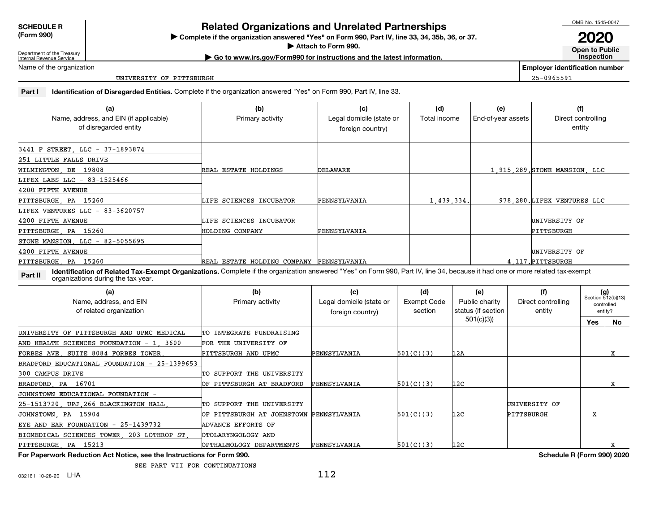**SCHEDULE R(Form 990)**

## **Complete if the organizations and Unrelated Partnerships**<br> **Related Organization answered "Yes" on Form 990, Part IV, line 33, 34, 35b, 36, or 37.**<br> **Related Organization answered "Yes" on Form 990, Part IV, line 33, 34,**

**| Go to www.irs.gov/Form990 for instructions and the latest information.**Attach to Form 990.

**Attach to Form 990. Open to Public Inspection**

Department of the Treasury Internal Revenue Service

Name of the organization

UNIVERSITY OF PITTSBURGH

**Employer identification number**25-0965591

**Part I Identification of Disregarded Entities.** Complete if the organization answered "Yes" on Form 990, Part IV, line 33.

| (a)<br>Name, address, and EIN (if applicable)<br>of disregarded entity                                                                                                                                                        | (b)<br>Primary activity                  | (c)<br>Legal domicile (state or<br>foreign country) | (d)<br>Total income | (e)<br>End-of-year assets |  | (f)<br>Direct controlling<br>entity |                                           |           |
|-------------------------------------------------------------------------------------------------------------------------------------------------------------------------------------------------------------------------------|------------------------------------------|-----------------------------------------------------|---------------------|---------------------------|--|-------------------------------------|-------------------------------------------|-----------|
| 3441 F STREET LLC - 37-1893874                                                                                                                                                                                                |                                          |                                                     |                     |                           |  |                                     |                                           |           |
| 251 LITTLE FALLS DRIVE                                                                                                                                                                                                        |                                          |                                                     |                     |                           |  |                                     |                                           |           |
| WILMINGTON, DE 19808                                                                                                                                                                                                          | REAL ESTATE HOLDINGS                     | DELAWARE                                            |                     |                           |  | 1,915,289, STONE MANSION LLC        |                                           |           |
| LIFEX LABS LLC - 83-1525466                                                                                                                                                                                                   |                                          |                                                     |                     |                           |  |                                     |                                           |           |
| 4200 FIFTH AVENUE                                                                                                                                                                                                             |                                          |                                                     |                     |                           |  |                                     |                                           |           |
| PITTSBURGH PA 15260                                                                                                                                                                                                           | LIFE SCIENCES INCUBATOR                  | PENNSYLVANIA                                        | 1.439.334.          |                           |  | 978 280 LIFEX VENTURES LLC          |                                           |           |
| LIFEX VENTURES LLC - 83-3620757                                                                                                                                                                                               |                                          |                                                     |                     |                           |  |                                     |                                           |           |
| 4200 FIFTH AVENUE                                                                                                                                                                                                             | LIFE SCIENCES INCUBATOR                  |                                                     |                     |                           |  | UNIVERSITY OF                       |                                           |           |
| PITTSBURGH PA 15260                                                                                                                                                                                                           | HOLDING COMPANY                          | PENNSYLVANIA                                        |                     |                           |  | PITTSBURGH                          |                                           |           |
| STONE MANSION, LLC - 82-5055695                                                                                                                                                                                               |                                          |                                                     |                     |                           |  |                                     |                                           |           |
| 4200 FIFTH AVENUE                                                                                                                                                                                                             |                                          |                                                     |                     |                           |  | UNIVERSITY OF                       |                                           |           |
| PITTSBURGH PA 15260                                                                                                                                                                                                           | REAL ESTATE HOLDING COMPANY PENNSYLVANIA |                                                     |                     |                           |  | 4 117. PITTSBURGH                   |                                           |           |
| Identification of Related Tax-Exempt Organizations. Complete if the organization answered "Yes" on Form 990, Part IV, line 34, because it had one or more related tax-exempt<br>Part II<br>organizations during the tax year. |                                          |                                                     |                     |                           |  |                                     |                                           |           |
| (a)                                                                                                                                                                                                                           | (b)                                      | (c)                                                 | (d)                 | (e)                       |  | (f)                                 |                                           |           |
| Name, address, and EIN                                                                                                                                                                                                        | Primary activity                         | Legal domicile (state or                            | <b>Exempt Code</b>  | Public charity            |  | Direct controlling                  | $(g)$<br>Section 512(b)(13)<br>controlled |           |
| of related organization                                                                                                                                                                                                       |                                          | foreign country)                                    | section             | status (if section        |  | entity                              |                                           | entity?   |
|                                                                                                                                                                                                                               |                                          |                                                     |                     | 501(c)(3)                 |  |                                     | Yes                                       | <b>No</b> |
| UNIVERSITY OF PITTSBURGH AND UPMC MEDICAL                                                                                                                                                                                     | TO INTEGRATE FUNDRAISING                 |                                                     |                     |                           |  |                                     |                                           |           |
| AND HEALTH SCIENCES FOUNDATION - 1 3600                                                                                                                                                                                       | FOR THE UNIVERSITY OF                    |                                                     |                     |                           |  |                                     |                                           |           |
| FORBES AVE SUITE 8084 FORBES TOWER                                                                                                                                                                                            | PITTSBURGH AND UPMC                      | PENNSYLVANIA                                        | 501(C)(3)           | 12A                       |  |                                     |                                           | X         |
| BRADFORD EDUCATIONAL FOUNDATION - 25-1399653                                                                                                                                                                                  |                                          |                                                     |                     |                           |  |                                     |                                           |           |
| 300 CAMPUS DRIVE                                                                                                                                                                                                              | TO SUPPORT THE UNIVERSITY                |                                                     |                     |                           |  |                                     |                                           |           |
| PA 16701<br>BRADFORD                                                                                                                                                                                                          | OF PITTSBURGH AT BRADFORD                | PENNSYLVANIA                                        | 501(C)(3)           | 12C                       |  |                                     |                                           | X         |
| JOHNSTOWN EDUCATIONAL FOUNDATION -                                                                                                                                                                                            |                                          |                                                     |                     |                           |  |                                     |                                           |           |



032161 10-28-20 **LHA** 

**For Paperwork Reduction Act Notice, see the Instructions for Form 990.**

EYE AND EAR FOUNDATION - 25-1439732 ADVANCE EFFORTS OFBIOMEDICAL SCIENCES TOWER, 203 LOTHROP ST, OTOLARYNGOLOGY AND

25-1513720, UPJ,266 BLACKINGTON HALL, TO SUPPORT THE UNIVERSITY | THE UNIVERSITY OF

PITTSBURGH, PA 15213 OPTHALMOLOGY DEPARTMENTS PENNSYLVANIA 501(C)(3) 12C <sup>X</sup>

SEE PART VII FOR CONTINUATIONS

JOHNSTOWN, PA 15904 OF PITTSBURGH AT JOHNSTOWN PENNSYLVANIA 501(C)(3) 12C PITTSBURGH <sup>X</sup>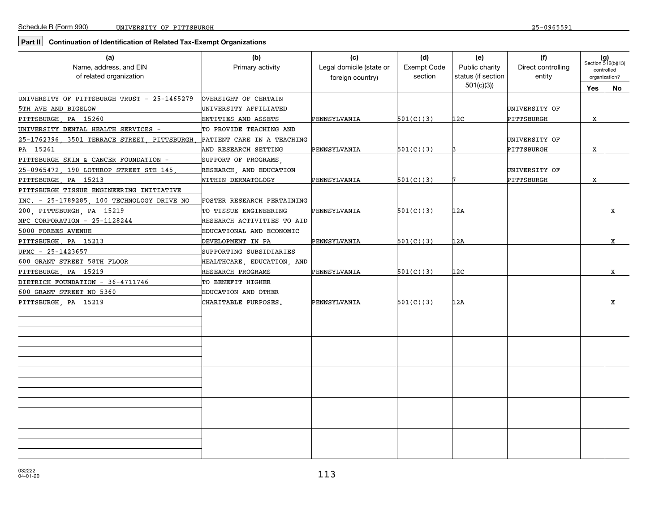### **Part II Continuation of Identification of Related Tax-Exempt Organizations**

| (a)<br>Name, address, and EIN<br>of related organization | (b)<br>Primary activity    | (c)<br>Legal domicile (state or<br>foreign country) | (d)<br><b>Exempt Code</b><br>section | (e)<br>Public charity<br>status (if section | (f)<br>Direct controlling<br>entity |            | $(g)$<br>Section 512(b)(13)<br>controlled<br>organization? |  |
|----------------------------------------------------------|----------------------------|-----------------------------------------------------|--------------------------------------|---------------------------------------------|-------------------------------------|------------|------------------------------------------------------------|--|
|                                                          |                            |                                                     |                                      | 501(c)(3)                                   |                                     | <b>Yes</b> | No                                                         |  |
| UNIVERSITY OF PITTSBURGH TRUST - 25-1465279              | OVERSIGHT OF CERTAIN       |                                                     |                                      |                                             |                                     |            |                                                            |  |
| 5TH AVE AND BIGELOW                                      | UNIVERSITY AFFILIATED      |                                                     |                                      |                                             | UNIVERSITY OF                       |            |                                                            |  |
| PITTSBURGH PA 15260                                      | ENTITIES AND ASSETS        | PENNSYLVANIA                                        | 501(C)(3)                            | 12 <sub>C</sub>                             | PITTSBURGH                          | X          |                                                            |  |
| UNIVERSITY DENTAL HEALTH SERVICES -                      | TO PROVIDE TEACHING AND    |                                                     |                                      |                                             |                                     |            |                                                            |  |
| 25-1762396 3501 TERRACE STREET PITTSBURGH                | PATIENT CARE IN A TEACHING |                                                     |                                      |                                             | UNIVERSITY OF                       |            |                                                            |  |
| PA 15261                                                 | AND RESEARCH SETTING       | PENNSYLVANIA                                        | 501(C)(3)                            |                                             | PITTSBURGH                          | X          |                                                            |  |
| PITTSBURGH SKIN & CANCER FOUNDATION -                    | SUPPORT OF PROGRAMS.       |                                                     |                                      |                                             |                                     |            |                                                            |  |
| 25-0965472 190 LOTHROP STREET STE 145                    | RESEARCH, AND EDUCATION    |                                                     |                                      |                                             | UNIVERSITY OF                       |            |                                                            |  |
| PITTSBURGH PA 15213                                      | WITHIN DERMATOLOGY         | PENNSYLVANIA                                        | 501(C)(3)                            |                                             | PITTSBURGH                          | x          |                                                            |  |
| PITTSBURGH TISSUE ENGINEERING INITIATIVE                 |                            |                                                     |                                      |                                             |                                     |            |                                                            |  |
| INC. - 25-1789285, 100 TECHNOLOGY DRIVE NO               | FOSTER RESEARCH PERTAINING |                                                     |                                      |                                             |                                     |            |                                                            |  |
| PITTSBURGH PA 15219<br>200                               | TO TISSUE ENGINEERING      | PENNSYLVANIA                                        | 501(C)(3)                            | 12A                                         |                                     |            | x                                                          |  |
| MPC CORPORATION - 25-1128244                             | RESEARCH ACTIVITIES TO AID |                                                     |                                      |                                             |                                     |            |                                                            |  |
| 5000 FORBES AVENUE                                       | EDUCATIONAL AND ECONOMIC   |                                                     |                                      |                                             |                                     |            |                                                            |  |
| PITTSBURGH PA 15213                                      | DEVELOPMENT IN PA          | PENNSYLVANIA                                        | 501(C)(3)                            | 12A                                         |                                     |            | X                                                          |  |
| UPMC - 25-1423657                                        | SUPPORTING SUBSIDIARIES    |                                                     |                                      |                                             |                                     |            |                                                            |  |
| 600 GRANT STREET 58TH FLOOR                              | HEALTHCARE, EDUCATION, AND |                                                     |                                      |                                             |                                     |            |                                                            |  |
| PITTSBURGH PA 15219                                      | RESEARCH PROGRAMS          | PENNSYLVANIA                                        | 501(C)(3)                            | 12 <sub>C</sub>                             |                                     |            | X                                                          |  |
| DIETRICH FOUNDATION - 36-4711746                         | TO BENEFIT HIGHER          |                                                     |                                      |                                             |                                     |            |                                                            |  |
| 600 GRANT STREET NO 5360                                 | EDUCATION AND OTHER        |                                                     |                                      |                                             |                                     |            |                                                            |  |
| PITTSBURGH PA 15219                                      | CHARITABLE PURPOSES.       | PENNSYLVANIA                                        | 501(C)(3)                            | 12A                                         |                                     |            | X                                                          |  |
|                                                          |                            |                                                     |                                      |                                             |                                     |            |                                                            |  |
|                                                          |                            |                                                     |                                      |                                             |                                     |            |                                                            |  |
|                                                          |                            |                                                     |                                      |                                             |                                     |            |                                                            |  |
|                                                          |                            |                                                     |                                      |                                             |                                     |            |                                                            |  |
|                                                          |                            |                                                     |                                      |                                             |                                     |            |                                                            |  |
|                                                          |                            |                                                     |                                      |                                             |                                     |            |                                                            |  |
|                                                          |                            |                                                     |                                      |                                             |                                     |            |                                                            |  |
|                                                          |                            |                                                     |                                      |                                             |                                     |            |                                                            |  |
|                                                          |                            |                                                     |                                      |                                             |                                     |            |                                                            |  |
|                                                          |                            |                                                     |                                      |                                             |                                     |            |                                                            |  |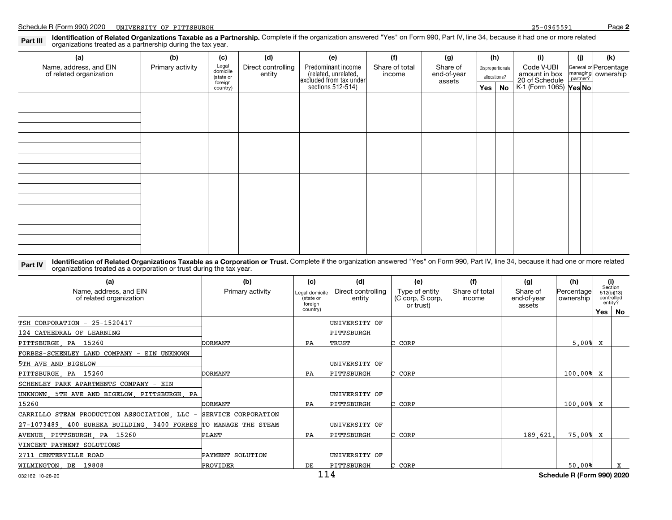**2**

# Part III Pl**dentification of Related Organizations Taxable as a Partnership.** Complete if the organization answered "Yes" on Form 990, Part IV, line 34, because it had one or more related<br>Part IIIP Promanizations treated a

| (a)                                               | (b)              | (c)                                       | (d)                          | (e)                                                                                        | (f) | (g) |        | (h) | (i)                      | (j) |                                   | (k)                              |  |                                                                                |  |  |                                               |
|---------------------------------------------------|------------------|-------------------------------------------|------------------------------|--------------------------------------------------------------------------------------------|-----|-----|--------|-----|--------------------------|-----|-----------------------------------|----------------------------------|--|--------------------------------------------------------------------------------|--|--|-----------------------------------------------|
| Name, address, and EIN<br>of related organization | Primary activity | Legal<br>domicile<br>(state or<br>foreign | Direct controlling<br>entity | Predominant income<br>(related, unrelated,<br>excluded from tax under<br>sections 512-514) |     |     |        |     | Share of total<br>income |     | Share of<br>end-of-year<br>assets | Disproportionate<br>allocations? |  | Code V-UBI<br>amount in box<br>20 of Schedule<br>K-1 (Form 1065) <b>Yes No</b> |  |  | General or Percentage<br>managing<br>partner? |
|                                                   |                  | country)                                  |                              |                                                                                            |     |     | Yes No |     |                          |     |                                   |                                  |  |                                                                                |  |  |                                               |
|                                                   |                  |                                           |                              |                                                                                            |     |     |        |     |                          |     |                                   |                                  |  |                                                                                |  |  |                                               |
|                                                   |                  |                                           |                              |                                                                                            |     |     |        |     |                          |     |                                   |                                  |  |                                                                                |  |  |                                               |
|                                                   |                  |                                           |                              |                                                                                            |     |     |        |     |                          |     |                                   |                                  |  |                                                                                |  |  |                                               |
|                                                   |                  |                                           |                              |                                                                                            |     |     |        |     |                          |     |                                   |                                  |  |                                                                                |  |  |                                               |
|                                                   |                  |                                           |                              |                                                                                            |     |     |        |     |                          |     |                                   |                                  |  |                                                                                |  |  |                                               |
|                                                   |                  |                                           |                              |                                                                                            |     |     |        |     |                          |     |                                   |                                  |  |                                                                                |  |  |                                               |
|                                                   |                  |                                           |                              |                                                                                            |     |     |        |     |                          |     |                                   |                                  |  |                                                                                |  |  |                                               |
|                                                   |                  |                                           |                              |                                                                                            |     |     |        |     |                          |     |                                   |                                  |  |                                                                                |  |  |                                               |
|                                                   |                  |                                           |                              |                                                                                            |     |     |        |     |                          |     |                                   |                                  |  |                                                                                |  |  |                                               |
|                                                   |                  |                                           |                              |                                                                                            |     |     |        |     |                          |     |                                   |                                  |  |                                                                                |  |  |                                               |
|                                                   |                  |                                           |                              |                                                                                            |     |     |        |     |                          |     |                                   |                                  |  |                                                                                |  |  |                                               |
|                                                   |                  |                                           |                              |                                                                                            |     |     |        |     |                          |     |                                   |                                  |  |                                                                                |  |  |                                               |
|                                                   |                  |                                           |                              |                                                                                            |     |     |        |     |                          |     |                                   |                                  |  |                                                                                |  |  |                                               |
|                                                   |                  |                                           |                              |                                                                                            |     |     |        |     |                          |     |                                   |                                  |  |                                                                                |  |  |                                               |
|                                                   |                  |                                           |                              |                                                                                            |     |     |        |     |                          |     |                                   |                                  |  |                                                                                |  |  |                                               |
|                                                   |                  |                                           |                              |                                                                                            |     |     |        |     |                          |     |                                   |                                  |  |                                                                                |  |  |                                               |

Part IV Identification of Related Organizations Taxable as a Corporation or Trust. Complete if the organization answered "Yes" on Form 990, Part IV, line 34, because it had one or more related or experiment or trust during organizations treated as a corporation or trust during the tax year.

| (a)<br>Name, address, and EIN<br>of related organization       | (b)<br>Primary activity | (c)<br>Legal domicile<br>(state or<br>foreian | (d)<br>Direct controlling<br>entity | (e)<br>Type of entity<br>(C corp, S corp,<br>or trust) | (f)<br>Share of total<br>income | (g)<br>Share of<br>end-of-year<br>assets | (h)<br>Percentage<br>ownership      | entity? | (i)<br>Section<br>512(b)(13)<br>controlled |
|----------------------------------------------------------------|-------------------------|-----------------------------------------------|-------------------------------------|--------------------------------------------------------|---------------------------------|------------------------------------------|-------------------------------------|---------|--------------------------------------------|
|                                                                |                         | country)                                      |                                     |                                                        |                                 |                                          |                                     |         | Yes No                                     |
| TSH CORPORATION -<br>25-1520417                                |                         |                                               | UNIVERSITY OF                       |                                                        |                                 |                                          |                                     |         |                                            |
| 124 CATHEDRAL OF LEARNING                                      |                         |                                               | PITTSBURGH                          |                                                        |                                 |                                          |                                     |         |                                            |
| PITTSBURGH PA 15260                                            | <b>DORMANT</b>          | PA                                            | TRUST                               | C CORP                                                 |                                 |                                          | 5.00% X                             |         |                                            |
| FORBES-SCHENLEY LAND COMPANY - EIN UNKNOWN                     |                         |                                               |                                     |                                                        |                                 |                                          |                                     |         |                                            |
| 5TH AVE AND BIGELOW                                            |                         |                                               | UNIVERSITY OF                       |                                                        |                                 |                                          |                                     |         |                                            |
| PITTSBURGH PA 15260                                            | DORMANT                 | PA                                            | PITTSBURGH                          | C CORP                                                 |                                 |                                          | 100.00% X                           |         |                                            |
| SCHENLEY PARK APARTMENTS COMPANY - EIN                         |                         |                                               |                                     |                                                        |                                 |                                          |                                     |         |                                            |
| UNKNOWN<br>5TH AVE AND BIGELOW PITTSBURGH PA                   |                         |                                               | UNIVERSITY OF                       |                                                        |                                 |                                          |                                     |         |                                            |
| 15260                                                          | DORMANT                 | PA                                            | PITTSBURGH                          | C CORP                                                 |                                 |                                          | 100.00% X                           |         |                                            |
| CARRILLO STEAM PRODUCTION ASSOCIATION, LLC                     | - SERVICE CORPORATION   |                                               |                                     |                                                        |                                 |                                          |                                     |         |                                            |
| 27-1073489 400 EUREKA BUILDING 3400 FORBES TO MANAGE THE STEAM |                         |                                               | UNIVERSITY OF                       |                                                        |                                 |                                          |                                     |         |                                            |
| AVENUE PITTSBURGH PA 15260                                     | PLANT                   | PA                                            | PITTSBURGH                          | C CORP                                                 |                                 | 189.621.                                 | 75.00%                              | x       |                                            |
| VINCENT PAYMENT SOLUTIONS                                      |                         |                                               |                                     |                                                        |                                 |                                          |                                     |         |                                            |
| 2711 CENTERVILLE ROAD                                          | PAYMENT SOLUTION        |                                               | UNIVERSITY OF                       |                                                        |                                 |                                          |                                     |         |                                            |
| WILMINGTON DE 19808                                            | PROVIDER                | DE                                            | PITTSBURGH                          | C CORP                                                 |                                 |                                          | 50.00%                              |         | $\mathbf{x}$                               |
|                                                                |                         | 111                                           |                                     |                                                        |                                 |                                          | <b>Coloration D</b> (Form 000) 0000 |         |                                            |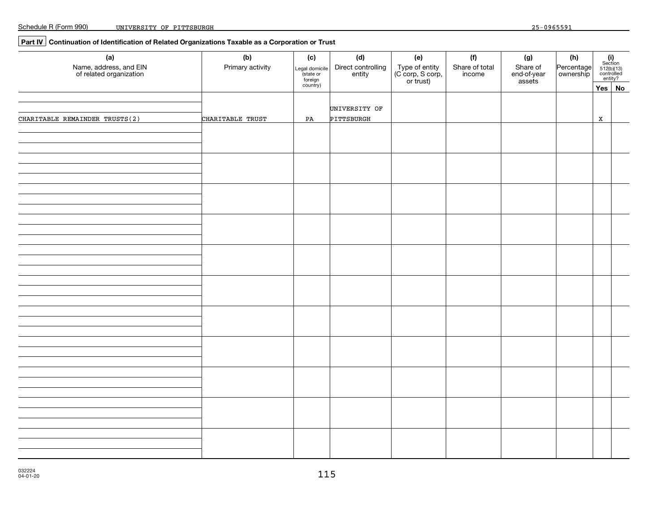### **Part IV Continuation of Identification of Related Organizations Taxable as a Corporation or Trust**

| (a)<br>Name, address, and EIN<br>of related organization | (b)<br>Primary activity | (c)<br>Legal domicile<br>(state or<br>foreign<br>country) | (d)<br>Direct controlling<br>entity | (e)<br>Type of entity<br>(C corp, S corp,<br>or trust) | (f)<br>Share of total<br>income | (g)<br>Share of<br>end-of-year<br>assets | (h)<br>Percentage<br>ownership | $(i)$<br>Section<br>512(b)(13)<br>controlled<br>entity? |  |
|----------------------------------------------------------|-------------------------|-----------------------------------------------------------|-------------------------------------|--------------------------------------------------------|---------------------------------|------------------------------------------|--------------------------------|---------------------------------------------------------|--|
| CHARITABLE REMAINDER TRUSTS(2)                           | CHARITABLE TRUST        | PA                                                        | UNIVERSITY OF<br>PITTSBURGH         |                                                        |                                 |                                          |                                | Yes No<br>$\,$ X                                        |  |
|                                                          |                         |                                                           |                                     |                                                        |                                 |                                          |                                |                                                         |  |
|                                                          |                         |                                                           |                                     |                                                        |                                 |                                          |                                |                                                         |  |
|                                                          |                         |                                                           |                                     |                                                        |                                 |                                          |                                |                                                         |  |
|                                                          |                         |                                                           |                                     |                                                        |                                 |                                          |                                |                                                         |  |
|                                                          |                         |                                                           |                                     |                                                        |                                 |                                          |                                |                                                         |  |
|                                                          |                         |                                                           |                                     |                                                        |                                 |                                          |                                |                                                         |  |
|                                                          |                         |                                                           |                                     |                                                        |                                 |                                          |                                |                                                         |  |
|                                                          |                         |                                                           |                                     |                                                        |                                 |                                          |                                |                                                         |  |
|                                                          |                         |                                                           |                                     |                                                        |                                 |                                          |                                |                                                         |  |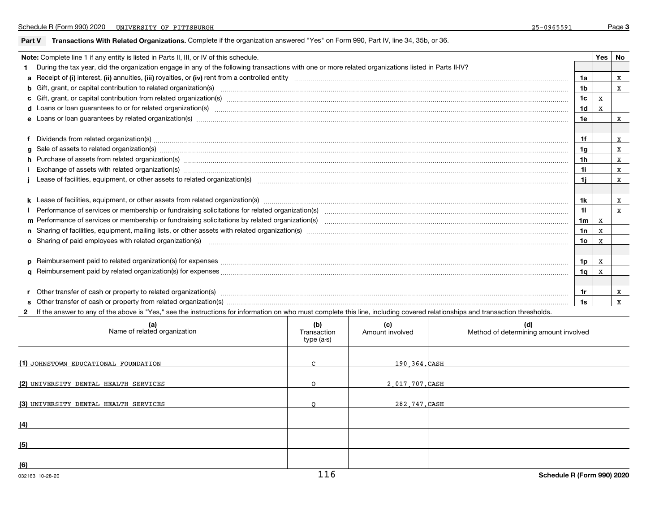#### **Part V Transactions With Related Organizations.** Complete if the organization answered "Yes" on Form 990, Part IV, line 34, 35b, or 36.

| Note: Complete line 1 if any entity is listed in Parts II, III, or IV of this schedule.                                                                                                                                        |     |   | Yes   No |
|--------------------------------------------------------------------------------------------------------------------------------------------------------------------------------------------------------------------------------|-----|---|----------|
| During the tax year, did the organization engage in any of the following transactions with one or more related organizations listed in Parts II-IV?                                                                            |     |   |          |
|                                                                                                                                                                                                                                | 1a  |   | x        |
| b Gift, grant, or capital contribution to related organization(s) manufaction contribution of the contribution to related organization(s) manufaction contribution to related organization(s) manufactured contribution contri | 1b  |   | x        |
|                                                                                                                                                                                                                                | 1c  | x |          |
|                                                                                                                                                                                                                                | 1d  | X |          |
|                                                                                                                                                                                                                                | 1e  |   | x        |
|                                                                                                                                                                                                                                |     |   |          |
| Dividends from related organization(s) manufactured and contract and contract or produced and contract and contract and contract and contract and contract and contract and contract and contract and contract and contract an | 1f  |   | x        |
| g Sale of assets to related organization(s) manufactured assembly contained as a set of assets to related organization(s) manufactured assets to related organization(s) manufactured assets to related organization(s)        | 1g  |   | x        |
| h Purchase of assets from related organization(s) manufactured and content to content the content of assets from related organization(s)                                                                                       | 1h  |   | X        |
|                                                                                                                                                                                                                                | 1i. |   | x        |
|                                                                                                                                                                                                                                | 1i. |   | x        |
|                                                                                                                                                                                                                                |     |   |          |
|                                                                                                                                                                                                                                | 1k  |   | x        |
|                                                                                                                                                                                                                                | 11  |   | X        |
|                                                                                                                                                                                                                                | 1m  | X |          |
|                                                                                                                                                                                                                                | 1n  | X |          |
| o Sharing of paid employees with related organization(s) manufaction(s) and contain a substitution of the state or state or state or state or state or state or state or state or state or state or state or state or state or | 1o  |   |          |
|                                                                                                                                                                                                                                |     |   |          |
|                                                                                                                                                                                                                                | 1p  | X |          |
|                                                                                                                                                                                                                                | 1q  | x |          |
|                                                                                                                                                                                                                                |     |   |          |
| Other transfer of cash or property to related organization(s) www.communities.com/www.communities/communities/                                                                                                                 | 1r  |   | x        |
|                                                                                                                                                                                                                                | 1s  |   | X        |

|  |  |  | If the answer to any of the above is "Yes," see the instructions for information on who must complete this line, including covered relationships and transaction thresholds. |  |  |  |  |
|--|--|--|------------------------------------------------------------------------------------------------------------------------------------------------------------------------------|--|--|--|--|
|--|--|--|------------------------------------------------------------------------------------------------------------------------------------------------------------------------------|--|--|--|--|

| (a)<br>Name of related organization   | (b)<br>Transaction<br>type (a-s) | (c)<br>Amount involved | (d)<br>Method of determining amount involved |
|---------------------------------------|----------------------------------|------------------------|----------------------------------------------|
| (1) JOHNSTOWN EDUCATIONAL FOUNDATION  | $\sim$                           | 190, 364. CASH         |                                              |
| (2) UNIVERSITY DENTAL HEALTH SERVICES | $\circ$                          | 2,017,707. CASH        |                                              |
| (3) UNIVERSITY DENTAL HEALTH SERVICES |                                  | 282.747. CASH          |                                              |
| (4)                                   |                                  |                        |                                              |
| (5)                                   |                                  |                        |                                              |
| (6)<br>000100100000000                | 116                              |                        | Schodule D (Form 000) 2020                   |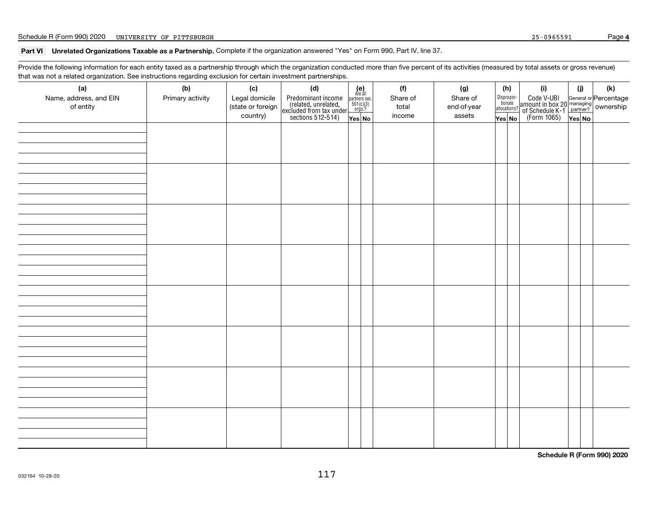#### **Part VI Unrelated Organizations Taxable as a Partnership.** Complete if the organization answered "Yes" on Form 990, Part IV, line 37.

Provide the following information for each entity taxed as a partnership through which the organization conducted more than five percent of its activities (measured by total assets or gross revenue) that was not a related organization. See instructions regarding exclusion for certain investment partnerships.

| ັ                                          | ັ<br>◡                  |                                                        |                                                                                                   |                                                                                                                            |                                    |                                          |                                                        |                                                                               |               |                                                                                 |
|--------------------------------------------|-------------------------|--------------------------------------------------------|---------------------------------------------------------------------------------------------------|----------------------------------------------------------------------------------------------------------------------------|------------------------------------|------------------------------------------|--------------------------------------------------------|-------------------------------------------------------------------------------|---------------|---------------------------------------------------------------------------------|
| (a)<br>Name, address, and EIN<br>of entity | (b)<br>Primary activity | (c)<br>Legal domicile<br>(state or foreign<br>country) | (d)<br>Predominant income<br>(related, unrelated,<br>excluded from tax under<br>sections 512-514) | $\begin{array}{c} \textbf{(e)}\\ \text{Are all} \\ \text{partners sec.}\\ 501(c)(3)\\ \text{orgs.?} \end{array}$<br>Yes No | (f)<br>Share of<br>total<br>income | (g)<br>Share of<br>end-of-year<br>assets | (h)<br>Dispropor-<br>tionate<br>allocations?<br>Yes No | (i)<br>Code V-UBI<br>  amount in box 20<br>  of Schedule K-1<br>  (Form 1065) | (i)<br>Yes No | $(\mathsf{k})$<br>General or Percentage<br>  managing<br>  partner?   OWNership |
|                                            |                         |                                                        |                                                                                                   |                                                                                                                            |                                    |                                          |                                                        |                                                                               |               |                                                                                 |
|                                            |                         |                                                        |                                                                                                   |                                                                                                                            |                                    |                                          |                                                        |                                                                               |               |                                                                                 |
|                                            |                         |                                                        |                                                                                                   |                                                                                                                            |                                    |                                          |                                                        |                                                                               |               |                                                                                 |
|                                            |                         |                                                        |                                                                                                   |                                                                                                                            |                                    |                                          |                                                        |                                                                               |               |                                                                                 |
|                                            |                         |                                                        |                                                                                                   |                                                                                                                            |                                    |                                          |                                                        |                                                                               |               |                                                                                 |
|                                            |                         |                                                        |                                                                                                   |                                                                                                                            |                                    |                                          |                                                        |                                                                               |               |                                                                                 |
|                                            |                         |                                                        |                                                                                                   |                                                                                                                            |                                    |                                          |                                                        |                                                                               |               |                                                                                 |
|                                            |                         |                                                        |                                                                                                   |                                                                                                                            |                                    |                                          |                                                        |                                                                               |               |                                                                                 |

**Schedule R (Form 990) 2020**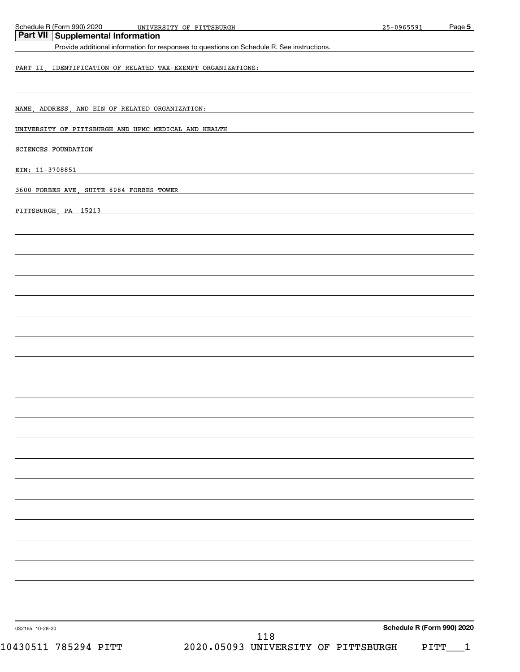| Schedule R (Form 990) 2020<br>UNIVERSITY OF PITTSBURGH                                     | 25-0965591                 | Page 5 |
|--------------------------------------------------------------------------------------------|----------------------------|--------|
| Part VII<br><b>Supplemental Information</b>                                                |                            |        |
| Provide additional information for responses to questions on Schedule R. See instructions. |                            |        |
| PART II, IDENTIFICATION OF RELATED TAX-EXEMPT ORGANIZATIONS:                               |                            |        |
|                                                                                            |                            |        |
|                                                                                            |                            |        |
| NAME, ADDRESS, AND EIN OF RELATED ORGANIZATION:                                            |                            |        |
| UNIVERSITY OF PITTSBURGH AND UPMC MEDICAL AND HEALTH                                       |                            |        |
| <b>SCIENCES FOUNDATION</b>                                                                 |                            |        |
|                                                                                            |                            |        |
| EIN: 11-3708851                                                                            |                            |        |
| 3600 FORBES AVE, SUITE 8084 FORBES TOWER                                                   |                            |        |
|                                                                                            |                            |        |
| PITTSBURGH, PA 15213                                                                       |                            |        |
|                                                                                            |                            |        |
|                                                                                            |                            |        |
|                                                                                            |                            |        |
|                                                                                            |                            |        |
|                                                                                            |                            |        |
|                                                                                            |                            |        |
|                                                                                            |                            |        |
|                                                                                            |                            |        |
|                                                                                            |                            |        |
|                                                                                            |                            |        |
|                                                                                            |                            |        |
|                                                                                            |                            |        |
|                                                                                            |                            |        |
|                                                                                            |                            |        |
|                                                                                            |                            |        |
|                                                                                            |                            |        |
|                                                                                            |                            |        |
|                                                                                            |                            |        |
|                                                                                            |                            |        |
|                                                                                            |                            |        |
|                                                                                            |                            |        |
|                                                                                            |                            |        |
|                                                                                            |                            |        |
|                                                                                            |                            |        |
|                                                                                            |                            |        |
|                                                                                            |                            |        |
|                                                                                            | Schedule R (Form 990) 2020 |        |
| 032165 10-28-20<br>118                                                                     |                            |        |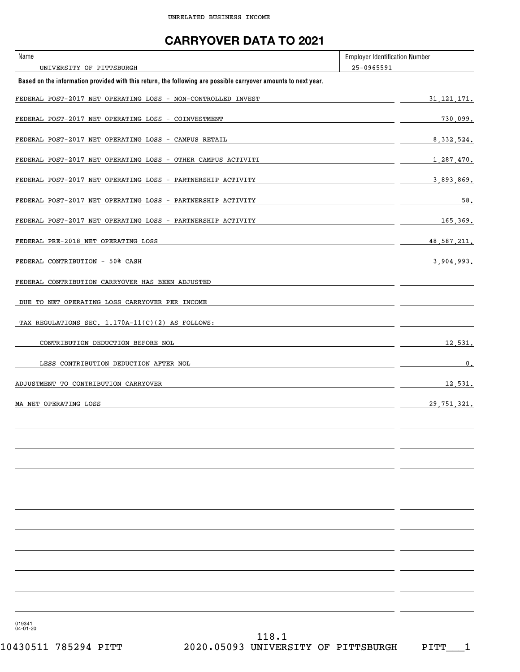### **CARRYOVER DATA TO 2021**

| Name                                                                                                           | <b>Employer Identification Number</b> |
|----------------------------------------------------------------------------------------------------------------|---------------------------------------|
| UNIVERSITY OF PITTSBURGH                                                                                       | 25-0965591                            |
| Based on the information provided with this return, the following are possible carryover amounts to next year. |                                       |
| FEDERAL POST-2017 NET OPERATING LOSS - NON-CONTROLLED INVEST                                                   | 31, 121, 171.                         |
| FEDERAL POST-2017 NET OPERATING LOSS - COINVESTMENT                                                            | 730,099.                              |
| FEDERAL POST-2017 NET OPERATING LOSS - CAMPUS RETAIL                                                           | 8, 332, 524.                          |
| FEDERAL POST-2017 NET OPERATING LOSS - OTHER CAMPUS ACTIVITI                                                   | 1,287,470.                            |
| FEDERAL POST-2017 NET OPERATING LOSS - PARTNERSHIP ACTIVITY                                                    | 3,893,869.                            |
| FEDERAL POST-2017 NET OPERATING LOSS - PARTNERSHIP ACTIVITY                                                    | 58.                                   |
| FEDERAL POST-2017 NET OPERATING LOSS - PARTNERSHIP ACTIVITY                                                    | 165,369.                              |
| FEDERAL PRE-2018 NET OPERATING LOSS                                                                            | 48.587.211.                           |
| FEDERAL CONTRIBUTION - 50% CASH                                                                                | 3,904,993.                            |
| FEDERAL CONTRIBUTION CARRYOVER HAS BEEN ADJUSTED                                                               |                                       |
| DUE TO NET OPERATING LOSS CARRYOVER PER INCOME                                                                 |                                       |
| TAX REGULATIONS SEC. 1.170A-11(C)(2) AS FOLLOWS:                                                               |                                       |
| CONTRIBUTION DEDUCTION BEFORE NOL                                                                              | 12,531.                               |
| LESS CONTRIBUTION DEDUCTION AFTER NOL                                                                          | 0.                                    |
| ADJUSTMENT TO CONTRIBUTION CARRYOVER                                                                           | 12,531.                               |
| MA NET OPERATING LOSS                                                                                          | 29, 751, 321.                         |
|                                                                                                                |                                       |
|                                                                                                                |                                       |
|                                                                                                                |                                       |
|                                                                                                                |                                       |
|                                                                                                                |                                       |
|                                                                                                                |                                       |
|                                                                                                                |                                       |
|                                                                                                                |                                       |
|                                                                                                                |                                       |
|                                                                                                                |                                       |

019341 04-01-20